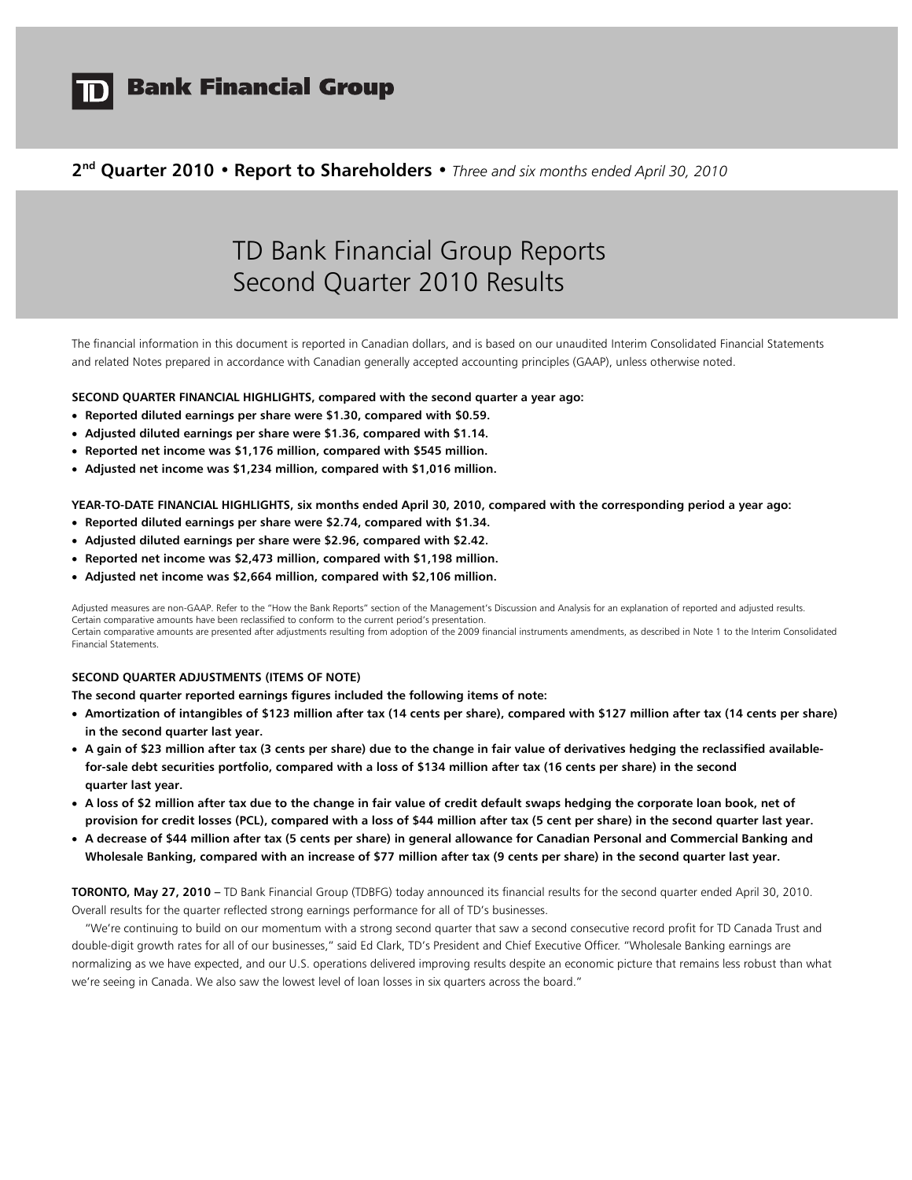

# **Bank Financial Group**

## **2nd Quarter 2010 • Report to Shareholders •** *Three and six months ended April 30, 2010*

# TD Bank Financial Group Reports Second Quarter 2010 Results

The financial information in this document is reported in Canadian dollars, and is based on our unaudited Interim Consolidated Financial Statements and related Notes prepared in accordance with Canadian generally accepted accounting principles (GAAP), unless otherwise noted.

#### **SECOND QUARTER FINANCIAL HIGHLIGHTS, compared with the second quarter a year ago:**

- **Reported diluted earnings per share were \$1.30, compared with \$0.59.**
- **Adjusted diluted earnings per share were \$1.36, compared with \$1.14.**
- **Reported net income was \$1,176 million, compared with \$545 million.**
- **Adjusted net income was \$1,234 million, compared with \$1,016 million.**

**YEAR-TO-DATE FINANCIAL HIGHLIGHTS, six months ended April 30, 2010, compared with the corresponding period a year ago:** 

- **Reported diluted earnings per share were \$2.74, compared with \$1.34.**
- **Adjusted diluted earnings per share were \$2.96, compared with \$2.42.**
- **Reported net income was \$2,473 million, compared with \$1,198 million.**
- **Adjusted net income was \$2,664 million, compared with \$2,106 million.**

Adjusted measures are non-GAAP. Refer to the "How the Bank Reports" section of the Management's Discussion and Analysis for an explanation of reported and adjusted results. Certain comparative amounts have been reclassified to conform to the current period's presentation. Certain comparative amounts are presented after adjustments resulting from adoption of the 2009 financial instruments amendments, as described in Note 1 to the Interim Consolidated Financial Statements.

#### **SECOND QUARTER ADJUSTMENTS (ITEMS OF NOTE)**

**The second quarter reported earnings figures included the following items of note:** 

- **Amortization of intangibles of \$123 million after tax (14 cents per share), compared with \$127 million after tax (14 cents per share) in the second quarter last year.**
- **A gain of \$23 million after tax (3 cents per share) due to the change in fair value of derivatives hedging the reclassified availablefor-sale debt securities portfolio, compared with a loss of \$134 million after tax (16 cents per share) in the second quarter last year.**
- **A loss of \$2 million after tax due to the change in fair value of credit default swaps hedging the corporate loan book, net of provision for credit losses (PCL), compared with a loss of \$44 million after tax (5 cent per share) in the second quarter last year.**
- **A decrease of \$44 million after tax (5 cents per share) in general allowance for Canadian Personal and Commercial Banking and Wholesale Banking, compared with an increase of \$77 million after tax (9 cents per share) in the second quarter last year.**

**TORONTO, May 27, 2010 –** TD Bank Financial Group (TDBFG) today announced its financial results for the second quarter ended April 30, 2010. Overall results for the quarter reflected strong earnings performance for all of TD's businesses.

 "We're continuing to build on our momentum with a strong second quarter that saw a second consecutive record profit for TD Canada Trust and double-digit growth rates for all of our businesses," said Ed Clark, TD's President and Chief Executive Officer. "Wholesale Banking earnings are normalizing as we have expected, and our U.S. operations delivered improving results despite an economic picture that remains less robust than what we're seeing in Canada. We also saw the lowest level of loan losses in six quarters across the board."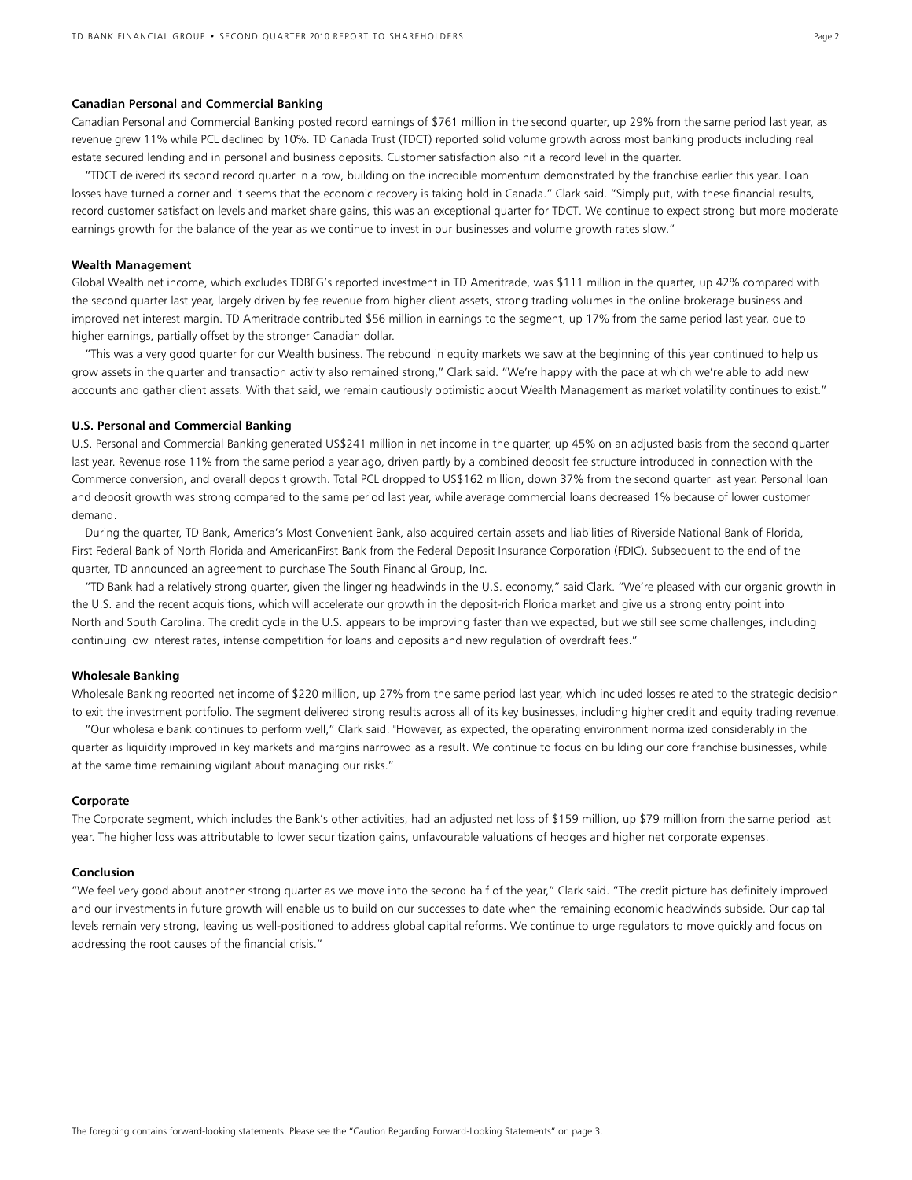#### **Canadian Personal and Commercial Banking**

Canadian Personal and Commercial Banking posted record earnings of \$761 million in the second quarter, up 29% from the same period last year, as revenue grew 11% while PCL declined by 10%. TD Canada Trust (TDCT) reported solid volume growth across most banking products including real estate secured lending and in personal and business deposits. Customer satisfaction also hit a record level in the quarter.

 "TDCT delivered its second record quarter in a row, building on the incredible momentum demonstrated by the franchise earlier this year. Loan losses have turned a corner and it seems that the economic recovery is taking hold in Canada." Clark said. "Simply put, with these financial results, record customer satisfaction levels and market share gains, this was an exceptional quarter for TDCT. We continue to expect strong but more moderate earnings growth for the balance of the year as we continue to invest in our businesses and volume growth rates slow."

#### **Wealth Management**

Global Wealth net income, which excludes TDBFG's reported investment in TD Ameritrade, was \$111 million in the quarter, up 42% compared with the second quarter last year, largely driven by fee revenue from higher client assets, strong trading volumes in the online brokerage business and improved net interest margin. TD Ameritrade contributed \$56 million in earnings to the segment, up 17% from the same period last year, due to higher earnings, partially offset by the stronger Canadian dollar.

"This was a very good quarter for our Wealth business. The rebound in equity markets we saw at the beginning of this year continued to help us grow assets in the quarter and transaction activity also remained strong," Clark said. "We're happy with the pace at which we're able to add new accounts and gather client assets. With that said, we remain cautiously optimistic about Wealth Management as market volatility continues to exist."

### **U.S. Personal and Commercial Banking**

U.S. Personal and Commercial Banking generated US\$241 million in net income in the quarter, up 45% on an adjusted basis from the second quarter last year. Revenue rose 11% from the same period a year ago, driven partly by a combined deposit fee structure introduced in connection with the Commerce conversion, and overall deposit growth. Total PCL dropped to US\$162 million, down 37% from the second quarter last year. Personal loan and deposit growth was strong compared to the same period last year, while average commercial loans decreased 1% because of lower customer demand.

 During the quarter, TD Bank, America's Most Convenient Bank, also acquired certain assets and liabilities of Riverside National Bank of Florida, First Federal Bank of North Florida and AmericanFirst Bank from the Federal Deposit Insurance Corporation (FDIC). Subsequent to the end of the quarter, TD announced an agreement to purchase The South Financial Group, Inc.

"TD Bank had a relatively strong quarter, given the lingering headwinds in the U.S. economy," said Clark. "We're pleased with our organic growth in the U.S. and the recent acquisitions, which will accelerate our growth in the deposit-rich Florida market and give us a strong entry point into North and South Carolina. The credit cycle in the U.S. appears to be improving faster than we expected, but we still see some challenges, including continuing low interest rates, intense competition for loans and deposits and new regulation of overdraft fees."

#### **Wholesale Banking**

Wholesale Banking reported net income of \$220 million, up 27% from the same period last year, which included losses related to the strategic decision to exit the investment portfolio. The segment delivered strong results across all of its key businesses, including higher credit and equity trading revenue.

"Our wholesale bank continues to perform well," Clark said. "However, as expected, the operating environment normalized considerably in the quarter as liquidity improved in key markets and margins narrowed as a result. We continue to focus on building our core franchise businesses, while at the same time remaining vigilant about managing our risks."

#### **Corporate**

The Corporate segment, which includes the Bank's other activities, had an adjusted net loss of \$159 million, up \$79 million from the same period last year. The higher loss was attributable to lower securitization gains, unfavourable valuations of hedges and higher net corporate expenses.

#### **Conclusion**

"We feel very good about another strong quarter as we move into the second half of the year," Clark said. "The credit picture has definitely improved and our investments in future growth will enable us to build on our successes to date when the remaining economic headwinds subside. Our capital levels remain very strong, leaving us well-positioned to address global capital reforms. We continue to urge regulators to move quickly and focus on addressing the root causes of the financial crisis."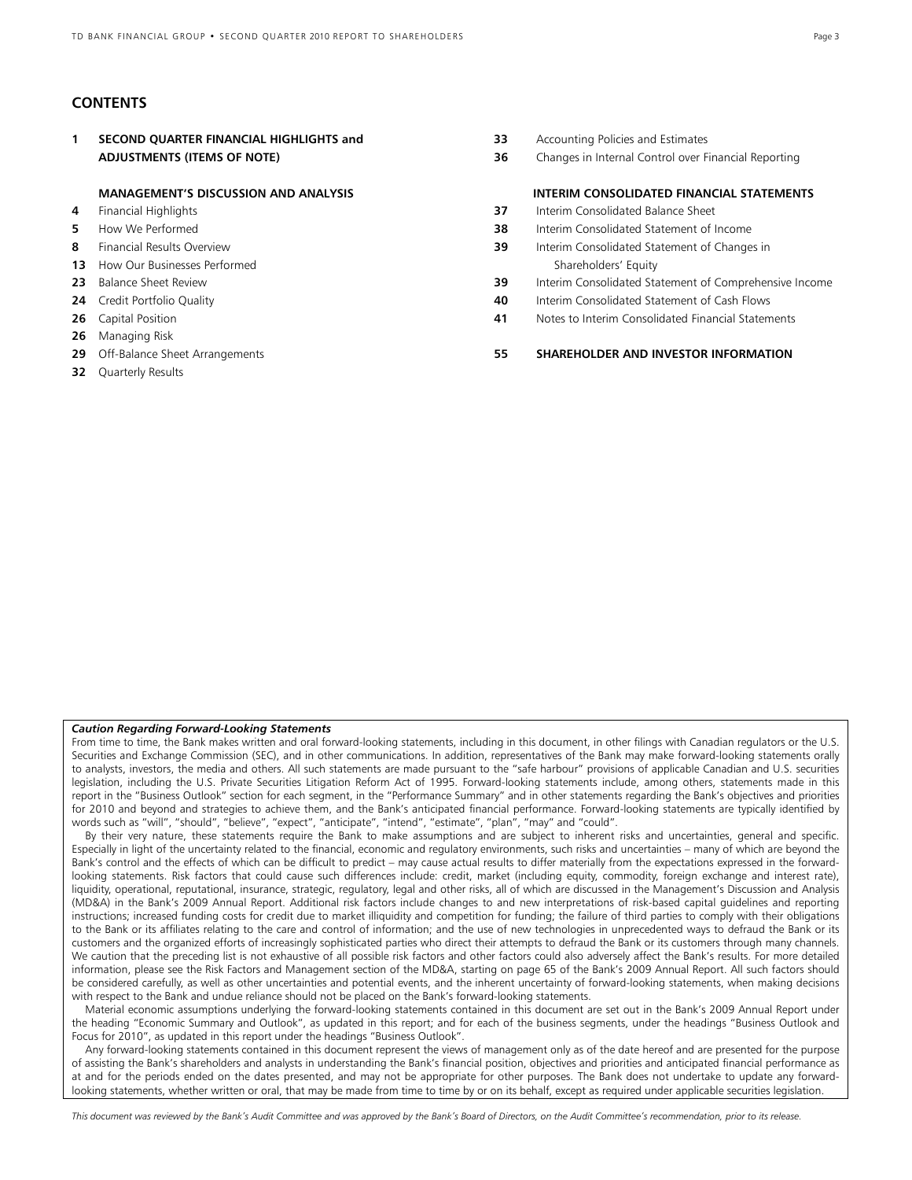## **CONTENTS**

**26** Managing Risk

**32** Quarterly Results

|    | SECOND QUARTER FINANCIAL HIGHLIGHTS and     | 33 | Accounting Policies and Estimates                      |
|----|---------------------------------------------|----|--------------------------------------------------------|
|    | <b>ADJUSTMENTS (ITEMS OF NOTE)</b>          | 36 | Changes in Internal Control over Financial Reporting   |
|    | <b>MANAGEMENT'S DISCUSSION AND ANALYSIS</b> |    | <b>INTERIM CONSOLIDATED FINANCIAL STATEMENTS</b>       |
| 4  | Financial Highlights                        | 37 | Interim Consolidated Balance Sheet                     |
| 5. | How We Performed                            | 38 | Interim Consolidated Statement of Income               |
| 8  | Financial Results Overview                  | 39 | Interim Consolidated Statement of Changes in           |
|    | <b>13</b> How Our Businesses Performed      |    | Shareholders' Equity                                   |
|    | 23 Balance Sheet Review                     | 39 | Interim Consolidated Statement of Comprehensive Income |
|    | <b>24</b> Credit Portfolio Quality          | 40 | Interim Consolidated Statement of Cash Flows           |
|    | 26 Capital Position                         | 41 | Notes to Interim Consolidated Financial Statements     |
|    |                                             |    |                                                        |

#### **29** Off-Balance Sheet Arrangements **55 SHAREHOLDER AND INVESTOR INFORMATION**

#### *Caution Regarding Forward-Looking Statements*

From time to time, the Bank makes written and oral forward-looking statements, including in this document, in other filings with Canadian regulators or the U.S. Securities and Exchange Commission (SEC), and in other communications. In addition, representatives of the Bank may make forward-looking statements orally to analysts, investors, the media and others. All such statements are made pursuant to the "safe harbour" provisions of applicable Canadian and U.S. securities legislation, including the U.S. Private Securities Litigation Reform Act of 1995. Forward-looking statements include, among others, statements made in this report in the "Business Outlook" section for each segment, in the "Performance Summary" and in other statements regarding the Bank's objectives and priorities for 2010 and beyond and strategies to achieve them, and the Bank's anticipated financial performance. Forward-looking statements are typically identified by words such as "will", "should", "believe", "expect", "anticipate", "intend", "estimate", "plan", "may" and "could".

 By their very nature, these statements require the Bank to make assumptions and are subject to inherent risks and uncertainties, general and specific. Especially in light of the uncertainty related to the financial, economic and regulatory environments, such risks and uncertainties – many of which are beyond the Bank's control and the effects of which can be difficult to predict – may cause actual results to differ materially from the expectations expressed in the forwardlooking statements. Risk factors that could cause such differences include: credit, market (including equity, commodity, foreign exchange and interest rate), liquidity, operational, reputational, insurance, strategic, regulatory, legal and other risks, all of which are discussed in the Management's Discussion and Analysis (MD&A) in the Bank's 2009 Annual Report. Additional risk factors include changes to and new interpretations of risk-based capital guidelines and reporting instructions; increased funding costs for credit due to market illiquidity and competition for funding; the failure of third parties to comply with their obligations to the Bank or its affiliates relating to the care and control of information; and the use of new technologies in unprecedented ways to defraud the Bank or its customers and the organized efforts of increasingly sophisticated parties who direct their attempts to defraud the Bank or its customers through many channels. We caution that the preceding list is not exhaustive of all possible risk factors and other factors could also adversely affect the Bank's results. For more detailed information, please see the Risk Factors and Management section of the MD&A, starting on page 65 of the Bank's 2009 Annual Report. All such factors should be considered carefully, as well as other uncertainties and potential events, and the inherent uncertainty of forward-looking statements, when making decisions with respect to the Bank and undue reliance should not be placed on the Bank's forward-looking statements.

 Material economic assumptions underlying the forward-looking statements contained in this document are set out in the Bank's 2009 Annual Report under the heading "Economic Summary and Outlook", as updated in this report; and for each of the business segments, under the headings "Business Outlook and Focus for 2010", as updated in this report under the headings "Business Outlook".

 Any forward-looking statements contained in this document represent the views of management only as of the date hereof and are presented for the purpose of assisting the Bank's shareholders and analysts in understanding the Bank's financial position, objectives and priorities and anticipated financial performance as at and for the periods ended on the dates presented, and may not be appropriate for other purposes. The Bank does not undertake to update any forwardlooking statements, whether written or oral, that may be made from time to time by or on its behalf, except as required under applicable securities legislation.

*This document was reviewed by the Bank's Audit Committee and was approved by the Bank's Board of Directors, on the Audit Committee's recommendation, prior to its release.*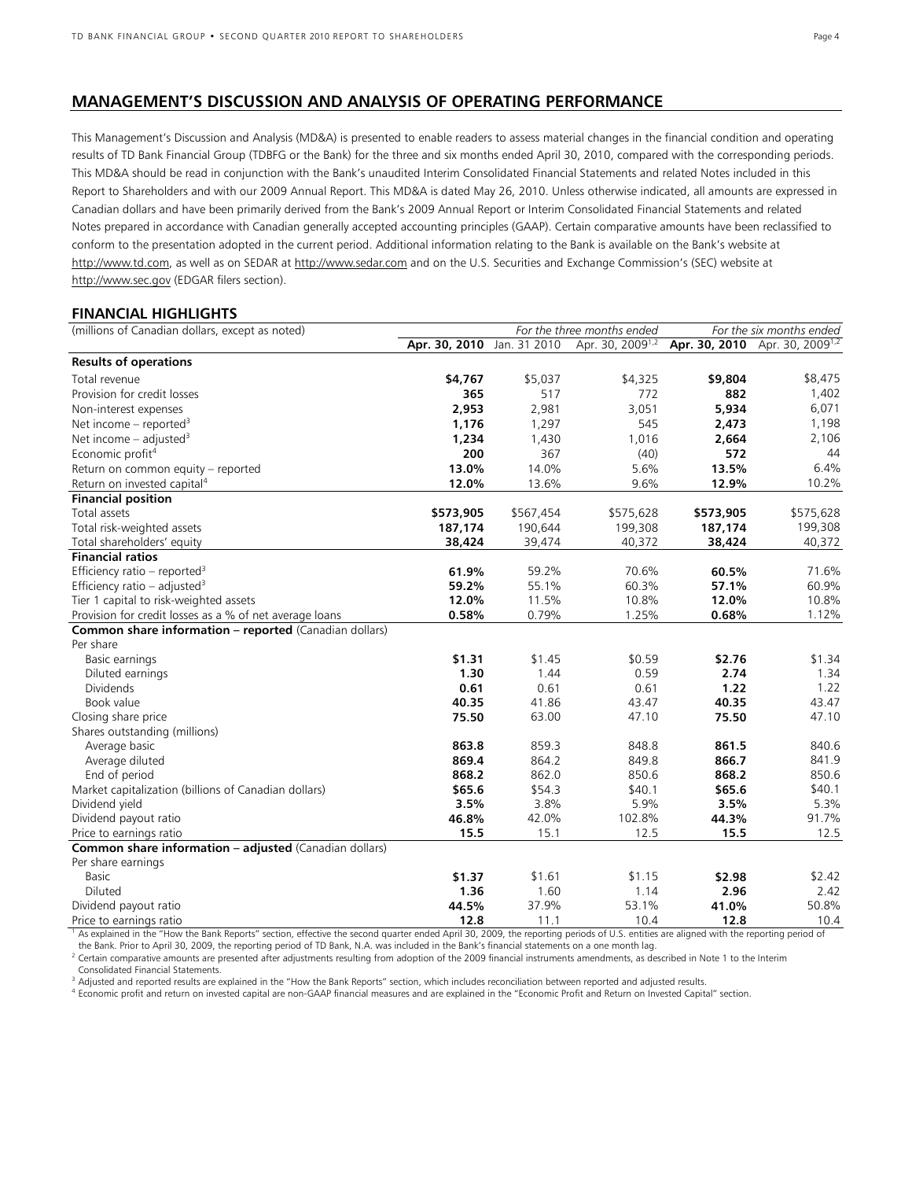## **MANAGEMENT'S DISCUSSION AND ANALYSIS OF OPERATING PERFORMANCE**

This Management's Discussion and Analysis (MD&A) is presented to enable readers to assess material changes in the financial condition and operating results of TD Bank Financial Group (TDBFG or the Bank) for the three and six months ended April 30, 2010, compared with the corresponding periods. This MD&A should be read in conjunction with the Bank's unaudited Interim Consolidated Financial Statements and related Notes included in this Report to Shareholders and with our 2009 Annual Report. This MD&A is dated May 26, 2010. Unless otherwise indicated, all amounts are expressed in Canadian dollars and have been primarily derived from the Bank's 2009 Annual Report or Interim Consolidated Financial Statements and related Notes prepared in accordance with Canadian generally accepted accounting principles (GAAP). Certain comparative amounts have been reclassified to conform to the presentation adopted in the current period. Additional information relating to the Bank is available on the Bank's website at http://www.td.com, as well as on SEDAR at http://www.sedar.com and on the U.S. Securities and Exchange Commission's (SEC) website at http://www.sec.gov (EDGAR filers section).

## **FINANCIAL HIGHLIGHTS**

| (millions of Canadian dollars, except as noted)                                   |                            | For the three months ended | For the six months ended     |           |                                            |
|-----------------------------------------------------------------------------------|----------------------------|----------------------------|------------------------------|-----------|--------------------------------------------|
|                                                                                   | Apr. 30, 2010 Jan. 31 2010 |                            | Apr. 30, 2009 <sup>1,2</sup> |           | Apr. 30, 2010 Apr. 30, 2009 <sup>1,2</sup> |
| <b>Results of operations</b>                                                      |                            |                            |                              |           |                                            |
| Total revenue                                                                     | \$4,767                    | \$5,037                    | \$4,325                      | \$9,804   | \$8,475                                    |
| Provision for credit losses                                                       | 365                        | 517                        | 772                          | 882       | 1,402                                      |
| Non-interest expenses                                                             | 2,953                      | 2,981                      | 3,051                        | 5,934     | 6,071                                      |
| Net income – reported <sup>3</sup>                                                | 1,176                      | 1,297                      | 545                          | 2,473     | 1,198                                      |
| Net income $-$ adjusted <sup>3</sup>                                              | 1,234                      | 1,430                      | 1,016                        | 2,664     | 2,106                                      |
| Economic profit <sup>4</sup>                                                      | 200                        | 367                        | (40)                         | 572       | 44                                         |
| Return on common equity - reported                                                | 13.0%                      | 14.0%                      | 5.6%                         | 13.5%     | 6.4%                                       |
| Return on invested capital <sup>4</sup>                                           | 12.0%                      | 13.6%                      | 9.6%                         | 12.9%     | 10.2%                                      |
| <b>Financial position</b>                                                         |                            |                            |                              |           |                                            |
| Total assets                                                                      | \$573,905                  | \$567,454                  | \$575,628                    | \$573,905 | \$575,628                                  |
| Total risk-weighted assets                                                        | 187,174                    | 190,644                    | 199,308                      | 187,174   | 199,308                                    |
| Total shareholders' equity                                                        | 38,424                     | 39,474                     | 40,372                       | 38,424    | 40,372                                     |
| <b>Financial ratios</b>                                                           |                            |                            |                              |           |                                            |
| Efficiency ratio – reported <sup>3</sup>                                          | 61.9%                      | 59.2%                      | 70.6%                        | 60.5%     | 71.6%                                      |
| Efficiency ratio – adjusted <sup>3</sup>                                          | 59.2%                      | 55.1%                      | 60.3%                        | 57.1%     | 60.9%                                      |
| Tier 1 capital to risk-weighted assets                                            | 12.0%                      | 11.5%                      | 10.8%                        | 12.0%     | 10.8%                                      |
| Provision for credit losses as a % of net average loans                           | 0.58%                      | 0.79%                      | 1.25%                        | 0.68%     | 1.12%                                      |
| <b>Common share information - reported (Canadian dollars)</b>                     |                            |                            |                              |           |                                            |
| Per share                                                                         |                            |                            |                              |           |                                            |
| Basic earnings                                                                    | \$1.31                     | \$1.45                     | \$0.59                       | \$2.76    | \$1.34                                     |
| Diluted earnings                                                                  | 1.30                       | 1.44                       | 0.59                         | 2.74      | 1.34                                       |
| Dividends                                                                         | 0.61                       | 0.61                       | 0.61                         | 1.22      | 1.22                                       |
| Book value                                                                        | 40.35                      | 41.86                      | 43.47                        | 40.35     | 43.47                                      |
| Closing share price                                                               | 75.50                      | 63.00                      | 47.10                        | 75.50     | 47.10                                      |
| Shares outstanding (millions)                                                     |                            |                            |                              |           |                                            |
| Average basic                                                                     | 863.8                      | 859.3                      | 848.8                        | 861.5     | 840.6                                      |
| Average diluted                                                                   | 869.4                      | 864.2                      | 849.8                        | 866.7     | 841.9                                      |
| End of period                                                                     | 868.2                      | 862.0                      | 850.6                        | 868.2     | 850.6                                      |
| Market capitalization (billions of Canadian dollars)                              | \$65.6                     | \$54.3                     | \$40.1                       | \$65.6    | \$40.1<br>5.3%                             |
| Dividend yield                                                                    | 3.5%<br>46.8%              | 3.8%                       | 5.9%                         | 3.5%      | 91.7%                                      |
| Dividend payout ratio                                                             |                            | 42.0%                      | 102.8%                       | 44.3%     | 12.5                                       |
| Price to earnings ratio<br>Common share information - adjusted (Canadian dollars) | 15.5                       | 15.1                       | 12.5                         | 15.5      |                                            |
|                                                                                   |                            |                            |                              |           |                                            |
| Per share earnings<br><b>Basic</b>                                                | \$1.37                     | \$1.61                     | \$1.15                       | \$2.98    | \$2.42                                     |
| Diluted                                                                           | 1.36                       | 1.60                       | 1.14                         | 2.96      | 2.42                                       |
| Dividend payout ratio                                                             | 44.5%                      | 37.9%                      | 53.1%                        | 41.0%     | 50.8%                                      |
| Price to earnings ratio                                                           | 12.8                       | 11.1                       | 10.4                         | 12.8      | 10.4                                       |

<sup>1</sup> As explained in the "How the Bank Reports" section, effective the second quarter ended April 30, 2009, the reporting periods of U.S. entities are aligned with the reporting period of

the Bank. Prior to April 30, 2009, the reporting period of TD Bank, N.A. was included in the Bank's financial statements on a one month lag.<br><sup>2</sup> Certain comparative amounts are presented after adjustments resulting from ad Consolidated Financial Statements.

<sup>3</sup> Adjusted and reported results are explained in the "How the Bank Reports" section, which includes reconciliation between reported and adjusted results.<br><sup>4</sup> Economic profit and return on invested capital are non-GAAP fi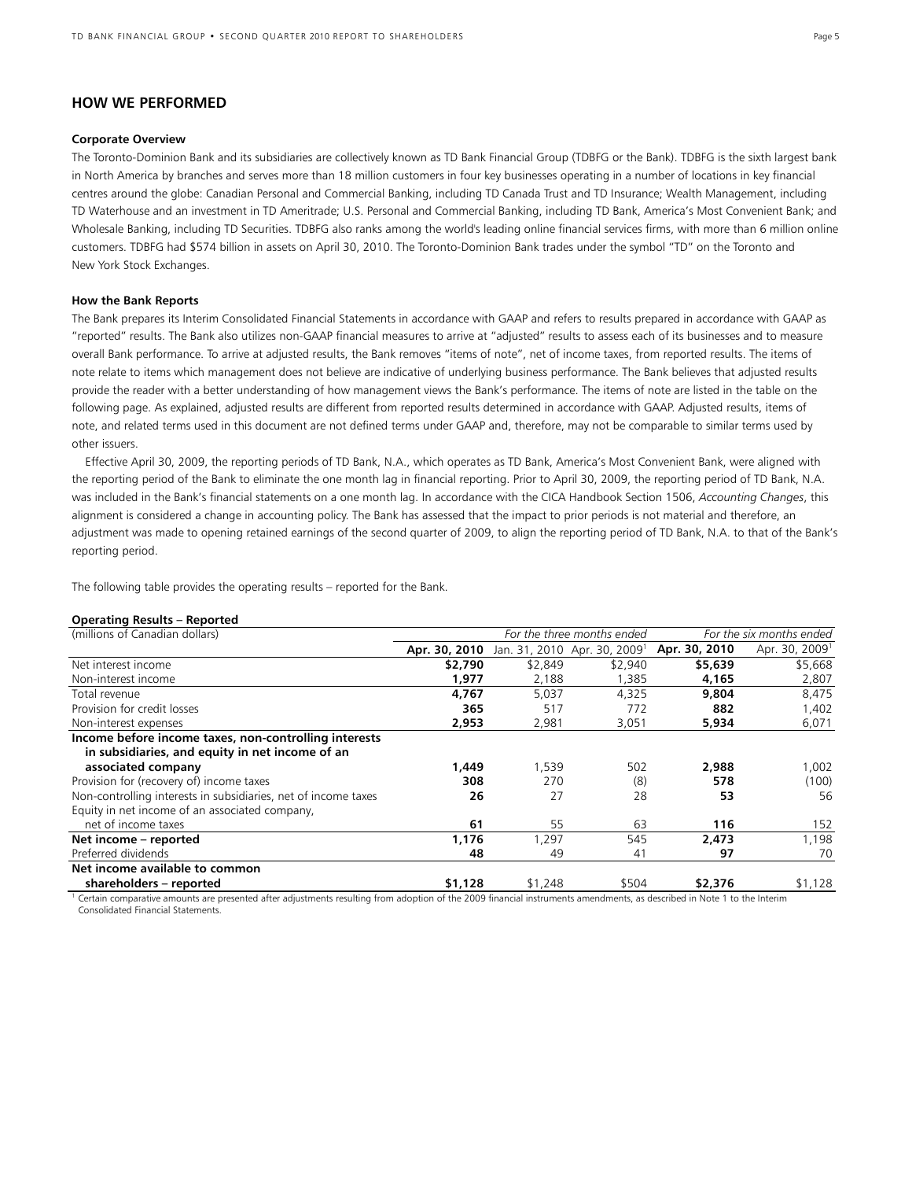## **HOW WE PERFORMED**

#### **Corporate Overview**

The Toronto-Dominion Bank and its subsidiaries are collectively known as TD Bank Financial Group (TDBFG or the Bank). TDBFG is the sixth largest bank in North America by branches and serves more than 18 million customers in four key businesses operating in a number of locations in key financial centres around the globe: Canadian Personal and Commercial Banking, including TD Canada Trust and TD Insurance; Wealth Management, including TD Waterhouse and an investment in TD Ameritrade; U.S. Personal and Commercial Banking, including TD Bank, America's Most Convenient Bank; and Wholesale Banking, including TD Securities. TDBFG also ranks among the world's leading online financial services firms, with more than 6 million online customers. TDBFG had \$574 billion in assets on April 30, 2010. The Toronto-Dominion Bank trades under the symbol "TD" on the Toronto and New York Stock Exchanges.

#### **How the Bank Reports**

The Bank prepares its Interim Consolidated Financial Statements in accordance with GAAP and refers to results prepared in accordance with GAAP as "reported" results. The Bank also utilizes non-GAAP financial measures to arrive at "adjusted" results to assess each of its businesses and to measure overall Bank performance. To arrive at adjusted results, the Bank removes "items of note", net of income taxes, from reported results. The items of note relate to items which management does not believe are indicative of underlying business performance. The Bank believes that adjusted results provide the reader with a better understanding of how management views the Bank's performance. The items of note are listed in the table on the following page. As explained, adjusted results are different from reported results determined in accordance with GAAP. Adjusted results, items of note, and related terms used in this document are not defined terms under GAAP and, therefore, may not be comparable to similar terms used by other issuers.

 Effective April 30, 2009, the reporting periods of TD Bank, N.A., which operates as TD Bank, America's Most Convenient Bank, were aligned with the reporting period of the Bank to eliminate the one month lag in financial reporting. Prior to April 30, 2009, the reporting period of TD Bank, N.A. was included in the Bank's financial statements on a one month lag. In accordance with the CICA Handbook Section 1506, *Accounting Changes*, this alignment is considered a change in accounting policy. The Bank has assessed that the impact to prior periods is not material and therefore, an adjustment was made to opening retained earnings of the second quarter of 2009, to align the reporting period of TD Bank, N.A. to that of the Bank's reporting period.

The following table provides the operating results – reported for the Bank.

#### **Operating Results – Reported**

| (millions of Canadian dollars)<br>For the three months ended                                                                                                       |               |         |                                          | For the six months ended |                            |  |
|--------------------------------------------------------------------------------------------------------------------------------------------------------------------|---------------|---------|------------------------------------------|--------------------------|----------------------------|--|
|                                                                                                                                                                    | Apr. 30, 2010 |         | Jan. 31, 2010 Apr. 30, 2009 <sup>1</sup> | Apr. 30, 2010            | Apr. 30, 2009 <sup>1</sup> |  |
| Net interest income                                                                                                                                                | \$2,790       | \$2,849 | \$2,940                                  | \$5,639                  | \$5,668                    |  |
| Non-interest income                                                                                                                                                | 1,977         | 2,188   | 1,385                                    | 4,165                    | 2,807                      |  |
| Total revenue                                                                                                                                                      | 4.767         | 5.037   | 4.325                                    | 9,804                    | 8,475                      |  |
| Provision for credit losses                                                                                                                                        | 365           | 517     | 772                                      | 882                      | 1,402                      |  |
| Non-interest expenses                                                                                                                                              | 2,953         | 2,981   | 3,051                                    | 5,934                    | 6,071                      |  |
| Income before income taxes, non-controlling interests<br>in subsidiaries, and equity in net income of an                                                           |               |         |                                          |                          |                            |  |
| associated company                                                                                                                                                 | 1.449         | 1,539   | 502                                      | 2,988                    | 1,002                      |  |
| Provision for (recovery of) income taxes                                                                                                                           | 308           | 270     | (8)                                      | 578                      | (100)                      |  |
| Non-controlling interests in subsidiaries, net of income taxes<br>Equity in net income of an associated company,                                                   | 26            | 27      | 28                                       | 53                       | 56                         |  |
| net of income taxes                                                                                                                                                | 61            | 55      | 63                                       | 116                      | 152                        |  |
| Net income - reported                                                                                                                                              | 1,176         | 1.297   | 545                                      | 2.473                    | 1,198                      |  |
| Preferred dividends                                                                                                                                                | 48            | 49      | 41                                       | 97                       | 70                         |  |
| Net income available to common<br>shareholders – reported                                                                                                          | \$1,128       | \$1,248 | \$504                                    | \$2,376                  | \$1,128                    |  |
| 1 Certain compositive concertation are proposed after adjustments condition of the 2000 financial instruments concedences on decorational in Note 1 to the late in |               |         |                                          |                          |                            |  |

stments resulting from adoption of the 2009 financial instruments amendments, as described in Note 1 to the Interim Consolidated Financial Statements.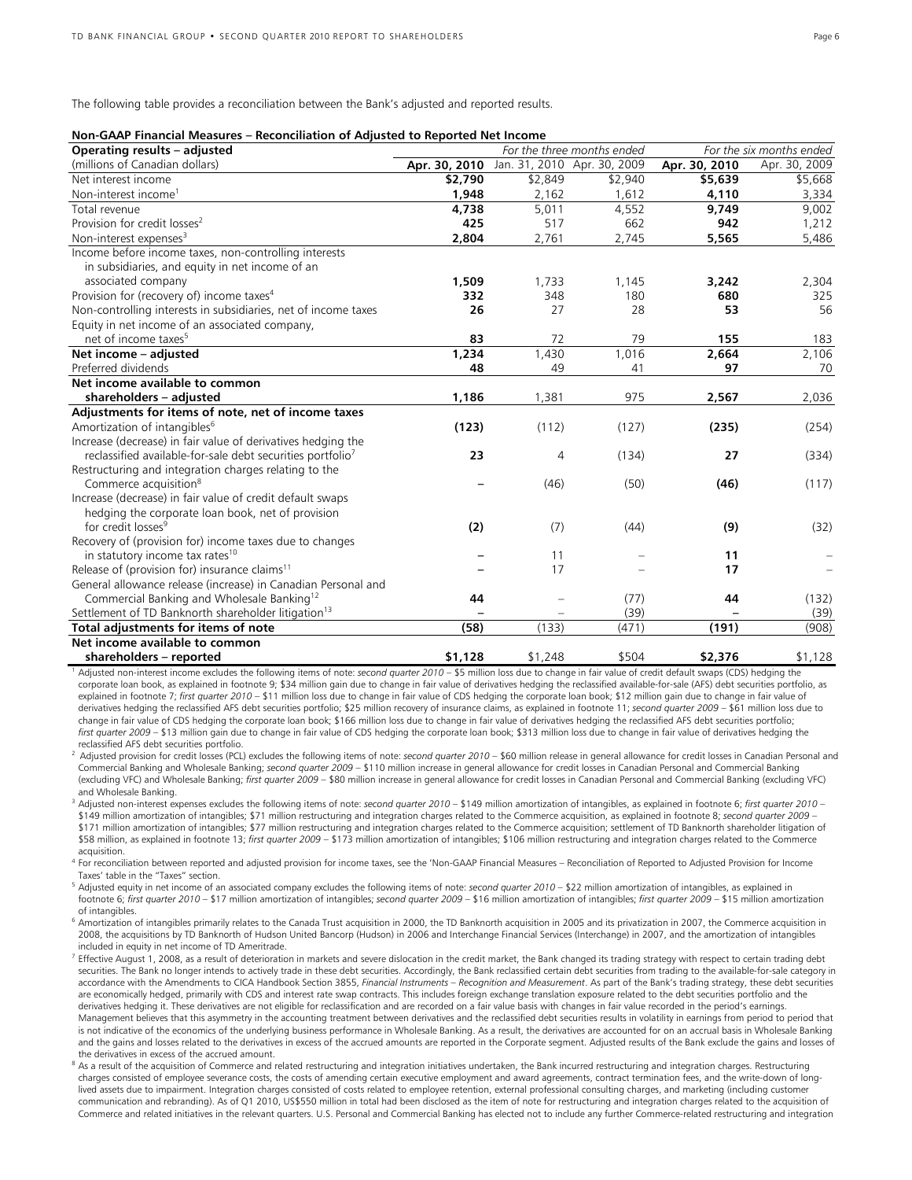The following table provides a reconciliation between the Bank's adjusted and reported results.

| Non-GAAP Financial Measures – Reconciliation of Adjusted to Reported Net Income |  |  |
|---------------------------------------------------------------------------------|--|--|
|---------------------------------------------------------------------------------|--|--|

| Operating results - adjusted                                           |               | For the three months ended | For the six months ended    |               |               |
|------------------------------------------------------------------------|---------------|----------------------------|-----------------------------|---------------|---------------|
| (millions of Canadian dollars)                                         | Apr. 30, 2010 |                            | Jan. 31, 2010 Apr. 30, 2009 | Apr. 30, 2010 | Apr. 30, 2009 |
| Net interest income                                                    | \$2,790       | \$2,849                    | \$2,940                     | \$5,639       | \$5,668       |
| Non-interest income <sup>1</sup>                                       | 1,948         | 2,162                      | 1,612                       | 4,110         | 3,334         |
| Total revenue                                                          | 4,738         | 5,011                      | 4,552                       | 9,749         | 9,002         |
| Provision for credit losses <sup>2</sup>                               | 425           | 517                        | 662                         | 942           | 1,212         |
| Non-interest expenses <sup>3</sup>                                     | 2,804         | 2,761                      | 2,745                       | 5,565         | 5,486         |
| Income before income taxes, non-controlling interests                  |               |                            |                             |               |               |
| in subsidiaries, and equity in net income of an                        |               |                            |                             |               |               |
| associated company                                                     | 1,509         | 1,733                      | 1,145                       | 3,242         | 2,304         |
| Provision for (recovery of) income taxes <sup>4</sup>                  | 332           | 348                        | 180                         | 680           | 325           |
| Non-controlling interests in subsidiaries, net of income taxes         | 26            | 27                         | 28                          | 53            | 56            |
| Equity in net income of an associated company,                         |               |                            |                             |               |               |
| net of income taxes <sup>5</sup>                                       | 83            | 72                         | 79                          | 155           | 183           |
| Net income - adjusted                                                  | 1,234         | 1,430                      | 1,016                       | 2,664         | 2,106         |
| Preferred dividends                                                    | 48            | 49                         | 41                          | 97            | 70            |
| Net income available to common                                         |               |                            |                             |               |               |
| shareholders - adjusted                                                | 1,186         | 1,381                      | 975                         | 2,567         | 2,036         |
| Adjustments for items of note, net of income taxes                     |               |                            |                             |               |               |
| Amortization of intangibles <sup>6</sup>                               | (123)         | (112)                      | (127)                       | (235)         | (254)         |
| Increase (decrease) in fair value of derivatives hedging the           |               |                            |                             |               |               |
| reclassified available-for-sale debt securities portfolio <sup>7</sup> | 23            | 4                          | (134)                       | 27            | (334)         |
| Restructuring and integration charges relating to the                  |               |                            |                             |               |               |
| Commerce acquisition <sup>8</sup>                                      |               | (46)                       | (50)                        | (46)          | (117)         |
| Increase (decrease) in fair value of credit default swaps              |               |                            |                             |               |               |
| hedging the corporate loan book, net of provision                      |               |                            |                             |               |               |
| for credit losses <sup>9</sup>                                         | (2)           | (7)                        | (44)                        | (9)           | (32)          |
| Recovery of (provision for) income taxes due to changes                |               |                            |                             |               |               |
| in statutory income tax rates <sup>10</sup>                            |               | 11                         |                             | 11            |               |
| Release of (provision for) insurance claims <sup>11</sup>              |               | 17                         |                             | 17            |               |
| General allowance release (increase) in Canadian Personal and          |               |                            |                             |               |               |
| Commercial Banking and Wholesale Banking <sup>12</sup>                 | 44            |                            | (77)                        | 44            | (132)         |
| Settlement of TD Banknorth shareholder litigation <sup>13</sup>        |               |                            | (39)                        |               | (39)          |
| Total adjustments for items of note                                    | (58)          | (133)                      | (471)                       | (191)         | (908)         |
| Net income available to common                                         |               |                            |                             |               |               |
| shareholders - reported                                                | \$1,128       | \$1,248                    | \$504                       | \$2,376       | \$1,128       |

1 Adjusted non-interest income excludes the following items of note: *second quarter 2010* – \$5 million loss due to change in fair value of credit default swaps (CDS) hedging the corporate loan book, as explained in footnote 9; \$34 million gain due to change in fair value of derivatives hedging the reclassified available-for-sale (AFS) debt securities portfolio, as explained in footnote 7; *first quarter 2010* – \$11 million loss due to change in fair value of CDS hedging the corporate loan book; \$12 million gain due to change in fair value of derivatives hedging the reclassified AFS debt securities portfolio; \$25 million recovery of insurance claims, as explained in footnote 11; *second quarter 2009* – \$61 million loss due to change in fair value of CDS hedging the corporate loan book; \$166 million loss due to change in fair value of derivatives hedging the reclassified AFS debt securities portfolio; *first quarter 2009* – \$13 million gain due to change in fair value of CDS hedging the corporate loan book; \$313 million loss due to change in fair value of derivatives hedging the

Adjusted provision for credit losses (PCL) excludes the following items of note: second quarter 2010 - \$60 million release in general allowance for credit losses in Canadian Personal and Commercial Banking and Wholesale Banking; *second quarter 2009* – \$110 million increase in general allowance for credit losses in Canadian Personal and Commercial Banking (excluding VFC) and Wholesale Banking; *first quarter 2009* – \$80 million increase in general allowance for credit losses in Canadian Personal and Commercial Banking (excluding VFC) and Wholesale Banking.

3 Adjusted non-interest expenses excludes the following items of note: *second quarter 2010* – \$149 million amortization of intangibles, as explained in footnote 6; *first quarter 2010* – \$149 million amortization of intangibles; \$71 million restructuring and integration charges related to the Commerce acquisition, as explained in footnote 8; *second quarter 2009* – \$171 million amortization of intangibles; \$77 million restructuring and integration charges related to the Commerce acquisition; settlement of TD Banknorth shareholder litigation of \$58 million, as explained in footnote 13; *first quarter 2009* – \$173 million amortization of intangibles; \$106 million restructuring and integration charges related to the Commerce acquisition.

4 For reconciliation between reported and adjusted provision for income taxes, see the 'Non-GAAP Financial Measures – Reconciliation of Reported to Adjusted Provision for Income Taxes' table in the "Taxes" section.

5 Adjusted equity in net income of an associated company excludes the following items of note: *second quarter 2010* – \$22 million amortization of intangibles, as explained in footnote 6; *first quarter 2010* – \$17 million amortization of intangibles; *second quarter 2009* – \$16 million amortization of intangibles; *first quarter 2009* – \$15 million amortization of intangibles.

<sup>6</sup> Amortization of intangibles primarily relates to the Canada Trust acquisition in 2000, the TD Banknorth acquisition in 2005 and its privatization in 2007, the Commerce acquisition in 2008, the acquisitions by TD Banknorth of Hudson United Bancorp (Hudson) in 2006 and Interchange Financial Services (Interchange) in 2007, and the amortization of intangibles included in equity in net income of TD Ameritrade.

- Fffective August 1, 2008, as a result of deterioration in markets and severe dislocation in the credit market, the Bank changed its trading strategy with respect to certain trading debt securities. The Bank no longer intends to actively trade in these debt securities. Accordingly, the Bank reclassified certain debt securities from trading to the available-for-sale category in<br>accordance with the Amendment are economically hedged, primarily with CDS and interest rate swap contracts. This includes foreign exchange translation exposure related to the debt securities portfolio and the derivatives hedging it. These derivatives are not eligible for reclassification and are recorded on a fair value basis with changes in fair value recorded in the period's earnings. Management believes that this asymmetry in the accounting treatment between derivatives and the reclassified debt securities results in volatility in earnings from period to period that is not indicative of the economics of the underlying business performance in Wholesale Banking. As a result, the derivatives are accounted for on an accrual basis in Wholesale Banking and the gains and losses related to the derivatives in excess of the accrued amounts are reported in the Corporate segment. Adjusted results of the Bank exclude the gains and losses of the derivatives in excess of the accrued amount.
- <sup>8</sup> As a result of the acquisition of Commerce and related restructuring and integration initiatives undertaken, the Bank incurred restructuring and integration charges. Restructuring charges consisted of employee severance costs, the costs of amending certain executive employment and award agreements, contract termination fees, and the write-down of longlived assets due to impairment. Integration charges consisted of costs related to employee retention, external professional consulting charges, and marketing (including customer communication and rebranding). As of Q1 2010, US\$550 million in total had been disclosed as the item of note for restructuring and integration charges related to the acquisition of Commerce and related initiatives in the relevant quarters. U.S. Personal and Commercial Banking has elected not to include any further Commerce-related restructuring and integration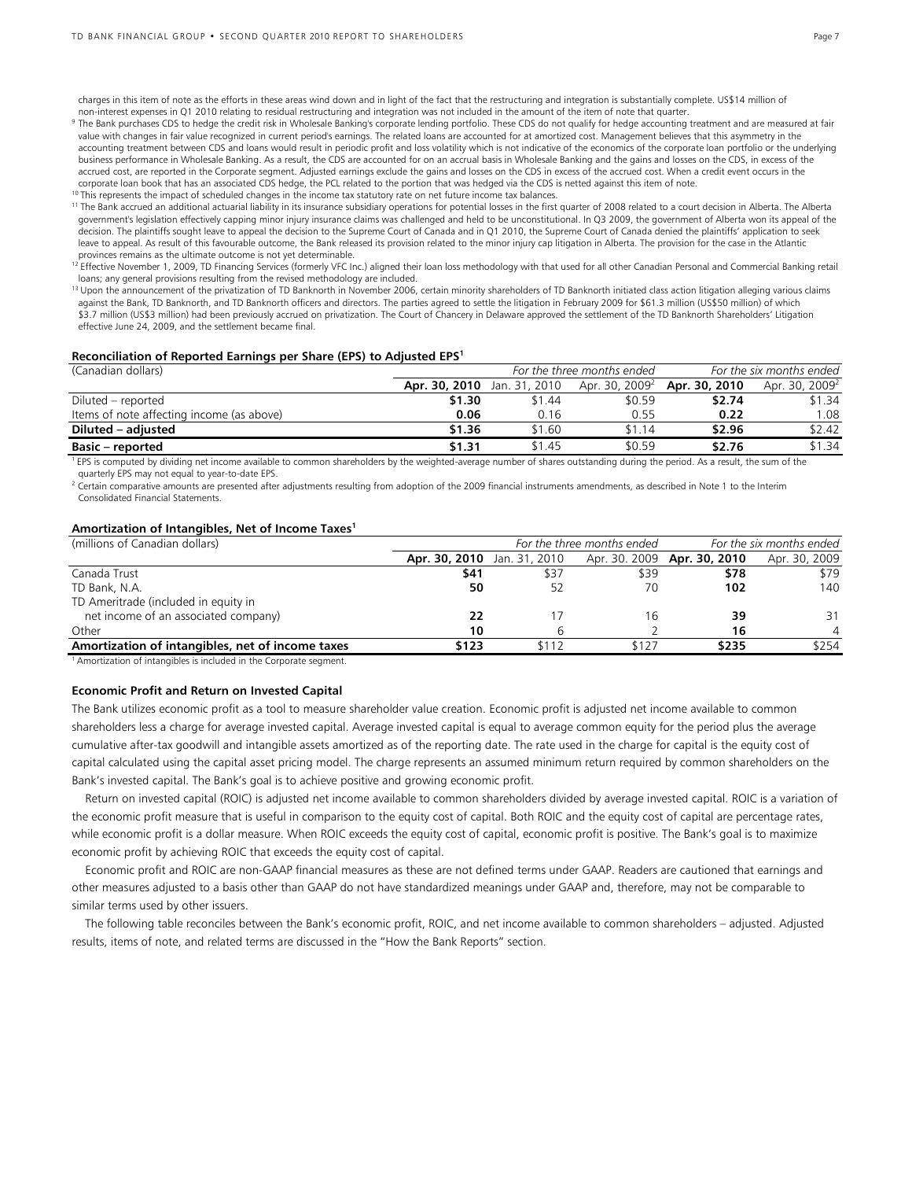charges in this item of note as the efforts in these areas wind down and in light of the fact that the restructuring and integration is substantially complete. US\$14 million of

non-interest expenses in Q1 2010 relating to residual restructuring and integration was not included in the amount of the item of note that quarter.<br><sup>9</sup> The Bank purchases CDS to hedge the credit risk in Wholesale Banking' value with changes in fair value recognized in current period's earnings. The related loans are accounted for at amortized cost. Management believes that this asymmetry in the accounting treatment between CDS and loans would result in periodic profit and loss volatility which is not indicative of the economics of the corporate loan portfolio or the underlying business performance in Wholesale Banking. As a result, the CDS are accounted for on an accrual basis in Wholesale Banking and the gains and losses on the CDS, in excess of the accrued cost, are reported in the Corporate segment. Adjusted earnings exclude the gains and losses on the CDS in excess of the accrued cost. When a credit event occurs in the corporate loan book that has an associated CDS hedge, the PCL related to the portion that was hedged via the CDS is netted against this item of note.<br><sup>10</sup> This represents the impact of scheduled changes in the income tax s

government's legislation effectively capping minor injury insurance claims was challenged and held to be unconstitutional. In Q3 2009, the government of Alberta won its appeal of the decision. The plaintiffs sought leave to appeal the decision to the Supreme Court of Canada and in Q1 2010, the Supreme Court of Canada denied the plaintiffs' application to seek leave to appeal. As result of this favourable outcome, the Bank released its provision related to the minor injury cap litigation in Alberta. The provision for the case in the Atlantic provinces remains as the ultimate outcome is not yet determinable.

<sup>12</sup> Effective November 1, 2009, TD Financing Services (formerly VFC Inc.) aligned their loan loss methodology with that used for all other Canadian Personal and Commercial Banking retail loans; any general provisions resulting from the revised methodology are included.

<sup>13</sup> Upon the announcement of the privatization of TD Banknorth in November 2006, certain minority shareholders of TD Banknorth initiated class action litigation alleging various claims against the Bank, TD Banknorth, and TD Banknorth officers and directors. The parties agreed to settle the litigation in February 2009 for \$61.3 million (US\$50 million) of which \$3.7 million (US\$3 million) had been previously accrued on privatization. The Court of Chancery in Delaware approved the settlement of the TD Banknorth Shareholders' Litigation effective June 24, 2009, and the settlement became final.

#### **Reconciliation of Reported Earnings per Share (EPS) to Adjusted EPS1**

| (Canadian dollars)                        |               |               | For the three months ended | For the six months ended                        |                            |  |
|-------------------------------------------|---------------|---------------|----------------------------|-------------------------------------------------|----------------------------|--|
|                                           | Apr. 30, 2010 | Jan. 31, 2010 |                            | Apr. 30, 2009 <sup>2</sup> <b>Apr. 30, 2010</b> | Apr. 30, 2009 <sup>2</sup> |  |
| Diluted – reported                        | \$1.30        | \$1.44        | \$0.59                     | \$2.74                                          | \$1.34                     |  |
| Items of note affecting income (as above) | 0.06          | 0.16          | 0.55                       | 0.22                                            | 1.08                       |  |
| Diluted – adjusted                        | \$1.36        | \$1.60        | \$1.14                     | \$2.96                                          | \$2.42                     |  |
| <b>Basic – reported</b>                   | \$1.31        | \$1.45        | \$0.59                     | \$2.76                                          | \$1.34                     |  |

<sup>1</sup> EPS is computed by dividing net income available to common shareholders by the weighted-average number of shares outstanding during the period. As a result, the sum of the quarterly EPS may not equal to year-to-date EPS.

 $^2$  Certain comparative amounts are presented after adjustments resulting from adoption of the 2009 financial instruments amendments, as described in Note 1 to the Interim Consolidated Financial Statements.

#### **Amortization of Intangibles, Net of Income Taxes1**

| (millions of Canadian dollars)                   | For the six months ended<br>For the three months ended |       |       |                                    |               |
|--------------------------------------------------|--------------------------------------------------------|-------|-------|------------------------------------|---------------|
|                                                  | Apr. 30, 2010 Jan. 31, 2010                            |       |       | Apr. 30. 2009 <b>Apr. 30, 2010</b> | Apr. 30, 2009 |
| Canada Trust                                     | \$41                                                   | \$37  | \$39  | \$78                               | \$79          |
| TD Bank, N.A.                                    | 50                                                     |       | 70    | 102                                | 140           |
| TD Ameritrade (included in equity in             |                                                        |       |       |                                    |               |
| net income of an associated company)             | 22                                                     |       | 16    | 39                                 | 31            |
| Other                                            | 10                                                     |       |       | 16                                 | 4             |
| Amortization of intangibles, net of income taxes | \$123                                                  | \$112 | \$127 | \$235                              | \$254         |

<sup>1</sup> Amortization of intangibles is included in the Corporate segment.

#### **Economic Profit and Return on Invested Capital**

The Bank utilizes economic profit as a tool to measure shareholder value creation. Economic profit is adjusted net income available to common shareholders less a charge for average invested capital. Average invested capital is equal to average common equity for the period plus the average cumulative after-tax goodwill and intangible assets amortized as of the reporting date. The rate used in the charge for capital is the equity cost of capital calculated using the capital asset pricing model. The charge represents an assumed minimum return required by common shareholders on the Bank's invested capital. The Bank's goal is to achieve positive and growing economic profit.

 Return on invested capital (ROIC) is adjusted net income available to common shareholders divided by average invested capital. ROIC is a variation of the economic profit measure that is useful in comparison to the equity cost of capital. Both ROIC and the equity cost of capital are percentage rates, while economic profit is a dollar measure. When ROIC exceeds the equity cost of capital, economic profit is positive. The Bank's goal is to maximize economic profit by achieving ROIC that exceeds the equity cost of capital.

 Economic profit and ROIC are non-GAAP financial measures as these are not defined terms under GAAP. Readers are cautioned that earnings and other measures adjusted to a basis other than GAAP do not have standardized meanings under GAAP and, therefore, may not be comparable to similar terms used by other issuers.

 The following table reconciles between the Bank's economic profit, ROIC, and net income available to common shareholders – adjusted. Adjusted results, items of note, and related terms are discussed in the "How the Bank Reports" section.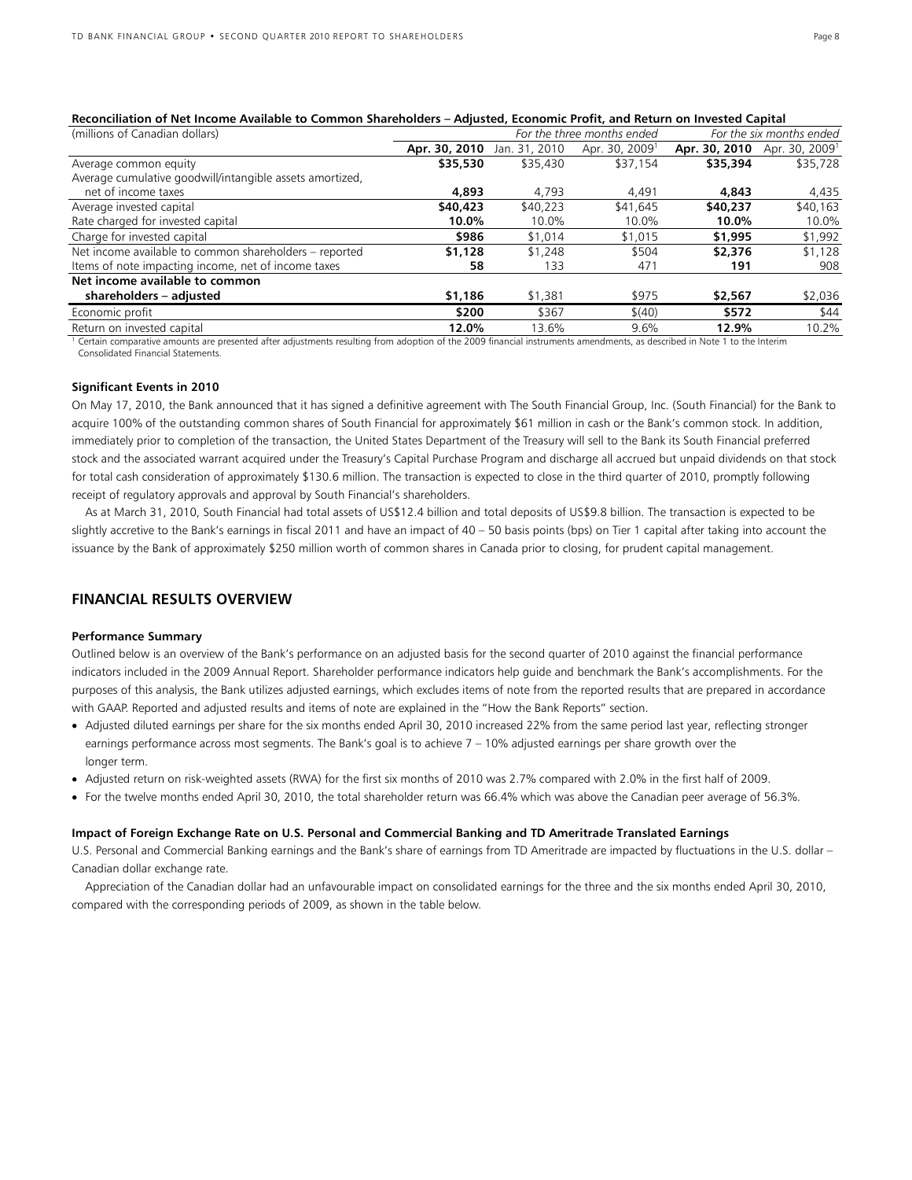| (millions of Canadian dollars)                           | For the six months ended<br>For the three months ended |               |                            |               |                            |  |  |
|----------------------------------------------------------|--------------------------------------------------------|---------------|----------------------------|---------------|----------------------------|--|--|
|                                                          | Apr. 30, 2010                                          | Jan. 31, 2010 | Apr. 30, 2009 <sup>1</sup> | Apr. 30, 2010 | Apr. 30, 2009 <sup>1</sup> |  |  |
| Average common equity                                    | \$35,530                                               | \$35,430      | \$37,154                   | \$35,394      | \$35,728                   |  |  |
| Average cumulative goodwill/intangible assets amortized, |                                                        |               |                            |               |                            |  |  |
| net of income taxes                                      | 4,893                                                  | 4.793         | 4.491                      | 4,843         | 4,435                      |  |  |
| Average invested capital                                 | \$40,423                                               | \$40,223      | \$41,645                   | \$40,237      | \$40,163                   |  |  |
| Rate charged for invested capital                        | 10.0%                                                  | 10.0%         | 10.0%                      | 10.0%         | 10.0%                      |  |  |
| Charge for invested capital                              | \$986                                                  | \$1,014       | \$1,015                    | \$1,995       | \$1,992                    |  |  |
| Net income available to common shareholders - reported   | \$1,128                                                | \$1,248       | \$504                      | \$2,376       | \$1,128                    |  |  |
| Items of note impacting income, net of income taxes      | 58                                                     | 133           | 471                        | 191           | 908                        |  |  |
| Net income available to common                           |                                                        |               |                            |               |                            |  |  |
| shareholders - adjusted                                  | \$1,186                                                | \$1,381       | \$975                      | \$2,567       | \$2,036                    |  |  |
| Economic profit                                          | \$200                                                  | \$367         | \$(40)                     | \$572         | \$44                       |  |  |
| Return on invested capital                               | 12.0%                                                  | 13.6%         | 9.6%                       | 12.9%         | 10.2%                      |  |  |

#### **Reconciliation of Net Income Available to Common Shareholders – Adjusted, Economic Profit, and Return on Invested Capital**

<sup>1</sup> Certain comparative amounts are presented after adjustments resulting from adoption of the 2009 financial instruments amendments, as described in Note 1 to the Interim Consolidated Financial Statements.

#### **Significant Events in 2010**

On May 17, 2010, the Bank announced that it has signed a definitive agreement with The South Financial Group, Inc. (South Financial) for the Bank to acquire 100% of the outstanding common shares of South Financial for approximately \$61 million in cash or the Bank's common stock. In addition, immediately prior to completion of the transaction, the United States Department of the Treasury will sell to the Bank its South Financial preferred stock and the associated warrant acquired under the Treasury's Capital Purchase Program and discharge all accrued but unpaid dividends on that stock for total cash consideration of approximately \$130.6 million. The transaction is expected to close in the third quarter of 2010, promptly following receipt of regulatory approvals and approval by South Financial's shareholders.

 As at March 31, 2010, South Financial had total assets of US\$12.4 billion and total deposits of US\$9.8 billion. The transaction is expected to be slightly accretive to the Bank's earnings in fiscal 2011 and have an impact of 40 – 50 basis points (bps) on Tier 1 capital after taking into account the issuance by the Bank of approximately \$250 million worth of common shares in Canada prior to closing, for prudent capital management.

## **FINANCIAL RESULTS OVERVIEW**

#### **Performance Summary**

Outlined below is an overview of the Bank's performance on an adjusted basis for the second quarter of 2010 against the financial performance indicators included in the 2009 Annual Report. Shareholder performance indicators help guide and benchmark the Bank's accomplishments. For the purposes of this analysis, the Bank utilizes adjusted earnings, which excludes items of note from the reported results that are prepared in accordance with GAAP. Reported and adjusted results and items of note are explained in the "How the Bank Reports" section.

- Adjusted diluted earnings per share for the six months ended April 30, 2010 increased 22% from the same period last year, reflecting stronger earnings performance across most segments. The Bank's goal is to achieve 7 – 10% adjusted earnings per share growth over the longer term.
- Adjusted return on risk-weighted assets (RWA) for the first six months of 2010 was 2.7% compared with 2.0% in the first half of 2009.
- For the twelve months ended April 30, 2010, the total shareholder return was 66.4% which was above the Canadian peer average of 56.3%.

#### **Impact of Foreign Exchange Rate on U.S. Personal and Commercial Banking and TD Ameritrade Translated Earnings**

U.S. Personal and Commercial Banking earnings and the Bank's share of earnings from TD Ameritrade are impacted by fluctuations in the U.S. dollar – Canadian dollar exchange rate.

 Appreciation of the Canadian dollar had an unfavourable impact on consolidated earnings for the three and the six months ended April 30, 2010, compared with the corresponding periods of 2009, as shown in the table below.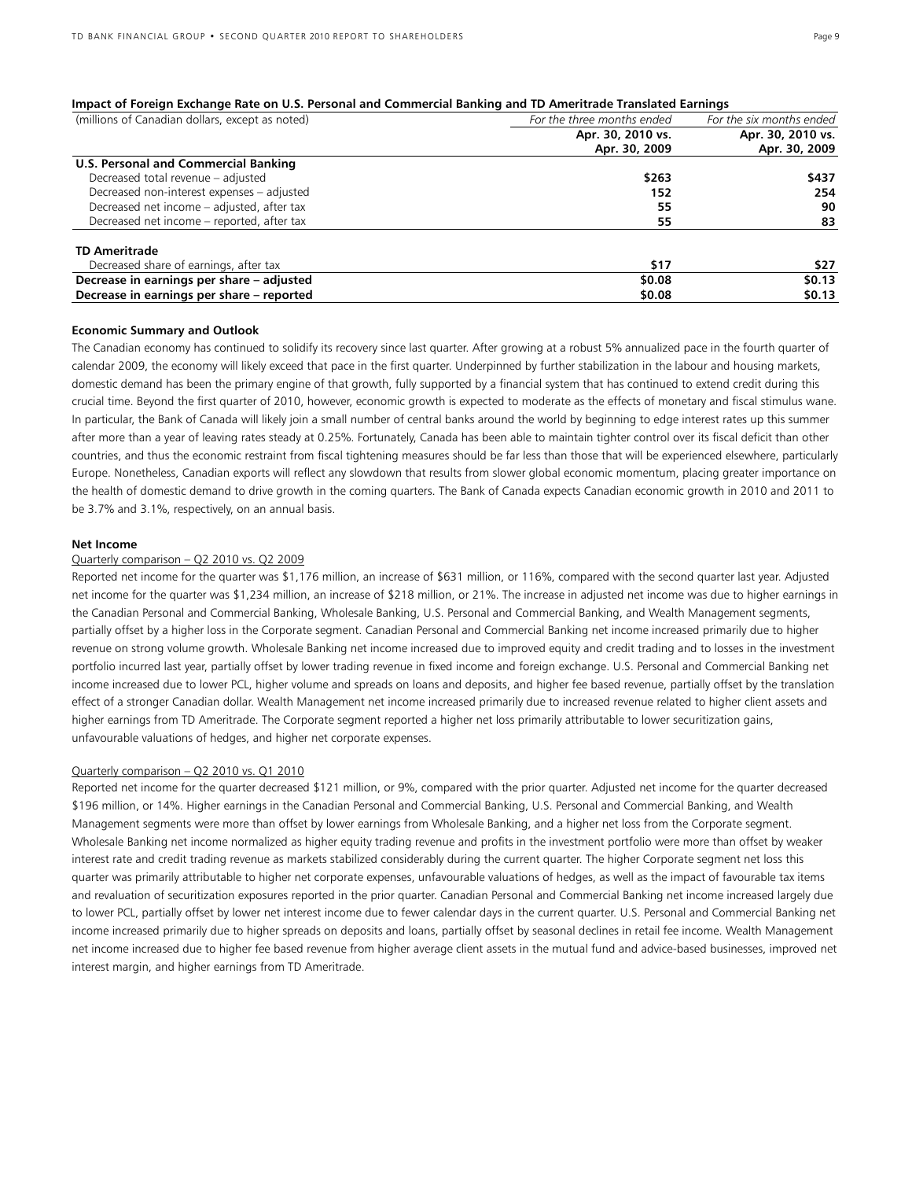#### **Impact of Foreign Exchange Rate on U.S. Personal and Commercial Banking and TD Ameritrade Translated Earnings**

| (millions of Canadian dollars, except as noted) | For the three months ended | For the six months ended |
|-------------------------------------------------|----------------------------|--------------------------|
|                                                 | Apr. 30, 2010 vs.          | Apr. 30, 2010 vs.        |
|                                                 | Apr. 30, 2009              | Apr. 30, 2009            |
| U.S. Personal and Commercial Banking            |                            |                          |
| Decreased total revenue - adjusted              | \$263                      | \$437                    |
| Decreased non-interest expenses - adjusted      | 152                        | 254                      |
| Decreased net income – adjusted, after tax      | 55                         | 90                       |
| Decreased net income – reported, after tax      | 55                         | 83                       |
| <b>TD Ameritrade</b>                            |                            |                          |
| Decreased share of earnings, after tax          | \$17                       | \$27                     |
| Decrease in earnings per share - adjusted       | \$0.08                     | \$0.13                   |
| Decrease in earnings per share - reported       | \$0.08                     | \$0.13                   |

#### **Economic Summary and Outlook**

The Canadian economy has continued to solidify its recovery since last quarter. After growing at a robust 5% annualized pace in the fourth quarter of calendar 2009, the economy will likely exceed that pace in the first quarter. Underpinned by further stabilization in the labour and housing markets, domestic demand has been the primary engine of that growth, fully supported by a financial system that has continued to extend credit during this crucial time. Beyond the first quarter of 2010, however, economic growth is expected to moderate as the effects of monetary and fiscal stimulus wane. In particular, the Bank of Canada will likely join a small number of central banks around the world by beginning to edge interest rates up this summer after more than a year of leaving rates steady at 0.25%. Fortunately, Canada has been able to maintain tighter control over its fiscal deficit than other countries, and thus the economic restraint from fiscal tightening measures should be far less than those that will be experienced elsewhere, particularly Europe. Nonetheless, Canadian exports will reflect any slowdown that results from slower global economic momentum, placing greater importance on the health of domestic demand to drive growth in the coming quarters. The Bank of Canada expects Canadian economic growth in 2010 and 2011 to be 3.7% and 3.1%, respectively, on an annual basis.

#### **Net Income**

#### Quarterly comparison – Q2 2010 vs. Q2 2009

Reported net income for the quarter was \$1,176 million, an increase of \$631 million, or 116%, compared with the second quarter last year. Adjusted net income for the quarter was \$1,234 million, an increase of \$218 million, or 21%. The increase in adjusted net income was due to higher earnings in the Canadian Personal and Commercial Banking, Wholesale Banking, U.S. Personal and Commercial Banking, and Wealth Management segments, partially offset by a higher loss in the Corporate segment. Canadian Personal and Commercial Banking net income increased primarily due to higher revenue on strong volume growth. Wholesale Banking net income increased due to improved equity and credit trading and to losses in the investment portfolio incurred last year, partially offset by lower trading revenue in fixed income and foreign exchange. U.S. Personal and Commercial Banking net income increased due to lower PCL, higher volume and spreads on loans and deposits, and higher fee based revenue, partially offset by the translation effect of a stronger Canadian dollar. Wealth Management net income increased primarily due to increased revenue related to higher client assets and higher earnings from TD Ameritrade. The Corporate segment reported a higher net loss primarily attributable to lower securitization gains, unfavourable valuations of hedges, and higher net corporate expenses.

#### Quarterly comparison – Q2 2010 vs. Q1 2010

Reported net income for the quarter decreased \$121 million, or 9%, compared with the prior quarter. Adjusted net income for the quarter decreased \$196 million, or 14%. Higher earnings in the Canadian Personal and Commercial Banking, U.S. Personal and Commercial Banking, and Wealth Management segments were more than offset by lower earnings from Wholesale Banking, and a higher net loss from the Corporate segment. Wholesale Banking net income normalized as higher equity trading revenue and profits in the investment portfolio were more than offset by weaker interest rate and credit trading revenue as markets stabilized considerably during the current quarter. The higher Corporate segment net loss this quarter was primarily attributable to higher net corporate expenses, unfavourable valuations of hedges, as well as the impact of favourable tax items and revaluation of securitization exposures reported in the prior quarter. Canadian Personal and Commercial Banking net income increased largely due to lower PCL, partially offset by lower net interest income due to fewer calendar days in the current quarter. U.S. Personal and Commercial Banking net income increased primarily due to higher spreads on deposits and loans, partially offset by seasonal declines in retail fee income. Wealth Management net income increased due to higher fee based revenue from higher average client assets in the mutual fund and advice-based businesses, improved net interest margin, and higher earnings from TD Ameritrade.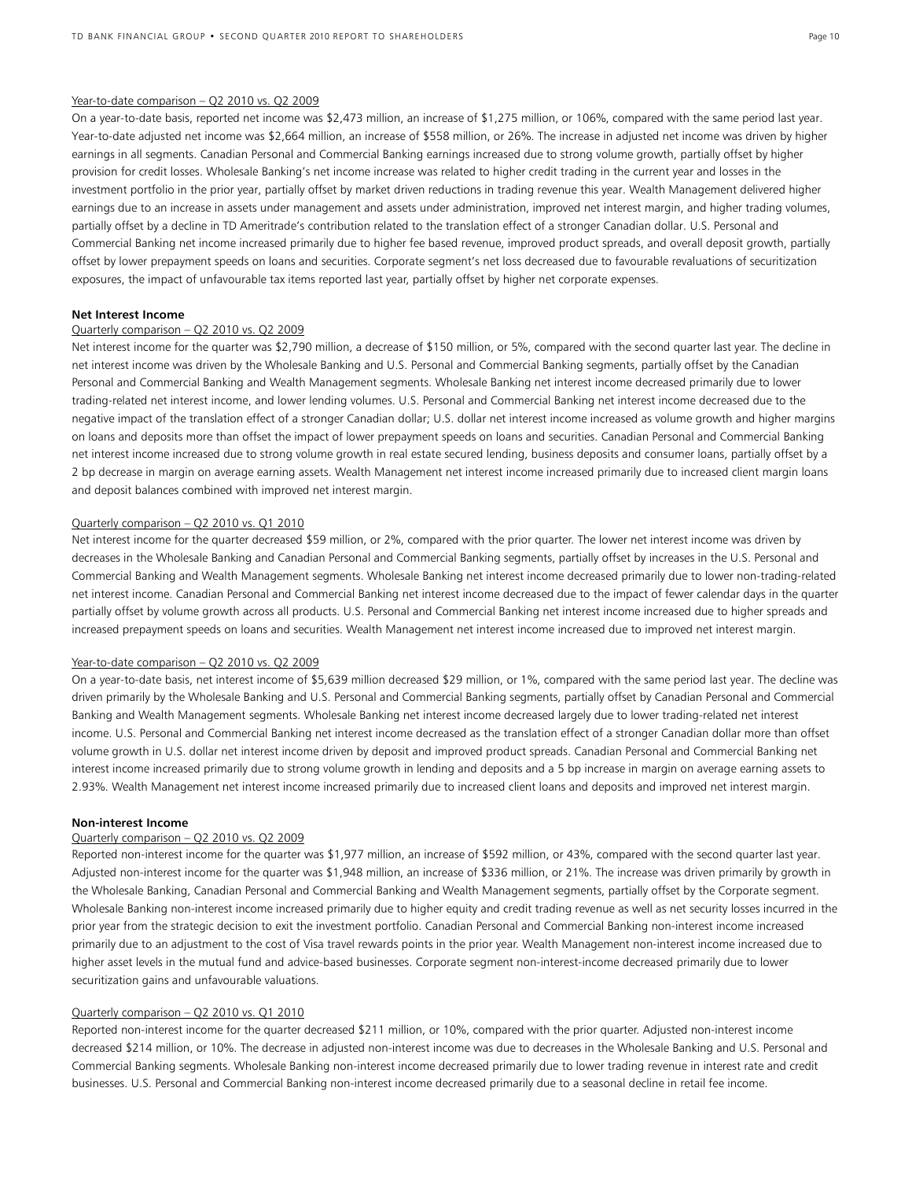#### Year-to-date comparison – Q2 2010 vs. Q2 2009

On a year-to-date basis, reported net income was \$2,473 million, an increase of \$1,275 million, or 106%, compared with the same period last year. Year-to-date adjusted net income was \$2,664 million, an increase of \$558 million, or 26%. The increase in adjusted net income was driven by higher earnings in all segments. Canadian Personal and Commercial Banking earnings increased due to strong volume growth, partially offset by higher provision for credit losses. Wholesale Banking's net income increase was related to higher credit trading in the current year and losses in the investment portfolio in the prior year, partially offset by market driven reductions in trading revenue this year. Wealth Management delivered higher earnings due to an increase in assets under management and assets under administration, improved net interest margin, and higher trading volumes, partially offset by a decline in TD Ameritrade's contribution related to the translation effect of a stronger Canadian dollar. U.S. Personal and Commercial Banking net income increased primarily due to higher fee based revenue, improved product spreads, and overall deposit growth, partially offset by lower prepayment speeds on loans and securities. Corporate segment's net loss decreased due to favourable revaluations of securitization exposures, the impact of unfavourable tax items reported last year, partially offset by higher net corporate expenses.

#### **Net Interest Income**

#### Quarterly comparison – Q2 2010 vs. Q2 2009

Net interest income for the quarter was \$2,790 million, a decrease of \$150 million, or 5%, compared with the second quarter last year. The decline in net interest income was driven by the Wholesale Banking and U.S. Personal and Commercial Banking segments, partially offset by the Canadian Personal and Commercial Banking and Wealth Management segments. Wholesale Banking net interest income decreased primarily due to lower trading-related net interest income, and lower lending volumes. U.S. Personal and Commercial Banking net interest income decreased due to the negative impact of the translation effect of a stronger Canadian dollar; U.S. dollar net interest income increased as volume growth and higher margins on loans and deposits more than offset the impact of lower prepayment speeds on loans and securities. Canadian Personal and Commercial Banking net interest income increased due to strong volume growth in real estate secured lending, business deposits and consumer loans, partially offset by a 2 bp decrease in margin on average earning assets. Wealth Management net interest income increased primarily due to increased client margin loans and deposit balances combined with improved net interest margin.

#### Quarterly comparison – Q2 2010 vs. Q1 2010

Net interest income for the quarter decreased \$59 million, or 2%, compared with the prior quarter. The lower net interest income was driven by decreases in the Wholesale Banking and Canadian Personal and Commercial Banking segments, partially offset by increases in the U.S. Personal and Commercial Banking and Wealth Management segments. Wholesale Banking net interest income decreased primarily due to lower non-trading-related net interest income. Canadian Personal and Commercial Banking net interest income decreased due to the impact of fewer calendar days in the quarter partially offset by volume growth across all products. U.S. Personal and Commercial Banking net interest income increased due to higher spreads and increased prepayment speeds on loans and securities. Wealth Management net interest income increased due to improved net interest margin.

## Year-to-date comparison - Q2 2010 vs. Q2 2009

On a year-to-date basis, net interest income of \$5,639 million decreased \$29 million, or 1%, compared with the same period last year. The decline was driven primarily by the Wholesale Banking and U.S. Personal and Commercial Banking segments, partially offset by Canadian Personal and Commercial Banking and Wealth Management segments. Wholesale Banking net interest income decreased largely due to lower trading-related net interest income. U.S. Personal and Commercial Banking net interest income decreased as the translation effect of a stronger Canadian dollar more than offset volume growth in U.S. dollar net interest income driven by deposit and improved product spreads. Canadian Personal and Commercial Banking net interest income increased primarily due to strong volume growth in lending and deposits and a 5 bp increase in margin on average earning assets to 2.93%. Wealth Management net interest income increased primarily due to increased client loans and deposits and improved net interest margin.

#### **Non-interest Income**

## Quarterly comparison – Q2 2010 vs. Q2 2009

Reported non-interest income for the quarter was \$1,977 million, an increase of \$592 million, or 43%, compared with the second quarter last year. Adjusted non-interest income for the quarter was \$1,948 million, an increase of \$336 million, or 21%. The increase was driven primarily by growth in the Wholesale Banking, Canadian Personal and Commercial Banking and Wealth Management segments, partially offset by the Corporate segment. Wholesale Banking non-interest income increased primarily due to higher equity and credit trading revenue as well as net security losses incurred in the prior year from the strategic decision to exit the investment portfolio. Canadian Personal and Commercial Banking non-interest income increased primarily due to an adjustment to the cost of Visa travel rewards points in the prior year. Wealth Management non-interest income increased due to higher asset levels in the mutual fund and advice-based businesses. Corporate segment non-interest-income decreased primarily due to lower securitization gains and unfavourable valuations.

## Quarterly comparison – Q2 2010 vs. Q1 2010

Reported non-interest income for the quarter decreased \$211 million, or 10%, compared with the prior quarter. Adjusted non-interest income decreased \$214 million, or 10%. The decrease in adjusted non-interest income was due to decreases in the Wholesale Banking and U.S. Personal and Commercial Banking segments. Wholesale Banking non-interest income decreased primarily due to lower trading revenue in interest rate and credit businesses. U.S. Personal and Commercial Banking non-interest income decreased primarily due to a seasonal decline in retail fee income.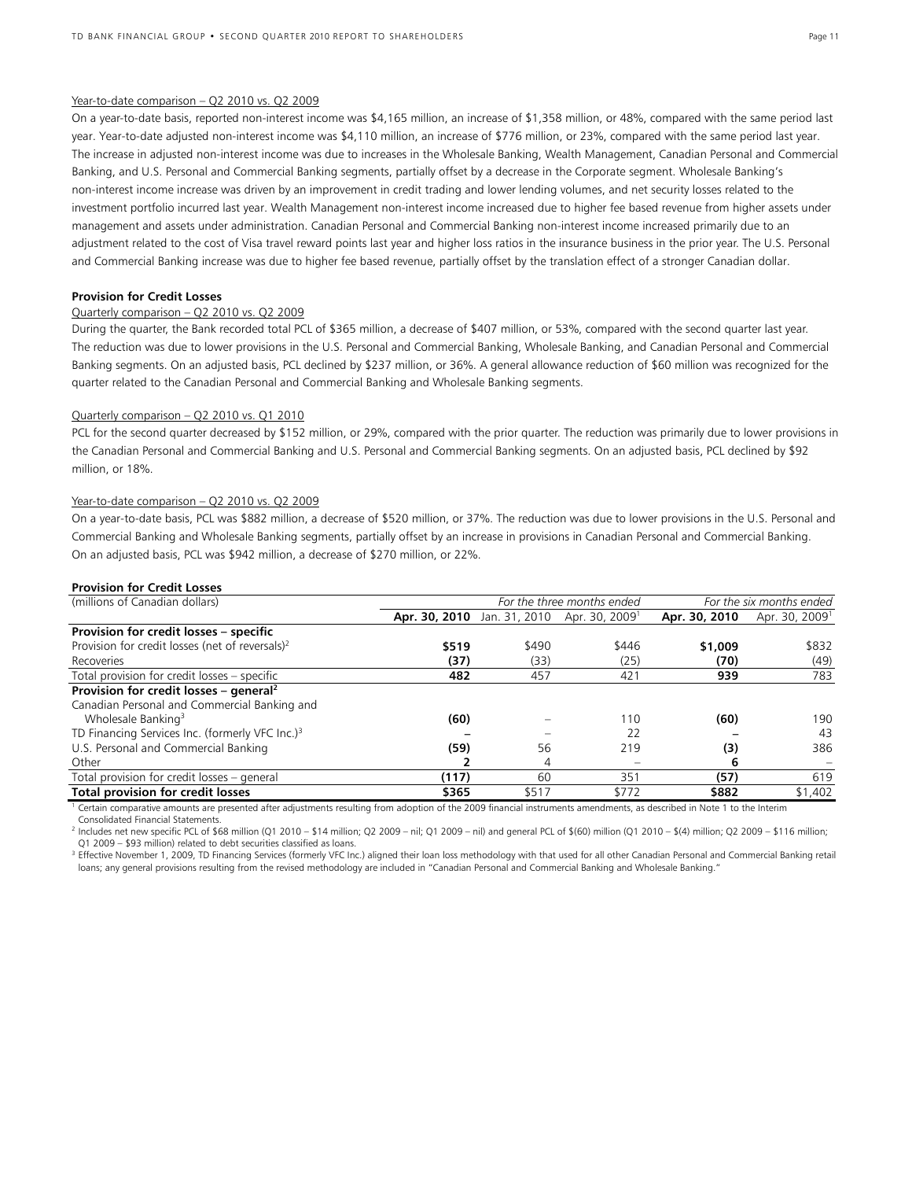#### Year-to-date comparison – Q2 2010 vs. Q2 2009

On a year-to-date basis, reported non-interest income was \$4,165 million, an increase of \$1,358 million, or 48%, compared with the same period last year. Year-to-date adjusted non-interest income was \$4,110 million, an increase of \$776 million, or 23%, compared with the same period last year. The increase in adjusted non-interest income was due to increases in the Wholesale Banking, Wealth Management, Canadian Personal and Commercial Banking, and U.S. Personal and Commercial Banking segments, partially offset by a decrease in the Corporate segment. Wholesale Banking's non-interest income increase was driven by an improvement in credit trading and lower lending volumes, and net security losses related to the investment portfolio incurred last year. Wealth Management non-interest income increased due to higher fee based revenue from higher assets under management and assets under administration. Canadian Personal and Commercial Banking non-interest income increased primarily due to an adjustment related to the cost of Visa travel reward points last year and higher loss ratios in the insurance business in the prior year. The U.S. Personal and Commercial Banking increase was due to higher fee based revenue, partially offset by the translation effect of a stronger Canadian dollar.

#### **Provision for Credit Losses**

## Quarterly comparison – Q2 2010 vs. Q2 2009

During the quarter, the Bank recorded total PCL of \$365 million, a decrease of \$407 million, or 53%, compared with the second quarter last year. The reduction was due to lower provisions in the U.S. Personal and Commercial Banking, Wholesale Banking, and Canadian Personal and Commercial Banking segments. On an adjusted basis, PCL declined by \$237 million, or 36%. A general allowance reduction of \$60 million was recognized for the quarter related to the Canadian Personal and Commercial Banking and Wholesale Banking segments.

#### Quarterly comparison – Q2 2010 vs. Q1 2010

PCL for the second quarter decreased by \$152 million, or 29%, compared with the prior quarter. The reduction was primarily due to lower provisions in the Canadian Personal and Commercial Banking and U.S. Personal and Commercial Banking segments. On an adjusted basis, PCL declined by \$92 million, or 18%.

#### Year-to-date comparison - Q2 2010 vs. Q2 2009

On a year-to-date basis, PCL was \$882 million, a decrease of \$520 million, or 37%. The reduction was due to lower provisions in the U.S. Personal and Commercial Banking and Wholesale Banking segments, partially offset by an increase in provisions in Canadian Personal and Commercial Banking. On an adjusted basis, PCL was \$942 million, a decrease of \$270 million, or 22%.

#### **Provision for Credit Losses**

| (millions of Canadian dollars)                                                                                                                                          |       | For the six months ended<br>For the three months ended |                                                        |               |                            |  |  |  |
|-------------------------------------------------------------------------------------------------------------------------------------------------------------------------|-------|--------------------------------------------------------|--------------------------------------------------------|---------------|----------------------------|--|--|--|
|                                                                                                                                                                         |       |                                                        | Apr. 30, 2010 Jan. 31, 2010 Apr. 30, 2009 <sup>1</sup> | Apr. 30, 2010 | Apr. 30, 2009 <sup>1</sup> |  |  |  |
| Provision for credit losses - specific                                                                                                                                  |       |                                                        |                                                        |               |                            |  |  |  |
| Provision for credit losses (net of reversals) <sup>2</sup>                                                                                                             | \$519 | \$490                                                  | \$446                                                  | \$1,009       | \$832                      |  |  |  |
| Recoveries                                                                                                                                                              | (37)  | (33)                                                   | (25)                                                   | (70)          | (49)                       |  |  |  |
| Total provision for credit losses – specific                                                                                                                            | 482   | 457                                                    | 421                                                    | 939           | 783                        |  |  |  |
| Provision for credit losses - general <sup>2</sup>                                                                                                                      |       |                                                        |                                                        |               |                            |  |  |  |
| Canadian Personal and Commercial Banking and                                                                                                                            |       |                                                        |                                                        |               |                            |  |  |  |
| Wholesale Banking <sup>3</sup>                                                                                                                                          | (60)  |                                                        | 110                                                    | (60)          | 190                        |  |  |  |
| TD Financing Services Inc. (formerly VFC Inc.) <sup>3</sup>                                                                                                             |       |                                                        | 22                                                     |               | 43                         |  |  |  |
| U.S. Personal and Commercial Banking                                                                                                                                    | (59)  | 56                                                     | 219                                                    | (3)           | 386                        |  |  |  |
| Other                                                                                                                                                                   |       | 4                                                      |                                                        | 6             |                            |  |  |  |
| Total provision for credit losses - general                                                                                                                             | (117) | 60                                                     | 351                                                    | (57)          | 619                        |  |  |  |
| <b>Total provision for credit losses</b>                                                                                                                                | \$365 | \$517                                                  | \$772                                                  | \$882         | \$1,402                    |  |  |  |
| Cortain comparative amounts are prosented after adjustments resulting from adoption of the 2009 financial instruments amondments, as described in Note 1 to the Interim |       |                                                        |                                                        |               |                            |  |  |  |

 Certain comparative amounts are presented after adjustments resulting from adoption of the 2009 financial instruments amendments, as described in Note 1 to the Interim Consolidated Financial Statements.

2 Includes net new specific PCL of \$68 million (Q1 2010 – \$14 million; Q2 2009 – nil; Q1 2009 – nil) and general PCL of \$(60) million (Q1 2010 – \$(4) million; Q2 2009 – \$116 million; Q1 2009 – \$93 million) related to debt securities classified as loans.

<sup>3</sup> Effective November 1, 2009, TD Financing Services (formerly VFC Inc.) aligned their loan loss methodology with that used for all other Canadian Personal and Commercial Banking retail loans; any general provisions resulting from the revised methodology are included in "Canadian Personal and Commercial Banking and Wholesale Banking."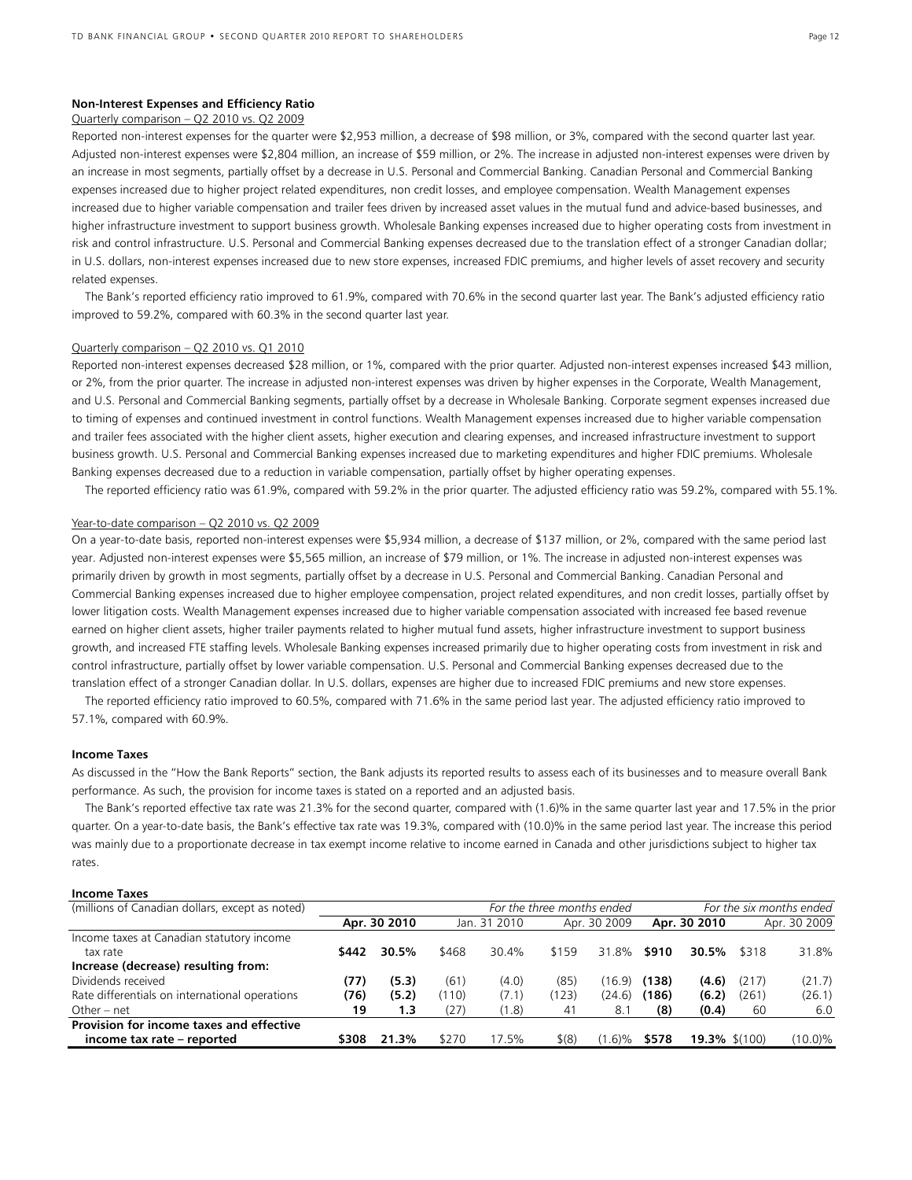## **Non-Interest Expenses and Efficiency Ratio**

## Quarterly comparison – Q2 2010 vs. Q2 2009

Reported non-interest expenses for the quarter were \$2,953 million, a decrease of \$98 million, or 3%, compared with the second quarter last year. Adjusted non-interest expenses were \$2,804 million, an increase of \$59 million, or 2%. The increase in adjusted non-interest expenses were driven by an increase in most segments, partially offset by a decrease in U.S. Personal and Commercial Banking. Canadian Personal and Commercial Banking expenses increased due to higher project related expenditures, non credit losses, and employee compensation. Wealth Management expenses increased due to higher variable compensation and trailer fees driven by increased asset values in the mutual fund and advice-based businesses, and higher infrastructure investment to support business growth. Wholesale Banking expenses increased due to higher operating costs from investment in risk and control infrastructure. U.S. Personal and Commercial Banking expenses decreased due to the translation effect of a stronger Canadian dollar; in U.S. dollars, non-interest expenses increased due to new store expenses, increased FDIC premiums, and higher levels of asset recovery and security related expenses.

 The Bank's reported efficiency ratio improved to 61.9%, compared with 70.6% in the second quarter last year. The Bank's adjusted efficiency ratio improved to 59.2%, compared with 60.3% in the second quarter last year.

#### Quarterly comparison – Q2 2010 vs. Q1 2010

Reported non-interest expenses decreased \$28 million, or 1%, compared with the prior quarter. Adjusted non-interest expenses increased \$43 million, or 2%, from the prior quarter. The increase in adjusted non-interest expenses was driven by higher expenses in the Corporate, Wealth Management, and U.S. Personal and Commercial Banking segments, partially offset by a decrease in Wholesale Banking. Corporate segment expenses increased due to timing of expenses and continued investment in control functions. Wealth Management expenses increased due to higher variable compensation and trailer fees associated with the higher client assets, higher execution and clearing expenses, and increased infrastructure investment to support business growth. U.S. Personal and Commercial Banking expenses increased due to marketing expenditures and higher FDIC premiums. Wholesale Banking expenses decreased due to a reduction in variable compensation, partially offset by higher operating expenses.

The reported efficiency ratio was 61.9%, compared with 59.2% in the prior quarter. The adjusted efficiency ratio was 59.2%, compared with 55.1%.

## Year-to-date comparison – Q2 2010 vs. Q2 2009

On a year-to-date basis, reported non-interest expenses were \$5,934 million, a decrease of \$137 million, or 2%, compared with the same period last year. Adjusted non-interest expenses were \$5,565 million, an increase of \$79 million, or 1%. The increase in adjusted non-interest expenses was primarily driven by growth in most segments, partially offset by a decrease in U.S. Personal and Commercial Banking. Canadian Personal and Commercial Banking expenses increased due to higher employee compensation, project related expenditures, and non credit losses, partially offset by lower litigation costs. Wealth Management expenses increased due to higher variable compensation associated with increased fee based revenue earned on higher client assets, higher trailer payments related to higher mutual fund assets, higher infrastructure investment to support business growth, and increased FTE staffing levels. Wholesale Banking expenses increased primarily due to higher operating costs from investment in risk and control infrastructure, partially offset by lower variable compensation. U.S. Personal and Commercial Banking expenses decreased due to the translation effect of a stronger Canadian dollar. In U.S. dollars, expenses are higher due to increased FDIC premiums and new store expenses.

 The reported efficiency ratio improved to 60.5%, compared with 71.6% in the same period last year. The adjusted efficiency ratio improved to 57.1%, compared with 60.9%.

#### **Income Taxes**

As discussed in the "How the Bank Reports" section, the Bank adjusts its reported results to assess each of its businesses and to measure overall Bank performance. As such, the provision for income taxes is stated on a reported and an adjusted basis.

 The Bank's reported effective tax rate was 21.3% for the second quarter, compared with (1.6)% in the same quarter last year and 17.5% in the prior quarter. On a year-to-date basis, the Bank's effective tax rate was 19.3%, compared with (10.0)% in the same period last year. The increase this period was mainly due to a proportionate decrease in tax exempt income relative to income earned in Canada and other jurisdictions subject to higher tax rates.

#### **Income Taxes**

| (millions of Canadian dollars, except as noted) |       |              | For the three months ended |              |           |              | For the six months ended |                  |       |              |
|-------------------------------------------------|-------|--------------|----------------------------|--------------|-----------|--------------|--------------------------|------------------|-------|--------------|
|                                                 |       | Apr. 30 2010 |                            | Jan. 31 2010 |           | Apr. 30 2009 |                          | Apr. 30 2010     |       | Apr. 30 2009 |
| Income taxes at Canadian statutory income       |       |              |                            |              |           |              |                          |                  |       |              |
| tax rate                                        | \$442 | 30.5%        | \$468                      | 30.4%        | \$159     | 31.8%        | \$910                    | 30.5%            | \$318 | 31.8%        |
| Increase (decrease) resulting from:             |       |              |                            |              |           |              |                          |                  |       |              |
| Dividends received                              | (77)  | (5.3)        | (61)                       | (4.0)        | (85)      | (16.9)       | (138)                    | (4.6)            | (217) | (21.7)       |
| Rate differentials on international operations  | (76)  | (5.2)        | (110)                      | (7.1)        | (123)     | (24.6)       | (186)                    | (6.2)            | (261) | (26.1)       |
| Other – net                                     | 19    | 1.3          | (27)                       | (1.8)        | 41        | 8.1          | (8)                      | (0.4)            | 60    | 6.0          |
| Provision for income taxes and effective        |       |              |                            |              |           |              |                          |                  |       |              |
| income tax rate - reported                      | \$308 | 21.3%        | \$270                      | 17.5%        | $$^{(8)}$ | (6)%         | \$578                    | $19.3\%$ \$(100) |       | (10.0)%      |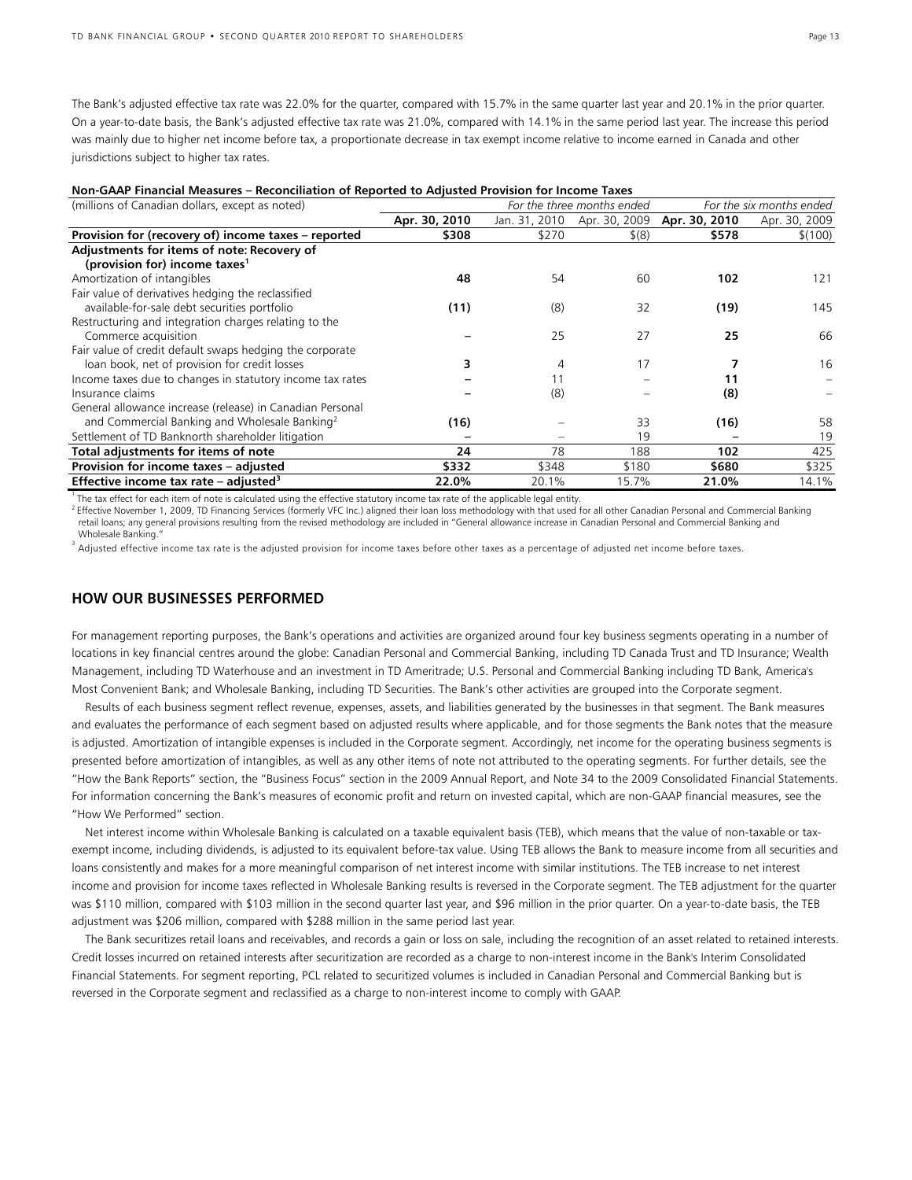The Bank's adjusted effective tax rate was 22.0% for the quarter, compared with 15.7% in the same quarter last year and 20.1% in the prior quarter. On a year-to-date basis, the Bank's adjusted effective tax rate was 21.0%, compared with 14.1% in the same period last year. The increase this period was mainly due to higher net income before tax, a proportionate decrease in tax exempt income relative to income earned in Canada and other jurisdictions subject to higher tax rates.

| Non-GAAP Financial Measures – Reconciliation of Reported to Adjusted Provision for Income Taxes |  |  |  |
|-------------------------------------------------------------------------------------------------|--|--|--|
|                                                                                                 |  |  |  |

| (millions of Canadian dollars, except as noted)           | For the three months ended |               |               | For the six months ended |               |  |
|-----------------------------------------------------------|----------------------------|---------------|---------------|--------------------------|---------------|--|
|                                                           | Apr. 30, 2010              | Jan. 31, 2010 | Apr. 30, 2009 | Apr. 30, 2010            | Apr. 30, 2009 |  |
| Provision for (recovery of) income taxes - reported       | \$308                      | \$270         | $$^{(8)}$$    | \$578                    | \$(100)       |  |
| Adjustments for items of note: Recovery of                |                            |               |               |                          |               |  |
| (provision for) income taxes <sup>1</sup>                 |                            |               |               |                          |               |  |
| Amortization of intangibles                               | 48                         | 54            | 60            | 102                      | 121           |  |
| Fair value of derivatives hedging the reclassified        |                            |               |               |                          |               |  |
| available-for-sale debt securities portfolio              | (11)                       | (8)           | 32            | (19)                     | 145           |  |
| Restructuring and integration charges relating to the     |                            |               |               |                          |               |  |
| Commerce acquisition                                      |                            | 25            | 27            | 25                       | 66            |  |
| Fair value of credit default swaps hedging the corporate  |                            |               |               |                          |               |  |
| loan book, net of provision for credit losses             |                            | 4             | 17            |                          | 16            |  |
| Income taxes due to changes in statutory income tax rates |                            | 11            |               | 11                       |               |  |
| Insurance claims                                          |                            | (8)           |               | (8)                      |               |  |
| General allowance increase (release) in Canadian Personal |                            |               |               |                          |               |  |
| and Commercial Banking and Wholesale Banking <sup>2</sup> | (16)                       |               | 33            | (16)                     | 58            |  |
| Settlement of TD Banknorth shareholder litigation         |                            |               | 19            |                          | 19            |  |
| Total adjustments for items of note                       | 24                         | 78            | 188           | 102                      | 425           |  |
| Provision for income taxes - adjusted                     | \$332                      | \$348         | \$180         | \$680                    | \$325         |  |
| Effective income tax rate – adjusted <sup>3</sup>         | 22.0%                      | 20.1%         | 15.7%         | 21.0%                    | 14.1%         |  |

<sup>1</sup> The tax effect for each item of note is calculated using the effective statutory income tax rate of the applicable legal entity.<br><sup>2</sup> Effective November 1, 2009, TD Financing Services (formerly VFC Inc.) aligned their l retail loans; any general provisions resulting from the revised methodology are included in "General allowance increase in Canadian Personal and Commercial Banking and Wholesale Banking.

 $^3$  Adjusted effective income tax rate is the adjusted provision for income taxes before other taxes as a percentage of adjusted net income before taxes.

## **HOW OUR BUSINESSES PERFORMED**

For management reporting purposes, the Bank's operations and activities are organized around four key business segments operating in a number of locations in key financial centres around the globe: Canadian Personal and Commercial Banking, including TD Canada Trust and TD Insurance; Wealth Management, including TD Waterhouse and an investment in TD Ameritrade; U.S. Personal and Commercial Banking including TD Bank, America's Most Convenient Bank; and Wholesale Banking, including TD Securities. The Bank's other activities are grouped into the Corporate segment.

 Results of each business segment reflect revenue, expenses, assets, and liabilities generated by the businesses in that segment. The Bank measures and evaluates the performance of each segment based on adjusted results where applicable, and for those segments the Bank notes that the measure is adjusted. Amortization of intangible expenses is included in the Corporate segment. Accordingly, net income for the operating business segments is presented before amortization of intangibles, as well as any other items of note not attributed to the operating segments. For further details, see the "How the Bank Reports" section, the "Business Focus" section in the 2009 Annual Report, and Note 34 to the 2009 Consolidated Financial Statements. For information concerning the Bank's measures of economic profit and return on invested capital, which are non-GAAP financial measures, see the "How We Performed" section.

 Net interest income within Wholesale Banking is calculated on a taxable equivalent basis (TEB), which means that the value of non-taxable or taxexempt income, including dividends, is adjusted to its equivalent before-tax value. Using TEB allows the Bank to measure income from all securities and loans consistently and makes for a more meaningful comparison of net interest income with similar institutions. The TEB increase to net interest income and provision for income taxes reflected in Wholesale Banking results is reversed in the Corporate segment. The TEB adjustment for the quarter was \$110 million, compared with \$103 million in the second quarter last year, and \$96 million in the prior quarter. On a year-to-date basis, the TEB adjustment was \$206 million, compared with \$288 million in the same period last year.

 The Bank securitizes retail loans and receivables, and records a gain or loss on sale, including the recognition of an asset related to retained interests. Credit losses incurred on retained interests after securitization are recorded as a charge to non-interest income in the Bank's Interim Consolidated Financial Statements. For segment reporting, PCL related to securitized volumes is included in Canadian Personal and Commercial Banking but is reversed in the Corporate segment and reclassified as a charge to non-interest income to comply with GAAP.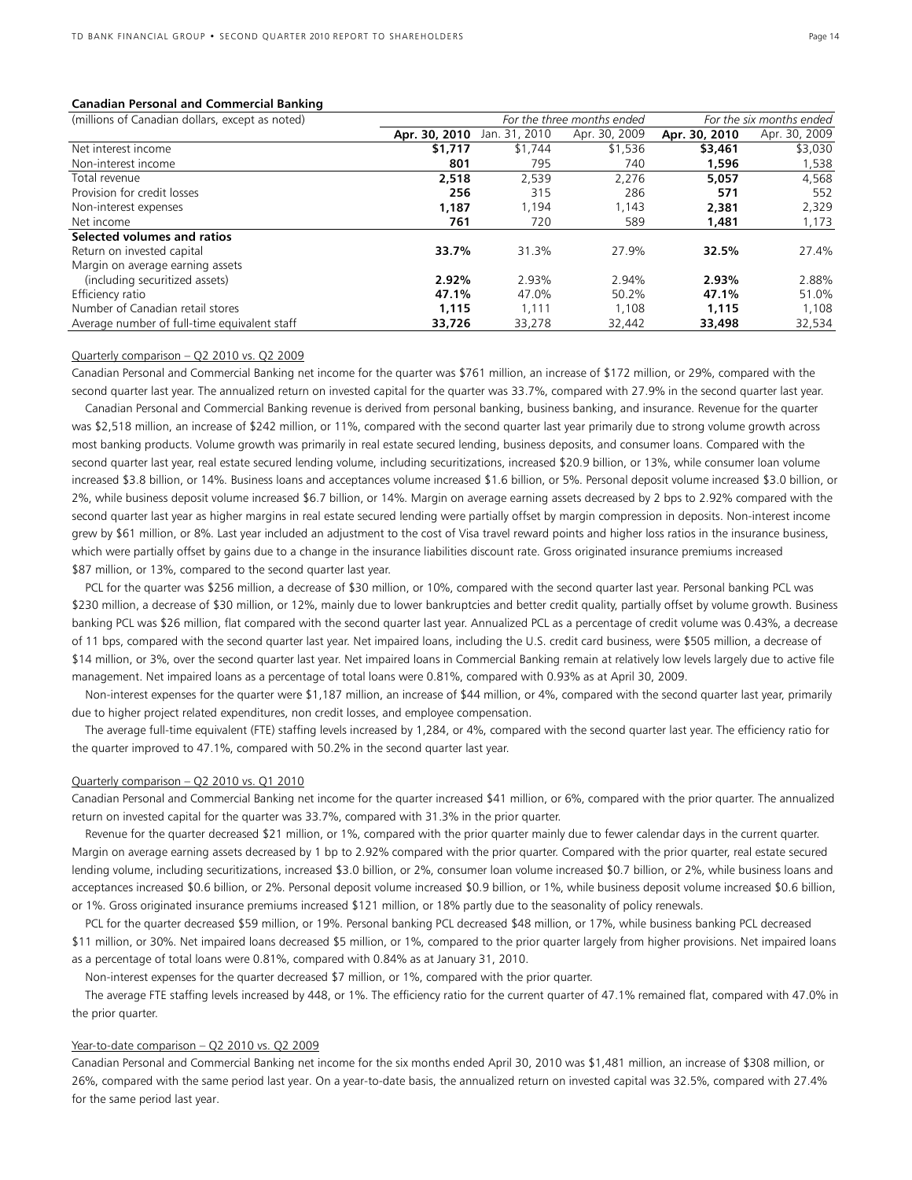#### **Canadian Personal and Commercial Banking**

| (millions of Canadian dollars, except as noted) |               | For the three months ended |               |               | For the six months ended |  |  |
|-------------------------------------------------|---------------|----------------------------|---------------|---------------|--------------------------|--|--|
|                                                 | Apr. 30, 2010 | Jan. 31, 2010              | Apr. 30, 2009 | Apr. 30, 2010 | Apr. 30, 2009            |  |  |
| Net interest income                             | \$1,717       | \$1,744                    | \$1,536       | \$3,461       | \$3,030                  |  |  |
| Non-interest income                             | 801           | 795                        | 740           | 1,596         | 1,538                    |  |  |
| Total revenue                                   | 2.518         | 2.539                      | 2.276         | 5.057         | 4,568                    |  |  |
| Provision for credit losses                     | 256           | 315                        | 286           | 571           | 552                      |  |  |
| Non-interest expenses                           | 1.187         | .194                       | 1.143         | 2,381         | 2,329                    |  |  |
| Net income                                      | 761           | 720                        | 589           | 1,481         | 1,173                    |  |  |
| Selected volumes and ratios                     |               |                            |               |               |                          |  |  |
| Return on invested capital                      | 33.7%         | 31.3%                      | 27.9%         | 32.5%         | 27.4%                    |  |  |
| Margin on average earning assets                |               |                            |               |               |                          |  |  |
| (including securitized assets)                  | 2.92%         | 2.93%                      | 2.94%         | 2.93%         | 2.88%                    |  |  |
| Efficiency ratio                                | 47.1%         | 47.0%                      | 50.2%         | 47.1%         | 51.0%                    |  |  |
| Number of Canadian retail stores                | 1,115         | 1.111                      | 1,108         | 1.115         | 1,108                    |  |  |
| Average number of full-time equivalent staff    | 33,726        | 33,278                     | 32,442        | 33,498        | 32,534                   |  |  |

#### Quarterly comparison – Q2 2010 vs. Q2 2009

Canadian Personal and Commercial Banking net income for the quarter was \$761 million, an increase of \$172 million, or 29%, compared with the second quarter last year. The annualized return on invested capital for the quarter was 33.7%, compared with 27.9% in the second quarter last year.

 Canadian Personal and Commercial Banking revenue is derived from personal banking, business banking, and insurance. Revenue for the quarter was \$2,518 million, an increase of \$242 million, or 11%, compared with the second quarter last year primarily due to strong volume growth across most banking products. Volume growth was primarily in real estate secured lending, business deposits, and consumer loans. Compared with the second quarter last year, real estate secured lending volume, including securitizations, increased \$20.9 billion, or 13%, while consumer loan volume increased \$3.8 billion, or 14%. Business loans and acceptances volume increased \$1.6 billion, or 5%. Personal deposit volume increased \$3.0 billion, or 2%, while business deposit volume increased \$6.7 billion, or 14%. Margin on average earning assets decreased by 2 bps to 2.92% compared with the second quarter last year as higher margins in real estate secured lending were partially offset by margin compression in deposits. Non-interest income grew by \$61 million, or 8%. Last year included an adjustment to the cost of Visa travel reward points and higher loss ratios in the insurance business, which were partially offset by gains due to a change in the insurance liabilities discount rate. Gross originated insurance premiums increased \$87 million, or 13%, compared to the second quarter last year.

 PCL for the quarter was \$256 million, a decrease of \$30 million, or 10%, compared with the second quarter last year. Personal banking PCL was \$230 million, a decrease of \$30 million, or 12%, mainly due to lower bankruptcies and better credit quality, partially offset by volume growth. Business banking PCL was \$26 million, flat compared with the second quarter last year. Annualized PCL as a percentage of credit volume was 0.43%, a decrease of 11 bps, compared with the second quarter last year. Net impaired loans, including the U.S. credit card business, were \$505 million, a decrease of \$14 million, or 3%, over the second quarter last year. Net impaired loans in Commercial Banking remain at relatively low levels largely due to active file management. Net impaired loans as a percentage of total loans were 0.81%, compared with 0.93% as at April 30, 2009.

 Non-interest expenses for the quarter were \$1,187 million, an increase of \$44 million, or 4%, compared with the second quarter last year, primarily due to higher project related expenditures, non credit losses, and employee compensation.

 The average full-time equivalent (FTE) staffing levels increased by 1,284, or 4%, compared with the second quarter last year. The efficiency ratio for the quarter improved to 47.1%, compared with 50.2% in the second quarter last year.

#### Quarterly comparison – Q2 2010 vs. Q1 2010

Canadian Personal and Commercial Banking net income for the quarter increased \$41 million, or 6%, compared with the prior quarter. The annualized return on invested capital for the quarter was 33.7%, compared with 31.3% in the prior quarter.

 Revenue for the quarter decreased \$21 million, or 1%, compared with the prior quarter mainly due to fewer calendar days in the current quarter. Margin on average earning assets decreased by 1 bp to 2.92% compared with the prior quarter. Compared with the prior quarter, real estate secured lending volume, including securitizations, increased \$3.0 billion, or 2%, consumer loan volume increased \$0.7 billion, or 2%, while business loans and acceptances increased \$0.6 billion, or 2%. Personal deposit volume increased \$0.9 billion, or 1%, while business deposit volume increased \$0.6 billion, or 1%. Gross originated insurance premiums increased \$121 million, or 18% partly due to the seasonality of policy renewals.

 PCL for the quarter decreased \$59 million, or 19%. Personal banking PCL decreased \$48 million, or 17%, while business banking PCL decreased \$11 million, or 30%. Net impaired loans decreased \$5 million, or 1%, compared to the prior quarter largely from higher provisions. Net impaired loans as a percentage of total loans were 0.81%, compared with 0.84% as at January 31, 2010.

Non-interest expenses for the quarter decreased \$7 million, or 1%, compared with the prior quarter.

 The average FTE staffing levels increased by 448, or 1%. The efficiency ratio for the current quarter of 47.1% remained flat, compared with 47.0% in the prior quarter.

#### Year-to-date comparison - Q2 2010 vs. Q2 2009

Canadian Personal and Commercial Banking net income for the six months ended April 30, 2010 was \$1,481 million, an increase of \$308 million, or 26%, compared with the same period last year. On a year-to-date basis, the annualized return on invested capital was 32.5%, compared with 27.4% for the same period last year.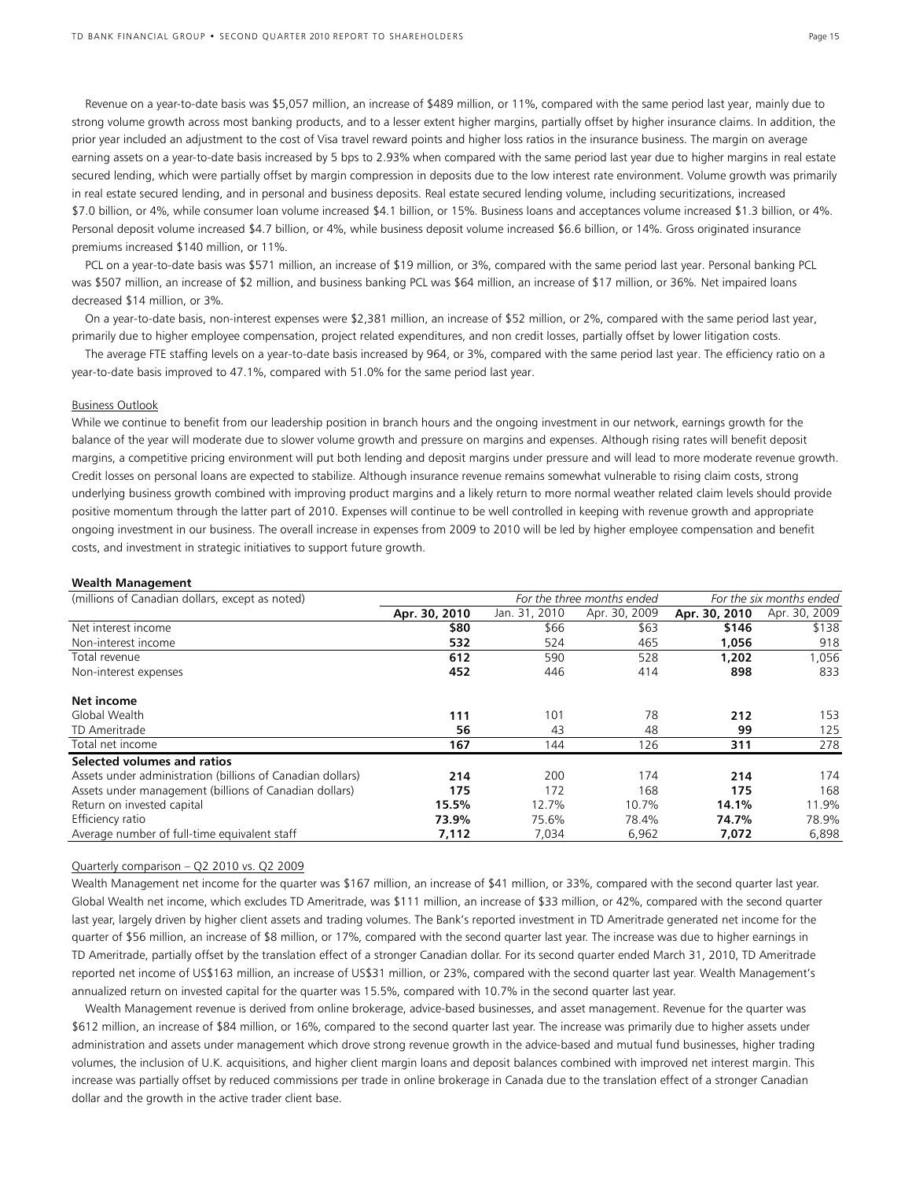Revenue on a year-to-date basis was \$5,057 million, an increase of \$489 million, or 11%, compared with the same period last year, mainly due to strong volume growth across most banking products, and to a lesser extent higher margins, partially offset by higher insurance claims. In addition, the prior year included an adjustment to the cost of Visa travel reward points and higher loss ratios in the insurance business. The margin on average earning assets on a year-to-date basis increased by 5 bps to 2.93% when compared with the same period last year due to higher margins in real estate secured lending, which were partially offset by margin compression in deposits due to the low interest rate environment. Volume growth was primarily in real estate secured lending, and in personal and business deposits. Real estate secured lending volume, including securitizations, increased \$7.0 billion, or 4%, while consumer loan volume increased \$4.1 billion, or 15%. Business loans and acceptances volume increased \$1.3 billion, or 4%. Personal deposit volume increased \$4.7 billion, or 4%, while business deposit volume increased \$6.6 billion, or 14%. Gross originated insurance premiums increased \$140 million, or 11%.

 PCL on a year-to-date basis was \$571 million, an increase of \$19 million, or 3%, compared with the same period last year. Personal banking PCL was \$507 million, an increase of \$2 million, and business banking PCL was \$64 million, an increase of \$17 million, or 36%. Net impaired loans decreased \$14 million, or 3%.

 On a year-to-date basis, non-interest expenses were \$2,381 million, an increase of \$52 million, or 2%, compared with the same period last year, primarily due to higher employee compensation, project related expenditures, and non credit losses, partially offset by lower litigation costs.

 The average FTE staffing levels on a year-to-date basis increased by 964, or 3%, compared with the same period last year. The efficiency ratio on a year-to-date basis improved to 47.1%, compared with 51.0% for the same period last year.

#### Business Outlook

While we continue to benefit from our leadership position in branch hours and the ongoing investment in our network, earnings growth for the balance of the year will moderate due to slower volume growth and pressure on margins and expenses. Although rising rates will benefit deposit margins, a competitive pricing environment will put both lending and deposit margins under pressure and will lead to more moderate revenue growth. Credit losses on personal loans are expected to stabilize. Although insurance revenue remains somewhat vulnerable to rising claim costs, strong underlying business growth combined with improving product margins and a likely return to more normal weather related claim levels should provide positive momentum through the latter part of 2010. Expenses will continue to be well controlled in keeping with revenue growth and appropriate ongoing investment in our business. The overall increase in expenses from 2009 to 2010 will be led by higher employee compensation and benefit costs, and investment in strategic initiatives to support future growth.

#### **Wealth Management**

| (millions of Canadian dollars, except as noted)            | For the three months ended |               | For the six months ended |               |               |
|------------------------------------------------------------|----------------------------|---------------|--------------------------|---------------|---------------|
|                                                            | Apr. 30, 2010              | Jan. 31, 2010 | Apr. 30, 2009            | Apr. 30, 2010 | Apr. 30, 2009 |
| Net interest income                                        | \$80                       | \$66          | \$63                     | \$146         | \$138         |
| Non-interest income                                        | 532                        | 524           | 465                      | 1,056         | 918           |
| Total revenue                                              | 612                        | 590           | 528                      | 1,202         | 1,056         |
| Non-interest expenses                                      | 452                        | 446           | 414                      | 898           | 833           |
| Net income                                                 |                            |               |                          |               |               |
| Global Wealth                                              | 111                        | 101           | 78                       | 212           | 153           |
| TD Ameritrade                                              | 56                         | 43            | 48                       | 99            | 125           |
| Total net income                                           | 167                        | 144           | 126                      | 311           | 278           |
| Selected volumes and ratios                                |                            |               |                          |               |               |
| Assets under administration (billions of Canadian dollars) | 214                        | 200           | 174                      | 214           | 174           |
| Assets under management (billions of Canadian dollars)     | 175                        | 172           | 168                      | 175           | 168           |
| Return on invested capital                                 | 15.5%                      | 12.7%         | 10.7%                    | 14.1%         | 11.9%         |
| Efficiency ratio                                           | 73.9%                      | 75.6%         | 78.4%                    | 74.7%         | 78.9%         |
| Average number of full-time equivalent staff               | 7,112                      | 7,034         | 6,962                    | 7,072         | 6,898         |

#### Quarterly comparison – Q2 2010 vs. Q2 2009

Wealth Management net income for the quarter was \$167 million, an increase of \$41 million, or 33%, compared with the second quarter last year. Global Wealth net income, which excludes TD Ameritrade, was \$111 million, an increase of \$33 million, or 42%, compared with the second quarter last year, largely driven by higher client assets and trading volumes. The Bank's reported investment in TD Ameritrade generated net income for the quarter of \$56 million, an increase of \$8 million, or 17%, compared with the second quarter last year. The increase was due to higher earnings in TD Ameritrade, partially offset by the translation effect of a stronger Canadian dollar. For its second quarter ended March 31, 2010, TD Ameritrade reported net income of US\$163 million, an increase of US\$31 million, or 23%, compared with the second quarter last year. Wealth Management's annualized return on invested capital for the quarter was 15.5%, compared with 10.7% in the second quarter last year.

 Wealth Management revenue is derived from online brokerage, advice-based businesses, and asset management. Revenue for the quarter was \$612 million, an increase of \$84 million, or 16%, compared to the second quarter last year. The increase was primarily due to higher assets under administration and assets under management which drove strong revenue growth in the advice-based and mutual fund businesses, higher trading volumes, the inclusion of U.K. acquisitions, and higher client margin loans and deposit balances combined with improved net interest margin. This increase was partially offset by reduced commissions per trade in online brokerage in Canada due to the translation effect of a stronger Canadian dollar and the growth in the active trader client base.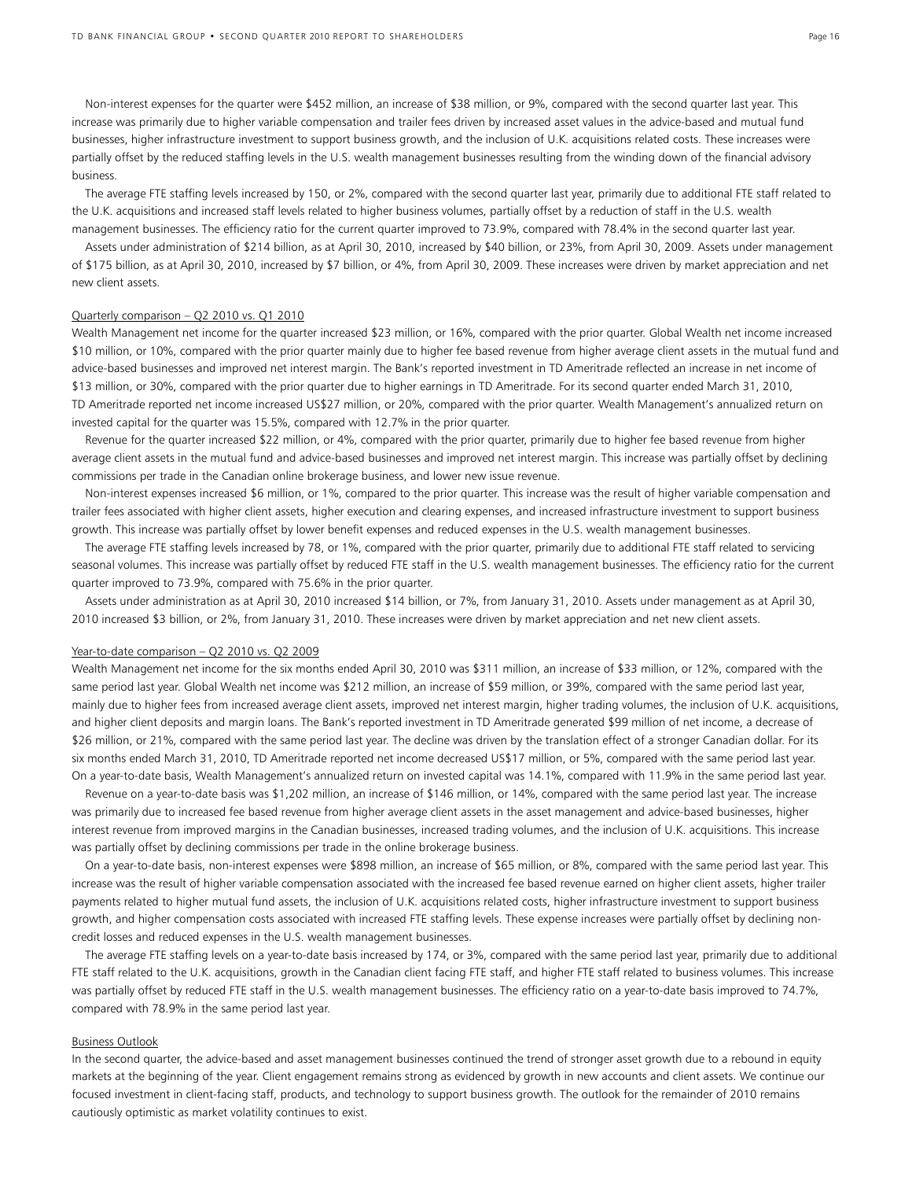Non-interest expenses for the quarter were \$452 million, an increase of \$38 million, or 9%, compared with the second quarter last year. This increase was primarily due to higher variable compensation and trailer fees driven by increased asset values in the advice-based and mutual fund businesses, higher infrastructure investment to support business growth, and the inclusion of U.K. acquisitions related costs. These increases were partially offset by the reduced staffing levels in the U.S. wealth management businesses resulting from the winding down of the financial advisory business.

 The average FTE staffing levels increased by 150, or 2%, compared with the second quarter last year, primarily due to additional FTE staff related to the U.K. acquisitions and increased staff levels related to higher business volumes, partially offset by a reduction of staff in the U.S. wealth management businesses. The efficiency ratio for the current quarter improved to 73.9%, compared with 78.4% in the second quarter last year.

 Assets under administration of \$214 billion, as at April 30, 2010, increased by \$40 billion, or 23%, from April 30, 2009. Assets under management of \$175 billion, as at April 30, 2010, increased by \$7 billion, or 4%, from April 30, 2009. These increases were driven by market appreciation and net new client assets.

#### Quarterly comparison – Q2 2010 vs. Q1 2010

Wealth Management net income for the quarter increased \$23 million, or 16%, compared with the prior quarter. Global Wealth net income increased \$10 million, or 10%, compared with the prior quarter mainly due to higher fee based revenue from higher average client assets in the mutual fund and advice-based businesses and improved net interest margin. The Bank's reported investment in TD Ameritrade reflected an increase in net income of \$13 million, or 30%, compared with the prior quarter due to higher earnings in TD Ameritrade. For its second quarter ended March 31, 2010, TD Ameritrade reported net income increased US\$27 million, or 20%, compared with the prior quarter. Wealth Management's annualized return on invested capital for the quarter was 15.5%, compared with 12.7% in the prior quarter.

 Revenue for the quarter increased \$22 million, or 4%, compared with the prior quarter, primarily due to higher fee based revenue from higher average client assets in the mutual fund and advice-based businesses and improved net interest margin. This increase was partially offset by declining commissions per trade in the Canadian online brokerage business, and lower new issue revenue.

 Non-interest expenses increased \$6 million, or 1%, compared to the prior quarter. This increase was the result of higher variable compensation and trailer fees associated with higher client assets, higher execution and clearing expenses, and increased infrastructure investment to support business growth. This increase was partially offset by lower benefit expenses and reduced expenses in the U.S. wealth management businesses.

 The average FTE staffing levels increased by 78, or 1%, compared with the prior quarter, primarily due to additional FTE staff related to servicing seasonal volumes. This increase was partially offset by reduced FTE staff in the U.S. wealth management businesses. The efficiency ratio for the current quarter improved to 73.9%, compared with 75.6% in the prior quarter.

 Assets under administration as at April 30, 2010 increased \$14 billion, or 7%, from January 31, 2010. Assets under management as at April 30, 2010 increased \$3 billion, or 2%, from January 31, 2010. These increases were driven by market appreciation and net new client assets.

#### Year-to-date comparison – Q2 2010 vs. Q2 2009

Wealth Management net income for the six months ended April 30, 2010 was \$311 million, an increase of \$33 million, or 12%, compared with the same period last year. Global Wealth net income was \$212 million, an increase of \$59 million, or 39%, compared with the same period last year, mainly due to higher fees from increased average client assets, improved net interest margin, higher trading volumes, the inclusion of U.K. acquisitions, and higher client deposits and margin loans. The Bank's reported investment in TD Ameritrade generated \$99 million of net income, a decrease of \$26 million, or 21%, compared with the same period last year. The decline was driven by the translation effect of a stronger Canadian dollar. For its six months ended March 31, 2010, TD Ameritrade reported net income decreased US\$17 million, or 5%, compared with the same period last year. On a year-to-date basis, Wealth Management's annualized return on invested capital was 14.1%, compared with 11.9% in the same period last year.

 Revenue on a year-to-date basis was \$1,202 million, an increase of \$146 million, or 14%, compared with the same period last year. The increase was primarily due to increased fee based revenue from higher average client assets in the asset management and advice-based businesses, higher interest revenue from improved margins in the Canadian businesses, increased trading volumes, and the inclusion of U.K. acquisitions. This increase was partially offset by declining commissions per trade in the online brokerage business.

 On a year-to-date basis, non-interest expenses were \$898 million, an increase of \$65 million, or 8%, compared with the same period last year. This increase was the result of higher variable compensation associated with the increased fee based revenue earned on higher client assets, higher trailer payments related to higher mutual fund assets, the inclusion of U.K. acquisitions related costs, higher infrastructure investment to support business growth, and higher compensation costs associated with increased FTE staffing levels. These expense increases were partially offset by declining noncredit losses and reduced expenses in the U.S. wealth management businesses.

 The average FTE staffing levels on a year-to-date basis increased by 174, or 3%, compared with the same period last year, primarily due to additional FTE staff related to the U.K. acquisitions, growth in the Canadian client facing FTE staff, and higher FTE staff related to business volumes. This increase was partially offset by reduced FTE staff in the U.S. wealth management businesses. The efficiency ratio on a year-to-date basis improved to 74.7%, compared with 78.9% in the same period last year.

#### Business Outlook

In the second quarter, the advice-based and asset management businesses continued the trend of stronger asset growth due to a rebound in equity markets at the beginning of the year. Client engagement remains strong as evidenced by growth in new accounts and client assets. We continue our focused investment in client-facing staff, products, and technology to support business growth. The outlook for the remainder of 2010 remains cautiously optimistic as market volatility continues to exist.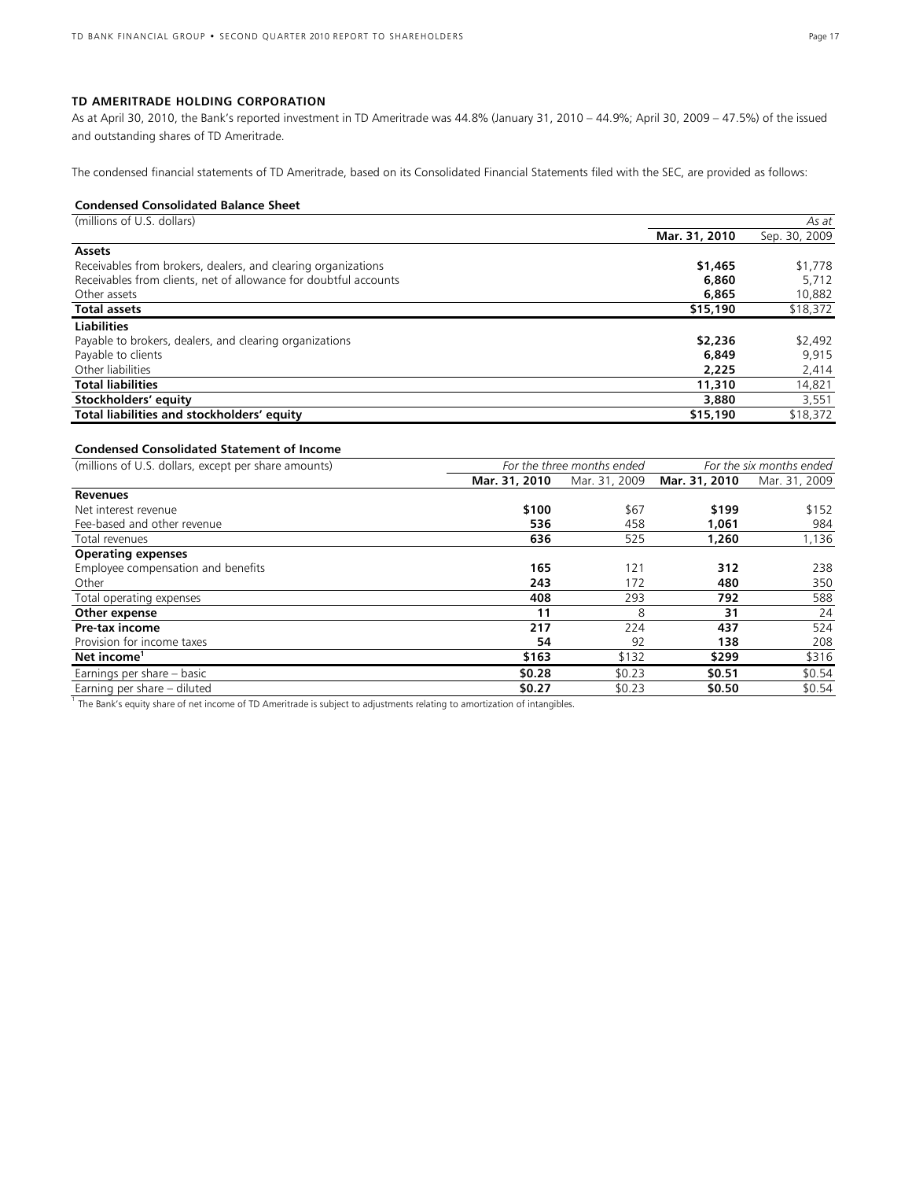## **TD AMERITRADE HOLDING CORPORATION**

As at April 30, 2010, the Bank's reported investment in TD Ameritrade was 44.8% (January 31, 2010 – 44.9%; April 30, 2009 – 47.5%) of the issued and outstanding shares of TD Ameritrade.

The condensed financial statements of TD Ameritrade, based on its Consolidated Financial Statements filed with the SEC, are provided as follows:

## **Condensed Consolidated Balance Sheet**

| (millions of U.S. dollars)                                       | As at         |               |  |
|------------------------------------------------------------------|---------------|---------------|--|
|                                                                  | Mar. 31, 2010 | Sep. 30, 2009 |  |
| <b>Assets</b>                                                    |               |               |  |
| Receivables from brokers, dealers, and clearing organizations    | \$1,465       | \$1,778       |  |
| Receivables from clients, net of allowance for doubtful accounts | 6,860         | 5,712         |  |
| Other assets                                                     | 6,865         | 10,882        |  |
| <b>Total assets</b>                                              | \$15,190      | \$18,372      |  |
| <b>Liabilities</b>                                               |               |               |  |
| Payable to brokers, dealers, and clearing organizations          | \$2,236       | \$2,492       |  |
| Payable to clients                                               | 6,849         | 9,915         |  |
| Other liabilities                                                | 2.225         | 2,414         |  |
| <b>Total liabilities</b>                                         | 11,310        | 14,821        |  |
| Stockholders' equity                                             | 3,880         | 3,551         |  |
| Total liabilities and stockholders' equity                       | \$15,190      | \$18,372      |  |

## **Condensed Consolidated Statement of Income**

| (millions of U.S. dollars, except per share amounts) | For the three months ended | For the six months ended |               |               |
|------------------------------------------------------|----------------------------|--------------------------|---------------|---------------|
|                                                      | Mar. 31, 2010              | Mar. 31, 2009            | Mar. 31, 2010 | Mar. 31, 2009 |
| <b>Revenues</b>                                      |                            |                          |               |               |
| Net interest revenue                                 | \$100                      | \$67                     | \$199         | \$152         |
| Fee-based and other revenue                          | 536                        | 458                      | 1.061         | 984           |
| Total revenues                                       | 636                        | 525                      | 1,260         | 1,136         |
| <b>Operating expenses</b>                            |                            |                          |               |               |
| Employee compensation and benefits                   | 165                        | 121                      | 312           | 238           |
| Other                                                | 243                        | 172                      | 480           | 350           |
| Total operating expenses                             | 408                        | 293                      | 792           | 588           |
| Other expense                                        | 11                         | 8                        | 31            | 24            |
| Pre-tax income                                       | 217                        | 224                      | 437           | 524           |
| Provision for income taxes                           | 54                         | 92                       | 138           | 208           |
| Net income <sup>1</sup>                              | \$163                      | \$132                    | \$299         | \$316         |
| Earnings per share - basic                           | \$0.28                     | \$0.23                   | \$0.51        | \$0.54        |
| Earning per share - diluted                          | \$0.27                     | \$0.23                   | \$0.50        | \$0.54        |

<sup>1</sup> The Bank's equity share of net income of TD Ameritrade is subject to adjustments relating to amortization of intangibles.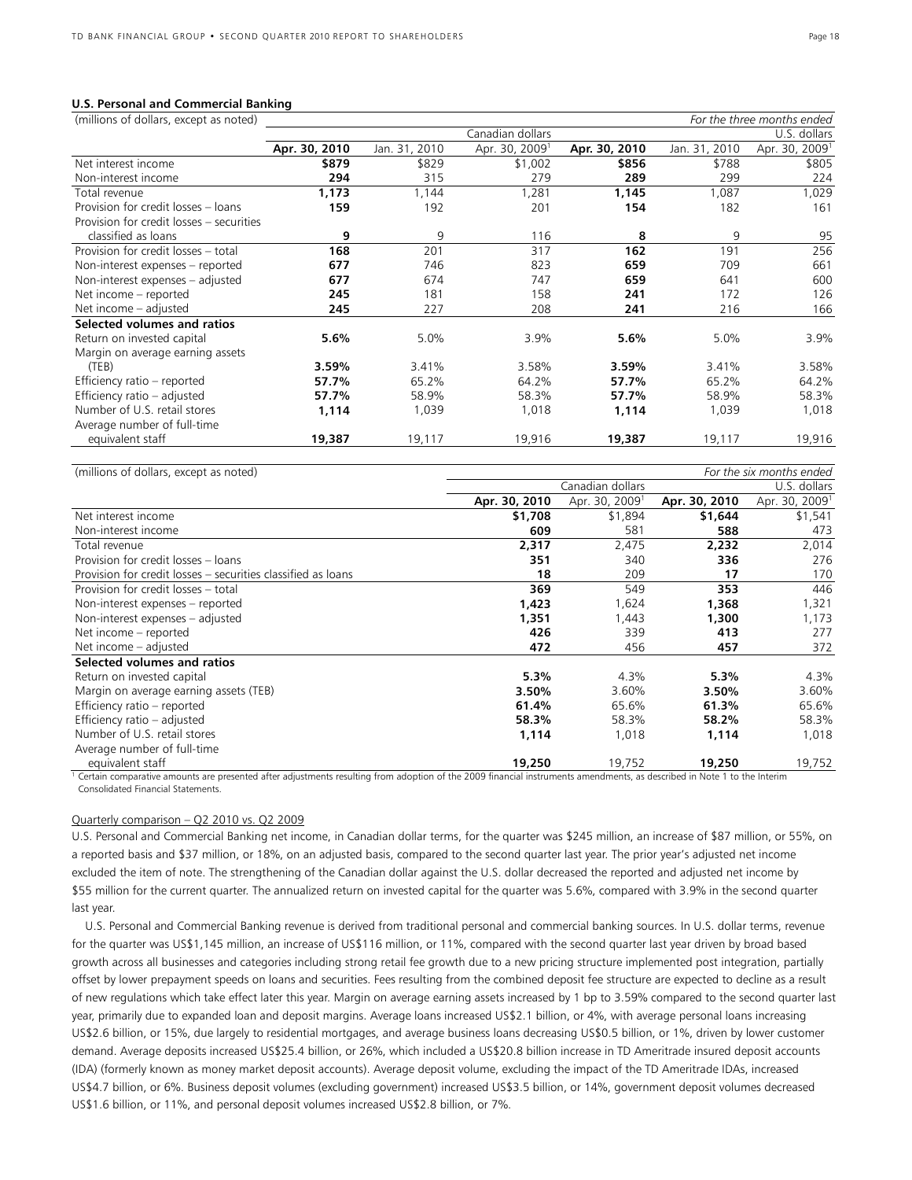#### **U.S. Personal and Commercial Banking**

| (millions of dollars, except as noted)   |               |               |                            |               |               | For the three months ended |
|------------------------------------------|---------------|---------------|----------------------------|---------------|---------------|----------------------------|
|                                          |               |               | Canadian dollars           |               |               | U.S. dollars               |
|                                          | Apr. 30, 2010 | Jan. 31, 2010 | Apr. 30, 2009 <sup>1</sup> | Apr. 30, 2010 | Jan. 31, 2010 | Apr. 30, 2009 <sup>1</sup> |
| Net interest income                      | \$879         | \$829         | \$1,002                    | \$856         | \$788         | \$805                      |
| Non-interest income                      | 294           | 315           | 279                        | 289           | 299           | 224                        |
| Total revenue                            | 1,173         | 1,144         | 1,281                      | 1,145         | 1,087         | 1,029                      |
| Provision for credit losses - loans      | 159           | 192           | 201                        | 154           | 182           | 161                        |
| Provision for credit losses - securities |               |               |                            |               |               |                            |
| classified as loans                      | 9             | 9             | 116                        | 8             | 9             | 95                         |
| Provision for credit losses - total      | 168           | 201           | 317                        | 162           | 191           | 256                        |
| Non-interest expenses - reported         | 677           | 746           | 823                        | 659           | 709           | 661                        |
| Non-interest expenses - adjusted         | 677           | 674           | 747                        | 659           | 641           | 600                        |
| Net income - reported                    | 245           | 181           | 158                        | 241           | 172           | 126                        |
| Net income - adjusted                    | 245           | 227           | 208                        | 241           | 216           | 166                        |
| Selected volumes and ratios              |               |               |                            |               |               |                            |
| Return on invested capital               | 5.6%          | 5.0%          | 3.9%                       | $5.6\%$       | 5.0%          | 3.9%                       |
| Margin on average earning assets         |               |               |                            |               |               |                            |
| (TEB)                                    | 3.59%         | 3.41%         | 3.58%                      | 3.59%         | 3.41%         | 3.58%                      |
| Efficiency ratio - reported              | 57.7%         | 65.2%         | 64.2%                      | 57.7%         | 65.2%         | 64.2%                      |
| Efficiency ratio - adjusted              | 57.7%         | 58.9%         | 58.3%                      | 57.7%         | 58.9%         | 58.3%                      |
| Number of U.S. retail stores             | 1,114         | 1,039         | 1,018                      | 1,114         | 1,039         | 1,018                      |
| Average number of full-time              |               |               |                            |               |               |                            |
| equivalent staff                         | 19,387        | 19,117        | 19,916                     | 19,387        | 19,117        | 19,916                     |
|                                          |               |               |                            |               |               |                            |

| (millions of dollars, except as noted)                       | For the six months ended |                            |               |                            |  |  |
|--------------------------------------------------------------|--------------------------|----------------------------|---------------|----------------------------|--|--|
|                                                              |                          | U.S. dollars               |               |                            |  |  |
|                                                              | Apr. 30, 2010            | Apr. 30, 2009 <sup>1</sup> | Apr. 30, 2010 | Apr. 30, 2009 <sup>1</sup> |  |  |
| Net interest income                                          | \$1,708                  | \$1,894                    | \$1,644       | \$1,541                    |  |  |
| Non-interest income                                          | 609                      | 581                        | 588           | 473                        |  |  |
| Total revenue                                                | 2,317                    | 2,475                      | 2,232         | 2,014                      |  |  |
| Provision for credit losses - loans                          | 351                      | 340                        | 336           | 276                        |  |  |
| Provision for credit losses – securities classified as loans | 18                       | 209                        | 17            | 170                        |  |  |
| Provision for credit losses - total                          | 369                      | 549                        | 353           | 446                        |  |  |
| Non-interest expenses – reported                             | 1,423                    | 1,624                      | 1,368         | 1,321                      |  |  |
| Non-interest expenses – adjusted                             | 1,351                    | 1,443                      | 1,300         | 1,173                      |  |  |
| Net income – reported                                        | 426                      | 339                        | 413           | 277                        |  |  |
| Net income - adjusted                                        | 472                      | 456                        | 457           | 372                        |  |  |
| Selected volumes and ratios                                  |                          |                            |               |                            |  |  |
| Return on invested capital                                   | 5.3%                     | 4.3%                       | 5.3%          | 4.3%                       |  |  |
| Margin on average earning assets (TEB)                       | 3.50%                    | 3.60%                      | 3.50%         | 3.60%                      |  |  |
| Efficiency ratio - reported                                  | 61.4%                    | 65.6%                      | 61.3%         | 65.6%                      |  |  |
| Efficiency ratio - adjusted                                  | 58.3%                    | 58.3%                      | 58.2%         | 58.3%                      |  |  |
| Number of U.S. retail stores                                 | 1,114                    | 1,018                      | 1,114         | 1,018                      |  |  |
| Average number of full-time                                  |                          |                            |               |                            |  |  |
| equivalent staff                                             | 19,250                   | 19,752                     | 19,250        | 19,752                     |  |  |

<sup>1</sup> Certain comparative amounts are presented after adjustments resulting from adoption of the 2009 financial instruments amendments, as described in Note 1 to the Interim Consolidated Financial Statements.

## Quarterly comparison – Q2 2010 vs. Q2 2009

U.S. Personal and Commercial Banking net income, in Canadian dollar terms, for the quarter was \$245 million, an increase of \$87 million, or 55%, on a reported basis and \$37 million, or 18%, on an adjusted basis, compared to the second quarter last year. The prior year's adjusted net income excluded the item of note. The strengthening of the Canadian dollar against the U.S. dollar decreased the reported and adjusted net income by \$55 million for the current quarter. The annualized return on invested capital for the quarter was 5.6%, compared with 3.9% in the second quarter last year.

 U.S. Personal and Commercial Banking revenue is derived from traditional personal and commercial banking sources. In U.S. dollar terms, revenue for the quarter was US\$1,145 million, an increase of US\$116 million, or 11%, compared with the second quarter last year driven by broad based growth across all businesses and categories including strong retail fee growth due to a new pricing structure implemented post integration, partially offset by lower prepayment speeds on loans and securities. Fees resulting from the combined deposit fee structure are expected to decline as a result of new regulations which take effect later this year. Margin on average earning assets increased by 1 bp to 3.59% compared to the second quarter last year, primarily due to expanded loan and deposit margins. Average loans increased US\$2.1 billion, or 4%, with average personal loans increasing US\$2.6 billion, or 15%, due largely to residential mortgages, and average business loans decreasing US\$0.5 billion, or 1%, driven by lower customer demand. Average deposits increased US\$25.4 billion, or 26%, which included a US\$20.8 billion increase in TD Ameritrade insured deposit accounts (IDA) (formerly known as money market deposit accounts). Average deposit volume, excluding the impact of the TD Ameritrade IDAs, increased US\$4.7 billion, or 6%. Business deposit volumes (excluding government) increased US\$3.5 billion, or 14%, government deposit volumes decreased US\$1.6 billion, or 11%, and personal deposit volumes increased US\$2.8 billion, or 7%.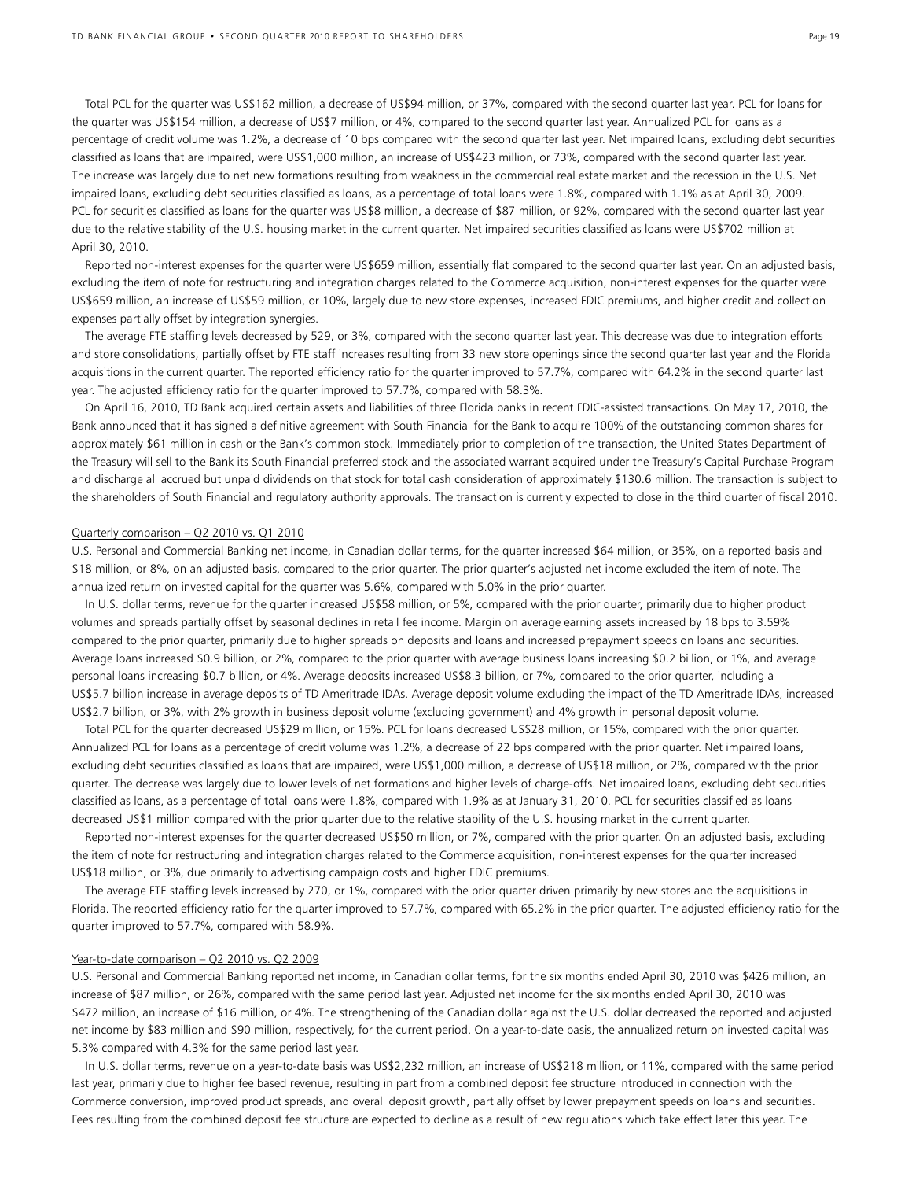Total PCL for the quarter was US\$162 million, a decrease of US\$94 million, or 37%, compared with the second quarter last year. PCL for loans for the quarter was US\$154 million, a decrease of US\$7 million, or 4%, compared to the second quarter last year. Annualized PCL for loans as a percentage of credit volume was 1.2%, a decrease of 10 bps compared with the second quarter last year. Net impaired loans, excluding debt securities classified as loans that are impaired, were US\$1,000 million, an increase of US\$423 million, or 73%, compared with the second quarter last year. The increase was largely due to net new formations resulting from weakness in the commercial real estate market and the recession in the U.S. Net impaired loans, excluding debt securities classified as loans, as a percentage of total loans were 1.8%, compared with 1.1% as at April 30, 2009. PCL for securities classified as loans for the quarter was US\$8 million, a decrease of \$87 million, or 92%, compared with the second quarter last year due to the relative stability of the U.S. housing market in the current quarter. Net impaired securities classified as loans were US\$702 million at April 30, 2010.

 Reported non-interest expenses for the quarter were US\$659 million, essentially flat compared to the second quarter last year. On an adjusted basis, excluding the item of note for restructuring and integration charges related to the Commerce acquisition, non-interest expenses for the quarter were US\$659 million, an increase of US\$59 million, or 10%, largely due to new store expenses, increased FDIC premiums, and higher credit and collection expenses partially offset by integration synergies.

 The average FTE staffing levels decreased by 529, or 3%, compared with the second quarter last year. This decrease was due to integration efforts and store consolidations, partially offset by FTE staff increases resulting from 33 new store openings since the second quarter last year and the Florida acquisitions in the current quarter. The reported efficiency ratio for the quarter improved to 57.7%, compared with 64.2% in the second quarter last year. The adjusted efficiency ratio for the quarter improved to 57.7%, compared with 58.3%.

 On April 16, 2010, TD Bank acquired certain assets and liabilities of three Florida banks in recent FDIC-assisted transactions. On May 17, 2010, the Bank announced that it has signed a definitive agreement with South Financial for the Bank to acquire 100% of the outstanding common shares for approximately \$61 million in cash or the Bank's common stock. Immediately prior to completion of the transaction, the United States Department of the Treasury will sell to the Bank its South Financial preferred stock and the associated warrant acquired under the Treasury's Capital Purchase Program and discharge all accrued but unpaid dividends on that stock for total cash consideration of approximately \$130.6 million. The transaction is subject to the shareholders of South Financial and regulatory authority approvals. The transaction is currently expected to close in the third quarter of fiscal 2010.

#### Quarterly comparison – Q2 2010 vs. Q1 2010

U.S. Personal and Commercial Banking net income, in Canadian dollar terms, for the quarter increased \$64 million, or 35%, on a reported basis and \$18 million, or 8%, on an adjusted basis, compared to the prior quarter. The prior quarter's adjusted net income excluded the item of note. The annualized return on invested capital for the quarter was 5.6%, compared with 5.0% in the prior quarter.

 In U.S. dollar terms, revenue for the quarter increased US\$58 million, or 5%, compared with the prior quarter, primarily due to higher product volumes and spreads partially offset by seasonal declines in retail fee income. Margin on average earning assets increased by 18 bps to 3.59% compared to the prior quarter, primarily due to higher spreads on deposits and loans and increased prepayment speeds on loans and securities. Average loans increased \$0.9 billion, or 2%, compared to the prior quarter with average business loans increasing \$0.2 billion, or 1%, and average personal loans increasing \$0.7 billion, or 4%. Average deposits increased US\$8.3 billion, or 7%, compared to the prior quarter, including a US\$5.7 billion increase in average deposits of TD Ameritrade IDAs. Average deposit volume excluding the impact of the TD Ameritrade IDAs, increased US\$2.7 billion, or 3%, with 2% growth in business deposit volume (excluding government) and 4% growth in personal deposit volume.

 Total PCL for the quarter decreased US\$29 million, or 15%. PCL for loans decreased US\$28 million, or 15%, compared with the prior quarter. Annualized PCL for loans as a percentage of credit volume was 1.2%, a decrease of 22 bps compared with the prior quarter. Net impaired loans, excluding debt securities classified as loans that are impaired, were US\$1,000 million, a decrease of US\$18 million, or 2%, compared with the prior quarter. The decrease was largely due to lower levels of net formations and higher levels of charge-offs. Net impaired loans, excluding debt securities classified as loans, as a percentage of total loans were 1.8%, compared with 1.9% as at January 31, 2010. PCL for securities classified as loans decreased US\$1 million compared with the prior quarter due to the relative stability of the U.S. housing market in the current quarter.

 Reported non-interest expenses for the quarter decreased US\$50 million, or 7%, compared with the prior quarter. On an adjusted basis, excluding the item of note for restructuring and integration charges related to the Commerce acquisition, non-interest expenses for the quarter increased US\$18 million, or 3%, due primarily to advertising campaign costs and higher FDIC premiums.

 The average FTE staffing levels increased by 270, or 1%, compared with the prior quarter driven primarily by new stores and the acquisitions in Florida. The reported efficiency ratio for the quarter improved to 57.7%, compared with 65.2% in the prior quarter. The adjusted efficiency ratio for the quarter improved to 57.7%, compared with 58.9%.

#### Year-to-date comparison – Q2 2010 vs. Q2 2009

U.S. Personal and Commercial Banking reported net income, in Canadian dollar terms, for the six months ended April 30, 2010 was \$426 million, an increase of \$87 million, or 26%, compared with the same period last year. Adjusted net income for the six months ended April 30, 2010 was \$472 million, an increase of \$16 million, or 4%. The strengthening of the Canadian dollar against the U.S. dollar decreased the reported and adjusted net income by \$83 million and \$90 million, respectively, for the current period. On a year-to-date basis, the annualized return on invested capital was 5.3% compared with 4.3% for the same period last year.

 In U.S. dollar terms, revenue on a year-to-date basis was US\$2,232 million, an increase of US\$218 million, or 11%, compared with the same period last year, primarily due to higher fee based revenue, resulting in part from a combined deposit fee structure introduced in connection with the Commerce conversion, improved product spreads, and overall deposit growth, partially offset by lower prepayment speeds on loans and securities. Fees resulting from the combined deposit fee structure are expected to decline as a result of new regulations which take effect later this year. The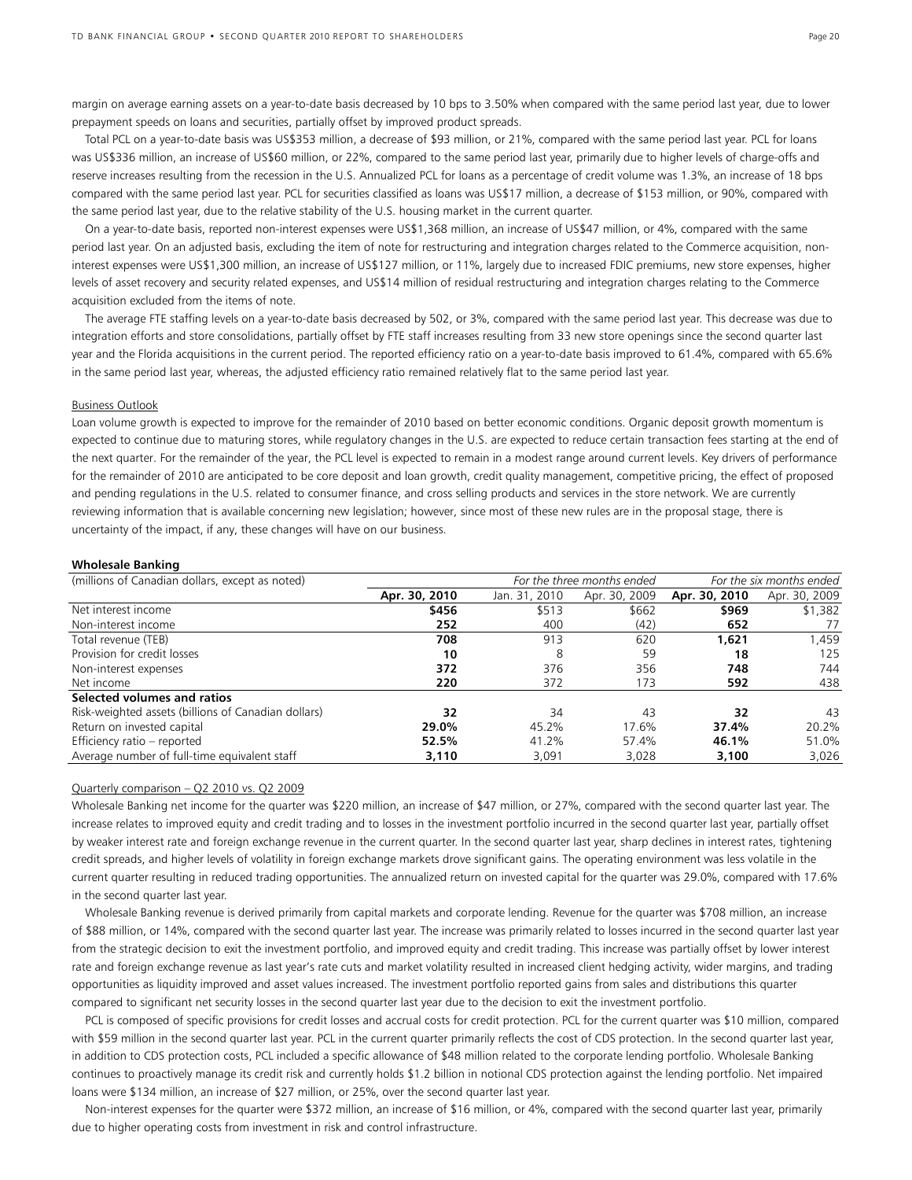margin on average earning assets on a year-to-date basis decreased by 10 bps to 3.50% when compared with the same period last year, due to lower prepayment speeds on loans and securities, partially offset by improved product spreads.

 Total PCL on a year-to-date basis was US\$353 million, a decrease of \$93 million, or 21%, compared with the same period last year. PCL for loans was US\$336 million, an increase of US\$60 million, or 22%, compared to the same period last year, primarily due to higher levels of charge-offs and reserve increases resulting from the recession in the U.S. Annualized PCL for loans as a percentage of credit volume was 1.3%, an increase of 18 bps compared with the same period last year. PCL for securities classified as loans was US\$17 million, a decrease of \$153 million, or 90%, compared with the same period last year, due to the relative stability of the U.S. housing market in the current quarter.

 On a year-to-date basis, reported non-interest expenses were US\$1,368 million, an increase of US\$47 million, or 4%, compared with the same period last year. On an adjusted basis, excluding the item of note for restructuring and integration charges related to the Commerce acquisition, noninterest expenses were US\$1,300 million, an increase of US\$127 million, or 11%, largely due to increased FDIC premiums, new store expenses, higher levels of asset recovery and security related expenses, and US\$14 million of residual restructuring and integration charges relating to the Commerce acquisition excluded from the items of note.

 The average FTE staffing levels on a year-to-date basis decreased by 502, or 3%, compared with the same period last year. This decrease was due to integration efforts and store consolidations, partially offset by FTE staff increases resulting from 33 new store openings since the second quarter last year and the Florida acquisitions in the current period. The reported efficiency ratio on a year-to-date basis improved to 61.4%, compared with 65.6% in the same period last year, whereas, the adjusted efficiency ratio remained relatively flat to the same period last year.

#### Business Outlook

Loan volume growth is expected to improve for the remainder of 2010 based on better economic conditions. Organic deposit growth momentum is expected to continue due to maturing stores, while regulatory changes in the U.S. are expected to reduce certain transaction fees starting at the end of the next quarter. For the remainder of the year, the PCL level is expected to remain in a modest range around current levels. Key drivers of performance for the remainder of 2010 are anticipated to be core deposit and loan growth, credit quality management, competitive pricing, the effect of proposed and pending regulations in the U.S. related to consumer finance, and cross selling products and services in the store network. We are currently reviewing information that is available concerning new legislation; however, since most of these new rules are in the proposal stage, there is uncertainty of the impact, if any, these changes will have on our business.

#### **Wholesale Banking**

| (millions of Canadian dollars, except as noted)     |               | For the three months ended | For the six months ended |               |               |
|-----------------------------------------------------|---------------|----------------------------|--------------------------|---------------|---------------|
|                                                     | Apr. 30, 2010 | Jan. 31, 2010              | Apr. 30, 2009            | Apr. 30, 2010 | Apr. 30, 2009 |
| Net interest income                                 | \$456         | \$513                      | \$662                    | \$969         | \$1,382       |
| Non-interest income                                 | 252           | 400                        | (42)                     | 652           | 77            |
| Total revenue (TEB)                                 | 708           | 913                        | 620                      | 1.621         | 1,459         |
| Provision for credit losses                         | 10            | 8                          | 59                       | 18            | 125           |
| Non-interest expenses                               | 372           | 376                        | 356                      | 748           | 744           |
| Net income                                          | 220           | 372                        | 173                      | 592           | 438           |
| Selected volumes and ratios                         |               |                            |                          |               |               |
| Risk-weighted assets (billions of Canadian dollars) | 32            | 34                         | 43                       | 32            | 43            |
| Return on invested capital                          | 29.0%         | 45.2%                      | 17.6%                    | 37.4%         | 20.2%         |
| Efficiency ratio - reported                         | 52.5%         | 41.2%                      | 57.4%                    | 46.1%         | 51.0%         |
| Average number of full-time equivalent staff        | 3,110         | 3,091                      | 3,028                    | 3,100         | 3,026         |

#### Quarterly comparison – Q2 2010 vs. Q2 2009

Wholesale Banking net income for the quarter was \$220 million, an increase of \$47 million, or 27%, compared with the second quarter last year. The increase relates to improved equity and credit trading and to losses in the investment portfolio incurred in the second quarter last year, partially offset by weaker interest rate and foreign exchange revenue in the current quarter. In the second quarter last year, sharp declines in interest rates, tightening credit spreads, and higher levels of volatility in foreign exchange markets drove significant gains. The operating environment was less volatile in the current quarter resulting in reduced trading opportunities. The annualized return on invested capital for the quarter was 29.0%, compared with 17.6% in the second quarter last year.

 Wholesale Banking revenue is derived primarily from capital markets and corporate lending. Revenue for the quarter was \$708 million, an increase of \$88 million, or 14%, compared with the second quarter last year. The increase was primarily related to losses incurred in the second quarter last year from the strategic decision to exit the investment portfolio, and improved equity and credit trading. This increase was partially offset by lower interest rate and foreign exchange revenue as last year's rate cuts and market volatility resulted in increased client hedging activity, wider margins, and trading opportunities as liquidity improved and asset values increased. The investment portfolio reported gains from sales and distributions this quarter compared to significant net security losses in the second quarter last year due to the decision to exit the investment portfolio.

 PCL is composed of specific provisions for credit losses and accrual costs for credit protection. PCL for the current quarter was \$10 million, compared with \$59 million in the second quarter last year. PCL in the current quarter primarily reflects the cost of CDS protection. In the second quarter last year, in addition to CDS protection costs, PCL included a specific allowance of \$48 million related to the corporate lending portfolio. Wholesale Banking continues to proactively manage its credit risk and currently holds \$1.2 billion in notional CDS protection against the lending portfolio. Net impaired loans were \$134 million, an increase of \$27 million, or 25%, over the second quarter last year.

 Non-interest expenses for the quarter were \$372 million, an increase of \$16 million, or 4%, compared with the second quarter last year, primarily due to higher operating costs from investment in risk and control infrastructure.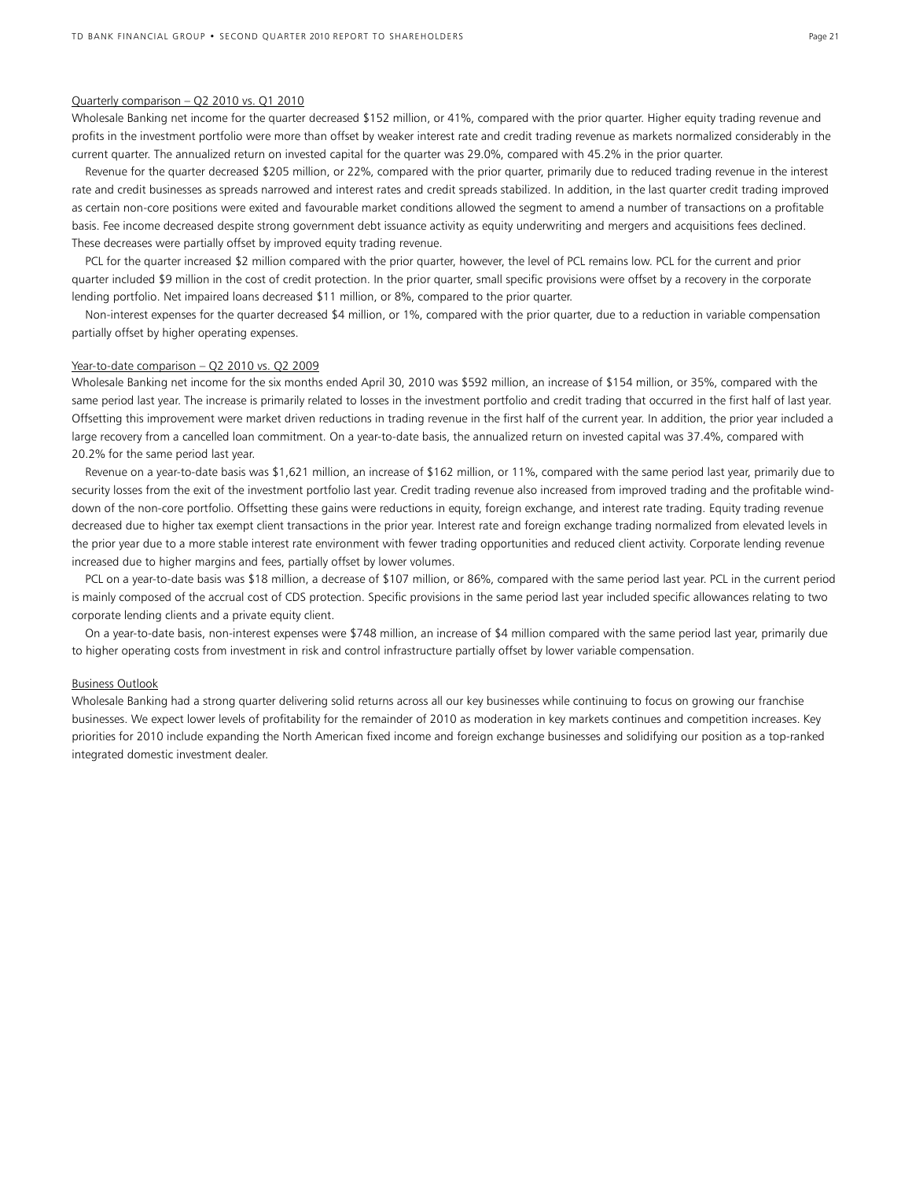#### Quarterly comparison – Q2 2010 vs. Q1 2010

Wholesale Banking net income for the quarter decreased \$152 million, or 41%, compared with the prior quarter. Higher equity trading revenue and profits in the investment portfolio were more than offset by weaker interest rate and credit trading revenue as markets normalized considerably in the current quarter. The annualized return on invested capital for the quarter was 29.0%, compared with 45.2% in the prior quarter.

 Revenue for the quarter decreased \$205 million, or 22%, compared with the prior quarter, primarily due to reduced trading revenue in the interest rate and credit businesses as spreads narrowed and interest rates and credit spreads stabilized. In addition, in the last quarter credit trading improved as certain non-core positions were exited and favourable market conditions allowed the segment to amend a number of transactions on a profitable basis. Fee income decreased despite strong government debt issuance activity as equity underwriting and mergers and acquisitions fees declined. These decreases were partially offset by improved equity trading revenue.

 PCL for the quarter increased \$2 million compared with the prior quarter, however, the level of PCL remains low. PCL for the current and prior quarter included \$9 million in the cost of credit protection. In the prior quarter, small specific provisions were offset by a recovery in the corporate lending portfolio. Net impaired loans decreased \$11 million, or 8%, compared to the prior quarter.

 Non-interest expenses for the quarter decreased \$4 million, or 1%, compared with the prior quarter, due to a reduction in variable compensation partially offset by higher operating expenses.

#### Year-to-date comparison – Q2 2010 vs. Q2 2009

Wholesale Banking net income for the six months ended April 30, 2010 was \$592 million, an increase of \$154 million, or 35%, compared with the same period last year. The increase is primarily related to losses in the investment portfolio and credit trading that occurred in the first half of last year. Offsetting this improvement were market driven reductions in trading revenue in the first half of the current year. In addition, the prior year included a large recovery from a cancelled loan commitment. On a year-to-date basis, the annualized return on invested capital was 37.4%, compared with 20.2% for the same period last year.

 Revenue on a year-to-date basis was \$1,621 million, an increase of \$162 million, or 11%, compared with the same period last year, primarily due to security losses from the exit of the investment portfolio last year. Credit trading revenue also increased from improved trading and the profitable winddown of the non-core portfolio. Offsetting these gains were reductions in equity, foreign exchange, and interest rate trading. Equity trading revenue decreased due to higher tax exempt client transactions in the prior year. Interest rate and foreign exchange trading normalized from elevated levels in the prior year due to a more stable interest rate environment with fewer trading opportunities and reduced client activity. Corporate lending revenue increased due to higher margins and fees, partially offset by lower volumes.

 PCL on a year-to-date basis was \$18 million, a decrease of \$107 million, or 86%, compared with the same period last year. PCL in the current period is mainly composed of the accrual cost of CDS protection. Specific provisions in the same period last year included specific allowances relating to two corporate lending clients and a private equity client.

 On a year-to-date basis, non-interest expenses were \$748 million, an increase of \$4 million compared with the same period last year, primarily due to higher operating costs from investment in risk and control infrastructure partially offset by lower variable compensation.

#### Business Outlook

Wholesale Banking had a strong quarter delivering solid returns across all our key businesses while continuing to focus on growing our franchise businesses. We expect lower levels of profitability for the remainder of 2010 as moderation in key markets continues and competition increases. Key priorities for 2010 include expanding the North American fixed income and foreign exchange businesses and solidifying our position as a top-ranked integrated domestic investment dealer.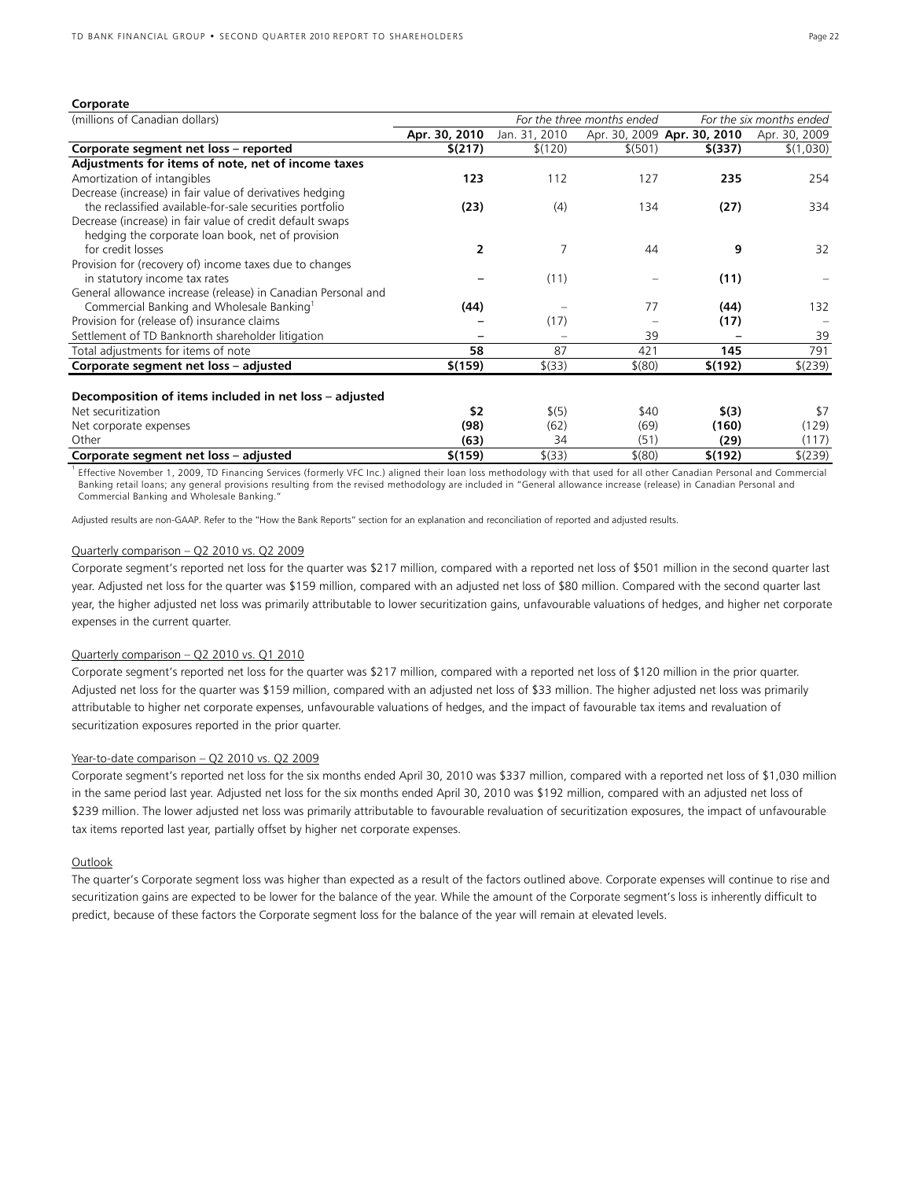#### **Corporate**

| (millions of Canadian dollars)                                |               |               | For the three months ended |                             | For the six months ended |  |
|---------------------------------------------------------------|---------------|---------------|----------------------------|-----------------------------|--------------------------|--|
|                                                               | Apr. 30, 2010 | Jan. 31, 2010 |                            | Apr. 30, 2009 Apr. 30, 2010 | Apr. 30, 2009            |  |
| Corporate segment net loss - reported                         | \$(217)       | \$(120)       | \$ (501)                   | \$(337)                     | \$(1,030)                |  |
| Adjustments for items of note, net of income taxes            |               |               |                            |                             |                          |  |
| Amortization of intangibles                                   | 123           | 112           | 127                        | 235                         | 254                      |  |
| Decrease (increase) in fair value of derivatives hedging      |               |               |                            |                             |                          |  |
| the reclassified available-for-sale securities portfolio      | (23)          | (4)           | 134                        | (27)                        | 334                      |  |
| Decrease (increase) in fair value of credit default swaps     |               |               |                            |                             |                          |  |
| hedging the corporate loan book, net of provision             |               |               |                            |                             |                          |  |
| for credit losses                                             | 2             | 7             | 44                         | 9                           | 32                       |  |
| Provision for (recovery of) income taxes due to changes       |               |               |                            |                             |                          |  |
| in statutory income tax rates                                 |               | (11)          |                            | (11)                        |                          |  |
| General allowance increase (release) in Canadian Personal and |               |               |                            |                             |                          |  |
| Commercial Banking and Wholesale Banking <sup>1</sup>         | (44)          |               | 77                         | (44)                        | 132                      |  |
| Provision for (release of) insurance claims                   |               | (17)          |                            | (17)                        |                          |  |
| Settlement of TD Banknorth shareholder litigation             |               |               | 39                         |                             | 39                       |  |
| Total adjustments for items of note                           | 58            | 87            | 421                        | 145                         | 791                      |  |
| Corporate segment net loss - adjusted                         | \$(159)       | \$(33)        | $$^{(80)}$                 | \$(192)                     | \$(239)                  |  |
|                                                               |               |               |                            |                             |                          |  |
| Decomposition of items included in net loss - adjusted        |               |               |                            |                             |                          |  |
| Net securitization                                            | \$2           | \$(5)         | \$40                       | \$(3)                       | \$7                      |  |
| Net corporate expenses                                        | (98)          | (62)          | (69)                       | (160)                       | (129)                    |  |
| Other                                                         | (63)          | 34            | (51)                       | (29)                        | (117)                    |  |
| Corporate segment net loss - adjusted                         | \$(159)       | \$(33)        | $$^{(80)}$                 | \$(192)                     | \$(239)                  |  |

<sup>1</sup> Effective November 1, 2009, TD Financing Services (formerly VFC Inc.) aligned their loan loss methodology with that used for all other Canadian Personal and Commercial Banking retail loans; any general provisions resulting from the revised methodology are included in "General allowance increase (release) in Canadian Personal and Commercial Banking and Wholesale Banking."

Adjusted results are non-GAAP. Refer to the "How the Bank Reports" section for an explanation and reconciliation of reported and adjusted results.

#### Quarterly comparison – Q2 2010 vs. Q2 2009

Corporate segment's reported net loss for the quarter was \$217 million, compared with a reported net loss of \$501 million in the second quarter last year. Adjusted net loss for the quarter was \$159 million, compared with an adjusted net loss of \$80 million. Compared with the second quarter last year, the higher adjusted net loss was primarily attributable to lower securitization gains, unfavourable valuations of hedges, and higher net corporate expenses in the current quarter.

## Quarterly comparison – Q2 2010 vs. Q1 2010

Corporate segment's reported net loss for the quarter was \$217 million, compared with a reported net loss of \$120 million in the prior quarter. Adjusted net loss for the quarter was \$159 million, compared with an adjusted net loss of \$33 million. The higher adjusted net loss was primarily attributable to higher net corporate expenses, unfavourable valuations of hedges, and the impact of favourable tax items and revaluation of securitization exposures reported in the prior quarter.

#### Year-to-date comparison - Q2 2010 vs. Q2 2009

Corporate segment's reported net loss for the six months ended April 30, 2010 was \$337 million, compared with a reported net loss of \$1,030 million in the same period last year. Adjusted net loss for the six months ended April 30, 2010 was \$192 million, compared with an adjusted net loss of \$239 million. The lower adjusted net loss was primarily attributable to favourable revaluation of securitization exposures, the impact of unfavourable tax items reported last year, partially offset by higher net corporate expenses.

#### **Outlook**

The quarter's Corporate segment loss was higher than expected as a result of the factors outlined above. Corporate expenses will continue to rise and securitization gains are expected to be lower for the balance of the year. While the amount of the Corporate segment's loss is inherently difficult to predict, because of these factors the Corporate segment loss for the balance of the year will remain at elevated levels.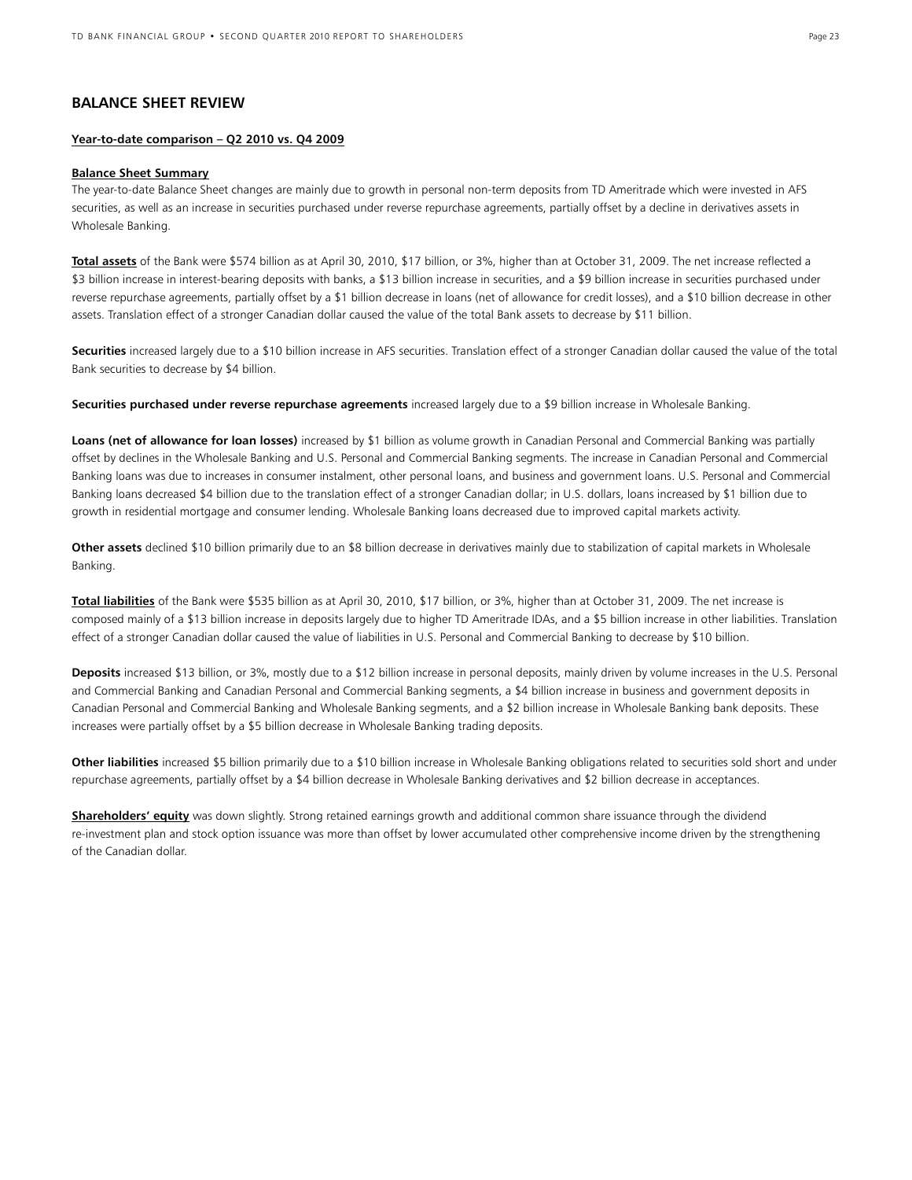## **BALANCE SHEET REVIEW**

## **Year-to-date comparison – Q2 2010 vs. Q4 2009**

#### **Balance Sheet Summary**

The year-to-date Balance Sheet changes are mainly due to growth in personal non-term deposits from TD Ameritrade which were invested in AFS securities, as well as an increase in securities purchased under reverse repurchase agreements, partially offset by a decline in derivatives assets in Wholesale Banking.

**Total assets** of the Bank were \$574 billion as at April 30, 2010, \$17 billion, or 3%, higher than at October 31, 2009. The net increase reflected a \$3 billion increase in interest-bearing deposits with banks, a \$13 billion increase in securities, and a \$9 billion increase in securities purchased under reverse repurchase agreements, partially offset by a \$1 billion decrease in loans (net of allowance for credit losses), and a \$10 billion decrease in other assets. Translation effect of a stronger Canadian dollar caused the value of the total Bank assets to decrease by \$11 billion.

**Securities** increased largely due to a \$10 billion increase in AFS securities. Translation effect of a stronger Canadian dollar caused the value of the total Bank securities to decrease by \$4 billion.

**Securities purchased under reverse repurchase agreements** increased largely due to a \$9 billion increase in Wholesale Banking.

Loans (net of allowance for loan losses) increased by \$1 billion as volume growth in Canadian Personal and Commercial Banking was partially offset by declines in the Wholesale Banking and U.S. Personal and Commercial Banking segments. The increase in Canadian Personal and Commercial Banking loans was due to increases in consumer instalment, other personal loans, and business and government loans. U.S. Personal and Commercial Banking loans decreased \$4 billion due to the translation effect of a stronger Canadian dollar; in U.S. dollars, loans increased by \$1 billion due to growth in residential mortgage and consumer lending. Wholesale Banking loans decreased due to improved capital markets activity.

**Other assets** declined \$10 billion primarily due to an \$8 billion decrease in derivatives mainly due to stabilization of capital markets in Wholesale Banking.

**Total liabilities** of the Bank were \$535 billion as at April 30, 2010, \$17 billion, or 3%, higher than at October 31, 2009. The net increase is composed mainly of a \$13 billion increase in deposits largely due to higher TD Ameritrade IDAs, and a \$5 billion increase in other liabilities. Translation effect of a stronger Canadian dollar caused the value of liabilities in U.S. Personal and Commercial Banking to decrease by \$10 billion.

**Deposits** increased \$13 billion, or 3%, mostly due to a \$12 billion increase in personal deposits, mainly driven by volume increases in the U.S. Personal and Commercial Banking and Canadian Personal and Commercial Banking segments, a \$4 billion increase in business and government deposits in Canadian Personal and Commercial Banking and Wholesale Banking segments, and a \$2 billion increase in Wholesale Banking bank deposits. These increases were partially offset by a \$5 billion decrease in Wholesale Banking trading deposits.

**Other liabilities** increased \$5 billion primarily due to a \$10 billion increase in Wholesale Banking obligations related to securities sold short and under repurchase agreements, partially offset by a \$4 billion decrease in Wholesale Banking derivatives and \$2 billion decrease in acceptances.

**Shareholders' equity** was down slightly. Strong retained earnings growth and additional common share issuance through the dividend re-investment plan and stock option issuance was more than offset by lower accumulated other comprehensive income driven by the strengthening of the Canadian dollar.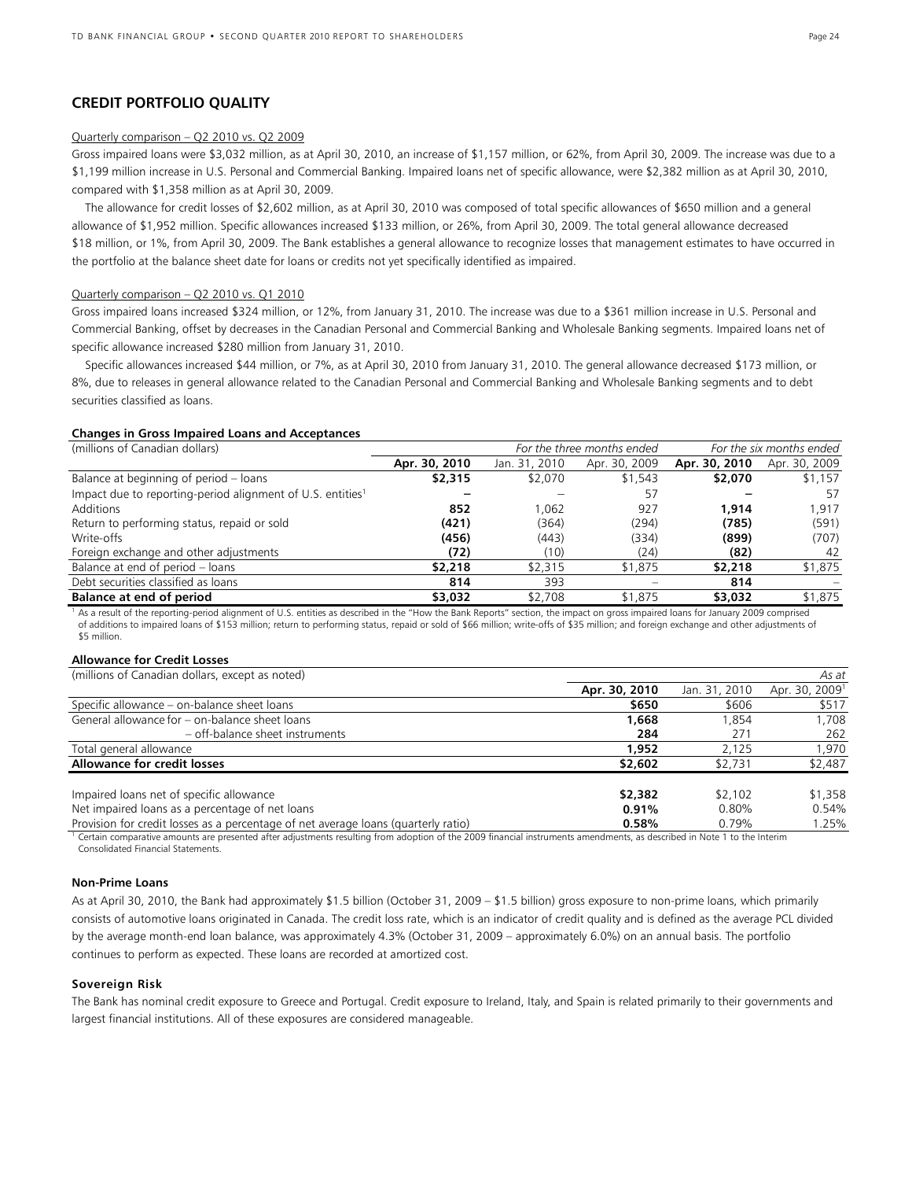## **CREDIT PORTFOLIO QUALITY**

#### Quarterly comparison – Q2 2010 vs. Q2 2009

Gross impaired loans were \$3,032 million, as at April 30, 2010, an increase of \$1,157 million, or 62%, from April 30, 2009. The increase was due to a \$1,199 million increase in U.S. Personal and Commercial Banking. Impaired loans net of specific allowance, were \$2,382 million as at April 30, 2010, compared with \$1,358 million as at April 30, 2009.

 The allowance for credit losses of \$2,602 million, as at April 30, 2010 was composed of total specific allowances of \$650 million and a general allowance of \$1,952 million. Specific allowances increased \$133 million, or 26%, from April 30, 2009. The total general allowance decreased \$18 million, or 1%, from April 30, 2009. The Bank establishes a general allowance to recognize losses that management estimates to have occurred in the portfolio at the balance sheet date for loans or credits not yet specifically identified as impaired.

#### Quarterly comparison – Q2 2010 vs. Q1 2010

Gross impaired loans increased \$324 million, or 12%, from January 31, 2010. The increase was due to a \$361 million increase in U.S. Personal and Commercial Banking, offset by decreases in the Canadian Personal and Commercial Banking and Wholesale Banking segments. Impaired loans net of specific allowance increased \$280 million from January 31, 2010.

 Specific allowances increased \$44 million, or 7%, as at April 30, 2010 from January 31, 2010. The general allowance decreased \$173 million, or 8%, due to releases in general allowance related to the Canadian Personal and Commercial Banking and Wholesale Banking segments and to debt securities classified as loans.

## **Changes in Gross Impaired Loans and Acceptances**

| (millions of Canadian dollars)                                         |               | For the three months ended | For the six months ended |               |               |
|------------------------------------------------------------------------|---------------|----------------------------|--------------------------|---------------|---------------|
|                                                                        | Apr. 30, 2010 | Jan. 31, 2010              | Apr. 30, 2009            | Apr. 30, 2010 | Apr. 30, 2009 |
| Balance at beginning of period - loans                                 | \$2,315       | \$2,070                    | \$1,543                  | \$2,070       | \$1,157       |
| Impact due to reporting-period alignment of U.S. entities <sup>1</sup> |               |                            | -57                      |               | 57            |
| Additions                                                              | 852           | 1.062                      | 927                      | 1.914         | 1,917         |
| Return to performing status, repaid or sold                            | (421)         | (364)                      | (294)                    | (785)         | (591)         |
| Write-offs                                                             | (456)         | (443)                      | (334)                    | (899)         | (707)         |
| Foreign exchange and other adjustments                                 | (72)          | (10)                       | (24)                     | (82)          | -42           |
| Balance at end of period - loans                                       | \$2,218       | \$2,315                    | \$1,875                  | \$2,218       | \$1,875       |
| Debt securities classified as loans                                    | 814           | 393                        |                          | 814           |               |
| Balance at end of period                                               | \$3,032       | \$2,708                    | \$1,875                  | \$3,032       | \$1,875       |

<sup>1</sup> As a result of the reporting-period alignment of U.S. entities as described in the "How the Bank Reports" section, the impact on gross impaired loans for January 2009 comprised of additions to impaired loans of \$153 million; return to performing status, repaid or sold of \$66 million; write-offs of \$35 million; and foreign exchange and other adjustments of \$5 million.

#### **Allowance for Credit Losses**

(millions of Canadian dollars, except as noted) *As at*

| , כתוסווטו ביוסווטו כם Carladian dollary, except as noted (                        |               |               | AJ UL                      |
|------------------------------------------------------------------------------------|---------------|---------------|----------------------------|
|                                                                                    | Apr. 30, 2010 | Jan. 31, 2010 | Apr. 30, 2009 <sup>1</sup> |
| Specific allowance – on-balance sheet loans                                        | \$650         | \$606         | \$517                      |
| General allowance for - on-balance sheet loans                                     | 1,668         | 1.854         | 1,708                      |
| - off-balance sheet instruments                                                    | 284           | 271           | 262                        |
| Total general allowance                                                            | 1,952         | 2.125         | 1.970                      |
| <b>Allowance for credit losses</b>                                                 | \$2,602       | \$2,731       | \$2,487                    |
| Impaired loans net of specific allowance                                           | \$2,382       | \$2,102       | \$1,358                    |
| Net impaired loans as a percentage of net loans                                    | 0.91%         | $0.80\%$      | 0.54%                      |
| Provision for credit losses as a percentage of net average loans (quarterly ratio) | 0.58%         | 0.79%         | 1.25%                      |

1 Certain comparative amounts are presented after adjustments resulting from adoption of the 2009 financial instruments amendments, as described in Note 1 to the Interim Consolidated Financial Statements.

## **Non-Prime Loans**

As at April 30, 2010, the Bank had approximately \$1.5 billion (October 31, 2009 – \$1.5 billion) gross exposure to non-prime loans, which primarily consists of automotive loans originated in Canada. The credit loss rate, which is an indicator of credit quality and is defined as the average PCL divided by the average month-end loan balance, was approximately 4.3% (October 31, 2009 – approximately 6.0%) on an annual basis. The portfolio continues to perform as expected. These loans are recorded at amortized cost.

#### **Sovereign Risk**

The Bank has nominal credit exposure to Greece and Portugal. Credit exposure to Ireland, Italy, and Spain is related primarily to their governments and largest financial institutions. All of these exposures are considered manageable.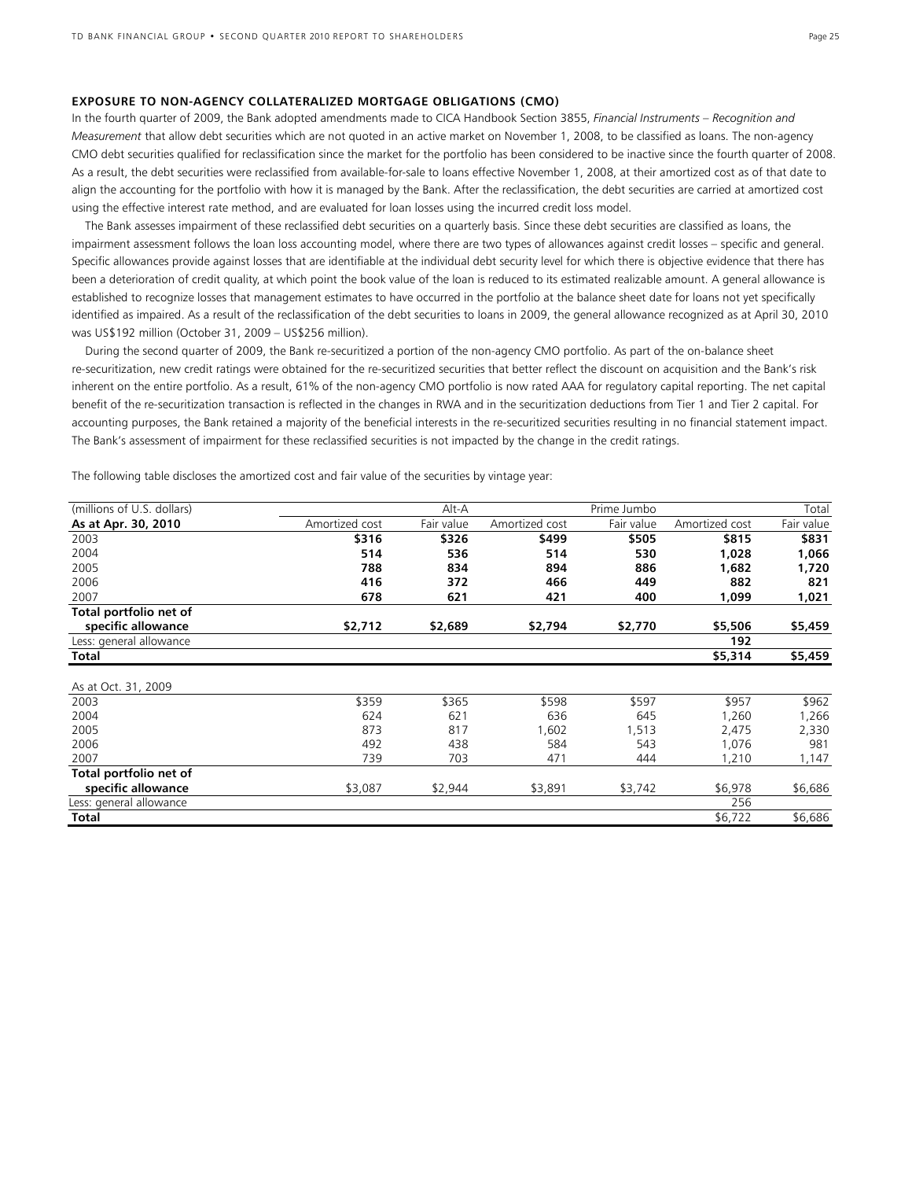#### **EXPOSURE TO NON-AGENCY COLLATERALIZED MORTGAGE OBLIGATIONS (CMO)**

In the fourth quarter of 2009, the Bank adopted amendments made to CICA Handbook Section 3855, *Financial Instruments – Recognition and Measurement* that allow debt securities which are not quoted in an active market on November 1, 2008, to be classified as loans. The non-agency CMO debt securities qualified for reclassification since the market for the portfolio has been considered to be inactive since the fourth quarter of 2008. As a result, the debt securities were reclassified from available-for-sale to loans effective November 1, 2008, at their amortized cost as of that date to align the accounting for the portfolio with how it is managed by the Bank. After the reclassification, the debt securities are carried at amortized cost using the effective interest rate method, and are evaluated for loan losses using the incurred credit loss model.

 The Bank assesses impairment of these reclassified debt securities on a quarterly basis. Since these debt securities are classified as loans, the impairment assessment follows the loan loss accounting model, where there are two types of allowances against credit losses – specific and general. Specific allowances provide against losses that are identifiable at the individual debt security level for which there is objective evidence that there has been a deterioration of credit quality, at which point the book value of the loan is reduced to its estimated realizable amount. A general allowance is established to recognize losses that management estimates to have occurred in the portfolio at the balance sheet date for loans not yet specifically identified as impaired. As a result of the reclassification of the debt securities to loans in 2009, the general allowance recognized as at April 30, 2010 was US\$192 million (October 31, 2009 – US\$256 million).

 During the second quarter of 2009, the Bank re-securitized a portion of the non-agency CMO portfolio. As part of the on-balance sheet re-securitization, new credit ratings were obtained for the re-securitized securities that better reflect the discount on acquisition and the Bank's risk inherent on the entire portfolio. As a result, 61% of the non-agency CMO portfolio is now rated AAA for regulatory capital reporting. The net capital benefit of the re-securitization transaction is reflected in the changes in RWA and in the securitization deductions from Tier 1 and Tier 2 capital. For accounting purposes, the Bank retained a majority of the beneficial interests in the re-securitized securities resulting in no financial statement impact. The Bank's assessment of impairment for these reclassified securities is not impacted by the change in the credit ratings.

The following table discloses the amortized cost and fair value of the securities by vintage year:

| (millions of U.S. dollars) |                | Alt-A      |                | Prime Jumbo |                | Total      |
|----------------------------|----------------|------------|----------------|-------------|----------------|------------|
| As at Apr. 30, 2010        | Amortized cost | Fair value | Amortized cost | Fair value  | Amortized cost | Fair value |
| 2003                       | \$316          | \$326      | \$499          | \$505       | \$815          | \$831      |
| 2004                       | 514            | 536        | 514            | 530         | 1,028          | 1,066      |
| 2005                       | 788            | 834        | 894            | 886         | 1,682          | 1,720      |
| 2006                       | 416            | 372        | 466            | 449         | 882            | 821        |
| 2007                       | 678            | 621        | 421            | 400         | 1,099          | 1,021      |
| Total portfolio net of     |                |            |                |             |                |            |
| specific allowance         | \$2,712        | \$2,689    | \$2,794        | \$2,770     | \$5,506        | \$5,459    |
| Less: general allowance    |                |            |                |             | 192            |            |
| Total                      |                |            |                |             | \$5,314        | \$5,459    |
|                            |                |            |                |             |                |            |
| As at Oct. 31, 2009        |                |            |                |             |                |            |
| 2003                       | \$359          | \$365      | \$598          | \$597       | \$957          | \$962      |
| 2004                       | 624            | 621        | 636            | 645         | 1,260          | 1,266      |
| 2005                       | 873            | 817        | 1,602          | 1,513       | 2,475          | 2,330      |
| 2006                       | 492            | 438        | 584            | 543         | 1,076          | 981        |
| 2007                       | 739            | 703        | 471            | 444         | 1,210          | 1,147      |
| Total portfolio net of     |                |            |                |             |                |            |
| specific allowance         | \$3,087        | \$2,944    | \$3,891        | \$3,742     | \$6,978        | \$6,686    |
| Less: general allowance    |                |            |                |             | 256            |            |
| Total                      |                |            |                |             | \$6,722        | \$6,686    |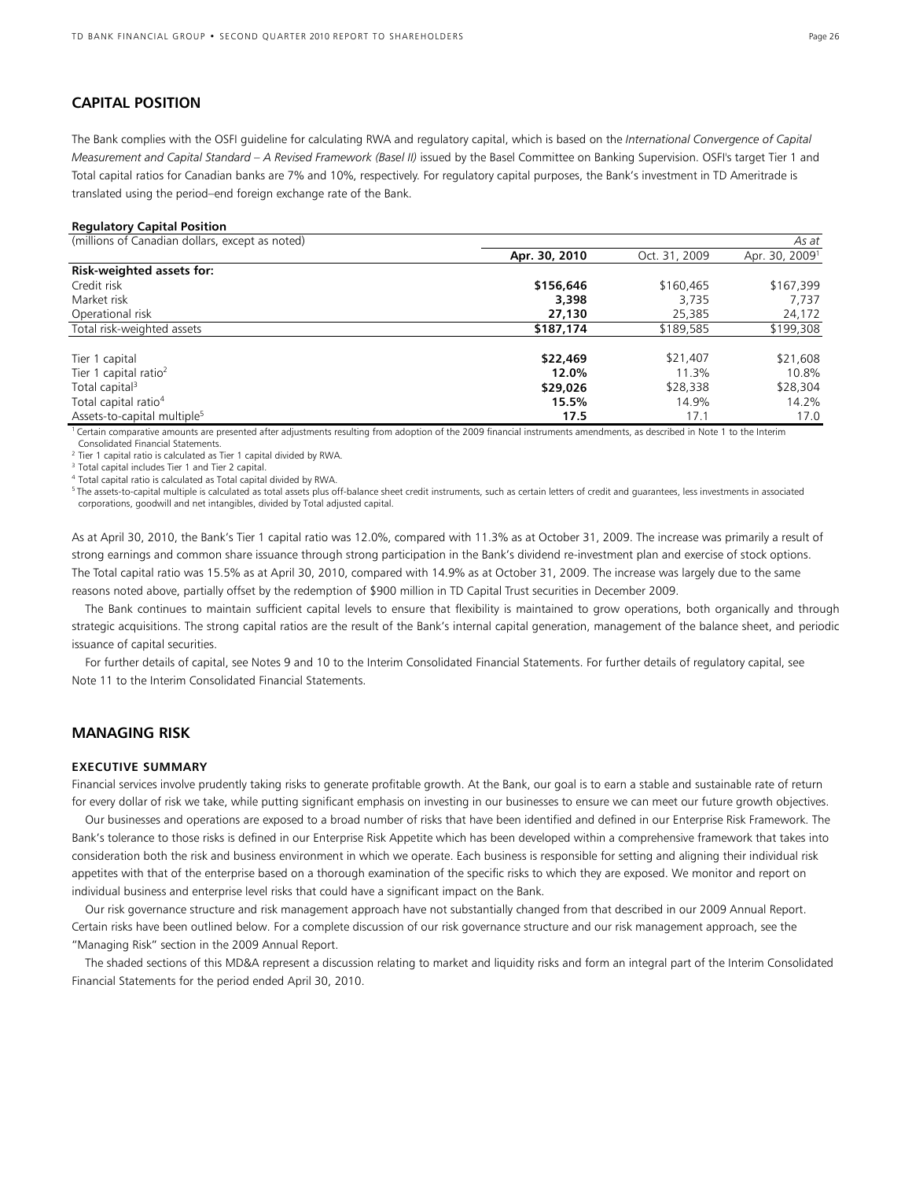## **CAPITAL POSITION**

The Bank complies with the OSFI guideline for calculating RWA and regulatory capital, which is based on the *International Convergence of Capital Measurement and Capital Standard – A Revised Framework (Basel II)* issued by the Basel Committee on Banking Supervision. OSFI's target Tier 1 and Total capital ratios for Canadian banks are 7% and 10%, respectively. For regulatory capital purposes, the Bank's investment in TD Ameritrade is translated using the period–end foreign exchange rate of the Bank.

#### **Regulatory Capital Position**

| (millions of Canadian dollars, except as noted) |               |               | As at                      |
|-------------------------------------------------|---------------|---------------|----------------------------|
|                                                 | Apr. 30, 2010 | Oct. 31, 2009 | Apr. 30, 2009 <sup>1</sup> |
| <b>Risk-weighted assets for:</b>                |               |               |                            |
| Credit risk                                     | \$156,646     | \$160,465     | \$167,399                  |
| Market risk                                     | 3,398         | 3.735         | 7.737                      |
| Operational risk                                | 27,130        | 25,385        | 24,172                     |
| Total risk-weighted assets                      | \$187,174     | \$189,585     | \$199,308                  |
| Tier 1 capital                                  | \$22,469      | \$21,407      | \$21,608                   |
| Tier 1 capital ratio <sup>2</sup>               | 12.0%         | 11.3%         | 10.8%                      |
| Total capital <sup>3</sup>                      | \$29,026      | \$28,338      | \$28,304                   |
| Total capital ratio <sup>4</sup>                | 15.5%         | 14.9%         | 14.2%                      |
| Assets-to-capital multiple <sup>5</sup>         | 17.5          | 17.1          | 17.0                       |

1 Certain comparative amounts are presented after adjustments resulting from adoption of the 2009 financial instruments amendments, as described in Note 1 to the Interim Consolidated Financial Statements.

 $2$  Tier 1 capital ratio is calculated as Tier 1 capital divided by RWA.

<sup>3</sup> Total capital includes Tier 1 and Tier 2 capital.

4 Total capital ratio is calculated as Total capital divided by RWA.

<sup>5</sup> The assets-to-capital multiple is calculated as total assets plus off-balance sheet credit instruments, such as certain letters of credit and guarantees, less investments in associated corporations, goodwill and net intangibles, divided by Total adjusted capital.

As at April 30, 2010, the Bank's Tier 1 capital ratio was 12.0%, compared with 11.3% as at October 31, 2009. The increase was primarily a result of strong earnings and common share issuance through strong participation in the Bank's dividend re-investment plan and exercise of stock options. The Total capital ratio was 15.5% as at April 30, 2010, compared with 14.9% as at October 31, 2009. The increase was largely due to the same reasons noted above, partially offset by the redemption of \$900 million in TD Capital Trust securities in December 2009.

The Bank continues to maintain sufficient capital levels to ensure that flexibility is maintained to grow operations, both organically and through strategic acquisitions. The strong capital ratios are the result of the Bank's internal capital generation, management of the balance sheet, and periodic issuance of capital securities.

 For further details of capital, see Notes 9 and 10 to the Interim Consolidated Financial Statements. For further details of regulatory capital, see Note 11 to the Interim Consolidated Financial Statements.

## **MANAGING RISK**

#### **EXECUTIVE SUMMARY**

Financial services involve prudently taking risks to generate profitable growth. At the Bank, our goal is to earn a stable and sustainable rate of return for every dollar of risk we take, while putting significant emphasis on investing in our businesses to ensure we can meet our future growth objectives.

 Our businesses and operations are exposed to a broad number of risks that have been identified and defined in our Enterprise Risk Framework. The Bank's tolerance to those risks is defined in our Enterprise Risk Appetite which has been developed within a comprehensive framework that takes into consideration both the risk and business environment in which we operate. Each business is responsible for setting and aligning their individual risk appetites with that of the enterprise based on a thorough examination of the specific risks to which they are exposed. We monitor and report on individual business and enterprise level risks that could have a significant impact on the Bank.

 Our risk governance structure and risk management approach have not substantially changed from that described in our 2009 Annual Report. Certain risks have been outlined below. For a complete discussion of our risk governance structure and our risk management approach, see the "Managing Risk" section in the 2009 Annual Report.

 The shaded sections of this MD&A represent a discussion relating to market and liquidity risks and form an integral part of the Interim Consolidated Financial Statements for the period ended April 30, 2010.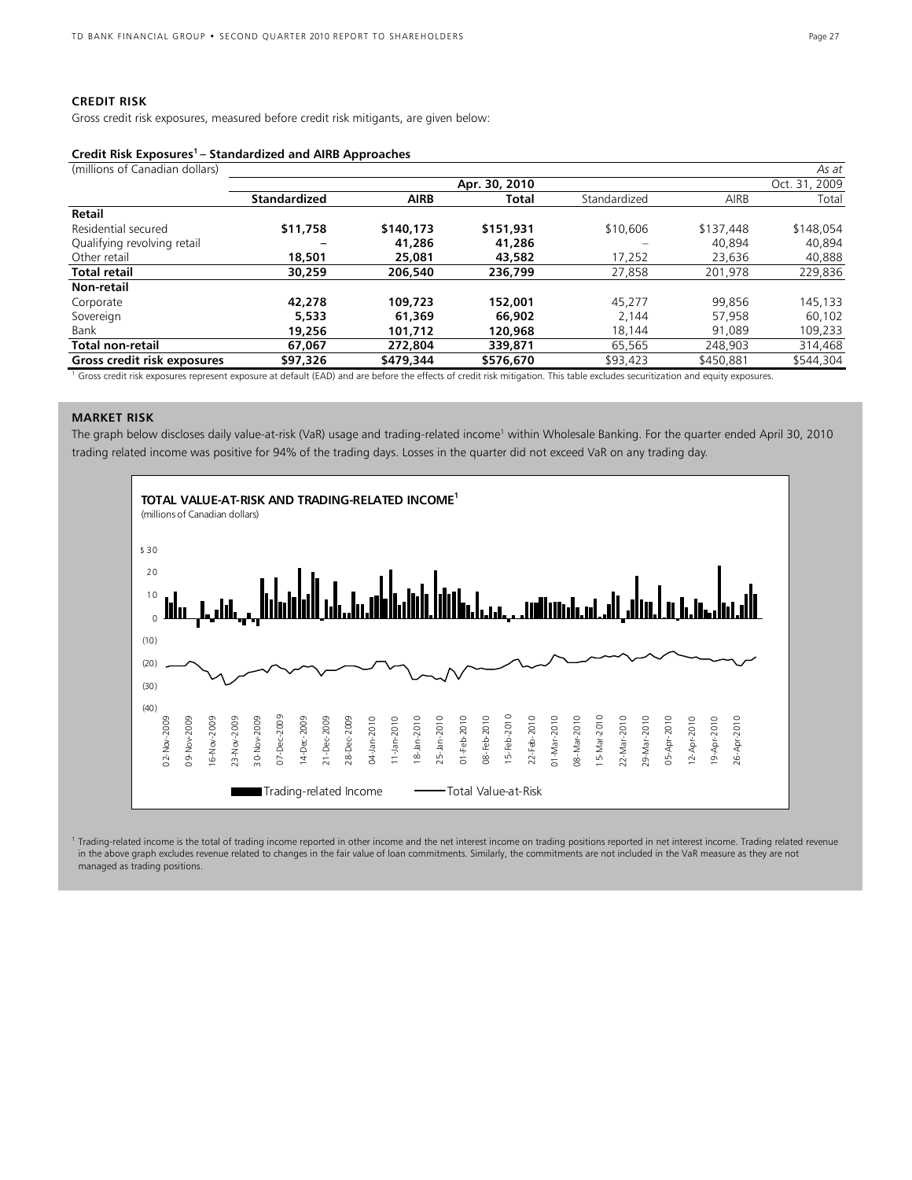## **CREDIT RISK**

Gross credit risk exposures, measured before credit risk mitigants, are given below:

### **Credit Risk Exposures1 – Standardized and AIRB Approaches**

| (millions of Canadian dollars) |                     |             |               |              |           | As at         |
|--------------------------------|---------------------|-------------|---------------|--------------|-----------|---------------|
|                                |                     |             | Apr. 30, 2010 |              |           | Oct. 31, 2009 |
|                                | <b>Standardized</b> | <b>AIRB</b> | Total         | Standardized | AIRB      | Total         |
| Retail                         |                     |             |               |              |           |               |
| Residential secured            | \$11,758            | \$140.173   | \$151,931     | \$10,606     | \$137,448 | \$148,054     |
| Qualifying revolving retail    |                     | 41,286      | 41,286        |              | 40,894    | 40,894        |
| Other retail                   | 18,501              | 25,081      | 43,582        | 17,252       | 23,636    | 40,888        |
| <b>Total retail</b>            | 30,259              | 206,540     | 236.799       | 27,858       | 201.978   | 229,836       |
| Non-retail                     |                     |             |               |              |           |               |
| Corporate                      | 42,278              | 109,723     | 152,001       | 45.277       | 99.856    | 145,133       |
| Sovereign                      | 5,533               | 61,369      | 66,902        | 2,144        | 57,958    | 60,102        |
| Bank                           | 19,256              | 101.712     | 120,968       | 18.144       | 91.089    | 109,233       |
| Total non-retail               | 67,067              | 272,804     | 339,871       | 65,565       | 248.903   | 314,468       |
| Gross credit risk exposures    | \$97,326            | \$479,344   | \$576,670     | \$93,423     | \$450,881 | \$544,304     |

<sup>1</sup> Gross credit risk exposures represent exposure at default (EAD) and are before the effects of credit risk mitigation. This table excludes securitization and equity exposures.

## **MARKET RISK**

The graph below discloses daily value-at-risk (VaR) usage and trading-related income<sup>1</sup> within Wholesale Banking. For the quarter ended April 30, 2010 trading related income was positive for 94% of the trading days. Losses in the quarter did not exceed VaR on any trading day.



<sup>1</sup> Trading-related income is the total of trading income reported in other income and the net interest income on trading positions reported in net interest income. Trading related revenue in the above graph excludes revenue related to changes in the fair value of loan commitments. Similarly, the commitments are not included in the VaR measure as they are not managed as trading positions.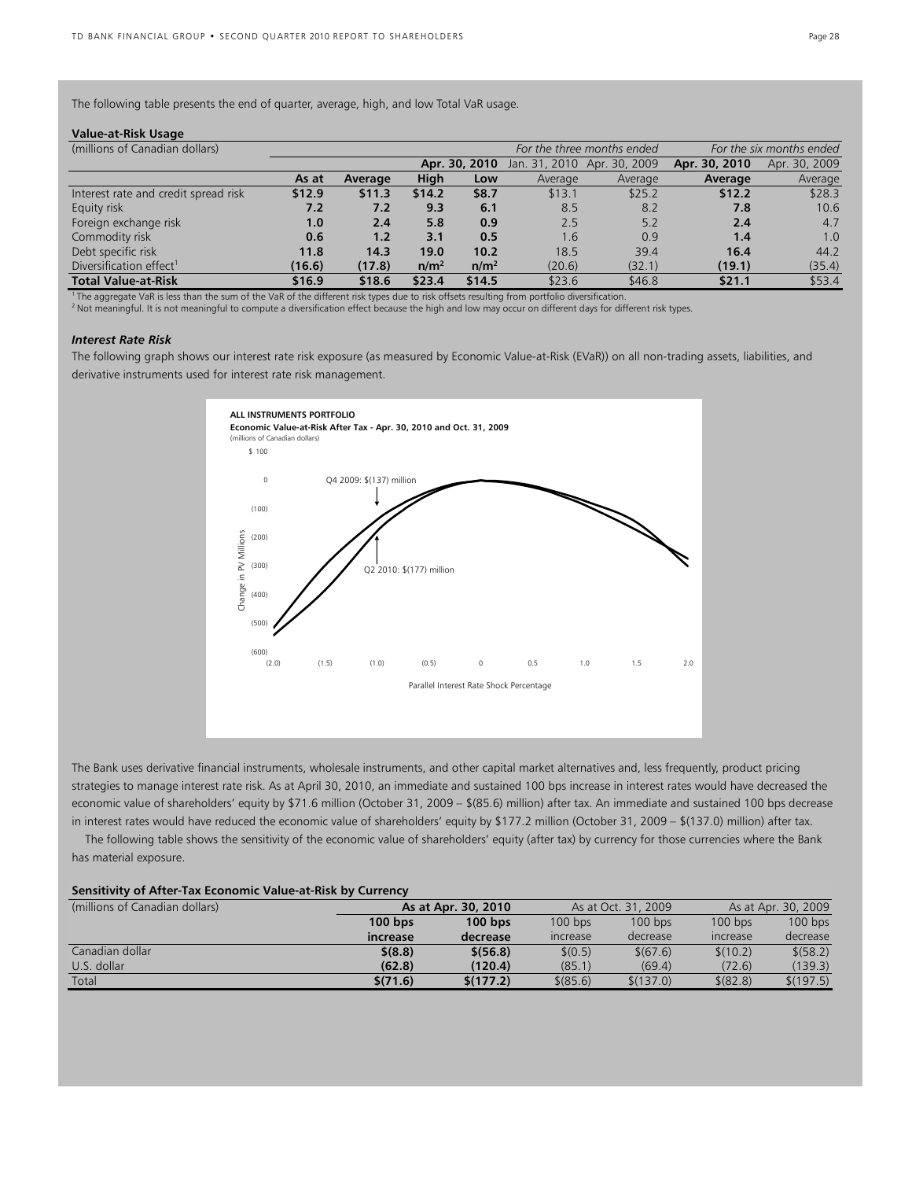The following table presents the end of quarter, average, high, and low Total VaR usage.

| Value-at-Risk Usage |  |
|---------------------|--|
|---------------------|--|

| (millions of Canadian dollars)       |        |         |                  |                  |                             | For the three months ended | For the six months ended |               |  |
|--------------------------------------|--------|---------|------------------|------------------|-----------------------------|----------------------------|--------------------------|---------------|--|
|                                      |        |         |                  | Apr. 30, 2010    | Jan. 31, 2010 Apr. 30, 2009 |                            | Apr. 30, 2010            | Apr. 30, 2009 |  |
|                                      | As at  | Average | High             | Low              | Average                     | Average                    | Average                  | Average       |  |
| Interest rate and credit spread risk | \$12.9 | \$11.3  | \$14.2           | \$8.7            | \$13.1                      | \$25.2                     | \$12.2                   | \$28.3        |  |
| Equity risk                          | 7.2    | 7.2     | 9.3              | 6.1              | 8.5                         | 8.2                        | 7.8                      | 10.6          |  |
| Foreign exchange risk                | 1.0    | 2.4     | 5.8              | 0.9              | 2.5                         | 5.2                        | 2.4                      | 4.7           |  |
| Commodity risk                       | 0.6    | 1.2     | 3.1              | 0.5              | 1.6                         | 0.9                        | 1.4                      | 1.0           |  |
| Debt specific risk                   | 11.8   | 14.3    | 19.0             | 10.2             | 18.5                        | 39.4                       | 16.4                     | 44.2          |  |
| Diversification effect <sup>1</sup>  | (16.6) | (17.8)  | n/m <sup>2</sup> | n/m <sup>2</sup> | (20.6)                      | (32.1)                     | (19.1)                   | (35.4)        |  |
| <b>Total Value-at-Risk</b>           | \$16.9 | \$18.6  | \$23.4           | \$14.5           | \$23.6                      | \$46.8                     | \$21.1                   | \$53.4        |  |

<sup>1</sup> The aggregate VaR is less than the sum of the VaR of the different risk types due to risk offsets resulting from portfolio diversification.<br><sup>2</sup> Not meaningful. It is not meaningful to compute a diversification effect b

#### *Interest Rate Risk*

The following graph shows our interest rate risk exposure (as measured by Economic Value-at-Risk (EVaR)) on all non-trading assets, liabilities, and derivative instruments used for interest rate risk management.



The Bank uses derivative financial instruments, wholesale instruments, and other capital market alternatives and, less frequently, product pricing strategies to manage interest rate risk. As at April 30, 2010, an immediate and sustained 100 bps increase in interest rates would have decreased the economic value of shareholders' equity by \$71.6 million (October 31, 2009 – \$(85.6) million) after tax. An immediate and sustained 100 bps decrease in interest rates would have reduced the economic value of shareholders' equity by \$177.2 million (October 31, 2009 – \$(137.0) million) after tax.

 The following table shows the sensitivity of the economic value of shareholders' equity (after tax) by currency for those currencies where the Bank has material exposure.

#### **Sensitivity of After-Tax Economic Value-at-Risk by Currency**

| (millions of Canadian dollars) |           | As at Apr. 30, 2010 |                               | As at Oct. 31, 2009 | As at Apr. 30, 2009 |           |  |
|--------------------------------|-----------|---------------------|-------------------------------|---------------------|---------------------|-----------|--|
|                                | $100$ bps | $100$ bps           |                               | $100$ bps           | $100$ bps           | $100$ bps |  |
|                                | increase  | decrease            | <i><u><b>Increase</b></u></i> | decrease            | <b>Increase</b>     | decrease  |  |
| Canadian dollar                | \$ (8.8)  | \$ (56.8)           | \$(0.5)                       | \$(67.6)            | \$(10.2)            | \$ (58.2) |  |
| U.S. dollar                    | (62.8)    | (120.4)             | (85.1)                        | (69.4)              | (72.6)              | (139.3)   |  |
| Total                          | \$(71.6)  | \$(177.2)           | \$ (85.6)                     | \$(137.0)           | \$ (82.8)           | \$(197.5) |  |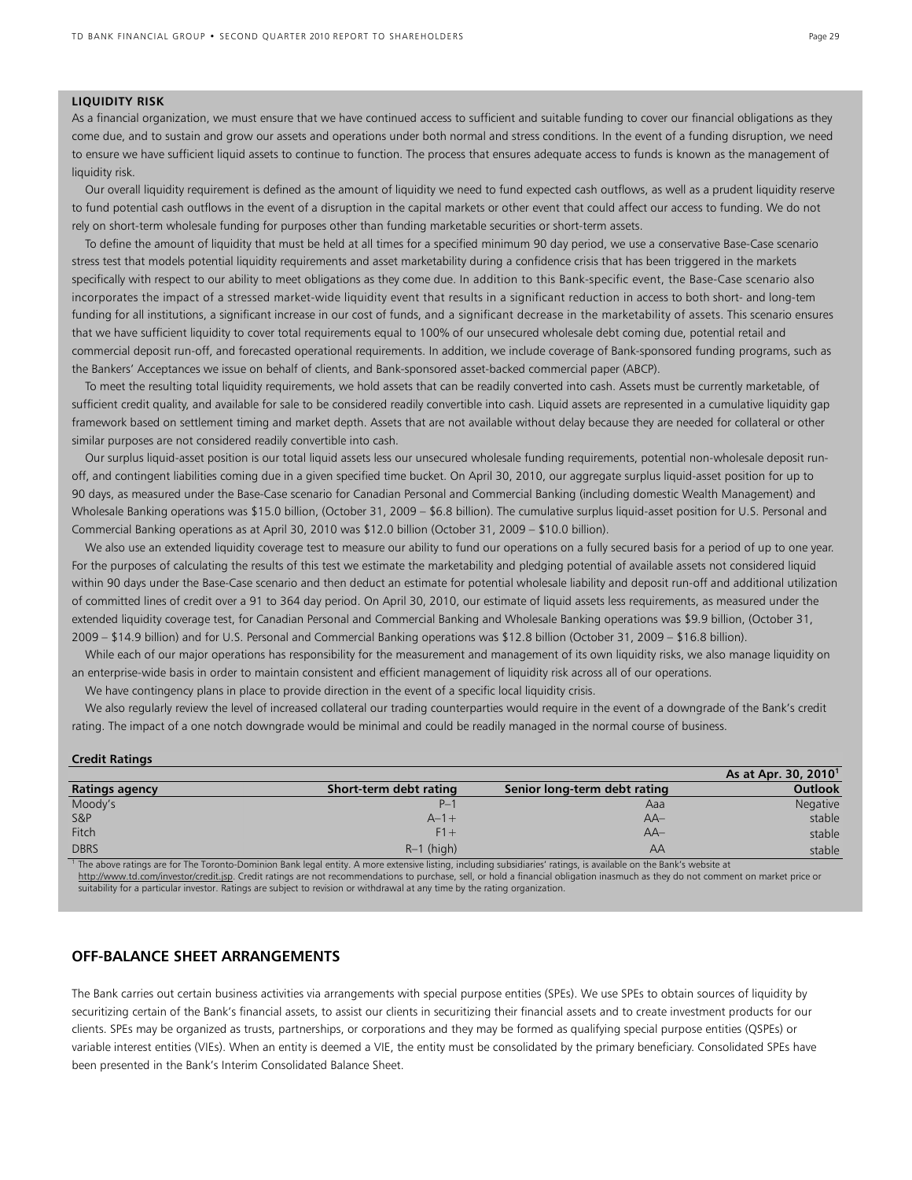#### **LIQUIDITY RISK**

As a financial organization, we must ensure that we have continued access to sufficient and suitable funding to cover our financial obligations as they come due, and to sustain and grow our assets and operations under both normal and stress conditions. In the event of a funding disruption, we need to ensure we have sufficient liquid assets to continue to function. The process that ensures adequate access to funds is known as the management of liquidity risk.

 Our overall liquidity requirement is defined as the amount of liquidity we need to fund expected cash outflows, as well as a prudent liquidity reserve to fund potential cash outflows in the event of a disruption in the capital markets or other event that could affect our access to funding. We do not rely on short-term wholesale funding for purposes other than funding marketable securities or short-term assets.

 To define the amount of liquidity that must be held at all times for a specified minimum 90 day period, we use a conservative Base-Case scenario stress test that models potential liquidity requirements and asset marketability during a confidence crisis that has been triggered in the markets specifically with respect to our ability to meet obligations as they come due. In addition to this Bank-specific event, the Base-Case scenario also incorporates the impact of a stressed market-wide liquidity event that results in a significant reduction in access to both short- and long-tem funding for all institutions, a significant increase in our cost of funds, and a significant decrease in the marketability of assets. This scenario ensures that we have sufficient liquidity to cover total requirements equal to 100% of our unsecured wholesale debt coming due, potential retail and commercial deposit run-off, and forecasted operational requirements. In addition, we include coverage of Bank-sponsored funding programs, such as the Bankers' Acceptances we issue on behalf of clients, and Bank-sponsored asset-backed commercial paper (ABCP).

 To meet the resulting total liquidity requirements, we hold assets that can be readily converted into cash. Assets must be currently marketable, of sufficient credit quality, and available for sale to be considered readily convertible into cash. Liquid assets are represented in a cumulative liquidity gap framework based on settlement timing and market depth. Assets that are not available without delay because they are needed for collateral or other similar purposes are not considered readily convertible into cash.

 Our surplus liquid-asset position is our total liquid assets less our unsecured wholesale funding requirements, potential non-wholesale deposit runoff, and contingent liabilities coming due in a given specified time bucket. On April 30, 2010, our aggregate surplus liquid-asset position for up to 90 days, as measured under the Base-Case scenario for Canadian Personal and Commercial Banking (including domestic Wealth Management) and Wholesale Banking operations was \$15.0 billion, (October 31, 2009 – \$6.8 billion). The cumulative surplus liquid-asset position for U.S. Personal and Commercial Banking operations as at April 30, 2010 was \$12.0 billion (October 31, 2009 – \$10.0 billion).

 We also use an extended liquidity coverage test to measure our ability to fund our operations on a fully secured basis for a period of up to one year. For the purposes of calculating the results of this test we estimate the marketability and pledging potential of available assets not considered liquid within 90 days under the Base-Case scenario and then deduct an estimate for potential wholesale liability and deposit run-off and additional utilization of committed lines of credit over a 91 to 364 day period. On April 30, 2010, our estimate of liquid assets less requirements, as measured under the extended liquidity coverage test, for Canadian Personal and Commercial Banking and Wholesale Banking operations was \$9.9 billion, (October 31, 2009 – \$14.9 billion) and for U.S. Personal and Commercial Banking operations was \$12.8 billion (October 31, 2009 – \$16.8 billion).

 While each of our major operations has responsibility for the measurement and management of its own liquidity risks, we also manage liquidity on an enterprise-wide basis in order to maintain consistent and efficient management of liquidity risk across all of our operations.

We have contingency plans in place to provide direction in the event of a specific local liquidity crisis.

 We also regularly review the level of increased collateral our trading counterparties would require in the event of a downgrade of the Bank's credit rating. The impact of a one notch downgrade would be minimal and could be readily managed in the normal course of business.

#### **Credit Ratings**

|                                                                                                                                                                     |                        |                              | As at Apr. 30, 2010 <sup>1</sup> |  |  |  |
|---------------------------------------------------------------------------------------------------------------------------------------------------------------------|------------------------|------------------------------|----------------------------------|--|--|--|
| <b>Ratings agency</b>                                                                                                                                               | Short-term debt rating | Senior long-term debt rating | Outlook                          |  |  |  |
| Moody's                                                                                                                                                             | $P -$                  | Aaa                          | <b>Negative</b>                  |  |  |  |
| <b>S&amp;P</b>                                                                                                                                                      | $A - 1 +$              | $AA-$                        | stable                           |  |  |  |
| Fitch                                                                                                                                                               | $F1 +$                 | $AA-$                        | stable                           |  |  |  |
| <b>DBRS</b>                                                                                                                                                         | $R-1$ (high)           | AА                           | stable                           |  |  |  |
| I The above ratings are fer The Terente Deminian Rapk legal entity. A more extensive listing including subsidiaries' ratings, is available on the Rapk's website at |                        |                              |                                  |  |  |  |

1 The above ratings are for The Toronto-Dominion Bank legal entity. A more extensive listing, including subsidiaries' ratings, is available on the Bank's website at http://www.td.com/investor/credit.jsp. Credit ratings are not recommendations to purchase, sell, or hold a financial obligation inasmuch as they do not comment on market price or suitability for a particular investor. Ratings are subject to revision or withdrawal at any time by the rating organization.

## **OFF-BALANCE SHEET ARRANGEMENTS**

The Bank carries out certain business activities via arrangements with special purpose entities (SPEs). We use SPEs to obtain sources of liquidity by securitizing certain of the Bank's financial assets, to assist our clients in securitizing their financial assets and to create investment products for our clients. SPEs may be organized as trusts, partnerships, or corporations and they may be formed as qualifying special purpose entities (QSPEs) or variable interest entities (VIEs). When an entity is deemed a VIE, the entity must be consolidated by the primary beneficiary. Consolidated SPEs have been presented in the Bank's Interim Consolidated Balance Sheet.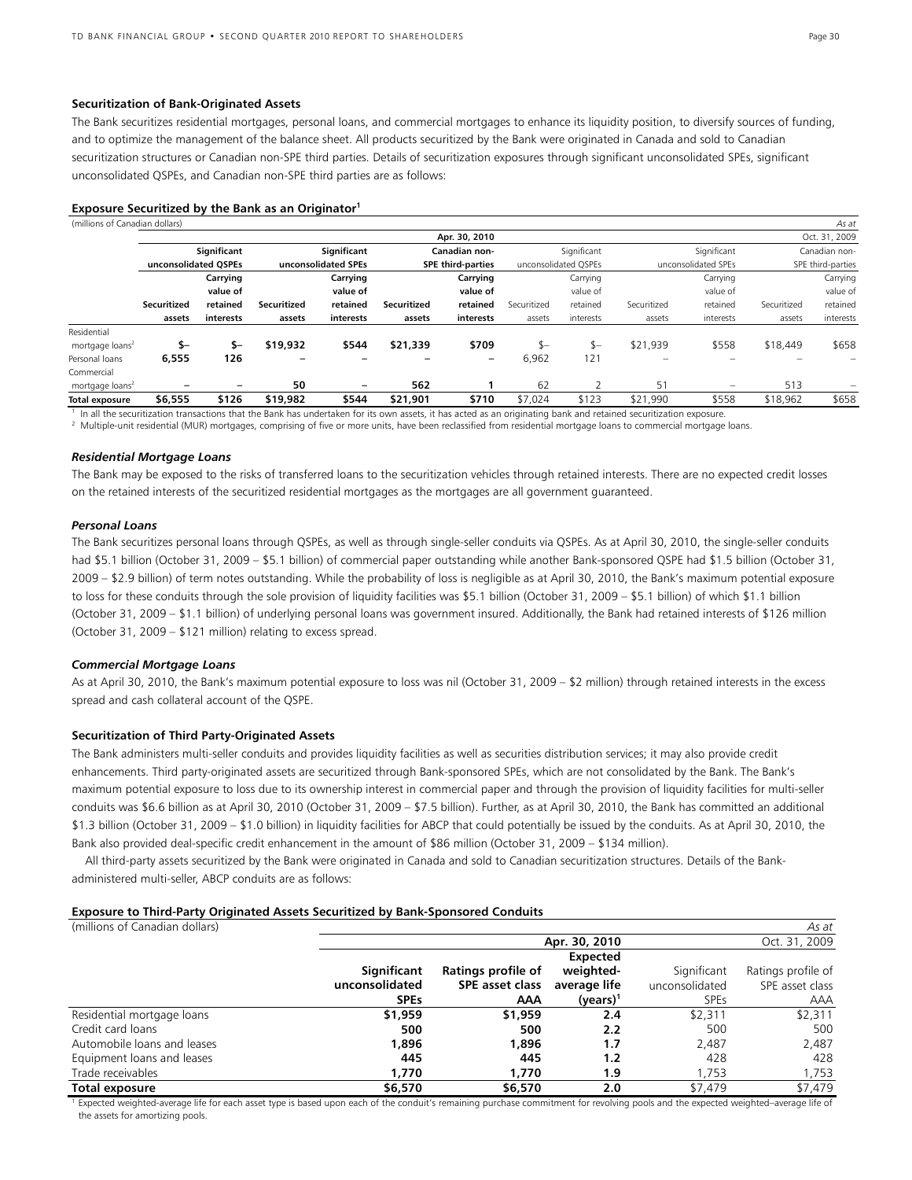#### **Securitization of Bank-Originated Assets**

The Bank securitizes residential mortgages, personal loans, and commercial mortgages to enhance its liquidity position, to diversify sources of funding, and to optimize the management of the balance sheet. All products securitized by the Bank were originated in Canada and sold to Canadian securitization structures or Canadian non-SPE third parties. Details of securitization exposures through significant unconsolidated SPEs, significant unconsolidated QSPEs, and Canadian non-SPE third parties are as follows:

| Exposure Securitized by the Bank as an Originator <sup>1</sup> |  |  |
|----------------------------------------------------------------|--|--|
|                                                                |  |  |

| (millions of Canadian dollars) |                      |             |             |                     |             |                          |             |                      |                                                                                                                                                                    |                     |             | As at             |
|--------------------------------|----------------------|-------------|-------------|---------------------|-------------|--------------------------|-------------|----------------------|--------------------------------------------------------------------------------------------------------------------------------------------------------------------|---------------------|-------------|-------------------|
|                                |                      |             |             |                     |             | Apr. 30, 2010            |             |                      |                                                                                                                                                                    |                     |             | Oct. 31, 2009     |
|                                |                      | Significant |             | Significant         |             | Canadian non-            |             | Significant          |                                                                                                                                                                    | Significant         |             | Canadian non-     |
|                                | unconsolidated OSPEs |             |             | unconsolidated SPEs |             | <b>SPE third-parties</b> |             | unconsolidated OSPEs |                                                                                                                                                                    | unconsolidated SPEs |             | SPE third-parties |
|                                |                      | Carrying    |             | Carrying            |             | Carrying                 |             | Carrying             |                                                                                                                                                                    | Carrying            |             | Carrying          |
|                                |                      | value of    |             | value of            |             | value of                 |             | value of             |                                                                                                                                                                    | value of            |             | value of          |
|                                | Securitized          | retained    | Securitized | retained            | Securitized | retained                 | Securitized | retained             | Securitized                                                                                                                                                        | retained            | Securitized | retained          |
|                                | assets               | interests   | assets      | interests           | assets      | interests                | assets      | interests            | assets                                                                                                                                                             | interests           | assets      | interests         |
| Residential                    |                      |             |             |                     |             |                          |             |                      |                                                                                                                                                                    |                     |             |                   |
| mortgage loans <sup>2</sup>    | \$–                  | $S-$        | \$19,932    | \$544               | \$21,339    | \$709                    | ፍ–          | \$—                  | \$21.939                                                                                                                                                           | \$558               | \$18,449    | \$658             |
| Personal loans                 | 6,555                | 126         |             |                     |             | -                        | 6,962       | 121                  |                                                                                                                                                                    |                     |             |                   |
| Commercial                     |                      |             |             |                     |             |                          |             |                      |                                                                                                                                                                    |                     |             |                   |
| mortgage loans <sup>2</sup>    |                      |             | 50          |                     | 562         |                          | 62          |                      | 51                                                                                                                                                                 |                     | 513         |                   |
| Total exposure                 | \$6.555              | \$126       | \$19,982    | \$544               | \$21,901    | \$710                    | \$7.024     | \$123                | \$21.990                                                                                                                                                           | \$558               | \$18,962    | \$658             |
|                                |                      |             |             |                     |             |                          |             |                      | he all the conditioning theoretical that the Dank has mademailed for its come country it has actual as an adicipation hank and cotained conditioning amounts are a |                     |             |                   |

 $^1$  In all the securitization transactions that the Bank has undertaken for its own assets, it has acted as an originating bank and retained securitization exposure.<br><sup>2</sup> Multiple-unit residential (MUR) mortgages, compris

## *Residential Mortgage Loans*

The Bank may be exposed to the risks of transferred loans to the securitization vehicles through retained interests. There are no expected credit losses on the retained interests of the securitized residential mortgages as the mortgages are all government guaranteed.

## *Personal Loans*

The Bank securitizes personal loans through QSPEs, as well as through single-seller conduits via QSPEs. As at April 30, 2010, the single-seller conduits had \$5.1 billion (October 31, 2009 – \$5.1 billion) of commercial paper outstanding while another Bank-sponsored QSPE had \$1.5 billion (October 31, 2009 – \$2.9 billion) of term notes outstanding. While the probability of loss is negligible as at April 30, 2010, the Bank's maximum potential exposure to loss for these conduits through the sole provision of liquidity facilities was \$5.1 billion (October 31, 2009 – \$5.1 billion) of which \$1.1 billion (October 31, 2009 – \$1.1 billion) of underlying personal loans was government insured. Additionally, the Bank had retained interests of \$126 million (October 31, 2009 – \$121 million) relating to excess spread.

#### *Commercial Mortgage Loans*

As at April 30, 2010, the Bank's maximum potential exposure to loss was nil (October 31, 2009 – \$2 million) through retained interests in the excess spread and cash collateral account of the QSPE.

## **Securitization of Third Party-Originated Assets**

The Bank administers multi-seller conduits and provides liquidity facilities as well as securities distribution services; it may also provide credit enhancements. Third party-originated assets are securitized through Bank-sponsored SPEs, which are not consolidated by the Bank. The Bank's maximum potential exposure to loss due to its ownership interest in commercial paper and through the provision of liquidity facilities for multi-seller conduits was \$6.6 billion as at April 30, 2010 (October 31, 2009 – \$7.5 billion). Further, as at April 30, 2010, the Bank has committed an additional \$1.3 billion (October 31, 2009 – \$1.0 billion) in liquidity facilities for ABCP that could potentially be issued by the conduits. As at April 30, 2010, the Bank also provided deal-specific credit enhancement in the amount of \$86 million (October 31, 2009 – \$134 million).

 All third-party assets securitized by the Bank were originated in Canada and sold to Canadian securitization structures. Details of the Bankadministered multi-seller, ABCP conduits are as follows:

#### **Exposure to Third-Party Originated Assets Securitized by Bank-Sponsored Conduits**

| (millions of Canadian dollars)                                                                                |                                |                    |                 |                | As at              |  |  |  |
|---------------------------------------------------------------------------------------------------------------|--------------------------------|--------------------|-----------------|----------------|--------------------|--|--|--|
|                                                                                                               | Apr. 30, 2010<br>Oct. 31, 2009 |                    |                 |                |                    |  |  |  |
|                                                                                                               |                                |                    | <b>Expected</b> |                |                    |  |  |  |
|                                                                                                               | Significant                    | Ratings profile of | weighted-       | Significant    | Ratings profile of |  |  |  |
|                                                                                                               | unconsolidated                 | SPE asset class    | average life    | unconsolidated | SPE asset class    |  |  |  |
|                                                                                                               | <b>SPEs</b>                    | AAA                | $(years)^1$     | <b>SPEs</b>    | <b>AAA</b>         |  |  |  |
| Residential mortgage loans                                                                                    | \$1,959                        | \$1,959            | 2.4             | \$2.311        | \$2,311            |  |  |  |
| Credit card loans                                                                                             | 500                            | 500                | 2.2             | 500            | 500                |  |  |  |
| Automobile loans and leases                                                                                   | 1,896                          | 1,896              | 1.7             | 2.487          | 2,487              |  |  |  |
| Equipment loans and leases                                                                                    | 445                            | 445                | 1.2             | 428            | 428                |  |  |  |
| Trade receivables                                                                                             | 1.770                          | 1,770              | 1.9             | .753           | 1,753              |  |  |  |
| Total exposure                                                                                                | \$6,570                        | \$6,570            | 2.0             | \$7.479        | \$7,479            |  |  |  |
| . The second article is a second that the second contract of the second contract of the second and the second |                                |                    |                 |                |                    |  |  |  |

pected weighted-average life for each asset type is based upon each of the conduit's remaining purchase commitment for revolving pools and the expected weighted–average life of the assets for amortizing pools.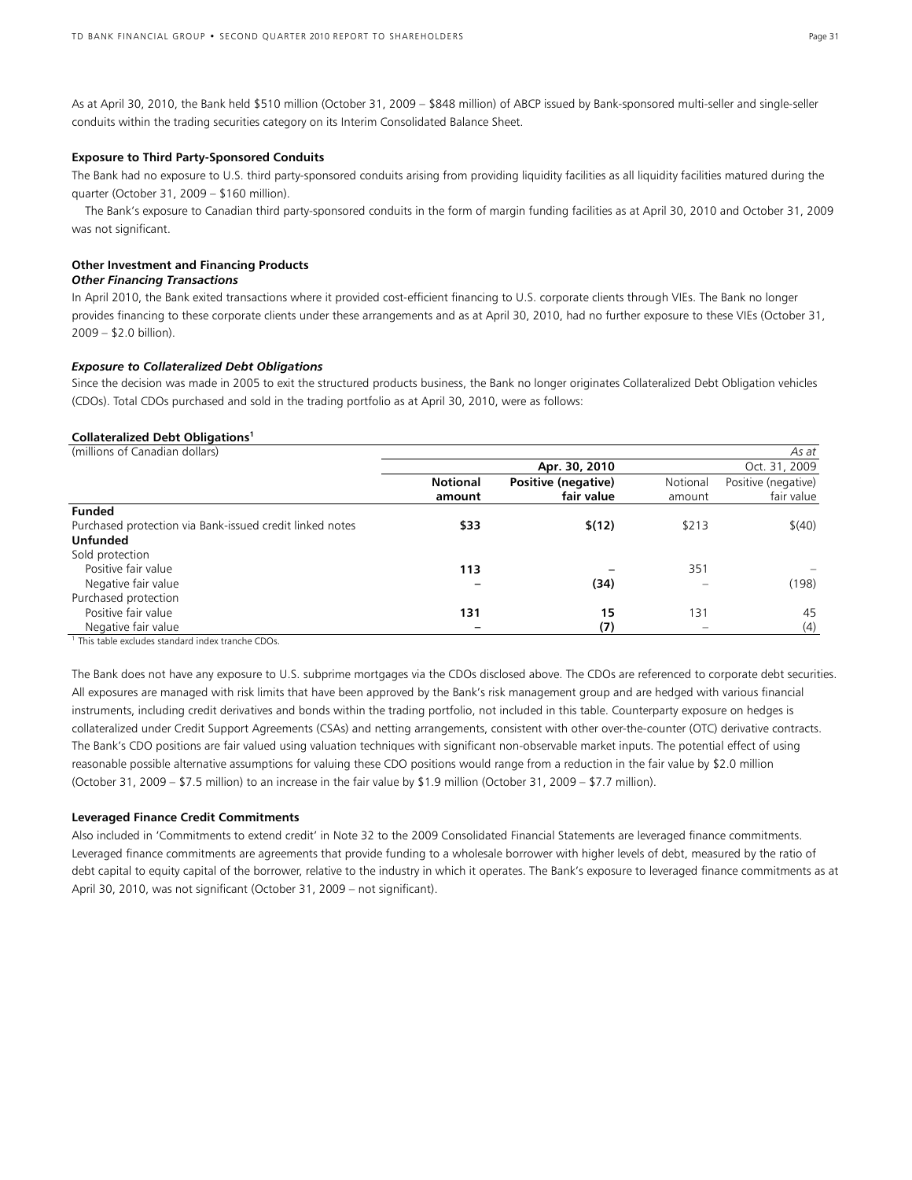As at April 30, 2010, the Bank held \$510 million (October 31, 2009 – \$848 million) of ABCP issued by Bank-sponsored multi-seller and single-seller conduits within the trading securities category on its Interim Consolidated Balance Sheet.

#### **Exposure to Third Party-Sponsored Conduits**

The Bank had no exposure to U.S. third party-sponsored conduits arising from providing liquidity facilities as all liquidity facilities matured during the quarter (October 31, 2009 – \$160 million).

 The Bank's exposure to Canadian third party-sponsored conduits in the form of margin funding facilities as at April 30, 2010 and October 31, 2009 was not significant.

#### **Other Investment and Financing Products**

## *Other Financing Transactions*

In April 2010, the Bank exited transactions where it provided cost-efficient financing to U.S. corporate clients through VIEs. The Bank no longer provides financing to these corporate clients under these arrangements and as at April 30, 2010, had no further exposure to these VIEs (October 31, 2009 – \$2.0 billion).

## *Exposure to Collateralized Debt Obligations*

Since the decision was made in 2005 to exit the structured products business, the Bank no longer originates Collateralized Debt Obligation vehicles (CDOs). Total CDOs purchased and sold in the trading portfolio as at April 30, 2010, were as follows:

### **Collateralized Debt Obligations1**

(millions of Canadian dollars)*As at*

|                                                          | Oct. 31, 2009<br>Apr. 30, 2010 |                     |          |                     |  |  |
|----------------------------------------------------------|--------------------------------|---------------------|----------|---------------------|--|--|
|                                                          | <b>Notional</b>                | Positive (negative) | Notional | Positive (negative) |  |  |
|                                                          | amount                         | fair value          | amount   | fair value          |  |  |
| <b>Funded</b>                                            |                                |                     |          |                     |  |  |
| Purchased protection via Bank-issued credit linked notes | \$33                           | \$(12)              | \$213    | \$(40)              |  |  |
| <b>Unfunded</b>                                          |                                |                     |          |                     |  |  |
| Sold protection                                          |                                |                     |          |                     |  |  |
| Positive fair value                                      | 113                            |                     | 351      |                     |  |  |
| Negative fair value                                      | $\overline{\phantom{0}}$       | (34)                |          | (198)               |  |  |
| Purchased protection                                     |                                |                     |          |                     |  |  |
| Positive fair value                                      | 131                            | 15                  | 131      | 45                  |  |  |
| Negative fair value                                      |                                | (7)                 |          | (4)                 |  |  |

<sup>1</sup> This table excludes standard index tranche CDOs

The Bank does not have any exposure to U.S. subprime mortgages via the CDOs disclosed above. The CDOs are referenced to corporate debt securities. All exposures are managed with risk limits that have been approved by the Bank's risk management group and are hedged with various financial instruments, including credit derivatives and bonds within the trading portfolio, not included in this table. Counterparty exposure on hedges is collateralized under Credit Support Agreements (CSAs) and netting arrangements, consistent with other over-the-counter (OTC) derivative contracts. The Bank's CDO positions are fair valued using valuation techniques with significant non-observable market inputs. The potential effect of using reasonable possible alternative assumptions for valuing these CDO positions would range from a reduction in the fair value by \$2.0 million (October 31, 2009 – \$7.5 million) to an increase in the fair value by \$1.9 million (October 31, 2009 – \$7.7 million).

#### **Leveraged Finance Credit Commitments**

Also included in 'Commitments to extend credit' in Note 32 to the 2009 Consolidated Financial Statements are leveraged finance commitments. Leveraged finance commitments are agreements that provide funding to a wholesale borrower with higher levels of debt, measured by the ratio of debt capital to equity capital of the borrower, relative to the industry in which it operates. The Bank's exposure to leveraged finance commitments as at April 30, 2010, was not significant (October 31, 2009 – not significant).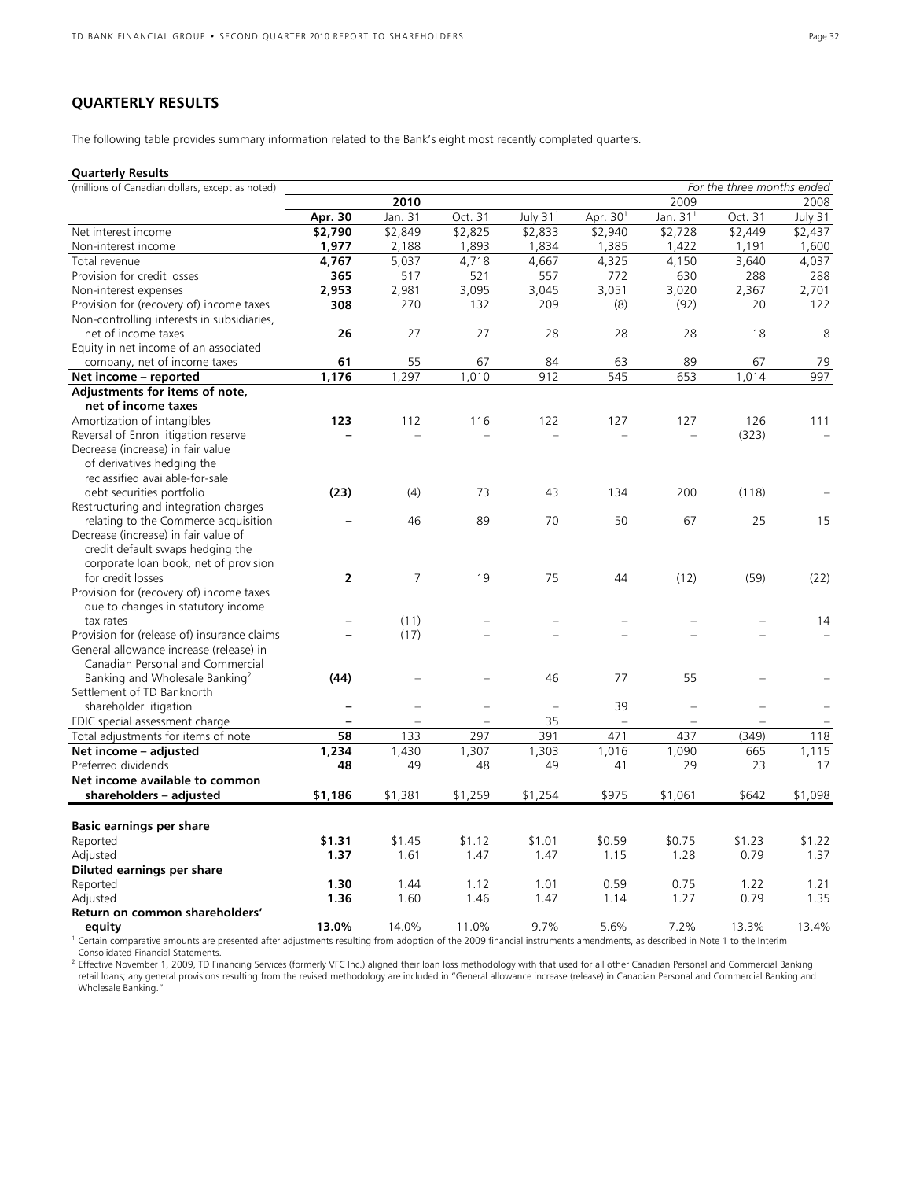## **QUARTERLY RESULTS**

The following table provides summary information related to the Bank's eight most recently completed quarters.

## **Quarterly Results**

| (millions of Canadian dollars, except as noted) |                |                |         |                |            |                          | For the three months ended |         |
|-------------------------------------------------|----------------|----------------|---------|----------------|------------|--------------------------|----------------------------|---------|
|                                                 |                | 2010           |         |                |            | 2009                     |                            | 2008    |
|                                                 | Apr. 30        | Jan. 31        | Oct. 31 | July $311$     | Apr. $301$ | Jan. $311$               | Oct. 31                    | July 31 |
| Net interest income                             | \$2,790        | \$2,849        | \$2,825 | \$2,833        | \$2,940    | \$2,728                  | \$2,449                    | \$2,437 |
| Non-interest income                             | 1,977          | 2,188          | 1,893   | 1,834          | 1,385      | 1,422                    | 1,191                      | 1,600   |
| Total revenue                                   | 4,767          | 5,037          | 4,718   | 4,667          | 4,325      | 4,150                    | 3,640                      | 4,037   |
| Provision for credit losses                     | 365            | 517            | 521     | 557            | 772        | 630                      | 288                        | 288     |
| Non-interest expenses                           | 2,953          | 2,981          | 3,095   | 3,045          | 3,051      | 3,020                    | 2,367                      | 2,701   |
| Provision for (recovery of) income taxes        | 308            | 270            | 132     | 209            | (8)        | (92)                     | 20                         | 122     |
| Non-controlling interests in subsidiaries,      |                |                |         |                |            |                          |                            |         |
| net of income taxes                             | 26             | 27             | 27      | 28             | 28         | 28                       | 18                         | 8       |
| Equity in net income of an associated           |                |                |         |                |            |                          |                            |         |
| company, net of income taxes                    | 61             | 55             | 67      | 84             | 63         | 89                       | 67                         | 79      |
| Net income - reported                           | 1,176          | 1,297          | 1,010   | 912            | 545        | 653                      | 1,014                      | 997     |
| Adjustments for items of note,                  |                |                |         |                |            |                          |                            |         |
| net of income taxes                             |                |                |         |                |            |                          |                            |         |
| Amortization of intangibles                     | 123            | 112            | 116     | 122            | 127        | 127                      | 126                        | 111     |
| Reversal of Enron litigation reserve            |                | $\equiv$       |         | L,             |            | $\equiv$                 | (323)                      |         |
| Decrease (increase) in fair value               |                |                |         |                |            |                          |                            |         |
| of derivatives hedging the                      |                |                |         |                |            |                          |                            |         |
| reclassified available-for-sale                 |                |                |         |                |            |                          |                            |         |
| debt securities portfolio                       | (23)           | (4)            | 73      | 43             | 134        | 200                      | (118)                      |         |
| Restructuring and integration charges           |                |                |         |                |            |                          |                            |         |
| relating to the Commerce acquisition            |                | 46             | 89      | 70             | 50         | 67                       | 25                         | 15      |
| Decrease (increase) in fair value of            |                |                |         |                |            |                          |                            |         |
| credit default swaps hedging the                |                |                |         |                |            |                          |                            |         |
| corporate loan book, net of provision           |                |                |         |                |            |                          |                            |         |
| for credit losses                               | $\overline{2}$ | $\overline{7}$ | 19      | 75             | 44         | (12)                     | (59)                       | (22)    |
| Provision for (recovery of) income taxes        |                |                |         |                |            |                          |                            |         |
| due to changes in statutory income              |                |                |         |                |            |                          |                            |         |
| tax rates                                       |                | (11)           |         | $\equiv$       |            |                          |                            | 14      |
| Provision for (release of) insurance claims     |                | (17)           |         |                |            |                          |                            |         |
| General allowance increase (release) in         |                |                |         |                |            |                          |                            |         |
| Canadian Personal and Commercial                |                |                |         |                |            |                          |                            |         |
| Banking and Wholesale Banking <sup>2</sup>      | (44)           |                |         | 46             | 77         | 55                       |                            |         |
| Settlement of TD Banknorth                      |                |                |         |                |            |                          |                            |         |
| shareholder litigation                          |                |                |         | $\overline{a}$ | 39         | $\overline{\phantom{0}}$ |                            |         |
| FDIC special assessment charge                  | -              |                |         | 35             |            | $\equiv$                 |                            |         |
| Total adjustments for items of note             | 58             | 133            | 297     | 391            | 471        | 437                      | (349)                      | 118     |
| Net income - adjusted                           | 1,234          | 1,430          | 1,307   | 1,303          | 1,016      | 1,090                    | 665                        | 1,115   |
| Preferred dividends                             | 48             | 49             | 48      | 49             | 41         | 29                       | 23                         | 17      |
| Net income available to common                  |                |                |         |                |            |                          |                            |         |
| shareholders - adjusted                         | \$1,186        | \$1,381        | \$1,259 | \$1,254        | \$975      | \$1,061                  | \$642                      | \$1,098 |
|                                                 |                |                |         |                |            |                          |                            |         |
| <b>Basic earnings per share</b>                 |                |                |         |                |            |                          |                            |         |
| Reported                                        | \$1.31         | \$1.45         | \$1.12  | \$1.01         | \$0.59     | \$0.75                   | \$1.23                     | \$1.22  |
| Adjusted                                        | 1.37           | 1.61           | 1.47    | 1.47           | 1.15       | 1.28                     | 0.79                       | 1.37    |
| Diluted earnings per share                      |                |                |         |                |            |                          |                            |         |
| Reported                                        | 1.30           | 1.44           | 1.12    | 1.01           | 0.59       | 0.75                     | 1.22                       | 1.21    |
| Adjusted                                        | 1.36           | 1.60           | 1.46    | 1.47           | 1.14       | 1.27                     | 0.79                       | 1.35    |
| Return on common shareholders'                  |                |                |         |                |            |                          |                            |         |
| equity                                          | 13.0%          | 14.0%          | 11.0%   | 9.7%           | 5.6%       | 7.2%                     | 13.3%                      | 13.4%   |

<sup>1</sup> Certain comparative amounts are presented after adjustments resulting from adoption of the 2009 financial instruments amendments, as described in Note 1 to the Interim Consolidated Financial Statements.

<sup>2</sup> Effective November 1, 2009, TD Financing Services (formerly VFC Inc.) aligned their loan loss methodology with that used for all other Canadian Personal and Commercial Banking retail loans; any general provisions resulting from the revised methodology are included in "General allowance increase (release) in Canadian Personal and Commercial Banking and<br>Wholesale Banking."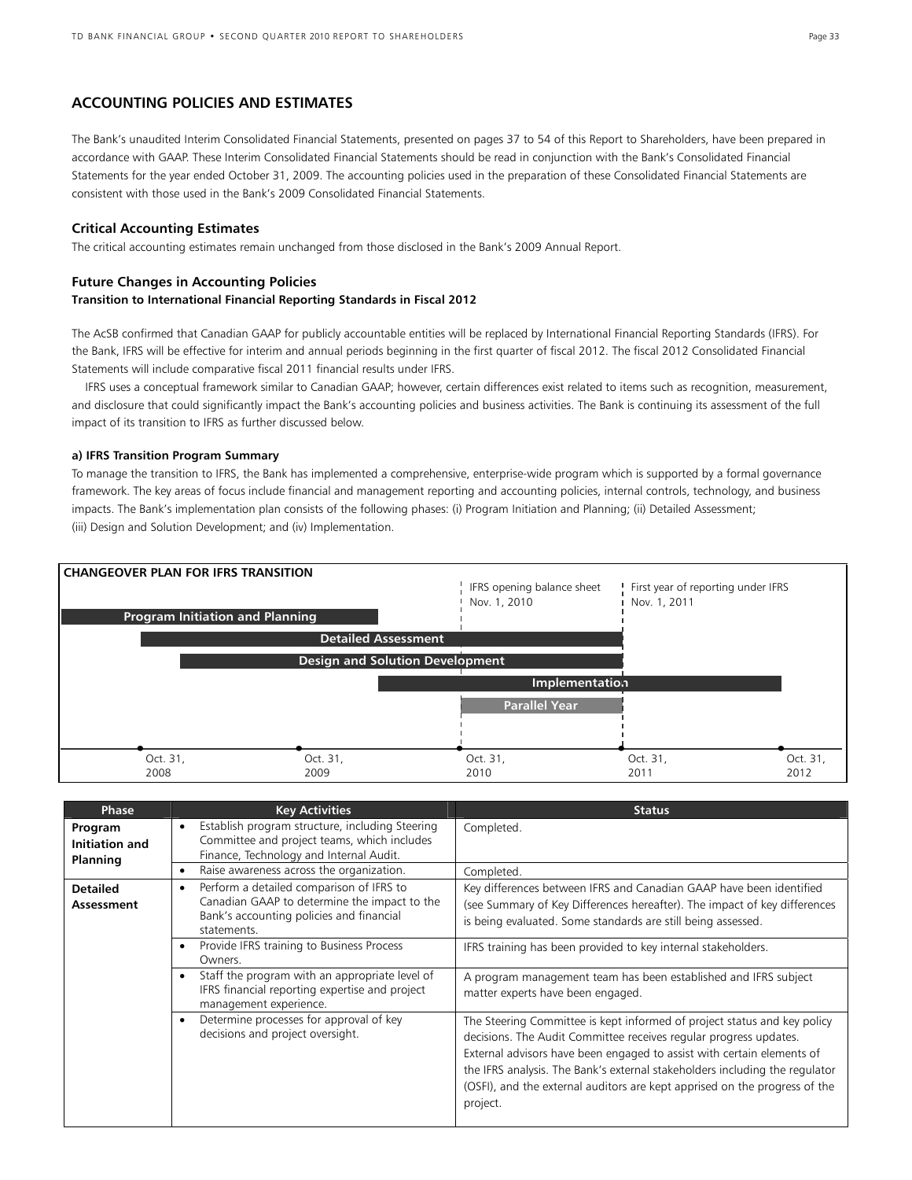## **ACCOUNTING POLICIES AND ESTIMATES**

The Bank's unaudited Interim Consolidated Financial Statements, presented on pages 37 to 54 of this Report to Shareholders, have been prepared in accordance with GAAP. These Interim Consolidated Financial Statements should be read in conjunction with the Bank's Consolidated Financial Statements for the year ended October 31, 2009. The accounting policies used in the preparation of these Consolidated Financial Statements are consistent with those used in the Bank's 2009 Consolidated Financial Statements.

## **Critical Accounting Estimates**

The critical accounting estimates remain unchanged from those disclosed in the Bank's 2009 Annual Report.

#### **Future Changes in Accounting Policies**

#### **Transition to International Financial Reporting Standards in Fiscal 2012**

The AcSB confirmed that Canadian GAAP for publicly accountable entities will be replaced by International Financial Reporting Standards (IFRS). For the Bank, IFRS will be effective for interim and annual periods beginning in the first quarter of fiscal 2012. The fiscal 2012 Consolidated Financial Statements will include comparative fiscal 2011 financial results under IFRS.

 IFRS uses a conceptual framework similar to Canadian GAAP; however, certain differences exist related to items such as recognition, measurement, and disclosure that could significantly impact the Bank's accounting policies and business activities. The Bank is continuing its assessment of the full impact of its transition to IFRS as further discussed below.

#### **a) IFRS Transition Program Summary**

To manage the transition to IFRS, the Bank has implemented a comprehensive, enterprise-wide program which is supported by a formal governance framework. The key areas of focus include financial and management reporting and accounting policies, internal controls, technology, and business impacts. The Bank's implementation plan consists of the following phases: (i) Program Initiation and Planning; (ii) Detailed Assessment; (iii) Design and Solution Development; and (iv) Implementation.



| <b>Phase</b>                          | <b>Key Activities</b>                                                                                                                                            | <b>Status</b>                                                                                                                                                                                                                                                                                                                                                                                    |
|---------------------------------------|------------------------------------------------------------------------------------------------------------------------------------------------------------------|--------------------------------------------------------------------------------------------------------------------------------------------------------------------------------------------------------------------------------------------------------------------------------------------------------------------------------------------------------------------------------------------------|
| Program<br>Initiation and<br>Planning | Establish program structure, including Steering<br>$\bullet$<br>Committee and project teams, which includes<br>Finance, Technology and Internal Audit.           | Completed.                                                                                                                                                                                                                                                                                                                                                                                       |
|                                       | Raise awareness across the organization.<br>$\bullet$                                                                                                            | Completed.                                                                                                                                                                                                                                                                                                                                                                                       |
| <b>Detailed</b><br>Assessment         | Perform a detailed comparison of IFRS to<br>$\bullet$<br>Canadian GAAP to determine the impact to the<br>Bank's accounting policies and financial<br>statements. | Key differences between IFRS and Canadian GAAP have been identified<br>(see Summary of Key Differences hereafter). The impact of key differences<br>is being evaluated. Some standards are still being assessed.                                                                                                                                                                                 |
|                                       | Provide IFRS training to Business Process<br>$\bullet$<br>Owners.                                                                                                | IFRS training has been provided to key internal stakeholders.                                                                                                                                                                                                                                                                                                                                    |
|                                       | Staff the program with an appropriate level of<br>$\bullet$<br>IFRS financial reporting expertise and project<br>management experience.                          | A program management team has been established and IFRS subject<br>matter experts have been engaged.                                                                                                                                                                                                                                                                                             |
|                                       | Determine processes for approval of key<br>$\bullet$<br>decisions and project oversight.                                                                         | The Steering Committee is kept informed of project status and key policy<br>decisions. The Audit Committee receives regular progress updates.<br>External advisors have been engaged to assist with certain elements of<br>the IFRS analysis. The Bank's external stakeholders including the regulator<br>(OSFI), and the external auditors are kept apprised on the progress of the<br>project. |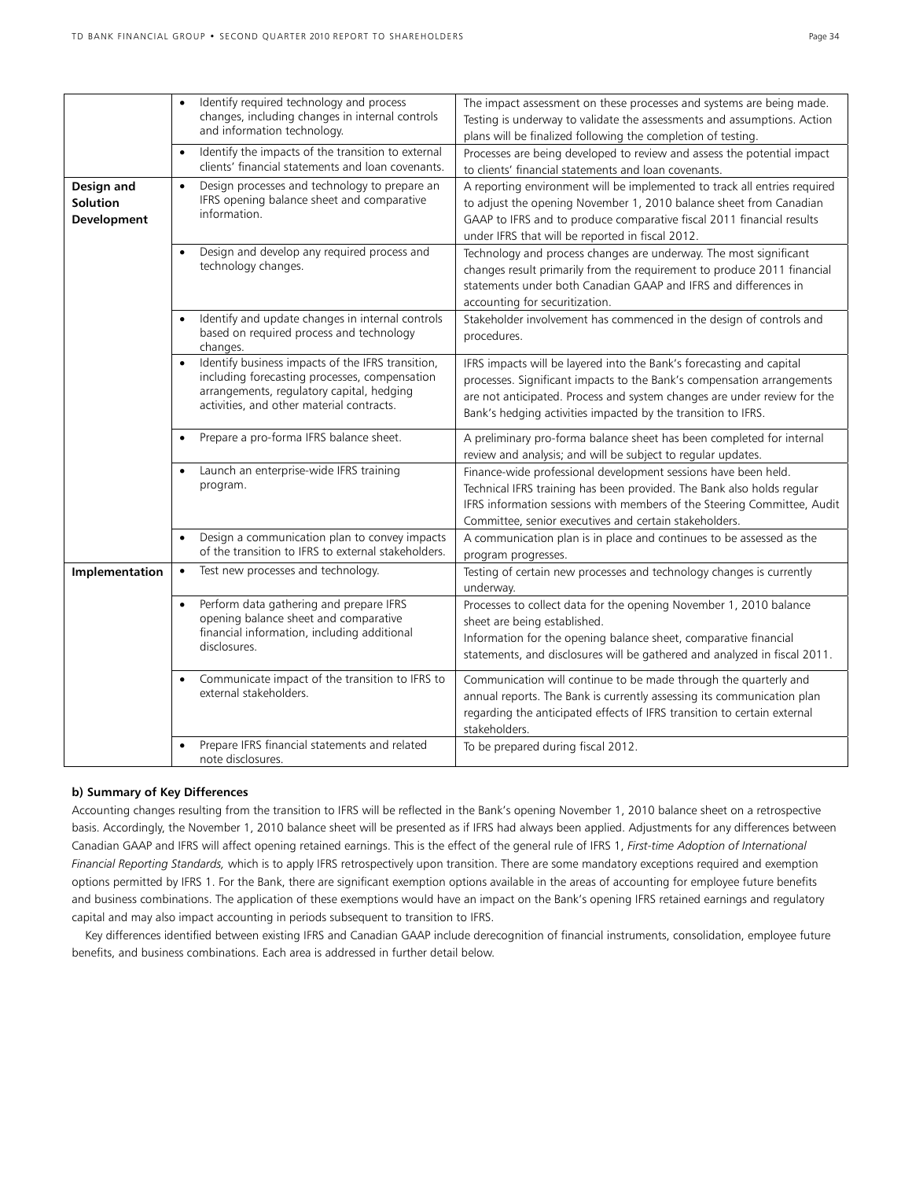|                                              | Identify required technology and process<br>$\bullet$<br>changes, including changes in internal controls<br>and information technology.                                                                   | The impact assessment on these processes and systems are being made.<br>Testing is underway to validate the assessments and assumptions. Action<br>plans will be finalized following the completion of testing.                                                                             |
|----------------------------------------------|-----------------------------------------------------------------------------------------------------------------------------------------------------------------------------------------------------------|---------------------------------------------------------------------------------------------------------------------------------------------------------------------------------------------------------------------------------------------------------------------------------------------|
|                                              | Identify the impacts of the transition to external<br>$\bullet$<br>clients' financial statements and loan covenants.                                                                                      | Processes are being developed to review and assess the potential impact<br>to clients' financial statements and loan covenants.                                                                                                                                                             |
| Design and<br><b>Solution</b><br>Development | Design processes and technology to prepare an<br>$\bullet$<br>IFRS opening balance sheet and comparative<br>information.                                                                                  | A reporting environment will be implemented to track all entries required<br>to adjust the opening November 1, 2010 balance sheet from Canadian<br>GAAP to IFRS and to produce comparative fiscal 2011 financial results<br>under IFRS that will be reported in fiscal 2012.                |
|                                              | Design and develop any required process and<br>$\bullet$<br>technology changes.                                                                                                                           | Technology and process changes are underway. The most significant<br>changes result primarily from the requirement to produce 2011 financial<br>statements under both Canadian GAAP and IFRS and differences in<br>accounting for securitization.                                           |
|                                              | Identify and update changes in internal controls<br>$\bullet$<br>based on required process and technology<br>changes.                                                                                     | Stakeholder involvement has commenced in the design of controls and<br>procedures.                                                                                                                                                                                                          |
|                                              | Identify business impacts of the IFRS transition,<br>$\bullet$<br>including forecasting processes, compensation<br>arrangements, regulatory capital, hedging<br>activities, and other material contracts. | IFRS impacts will be layered into the Bank's forecasting and capital<br>processes. Significant impacts to the Bank's compensation arrangements<br>are not anticipated. Process and system changes are under review for the<br>Bank's hedging activities impacted by the transition to IFRS. |
|                                              | Prepare a pro-forma IFRS balance sheet.<br>$\bullet$                                                                                                                                                      | A preliminary pro-forma balance sheet has been completed for internal<br>review and analysis; and will be subject to regular updates.                                                                                                                                                       |
|                                              | Launch an enterprise-wide IFRS training<br>$\bullet$<br>program.                                                                                                                                          | Finance-wide professional development sessions have been held.<br>Technical IFRS training has been provided. The Bank also holds regular<br>IFRS information sessions with members of the Steering Committee, Audit<br>Committee, senior executives and certain stakeholders.               |
|                                              | Design a communication plan to convey impacts<br>$\bullet$<br>of the transition to IFRS to external stakeholders.                                                                                         | A communication plan is in place and continues to be assessed as the<br>program progresses.                                                                                                                                                                                                 |
| Implementation                               | Test new processes and technology.<br>$\bullet$                                                                                                                                                           | Testing of certain new processes and technology changes is currently<br>underway.                                                                                                                                                                                                           |
|                                              | Perform data gathering and prepare IFRS<br>$\bullet$<br>opening balance sheet and comparative<br>financial information, including additional<br>disclosures.                                              | Processes to collect data for the opening November 1, 2010 balance<br>sheet are being established.<br>Information for the opening balance sheet, comparative financial<br>statements, and disclosures will be gathered and analyzed in fiscal 2011.                                         |
|                                              | Communicate impact of the transition to IFRS to<br>$\bullet$<br>external stakeholders.                                                                                                                    | Communication will continue to be made through the quarterly and<br>annual reports. The Bank is currently assessing its communication plan<br>regarding the anticipated effects of IFRS transition to certain external<br>stakeholders.                                                     |
|                                              | Prepare IFRS financial statements and related<br>$\bullet$<br>note disclosures.                                                                                                                           | To be prepared during fiscal 2012.                                                                                                                                                                                                                                                          |

#### **b) Summary of Key Differences**

Accounting changes resulting from the transition to IFRS will be reflected in the Bank's opening November 1, 2010 balance sheet on a retrospective basis. Accordingly, the November 1, 2010 balance sheet will be presented as if IFRS had always been applied. Adjustments for any differences between Canadian GAAP and IFRS will affect opening retained earnings. This is the effect of the general rule of IFRS 1, *First-time Adoption of International Financial Reporting Standards,* which is to apply IFRS retrospectively upon transition. There are some mandatory exceptions required and exemption options permitted by IFRS 1. For the Bank, there are significant exemption options available in the areas of accounting for employee future benefits and business combinations. The application of these exemptions would have an impact on the Bank's opening IFRS retained earnings and regulatory capital and may also impact accounting in periods subsequent to transition to IFRS.

 Key differences identified between existing IFRS and Canadian GAAP include derecognition of financial instruments, consolidation, employee future benefits, and business combinations. Each area is addressed in further detail below.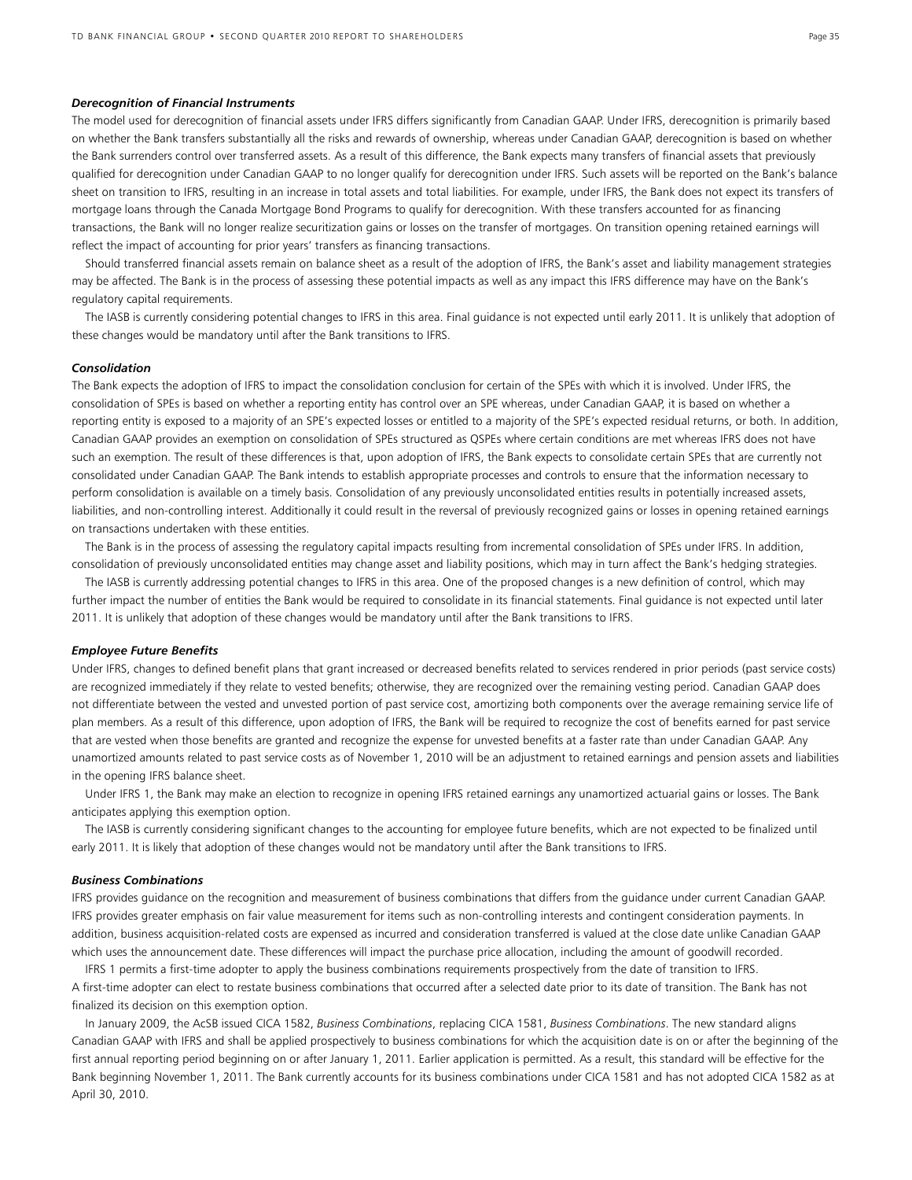#### *Derecognition of Financial Instruments*

The model used for derecognition of financial assets under IFRS differs significantly from Canadian GAAP. Under IFRS, derecognition is primarily based on whether the Bank transfers substantially all the risks and rewards of ownership, whereas under Canadian GAAP, derecognition is based on whether the Bank surrenders control over transferred assets. As a result of this difference, the Bank expects many transfers of financial assets that previously qualified for derecognition under Canadian GAAP to no longer qualify for derecognition under IFRS. Such assets will be reported on the Bank's balance sheet on transition to IFRS, resulting in an increase in total assets and total liabilities. For example, under IFRS, the Bank does not expect its transfers of mortgage loans through the Canada Mortgage Bond Programs to qualify for derecognition. With these transfers accounted for as financing transactions, the Bank will no longer realize securitization gains or losses on the transfer of mortgages. On transition opening retained earnings will reflect the impact of accounting for prior years' transfers as financing transactions.

 Should transferred financial assets remain on balance sheet as a result of the adoption of IFRS, the Bank's asset and liability management strategies may be affected. The Bank is in the process of assessing these potential impacts as well as any impact this IFRS difference may have on the Bank's regulatory capital requirements.

 The IASB is currently considering potential changes to IFRS in this area. Final guidance is not expected until early 2011. It is unlikely that adoption of these changes would be mandatory until after the Bank transitions to IFRS.

#### *Consolidation*

The Bank expects the adoption of IFRS to impact the consolidation conclusion for certain of the SPEs with which it is involved. Under IFRS, the consolidation of SPEs is based on whether a reporting entity has control over an SPE whereas, under Canadian GAAP, it is based on whether a reporting entity is exposed to a majority of an SPE's expected losses or entitled to a majority of the SPE's expected residual returns, or both. In addition, Canadian GAAP provides an exemption on consolidation of SPEs structured as QSPEs where certain conditions are met whereas IFRS does not have such an exemption. The result of these differences is that, upon adoption of IFRS, the Bank expects to consolidate certain SPEs that are currently not consolidated under Canadian GAAP. The Bank intends to establish appropriate processes and controls to ensure that the information necessary to perform consolidation is available on a timely basis. Consolidation of any previously unconsolidated entities results in potentially increased assets, liabilities, and non-controlling interest. Additionally it could result in the reversal of previously recognized gains or losses in opening retained earnings on transactions undertaken with these entities.

 The Bank is in the process of assessing the regulatory capital impacts resulting from incremental consolidation of SPEs under IFRS. In addition, consolidation of previously unconsolidated entities may change asset and liability positions, which may in turn affect the Bank's hedging strategies.

 The IASB is currently addressing potential changes to IFRS in this area. One of the proposed changes is a new definition of control, which may further impact the number of entities the Bank would be required to consolidate in its financial statements. Final guidance is not expected until later 2011. It is unlikely that adoption of these changes would be mandatory until after the Bank transitions to IFRS.

#### *Employee Future Benefits*

Under IFRS, changes to defined benefit plans that grant increased or decreased benefits related to services rendered in prior periods (past service costs) are recognized immediately if they relate to vested benefits; otherwise, they are recognized over the remaining vesting period. Canadian GAAP does not differentiate between the vested and unvested portion of past service cost, amortizing both components over the average remaining service life of plan members. As a result of this difference, upon adoption of IFRS, the Bank will be required to recognize the cost of benefits earned for past service that are vested when those benefits are granted and recognize the expense for unvested benefits at a faster rate than under Canadian GAAP. Any unamortized amounts related to past service costs as of November 1, 2010 will be an adjustment to retained earnings and pension assets and liabilities in the opening IFRS balance sheet.

 Under IFRS 1, the Bank may make an election to recognize in opening IFRS retained earnings any unamortized actuarial gains or losses. The Bank anticipates applying this exemption option.

 The IASB is currently considering significant changes to the accounting for employee future benefits, which are not expected to be finalized until early 2011. It is likely that adoption of these changes would not be mandatory until after the Bank transitions to IFRS.

#### *Business Combinations*

IFRS provides guidance on the recognition and measurement of business combinations that differs from the guidance under current Canadian GAAP. IFRS provides greater emphasis on fair value measurement for items such as non-controlling interests and contingent consideration payments. In addition, business acquisition-related costs are expensed as incurred and consideration transferred is valued at the close date unlike Canadian GAAP which uses the announcement date. These differences will impact the purchase price allocation, including the amount of goodwill recorded.

 IFRS 1 permits a first-time adopter to apply the business combinations requirements prospectively from the date of transition to IFRS. A first-time adopter can elect to restate business combinations that occurred after a selected date prior to its date of transition. The Bank has not finalized its decision on this exemption option.

 In January 2009, the AcSB issued CICA 1582, *Business Combinations*, replacing CICA 1581, *Business Combinations*. The new standard aligns Canadian GAAP with IFRS and shall be applied prospectively to business combinations for which the acquisition date is on or after the beginning of the first annual reporting period beginning on or after January 1, 2011. Earlier application is permitted. As a result, this standard will be effective for the Bank beginning November 1, 2011. The Bank currently accounts for its business combinations under CICA 1581 and has not adopted CICA 1582 as at April 30, 2010.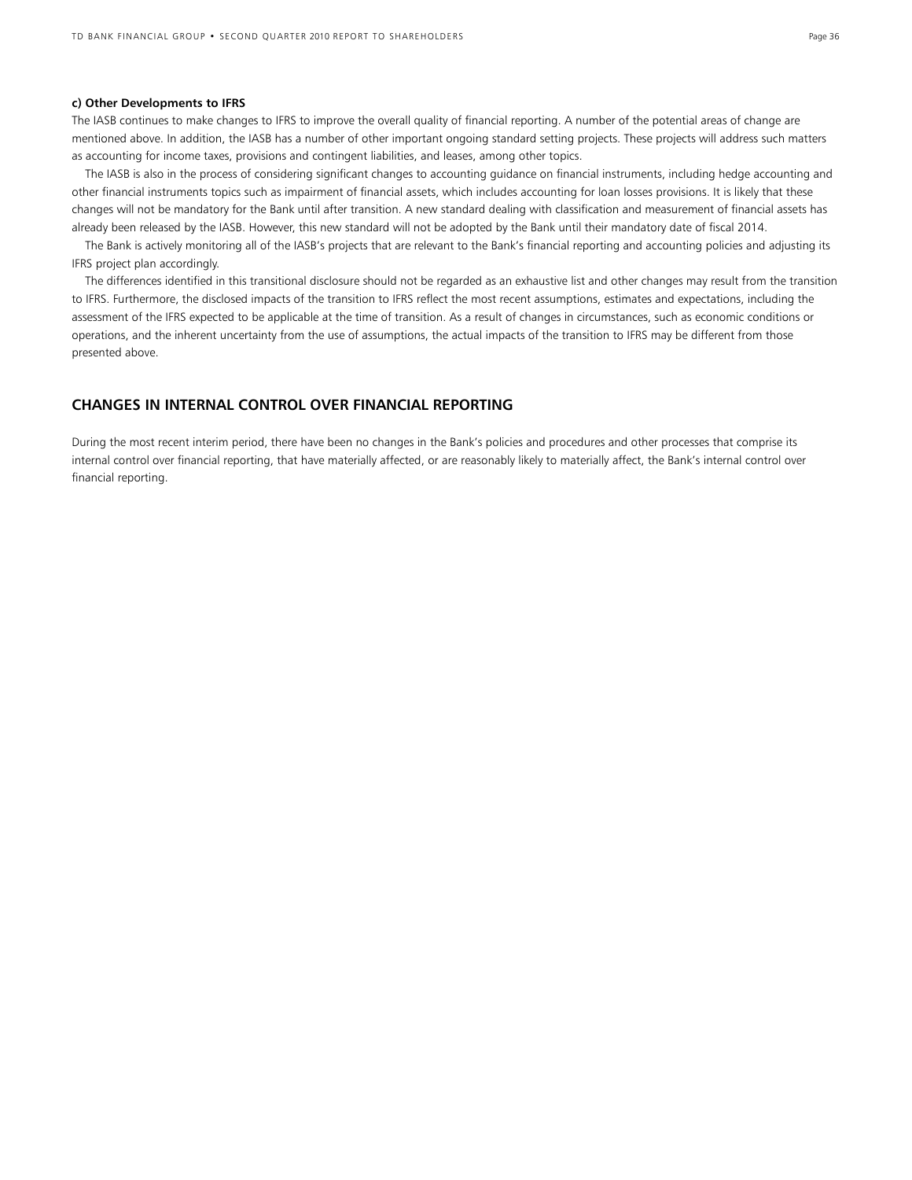#### **c) Other Developments to IFRS**

The IASB continues to make changes to IFRS to improve the overall quality of financial reporting. A number of the potential areas of change are mentioned above. In addition, the IASB has a number of other important ongoing standard setting projects. These projects will address such matters as accounting for income taxes, provisions and contingent liabilities, and leases, among other topics.

 The IASB is also in the process of considering significant changes to accounting guidance on financial instruments, including hedge accounting and other financial instruments topics such as impairment of financial assets, which includes accounting for loan losses provisions. It is likely that these changes will not be mandatory for the Bank until after transition. A new standard dealing with classification and measurement of financial assets has already been released by the IASB. However, this new standard will not be adopted by the Bank until their mandatory date of fiscal 2014.

 The Bank is actively monitoring all of the IASB's projects that are relevant to the Bank's financial reporting and accounting policies and adjusting its IFRS project plan accordingly.

 The differences identified in this transitional disclosure should not be regarded as an exhaustive list and other changes may result from the transition to IFRS. Furthermore, the disclosed impacts of the transition to IFRS reflect the most recent assumptions, estimates and expectations, including the assessment of the IFRS expected to be applicable at the time of transition. As a result of changes in circumstances, such as economic conditions or operations, and the inherent uncertainty from the use of assumptions, the actual impacts of the transition to IFRS may be different from those presented above.

## **CHANGES IN INTERNAL CONTROL OVER FINANCIAL REPORTING**

During the most recent interim period, there have been no changes in the Bank's policies and procedures and other processes that comprise its internal control over financial reporting, that have materially affected, or are reasonably likely to materially affect, the Bank's internal control over financial reporting.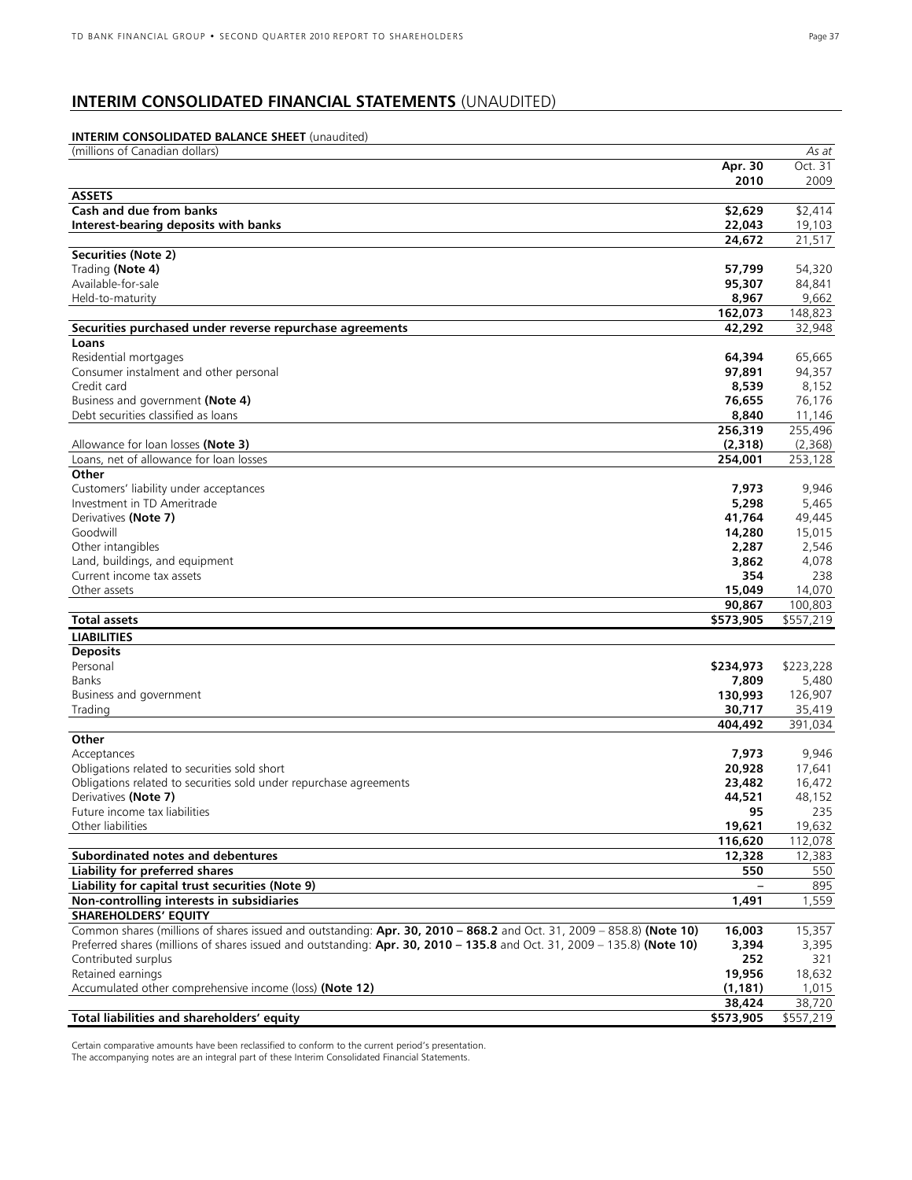## **INTERIM CONSOLIDATED FINANCIAL STATEMENTS** (UNAUDITED)

## **INTERIM CONSOLIDATED BALANCE SHEET** (unaudited)

| (millions of Canadian dollars)                                                                                          |           | As at     |
|-------------------------------------------------------------------------------------------------------------------------|-----------|-----------|
|                                                                                                                         | Apr. 30   | Oct. 31   |
|                                                                                                                         | 2010      | 2009      |
| <b>ASSETS</b>                                                                                                           |           |           |
| Cash and due from banks                                                                                                 | \$2,629   | \$2,414   |
| Interest-bearing deposits with banks                                                                                    | 22,043    | 19,103    |
|                                                                                                                         | 24,672    | 21,517    |
| Securities (Note 2)                                                                                                     |           |           |
| Trading (Note 4)                                                                                                        | 57,799    | 54,320    |
| Available-for-sale                                                                                                      | 95,307    | 84,841    |
| Held-to-maturity                                                                                                        | 8,967     | 9,662     |
|                                                                                                                         | 162,073   | 148,823   |
| Securities purchased under reverse repurchase agreements                                                                | 42,292    | 32,948    |
| Loans                                                                                                                   |           |           |
| Residential mortgages                                                                                                   | 64,394    | 65,665    |
| Consumer instalment and other personal                                                                                  | 97,891    | 94,357    |
| Credit card                                                                                                             | 8,539     | 8,152     |
| Business and government (Note 4)                                                                                        | 76,655    | 76,176    |
| Debt securities classified as loans                                                                                     | 8,840     | 11,146    |
|                                                                                                                         | 256,319   | 255,496   |
| Allowance for loan losses (Note 3)                                                                                      | (2,318)   | (2,368)   |
| Loans, net of allowance for loan losses                                                                                 | 254,001   | 253,128   |
| Other                                                                                                                   |           |           |
| Customers' liability under acceptances                                                                                  | 7,973     | 9,946     |
| Investment in TD Ameritrade                                                                                             | 5,298     | 5,465     |
| Derivatives (Note 7)                                                                                                    | 41,764    | 49,445    |
| Goodwill                                                                                                                | 14,280    | 15,015    |
| Other intangibles                                                                                                       | 2,287     | 2,546     |
| Land, buildings, and equipment                                                                                          | 3,862     | 4,078     |
| Current income tax assets                                                                                               | 354       | 238       |
| Other assets                                                                                                            | 15,049    | 14,070    |
|                                                                                                                         | 90,867    | 100,803   |
| <b>Total assets</b>                                                                                                     | \$573,905 | \$557,219 |
| <b>LIABILITIES</b>                                                                                                      |           |           |
| <b>Deposits</b>                                                                                                         |           |           |
| Personal                                                                                                                | \$234,973 | \$223,228 |
| Banks                                                                                                                   | 7,809     | 5,480     |
| Business and government                                                                                                 | 130,993   | 126,907   |
| Trading                                                                                                                 | 30,717    | 35,419    |
|                                                                                                                         | 404,492   | 391,034   |
| Other                                                                                                                   |           |           |
| Acceptances                                                                                                             | 7,973     | 9,946     |
| Obligations related to securities sold short                                                                            | 20,928    | 17,641    |
| Obligations related to securities sold under repurchase agreements                                                      | 23,482    | 16,472    |
| Derivatives (Note 7)                                                                                                    | 44,521    | 48,152    |
| Future income tax liabilities                                                                                           | 95        | 235       |
| Other liabilities                                                                                                       | 19,621    | 19,632    |
|                                                                                                                         | 116,620   | 112,078   |
| Subordinated notes and debentures                                                                                       | 12,328    | 12,383    |
| Liability for preferred shares                                                                                          | 550       | 550       |
| Liability for capital trust securities (Note 9)                                                                         |           | 895       |
| Non-controlling interests in subsidiaries                                                                               | 1,491     | 1,559     |
| <b>SHAREHOLDERS' EQUITY</b>                                                                                             |           |           |
| Common shares (millions of shares issued and outstanding: Apr. 30, 2010 - 868.2 and Oct. 31, 2009 - 858.8) (Note 10)    | 16,003    | 15,357    |
| Preferred shares (millions of shares issued and outstanding: Apr. 30, 2010 - 135.8 and Oct. 31, 2009 - 135.8) (Note 10) | 3,394     | 3,395     |
| Contributed surplus                                                                                                     | 252       | 321       |
| Retained earnings                                                                                                       | 19,956    | 18,632    |
| Accumulated other comprehensive income (loss) (Note 12)                                                                 | (1, 181)  | 1,015     |
|                                                                                                                         | 38,424    | 38,720    |
| Total liabilities and shareholders' equity                                                                              | \$573,905 | \$557,219 |

Certain comparative amounts have been reclassified to conform to the current period's presentation. The accompanying notes are an integral part of these Interim Consolidated Financial Statements.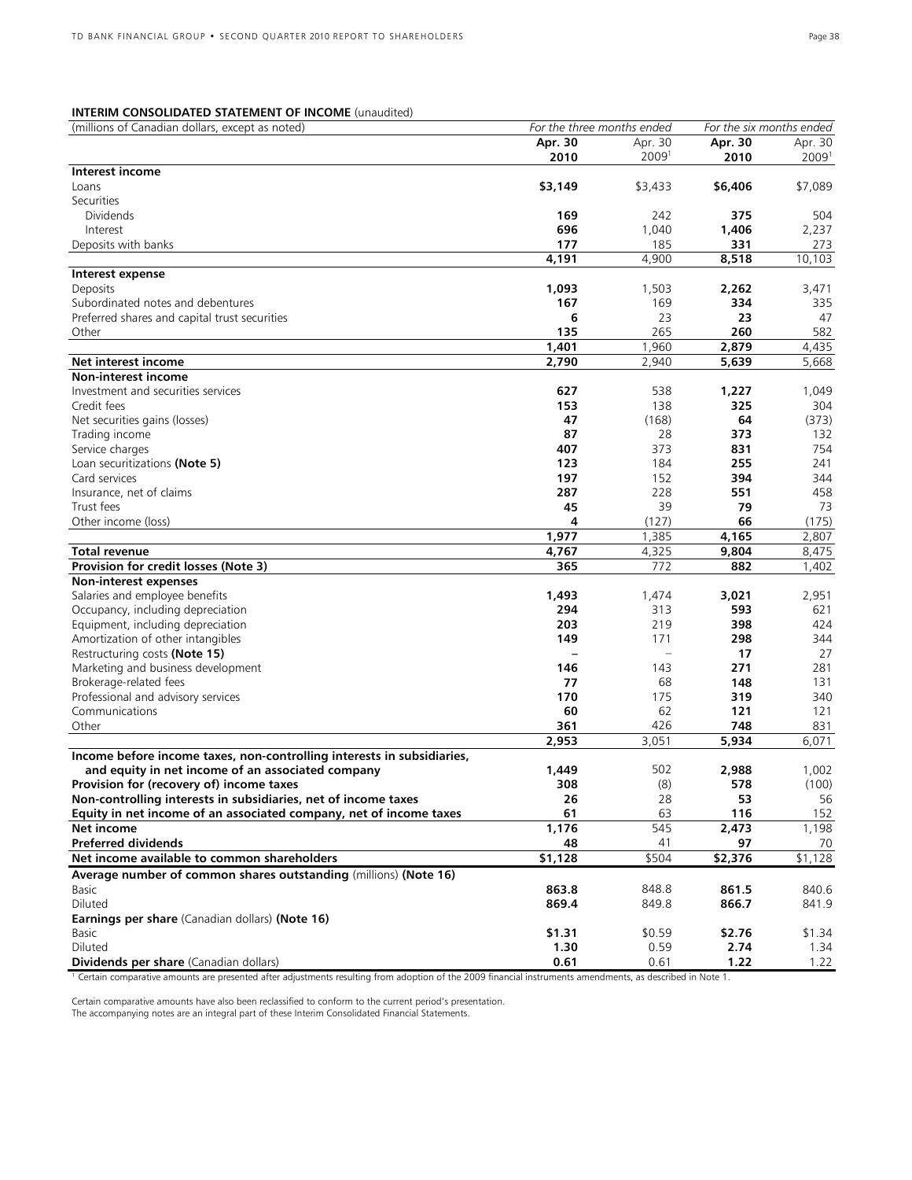## **INTERIM CONSOLIDATED STATEMENT OF INCOME** (unaudited)

| (millions of Canadian dollars, except as noted)                        | For the three months ended |                          | For the six months ended |                     |
|------------------------------------------------------------------------|----------------------------|--------------------------|--------------------------|---------------------|
|                                                                        | Apr. 30                    | Apr. 30                  | Apr. 30                  | Apr. 30             |
|                                                                        | 2010                       | 20091                    | 2010                     | 2009 <sup>1</sup>   |
| Interest income                                                        |                            |                          |                          |                     |
| Loans                                                                  | \$3,149                    | \$3,433                  | \$6,406                  | \$7,089             |
| Securities                                                             |                            |                          |                          |                     |
| <b>Dividends</b>                                                       | 169                        | 242                      | 375                      | 504                 |
| Interest                                                               | 696                        | 1,040                    | 1,406                    | 2,237               |
| Deposits with banks                                                    | 177                        | 185                      | 331                      | 273                 |
|                                                                        | 4,191                      | 4,900                    | 8,518                    | 10,103              |
| Interest expense                                                       |                            |                          |                          |                     |
| Deposits                                                               | 1,093                      | 1,503                    | 2,262                    | 3,471               |
| Subordinated notes and debentures                                      | 167                        | 169                      | 334                      | 335                 |
| Preferred shares and capital trust securities                          | 6                          | 23                       | 23                       | 47                  |
| Other                                                                  | 135                        | 265                      | 260                      | 582                 |
|                                                                        | 1,401                      | 1,960                    | 2,879                    | 4,435               |
| Net interest income                                                    | 2,790                      | 2,940                    | 5,639                    | 5,668               |
| <b>Non-interest income</b>                                             |                            |                          |                          |                     |
| Investment and securities services                                     | 627                        | 538                      | 1,227                    | 1,049               |
| Credit fees                                                            | 153                        | 138                      | 325                      | 304                 |
| Net securities gains (losses)                                          | 47                         | (168)                    | 64                       | (373)               |
| Trading income                                                         | 87                         | 28                       | 373                      | 132                 |
| Service charges                                                        | 407                        | 373                      | 831                      | 754                 |
| Loan securitizations (Note 5)                                          | 123                        | 184                      | 255                      | 241                 |
| Card services                                                          | 197                        | 152                      | 394                      | 344                 |
| Insurance, net of claims                                               | 287                        | 228                      | 551                      | 458                 |
| Trust fees                                                             | 45                         | 39                       | 79                       | 73                  |
| Other income (loss)                                                    | 4                          | (127)                    | 66                       | (175)               |
|                                                                        | 1,977                      | 1,385                    | 4,165                    | 2,807               |
| Total revenue                                                          | 4,767                      | 4,325                    | 9,804                    | 8,475               |
| Provision for credit losses (Note 3)                                   | 365                        | 772                      | 882                      | 1,402               |
| Non-interest expenses                                                  |                            |                          |                          |                     |
| Salaries and employee benefits                                         | 1,493                      | 1,474                    | 3,021                    | 2,951               |
| Occupancy, including depreciation                                      | 294                        | 313                      | 593                      | 621                 |
| Equipment, including depreciation                                      | 203                        | 219                      | 398                      | 424                 |
| Amortization of other intangibles                                      | 149                        | 171                      | 298                      | 344                 |
| Restructuring costs (Note 15)                                          |                            | $\overline{\phantom{0}}$ | 17                       | 27                  |
| Marketing and business development                                     | 146                        | 143                      | 271                      | 281                 |
| Brokerage-related fees                                                 | 77                         | 68                       | 148                      | 131                 |
| Professional and advisory services                                     | 170                        | 175                      | 319                      | 340                 |
| Communications                                                         | 60                         | 62                       | 121                      | 121                 |
| Other                                                                  | 361                        | 426                      | 748                      | 831                 |
|                                                                        | 2,953                      | 3,051                    | 5,934                    | 6,071               |
| Income before income taxes, non-controlling interests in subsidiaries, |                            |                          |                          |                     |
| and equity in net income of an associated company                      | 1,449                      | 502                      | 2,988                    | 1,002               |
| Provision for (recovery of) income taxes                               | 308                        | (8)                      | 578                      | (100)               |
| Non-controlling interests in subsidiaries, net of income taxes         | 26                         | 28                       | 53                       | 56                  |
| Equity in net income of an associated company, net of income taxes     | 61                         | 63                       | 116                      | 152                 |
| Net income                                                             | 1,176                      | 545                      | $\overline{2,}473$       | 1,198               |
| <b>Preferred dividends</b>                                             | 48                         | 41                       | 97                       | 70                  |
| Net income available to common shareholders                            | \$1,128                    | \$504                    | $\overline{$}2,376$      | $\overline{$1,128}$ |
| Average number of common shares outstanding (millions) (Note 16)       |                            |                          |                          |                     |
| Basic                                                                  | 863.8                      | 848.8                    | 861.5                    | 840.6               |
| Diluted                                                                | 869.4                      | 849.8                    | 866.7                    | 841.9               |
| Earnings per share (Canadian dollars) (Note 16)                        |                            |                          |                          |                     |
| Basic                                                                  | \$1.31                     | \$0.59                   | \$2.76                   | \$1.34              |
| Diluted                                                                | 1.30                       | 0.59                     | 2.74                     | 1.34                |
| Dividends per share (Canadian dollars)                                 | 0.61                       | 0.61                     | 1.22                     | 1.22                |

1 Certain comparative amounts are presented after adjustments resulting from adoption of the 2009 financial instruments amendments, as described in Note 1.

Certain comparative amounts have also been reclassified to conform to the current period's presentation.

The accompanying notes are an integral part of these Interim Consolidated Financial Statements.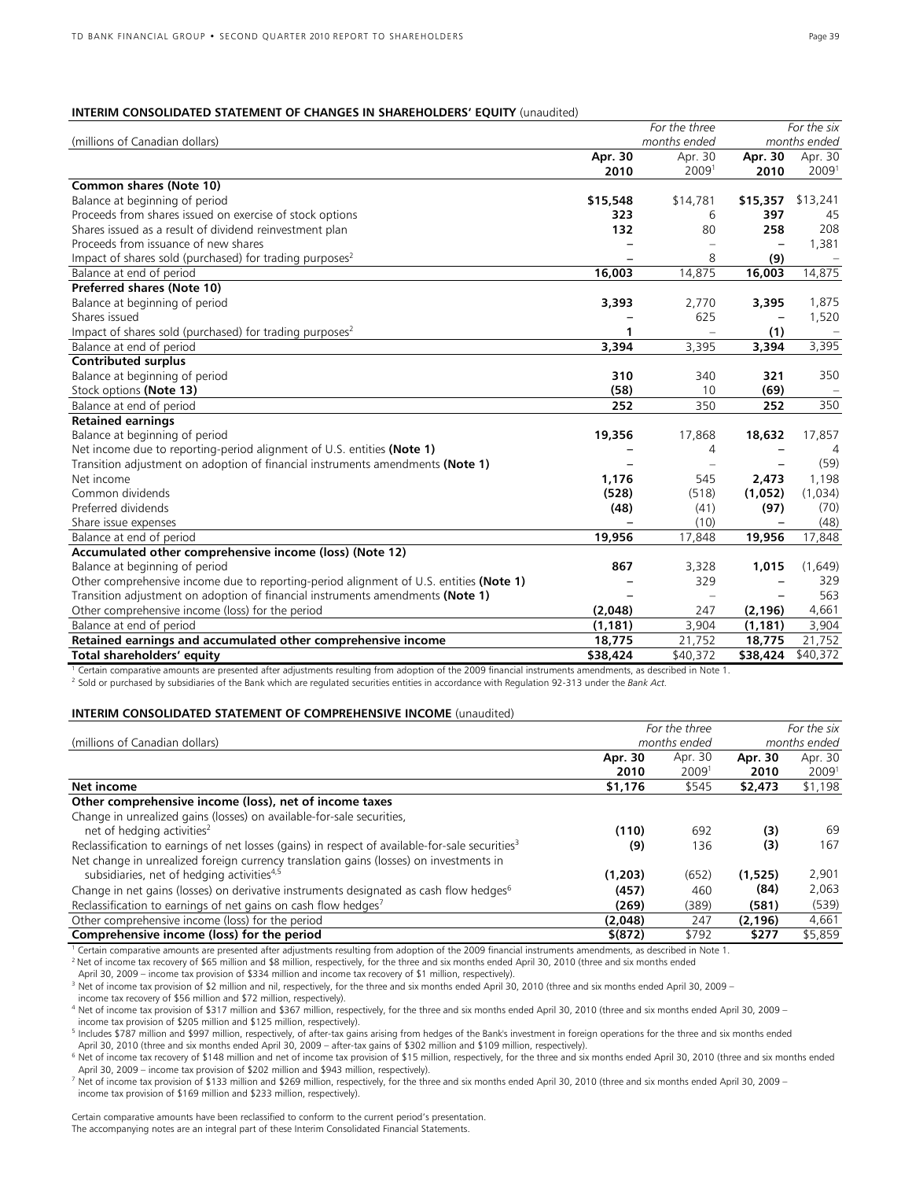#### **INTERIM CONSOLIDATED STATEMENT OF CHANGES IN SHAREHOLDERS' EQUITY** (unaudited)

|                                                                                        |          | For the three            |          | For the six  |
|----------------------------------------------------------------------------------------|----------|--------------------------|----------|--------------|
| (millions of Canadian dollars)                                                         |          | months ended             |          | months ended |
|                                                                                        | Apr. 30  | Apr. 30                  | Apr. 30  | Apr. 30      |
|                                                                                        | 2010     | 20091                    | 2010     | 20091        |
| Common shares (Note 10)                                                                |          |                          |          |              |
| Balance at beginning of period                                                         | \$15,548 | \$14,781                 | \$15,357 | \$13,241     |
| Proceeds from shares issued on exercise of stock options                               | 323      | 6                        | 397      | 45           |
| Shares issued as a result of dividend reinvestment plan                                | 132      | 80                       | 258      | 208          |
| Proceeds from issuance of new shares                                                   |          |                          |          | 1,381        |
| Impact of shares sold (purchased) for trading purposes <sup>2</sup>                    |          | 8                        | (9)      |              |
| Balance at end of period                                                               | 16,003   | 14,875                   | 16,003   | 14,875       |
| Preferred shares (Note 10)                                                             |          |                          |          |              |
| Balance at beginning of period                                                         | 3,393    | 2,770                    | 3,395    | 1,875        |
| Shares issued                                                                          |          | 625                      |          | 1,520        |
| Impact of shares sold (purchased) for trading purposes <sup>2</sup>                    | 1        | $\overline{\phantom{m}}$ | (1)      |              |
| Balance at end of period                                                               | 3,394    | 3,395                    | 3,394    | 3,395        |
| <b>Contributed surplus</b>                                                             |          |                          |          |              |
| Balance at beginning of period                                                         | 310      | 340                      | 321      | 350          |
| Stock options (Note 13)                                                                | (58)     | 10                       | (69)     |              |
| Balance at end of period                                                               | 252      | 350                      | 252      | 350          |
| <b>Retained earnings</b>                                                               |          |                          |          |              |
| Balance at beginning of period                                                         | 19,356   | 17,868                   | 18,632   | 17,857       |
| Net income due to reporting-period alignment of U.S. entities (Note 1)                 |          | 4                        |          | 4            |
| Transition adjustment on adoption of financial instruments amendments (Note 1)         |          | $\overline{\phantom{0}}$ |          | (59)         |
| Net income                                                                             | 1,176    | 545                      | 2,473    | 1,198        |
| Common dividends                                                                       | (528)    | (518)                    | (1,052)  | (1,034)      |
| Preferred dividends                                                                    | (48)     | (41)                     | (97)     | (70)         |
| Share issue expenses                                                                   |          | (10)                     |          | (48)         |
| Balance at end of period                                                               | 19,956   | 17,848                   | 19,956   | 17,848       |
| Accumulated other comprehensive income (loss) (Note 12)                                |          |                          |          |              |
| Balance at beginning of period                                                         | 867      | 3,328                    | 1,015    | (1,649)      |
| Other comprehensive income due to reporting-period alignment of U.S. entities (Note 1) |          | 329                      |          | 329          |
| Transition adjustment on adoption of financial instruments amendments (Note 1)         |          | $\equiv$                 |          | 563          |
| Other comprehensive income (loss) for the period                                       | (2,048)  | 247                      | (2, 196) | 4,661        |
| Balance at end of period                                                               | (1, 181) | 3,904                    | (1, 181) | 3,904        |
| Retained earnings and accumulated other comprehensive income                           | 18,775   | 21,752                   | 18,775   | 21,752       |
| Total shareholders' equity                                                             | \$38,424 | \$40,372                 | \$38,424 | \$40,372     |

<sup>1</sup> Certain comparative amounts are presented after adjustments resulting from adoption of the 2009 financial instruments amendments, as described in Note 1.

<sup>2</sup> Sold or purchased by subsidiaries of the Bank which are regulated securities entities in accordance with Regulation 92-313 under the *Bank Act.* 

#### **INTERIM CONSOLIDATED STATEMENT OF COMPREHENSIVE INCOME** (unaudited)

|                                                                                                             |             | For the three     |          | For the six  |
|-------------------------------------------------------------------------------------------------------------|-------------|-------------------|----------|--------------|
| (millions of Canadian dollars)                                                                              |             | months ended      |          | months ended |
|                                                                                                             | Apr. 30     | Apr. 30           | Apr. 30  | Apr. 30      |
|                                                                                                             | 2010        | 2009 <sup>1</sup> | 2010     | 20091        |
| Net income                                                                                                  | \$1,176     | \$545             | \$2,473  | \$1,198      |
| Other comprehensive income (loss), net of income taxes                                                      |             |                   |          |              |
| Change in unrealized gains (losses) on available-for-sale securities,                                       |             |                   |          |              |
| net of hedging activities <sup>2</sup>                                                                      | (110)       | 692               | (3)      | 69           |
| Reclassification to earnings of net losses (gains) in respect of available-for-sale securities <sup>3</sup> | (9)         | 136               | (3)      | 167          |
| Net change in unrealized foreign currency translation gains (losses) on investments in                      |             |                   |          |              |
| subsidiaries, net of hedging activities <sup>4,5</sup>                                                      | (1,203)     | (652)             | (1,525)  | 2,901        |
| Change in net gains (losses) on derivative instruments designated as cash flow hedges <sup>6</sup>          | (457)       | 460               | (84)     | 2,063        |
| Reclassification to earnings of net gains on cash flow hedges <sup>7</sup>                                  | (269)       | (389)             | (581)    | (539)        |
| Other comprehensive income (loss) for the period                                                            | (2,048)     | 247               | (2, 196) | 4,661        |
| Comprehensive income (loss) for the period                                                                  | $$^{(872)}$ | \$792             | \$277    | \$5,859      |

Certain comparative amounts are presented after adjustments resulting from adoption of the 2009 financial instruments amendments, as described in Note 1.

<sup>2</sup> Net of income tax recovery of \$65 million and \$8 million, respectively, for the three and six months ended April 30, 2010 (three and six months ended

April 30, 2009 – income tax provision of \$334 million and income tax recovery of \$1 million, respectively).

income tax recovery of \$56 million and \$72 million, respectively).

4 Net of income tax provision of \$317 million and \$367 million, respectively, for the three and six months ended April 30, 2010 (three and six months ended April 30, 2009 – income tax provision of \$205 million and \$125 million, respectively).

<sup>5</sup> Includes \$787 million and \$997 million, respectively, of after-tax gains arising from hedges of the Bank's investment in foreign operations for the three and six months ended<br>April 30, 2010 (three and six months ended

<sup>6</sup> Net of income tax recovery of \$148 million and net of income tax provision of \$15 million, respectively, for the three and six months ended April 30, 2010 (three and six months ended April 30, 2009 – income tax provision of \$202 million and \$943 million, respectively).

7 Net of income tax provision of \$133 million and \$269 million, respectively, for the three and six months ended April 30, 2010 (three and six months ended April 30, 2009 – income tax provision of \$169 million and \$233 million, respectively).

Certain comparative amounts have been reclassified to conform to the current period's presentation. The accompanying notes are an integral part of these Interim Consolidated Financial Statements.

<sup>&</sup>lt;sup>3</sup> Net of income tax provision of \$2 million and nil, respectively, for the three and six months ended April 30, 2010 (three and six months ended April 30, 2009 –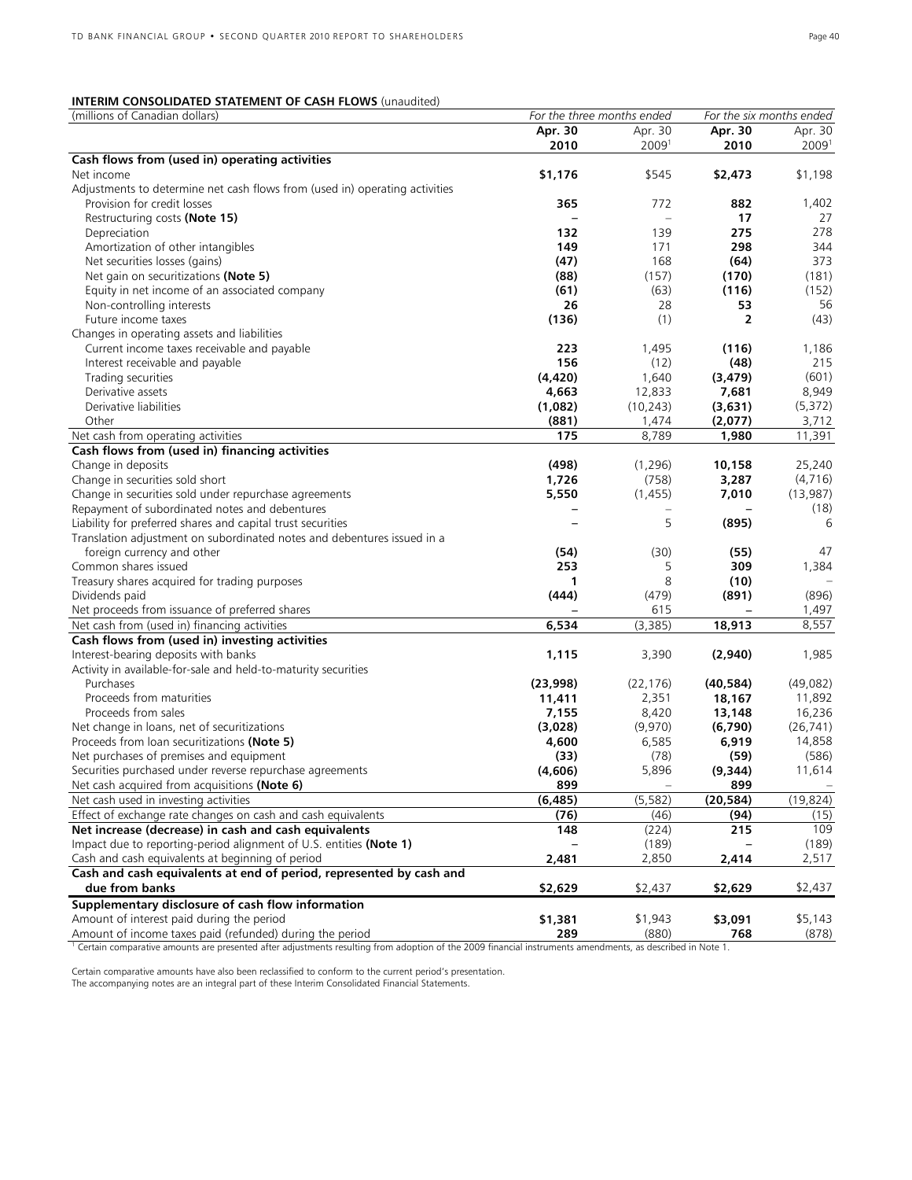## **INTERIM CONSOLIDATED STATEMENT OF CASH FLOWS** (unaudited)

| (millions of Canadian dollars)                                                                                                                                         | For the three months ended |           |                | For the six months ended |  |
|------------------------------------------------------------------------------------------------------------------------------------------------------------------------|----------------------------|-----------|----------------|--------------------------|--|
|                                                                                                                                                                        | Apr. 30                    | Apr. 30   | Apr. 30        | Apr. 30                  |  |
|                                                                                                                                                                        | 2010                       | 20091     | 2010           | 2009 <sup>1</sup>        |  |
| Cash flows from (used in) operating activities                                                                                                                         |                            |           |                |                          |  |
| Net income                                                                                                                                                             | \$1,176                    | \$545     | \$2,473        | \$1,198                  |  |
| Adjustments to determine net cash flows from (used in) operating activities                                                                                            |                            |           |                |                          |  |
| Provision for credit losses                                                                                                                                            | 365                        | 772       | 882            | 1,402                    |  |
| Restructuring costs (Note 15)                                                                                                                                          |                            | $\equiv$  | 17             | 27                       |  |
| Depreciation                                                                                                                                                           | 132                        | 139       | 275            | 278                      |  |
| Amortization of other intangibles                                                                                                                                      | 149                        | 171       | 298            | 344                      |  |
| Net securities losses (gains)                                                                                                                                          | (47)                       | 168       | (64)           | 373                      |  |
| Net gain on securitizations (Note 5)                                                                                                                                   | (88)                       | (157)     | (170)          | (181)                    |  |
| Equity in net income of an associated company                                                                                                                          | (61)                       | (63)      | (116)          | (152)                    |  |
| Non-controlling interests                                                                                                                                              | 26                         | 28        | 53             | 56                       |  |
| Future income taxes                                                                                                                                                    | (136)                      | (1)       | $\overline{2}$ | (43)                     |  |
| Changes in operating assets and liabilities                                                                                                                            |                            |           |                |                          |  |
| Current income taxes receivable and payable                                                                                                                            | 223                        | 1,495     | (116)          | 1,186                    |  |
| Interest receivable and payable                                                                                                                                        | 156                        | (12)      | (48)           | 215                      |  |
| Trading securities                                                                                                                                                     | (4, 420)                   | 1,640     | (3, 479)       | (601)                    |  |
| Derivative assets                                                                                                                                                      | 4,663                      | 12,833    | 7,681          | 8,949                    |  |
| Derivative liabilities                                                                                                                                                 | (1,082)                    | (10, 243) | (3,631)        | (5, 372)                 |  |
| Other                                                                                                                                                                  | (881)                      | 1,474     | (2,077)        | 3,712                    |  |
| Net cash from operating activities                                                                                                                                     | 175                        | 8,789     | 1,980          | 11,391                   |  |
| Cash flows from (used in) financing activities                                                                                                                         |                            |           |                |                          |  |
| Change in deposits                                                                                                                                                     | (498)                      | (1,296)   | 10,158         | 25,240                   |  |
| Change in securities sold short                                                                                                                                        | 1,726                      | (758)     | 3,287          | (4, 716)                 |  |
| Change in securities sold under repurchase agreements                                                                                                                  | 5,550                      | (1, 455)  | 7,010          | (13,987)                 |  |
| Repayment of subordinated notes and debentures                                                                                                                         |                            |           |                | (18)                     |  |
| Liability for preferred shares and capital trust securities                                                                                                            |                            | 5         | (895)          | 6                        |  |
| Translation adjustment on subordinated notes and debentures issued in a                                                                                                |                            |           |                |                          |  |
| foreign currency and other                                                                                                                                             | (54)                       | (30)      | (55)           | 47                       |  |
| Common shares issued                                                                                                                                                   | 253                        | 5         | 309            | 1,384                    |  |
| Treasury shares acquired for trading purposes                                                                                                                          | 1                          | 8         | (10)           |                          |  |
| Dividends paid                                                                                                                                                         | (444)                      | (479)     | (891)          | (896)                    |  |
| Net proceeds from issuance of preferred shares                                                                                                                         |                            | 615       |                | 1,497                    |  |
| Net cash from (used in) financing activities                                                                                                                           | 6,534                      | (3, 385)  | 18,913         | 8,557                    |  |
| Cash flows from (used in) investing activities                                                                                                                         |                            |           |                |                          |  |
| Interest-bearing deposits with banks                                                                                                                                   | 1,115                      | 3,390     | (2,940)        | 1,985                    |  |
| Activity in available-for-sale and held-to-maturity securities                                                                                                         |                            |           |                |                          |  |
| Purchases                                                                                                                                                              | (23,998)                   | (22, 176) | (40, 584)      | (49,082)                 |  |
| Proceeds from maturities                                                                                                                                               | 11,411                     | 2,351     | 18,167         | 11,892                   |  |
| Proceeds from sales                                                                                                                                                    | 7,155                      | 8,420     | 13,148         | 16,236                   |  |
| Net change in loans, net of securitizations                                                                                                                            | (3,028)                    | (9,970)   | (6,790)        | (26, 741)                |  |
| Proceeds from loan securitizations (Note 5)                                                                                                                            | 4,600                      | 6,585     | 6,919          | 14,858                   |  |
| Net purchases of premises and equipment                                                                                                                                | (33)                       | (78)      | (59)           | (586)                    |  |
| Securities purchased under reverse repurchase agreements                                                                                                               | (4,606)                    | 5,896     | (9,344)        | 11,614                   |  |
| Net cash acquired from acquisitions (Note 6)                                                                                                                           | 899                        |           | 899            |                          |  |
| Net cash used in investing activities                                                                                                                                  | (6, 485)                   | (5, 582)  | (20, 584)      | (19, 824)                |  |
| Effect of exchange rate changes on cash and cash equivalents                                                                                                           | (76)                       | (46)      | (94)           | (15)                     |  |
| Net increase (decrease) in cash and cash equivalents                                                                                                                   | 148                        | (224)     | 215            | 109                      |  |
| Impact due to reporting-period alignment of U.S. entities (Note 1)                                                                                                     |                            | (189)     |                | (189)                    |  |
| Cash and cash equivalents at beginning of period                                                                                                                       | 2,481                      | 2,850     | 2,414          | 2,517                    |  |
| Cash and cash equivalents at end of period, represented by cash and                                                                                                    |                            |           |                |                          |  |
| due from banks                                                                                                                                                         | \$2,629                    | \$2,437   | \$2,629        | \$2,437                  |  |
| Supplementary disclosure of cash flow information                                                                                                                      |                            |           |                |                          |  |
| Amount of interest paid during the period                                                                                                                              | \$1,381                    | \$1,943   | \$3,091        | \$5,143                  |  |
| Amount of income taxes paid (refunded) during the period                                                                                                               | 289                        | (880)     | 768            | (878)                    |  |
| <sup>1</sup> Certain comparative amounts are presented after adjustments resulting from adoption of the 2009 financial instruments amendments, as described in Note 1. |                            |           |                |                          |  |

Certain comparative amounts have also been reclassified to conform to the current period's presentation.

The accompanying notes are an integral part of these Interim Consolidated Financial Statements.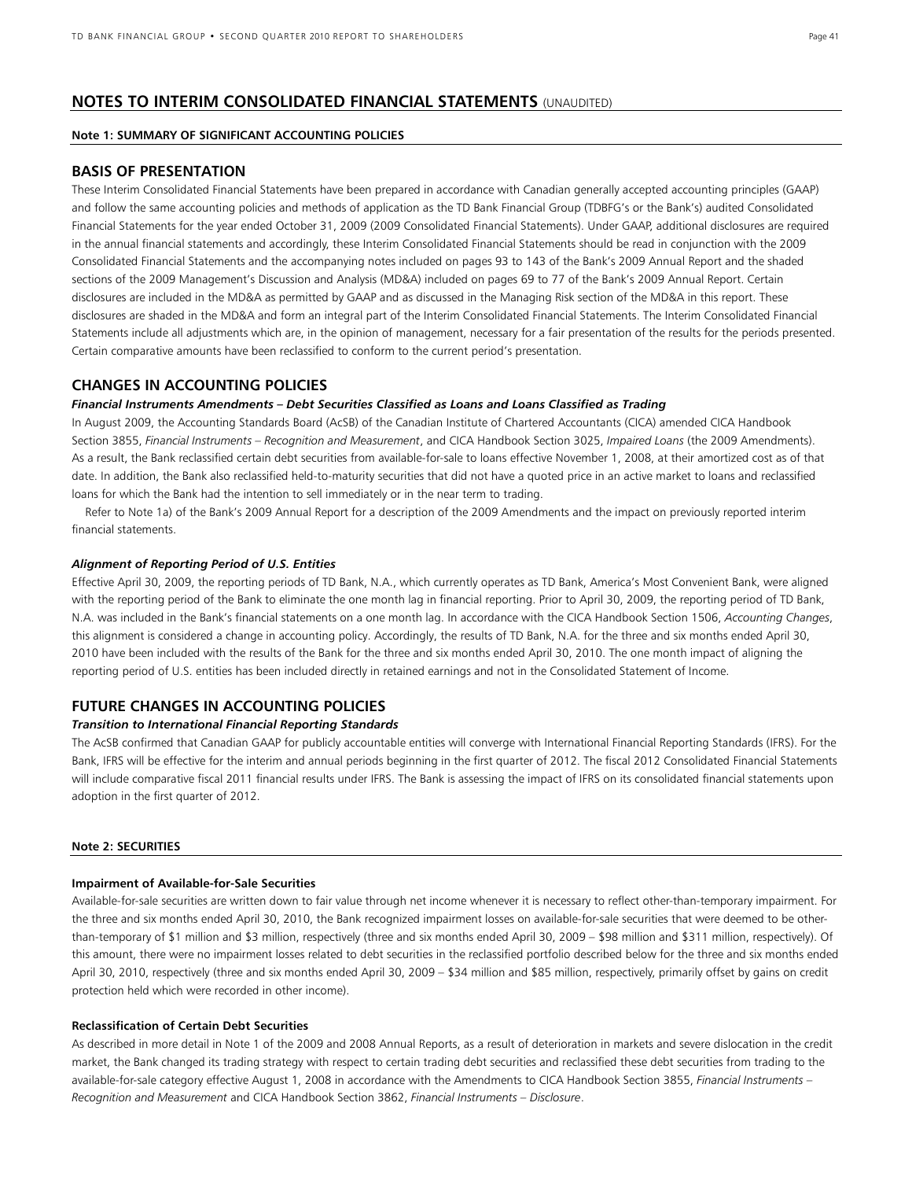## **NOTES TO INTERIM CONSOLIDATED FINANCIAL STATEMENTS** (UNAUDITED)

## **Note 1: SUMMARY OF SIGNIFICANT ACCOUNTING POLICIES**

## **BASIS OF PRESENTATION**

These Interim Consolidated Financial Statements have been prepared in accordance with Canadian generally accepted accounting principles (GAAP) and follow the same accounting policies and methods of application as the TD Bank Financial Group (TDBFG's or the Bank's) audited Consolidated Financial Statements for the year ended October 31, 2009 (2009 Consolidated Financial Statements). Under GAAP, additional disclosures are required in the annual financial statements and accordingly, these Interim Consolidated Financial Statements should be read in conjunction with the 2009 Consolidated Financial Statements and the accompanying notes included on pages 93 to 143 of the Bank's 2009 Annual Report and the shaded sections of the 2009 Management's Discussion and Analysis (MD&A) included on pages 69 to 77 of the Bank's 2009 Annual Report. Certain disclosures are included in the MD&A as permitted by GAAP and as discussed in the Managing Risk section of the MD&A in this report. These disclosures are shaded in the MD&A and form an integral part of the Interim Consolidated Financial Statements. The Interim Consolidated Financial Statements include all adjustments which are, in the opinion of management, necessary for a fair presentation of the results for the periods presented. Certain comparative amounts have been reclassified to conform to the current period's presentation.

## **CHANGES IN ACCOUNTING POLICIES**

#### *Financial Instruments Amendments – Debt Securities Classified as Loans and Loans Classified as Trading*

In August 2009, the Accounting Standards Board (AcSB) of the Canadian Institute of Chartered Accountants (CICA) amended CICA Handbook Section 3855, *Financial Instruments – Recognition and Measurement*, and CICA Handbook Section 3025, *Impaired Loans* (the 2009 Amendments). As a result, the Bank reclassified certain debt securities from available-for-sale to loans effective November 1, 2008, at their amortized cost as of that date. In addition, the Bank also reclassified held-to-maturity securities that did not have a quoted price in an active market to loans and reclassified loans for which the Bank had the intention to sell immediately or in the near term to trading.

 Refer to Note 1a) of the Bank's 2009 Annual Report for a description of the 2009 Amendments and the impact on previously reported interim financial statements.

#### *Alignment of Reporting Period of U.S. Entities*

Effective April 30, 2009, the reporting periods of TD Bank, N.A., which currently operates as TD Bank, America's Most Convenient Bank, were aligned with the reporting period of the Bank to eliminate the one month lag in financial reporting. Prior to April 30, 2009, the reporting period of TD Bank, N.A. was included in the Bank's financial statements on a one month lag. In accordance with the CICA Handbook Section 1506, *Accounting Changes*, this alignment is considered a change in accounting policy. Accordingly, the results of TD Bank, N.A. for the three and six months ended April 30, 2010 have been included with the results of the Bank for the three and six months ended April 30, 2010. The one month impact of aligning the reporting period of U.S. entities has been included directly in retained earnings and not in the Consolidated Statement of Income.

## **FUTURE CHANGES IN ACCOUNTING POLICIES**

#### *Transition to International Financial Reporting Standards*

The AcSB confirmed that Canadian GAAP for publicly accountable entities will converge with International Financial Reporting Standards (IFRS). For the Bank, IFRS will be effective for the interim and annual periods beginning in the first quarter of 2012. The fiscal 2012 Consolidated Financial Statements will include comparative fiscal 2011 financial results under IFRS. The Bank is assessing the impact of IFRS on its consolidated financial statements upon adoption in the first quarter of 2012.

#### **Note 2: SECURITIES**

#### **Impairment of Available-for-Sale Securities**

Available-for-sale securities are written down to fair value through net income whenever it is necessary to reflect other-than-temporary impairment. For the three and six months ended April 30, 2010, the Bank recognized impairment losses on available-for-sale securities that were deemed to be otherthan-temporary of \$1 million and \$3 million, respectively (three and six months ended April 30, 2009 – \$98 million and \$311 million, respectively). Of this amount, there were no impairment losses related to debt securities in the reclassified portfolio described below for the three and six months ended April 30, 2010, respectively (three and six months ended April 30, 2009 – \$34 million and \$85 million, respectively, primarily offset by gains on credit protection held which were recorded in other income).

#### **Reclassification of Certain Debt Securities**

As described in more detail in Note 1 of the 2009 and 2008 Annual Reports, as a result of deterioration in markets and severe dislocation in the credit market, the Bank changed its trading strategy with respect to certain trading debt securities and reclassified these debt securities from trading to the available-for-sale category effective August 1, 2008 in accordance with the Amendments to CICA Handbook Section 3855, *Financial Instruments – Recognition and Measurement* and CICA Handbook Section 3862, *Financial Instruments – Disclosure*.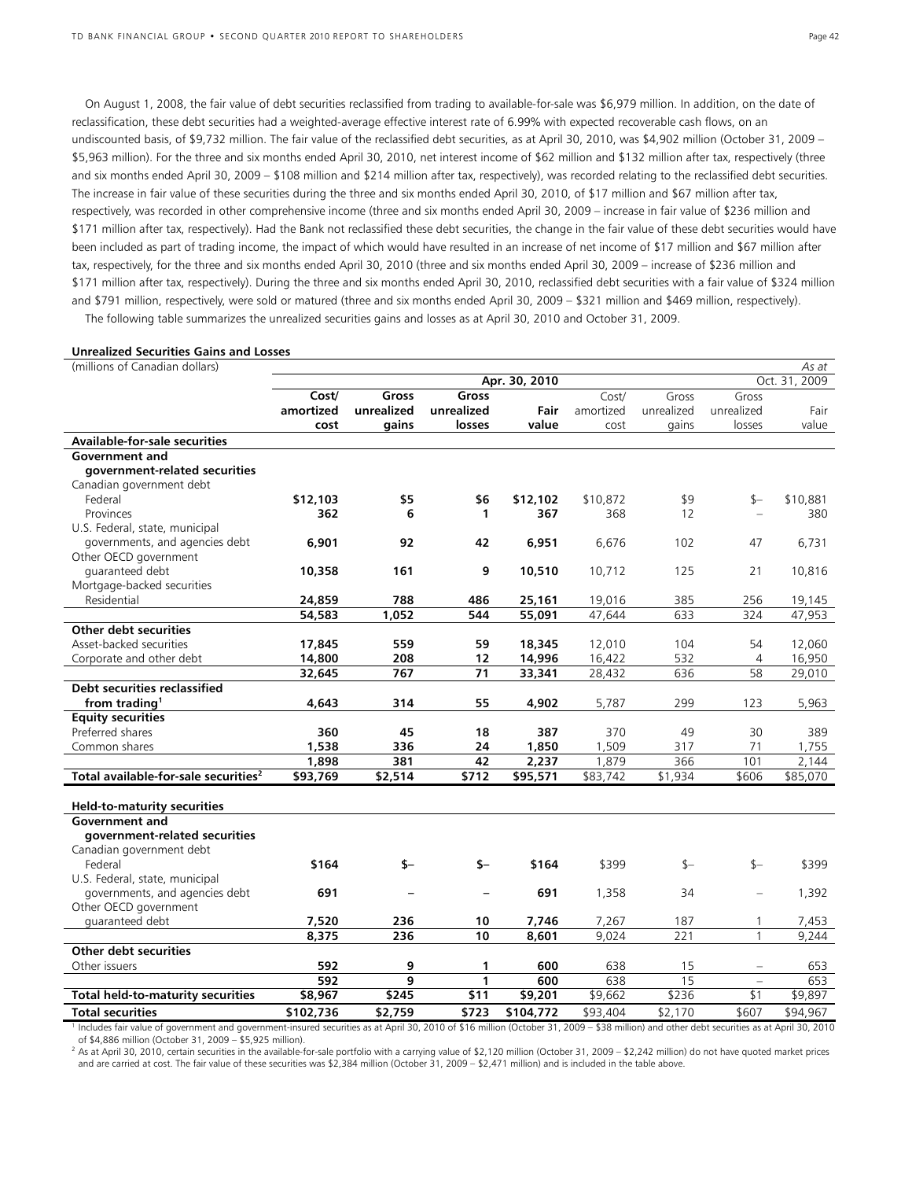On August 1, 2008, the fair value of debt securities reclassified from trading to available-for-sale was \$6,979 million. In addition, on the date of reclassification, these debt securities had a weighted-average effective interest rate of 6.99% with expected recoverable cash flows, on an undiscounted basis, of \$9,732 million. The fair value of the reclassified debt securities, as at April 30, 2010, was \$4,902 million (October 31, 2009 – \$5,963 million). For the three and six months ended April 30, 2010, net interest income of \$62 million and \$132 million after tax, respectively (three and six months ended April 30, 2009 – \$108 million and \$214 million after tax, respectively), was recorded relating to the reclassified debt securities. The increase in fair value of these securities during the three and six months ended April 30, 2010, of \$17 million and \$67 million after tax, respectively, was recorded in other comprehensive income (three and six months ended April 30, 2009 – increase in fair value of \$236 million and \$171 million after tax, respectively). Had the Bank not reclassified these debt securities, the change in the fair value of these debt securities would have been included as part of trading income, the impact of which would have resulted in an increase of net income of \$17 million and \$67 million after tax, respectively, for the three and six months ended April 30, 2010 (three and six months ended April 30, 2009 – increase of \$236 million and \$171 million after tax, respectively). During the three and six months ended April 30, 2010, reclassified debt securities with a fair value of \$324 million and \$791 million, respectively, were sold or matured (three and six months ended April 30, 2009 – \$321 million and \$469 million, respectively).

The following table summarizes the unrealized securities gains and losses as at April 30, 2010 and October 31, 2009.

#### **Unrealized Securities Gains and Losses**

| (millions of Canadian dollars)                                                                                                                                                            |           |            |            |               |           |            |              | As at         |
|-------------------------------------------------------------------------------------------------------------------------------------------------------------------------------------------|-----------|------------|------------|---------------|-----------|------------|--------------|---------------|
|                                                                                                                                                                                           |           |            |            | Apr. 30, 2010 |           |            |              | Oct. 31, 2009 |
|                                                                                                                                                                                           | Cost/     | Gross      | Gross      |               | Cost/     | Gross      | Gross        |               |
|                                                                                                                                                                                           | amortized | unrealized | unrealized | Fair          | amortized | unrealized | unrealized   | Fair          |
|                                                                                                                                                                                           | cost      | gains      | losses     | value         | cost      | gains      | losses       | value         |
| <b>Available-for-sale securities</b>                                                                                                                                                      |           |            |            |               |           |            |              |               |
| Government and                                                                                                                                                                            |           |            |            |               |           |            |              |               |
| government-related securities                                                                                                                                                             |           |            |            |               |           |            |              |               |
| Canadian government debt                                                                                                                                                                  |           |            |            |               |           |            |              |               |
| Federal                                                                                                                                                                                   | \$12,103  | \$5        | \$6        | \$12,102      | \$10,872  | \$9        | $s-$         | \$10,881      |
| Provinces                                                                                                                                                                                 | 362       | 6          | 1          | 367           | 368       | 12         |              | 380           |
| U.S. Federal, state, municipal                                                                                                                                                            |           |            |            |               |           |            |              |               |
| governments, and agencies debt                                                                                                                                                            | 6,901     | 92         | 42         | 6,951         | 6,676     | 102        | 47           | 6,731         |
| Other OECD government                                                                                                                                                                     |           |            |            |               |           |            |              |               |
| quaranteed debt                                                                                                                                                                           | 10,358    | 161        | 9          | 10,510        | 10,712    | 125        | 21           | 10,816        |
| Mortgage-backed securities                                                                                                                                                                |           |            |            |               |           |            |              |               |
| Residential                                                                                                                                                                               | 24,859    | 788        | 486        | 25,161        | 19,016    | 385        | 256          | 19,145        |
|                                                                                                                                                                                           | 54,583    | 1,052      | 544        | 55,091        | 47,644    | 633        | 324          | 47,953        |
| Other debt securities                                                                                                                                                                     |           |            |            |               |           |            |              |               |
| Asset-backed securities                                                                                                                                                                   | 17,845    | 559        | 59         | 18,345        | 12,010    | 104        | 54           | 12,060        |
| Corporate and other debt                                                                                                                                                                  | 14,800    | 208        | 12         | 14,996        | 16,422    | 532        | 4            | 16,950        |
|                                                                                                                                                                                           | 32,645    | 767        | 71         | 33,341        | 28,432    | 636        | 58           | 29,010        |
| <b>Debt securities reclassified</b>                                                                                                                                                       |           |            |            |               |           |            |              |               |
| from trading <sup>1</sup>                                                                                                                                                                 | 4,643     | 314        | 55         | 4,902         | 5,787     | 299        | 123          | 5,963         |
| <b>Equity securities</b>                                                                                                                                                                  |           |            |            |               |           |            |              |               |
| Preferred shares                                                                                                                                                                          | 360       | 45         | 18         | 387           | 370       | 49         | 30           | 389           |
| Common shares                                                                                                                                                                             | 1,538     | 336        | 24         | 1,850         | 1,509     | 317        | 71           | 1,755         |
|                                                                                                                                                                                           | 1.898     | 381        | 42         | 2,237         | 1.879     | 366        | 101          | 2.144         |
| Total available-for-sale securities <sup>2</sup>                                                                                                                                          | \$93,769  | \$2,514    | \$712      | \$95,571      | \$83,742  | \$1,934    | \$606        | \$85,070      |
|                                                                                                                                                                                           |           |            |            |               |           |            |              |               |
| <b>Held-to-maturity securities</b>                                                                                                                                                        |           |            |            |               |           |            |              |               |
| Government and                                                                                                                                                                            |           |            |            |               |           |            |              |               |
| government-related securities                                                                                                                                                             |           |            |            |               |           |            |              |               |
| Canadian government debt                                                                                                                                                                  |           |            |            |               |           |            |              |               |
| Federal                                                                                                                                                                                   | \$164     | $$-$       | $$-$       | \$164         | \$399     | \$—        | $S-$         | \$399         |
| U.S. Federal, state, municipal                                                                                                                                                            |           |            |            |               |           |            |              |               |
| governments, and agencies debt                                                                                                                                                            | 691       |            |            | 691           | 1,358     | 34         | $\equiv$     | 1,392         |
| Other OECD government                                                                                                                                                                     |           |            |            |               |           |            |              |               |
| guaranteed debt                                                                                                                                                                           | 7,520     | 236        | 10         | 7,746         | 7,267     | 187        | 1            | 7,453         |
|                                                                                                                                                                                           | 8,375     | 236        | 10         | 8,601         | 9,024     | 221        | $\mathbf{1}$ | 9,244         |
| <b>Other debt securities</b>                                                                                                                                                              |           |            |            |               |           |            |              |               |
| Other issuers                                                                                                                                                                             | 592       | 9          | 1          | 600           | 638       | 15         |              | 653           |
|                                                                                                                                                                                           | 592       | 9          | 1          | 600           | 638       | 15         | $\equiv$     | 653           |
| <b>Total held-to-maturity securities</b>                                                                                                                                                  | \$8,967   | \$245      | \$11       | \$9,201       | \$9,662   | \$236      | \$1          | \$9,897       |
| <b>Total securities</b>                                                                                                                                                                   | \$102,736 | \$2,759    | \$723      | \$104,772     | \$93,404  | \$2,170    | \$607        | \$94.967      |
| Includes fair value of government and government-insured securities as at April 30, 2010 of \$16 million (October 31, 2009 - \$38 million) and other debt securities as at April 30, 2010 |           |            |            |               |           |            |              |               |

of \$4,886 million (October 31, 2009 – \$5,925 million).

<sup>2</sup> As at April 30, 2010, certain securities in the available-for-sale portfolio with a carrying value of \$2,120 million (October 31, 2009 – \$2,242 million) do not have quoted market prices and are carried at cost. The fair value of these securities was \$2,384 million (October 31, 2009 – \$2,471 million) and is included in the table above.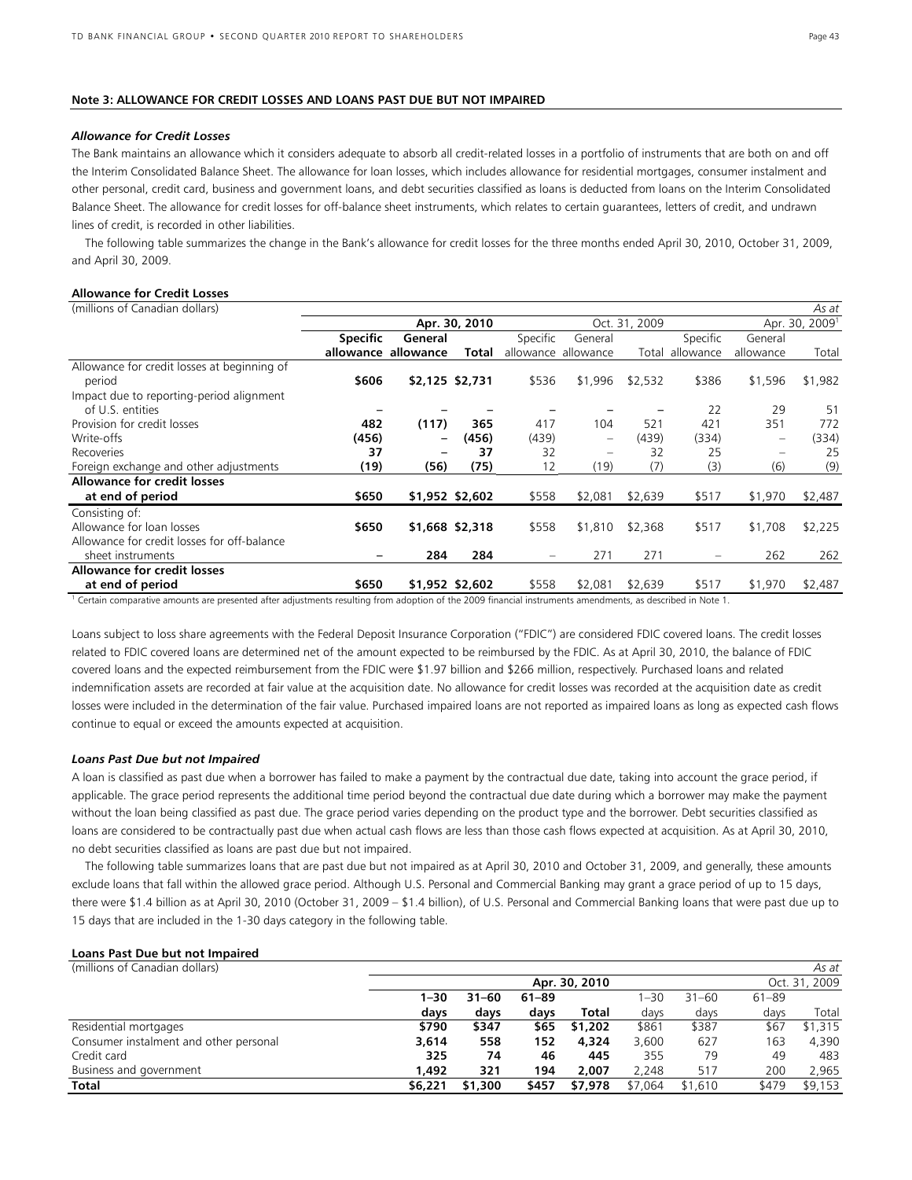#### **Note 3: ALLOWANCE FOR CREDIT LOSSES AND LOANS PAST DUE BUT NOT IMPAIRED**

#### *Allowance for Credit Losses*

The Bank maintains an allowance which it considers adequate to absorb all credit-related losses in a portfolio of instruments that are both on and off the Interim Consolidated Balance Sheet. The allowance for loan losses, which includes allowance for residential mortgages, consumer instalment and other personal, credit card, business and government loans, and debt securities classified as loans is deducted from loans on the Interim Consolidated Balance Sheet. The allowance for credit losses for off-balance sheet instruments, which relates to certain guarantees, letters of credit, and undrawn lines of credit, is recorded in other liabilities.

 The following table summarizes the change in the Bank's allowance for credit losses for the three months ended April 30, 2010, October 31, 2009, and April 30, 2009.

## **Allowance for Credit Losses**

| (millions of Canadian dollars)              |                 |           |                 |          |                          |               |                 |                          | As at                      |
|---------------------------------------------|-----------------|-----------|-----------------|----------|--------------------------|---------------|-----------------|--------------------------|----------------------------|
|                                             |                 |           | Apr. 30, 2010   |          |                          | Oct. 31, 2009 |                 |                          | Apr. 30, 2009 <sup>1</sup> |
|                                             | <b>Specific</b> | General   |                 | Specific | General                  |               | Specific        | General                  |                            |
|                                             | allowance       | allowance | Total           |          | allowance allowance      |               | Total allowance | allowance                | Total                      |
| Allowance for credit losses at beginning of |                 |           |                 |          |                          |               |                 |                          |                            |
| period                                      | \$606           |           | \$2,125 \$2,731 | \$536    | \$1,996                  | \$2,532       | \$386           | \$1,596                  | \$1,982                    |
| Impact due to reporting-period alignment    |                 |           |                 |          |                          |               |                 |                          |                            |
| of U.S. entities                            |                 |           |                 |          |                          |               | 22              | 29                       | 51                         |
| Provision for credit losses                 | 482             | (117)     | 365             | 417      | 104                      | 521           | 421             | 351                      | 772                        |
| Write-offs                                  | (456)           | -         | (456)           | (439)    | $\overline{\phantom{0}}$ | (439)         | (334)           | $\overline{\phantom{0}}$ | (334)                      |
| Recoveries                                  | 37              |           | 37              | 32       | $\overline{\phantom{0}}$ | 32            | 25              |                          | 25                         |
| Foreign exchange and other adjustments      | (19)            | (56)      | (75)            | 12       | (19)                     | (7)           | (3)             | (6)                      | (9)                        |
| <b>Allowance for credit losses</b>          |                 |           |                 |          |                          |               |                 |                          |                            |
| at end of period                            | \$650           |           | \$1,952 \$2,602 | \$558    | \$2,081                  | \$2,639       | \$517           | \$1,970                  | \$2,487                    |
| Consisting of:                              |                 |           |                 |          |                          |               |                 |                          |                            |
| Allowance for loan losses                   | \$650           |           | \$1,668 \$2,318 | \$558    | \$1,810                  | \$2,368       | \$517           | \$1,708                  | \$2,225                    |
| Allowance for credit losses for off-balance |                 |           |                 |          |                          |               |                 |                          |                            |
| sheet instruments                           |                 | 284       | 284             |          | 271                      | 271           |                 | 262                      | 262                        |
| <b>Allowance for credit losses</b>          |                 |           |                 |          |                          |               |                 |                          |                            |
| at end of period                            | \$650           |           | \$1,952 \$2,602 | \$558    | \$2,081                  | \$2,639       | \$517           | \$1,970                  | \$2,487                    |
|                                             |                 |           |                 |          |                          |               |                 |                          |                            |

<sup>1</sup> Certain comparative amounts are presented after adjustments resulting from adoption of the 2009 financial instruments amendments, as described in Note 1.

Loans subject to loss share agreements with the Federal Deposit Insurance Corporation ("FDIC") are considered FDIC covered loans. The credit losses related to FDIC covered loans are determined net of the amount expected to be reimbursed by the FDIC. As at April 30, 2010, the balance of FDIC covered loans and the expected reimbursement from the FDIC were \$1.97 billion and \$266 million, respectively. Purchased loans and related indemnification assets are recorded at fair value at the acquisition date. No allowance for credit losses was recorded at the acquisition date as credit losses were included in the determination of the fair value. Purchased impaired loans are not reported as impaired loans as long as expected cash flows continue to equal or exceed the amounts expected at acquisition.

#### *Loans Past Due but not Impaired*

A loan is classified as past due when a borrower has failed to make a payment by the contractual due date, taking into account the grace period, if applicable. The grace period represents the additional time period beyond the contractual due date during which a borrower may make the payment without the loan being classified as past due. The grace period varies depending on the product type and the borrower. Debt securities classified as loans are considered to be contractually past due when actual cash flows are less than those cash flows expected at acquisition. As at April 30, 2010, no debt securities classified as loans are past due but not impaired.

 The following table summarizes loans that are past due but not impaired as at April 30, 2010 and October 31, 2009, and generally, these amounts exclude loans that fall within the allowed grace period. Although U.S. Personal and Commercial Banking may grant a grace period of up to 15 days, there were \$1.4 billion as at April 30, 2010 (October 31, 2009 – \$1.4 billion), of U.S. Personal and Commercial Banking loans that were past due up to 15 days that are included in the 1-30 days category in the following table.

## **Loans Past Due but not Impaired**

| (millions of Canadian dollars)         |          |           |           |               |         |           |           | As at         |
|----------------------------------------|----------|-----------|-----------|---------------|---------|-----------|-----------|---------------|
|                                        |          |           |           | Apr. 30, 2010 |         |           |           | Oct. 31, 2009 |
|                                        | $1 - 30$ | $31 - 60$ | $61 - 89$ |               | $-30$   | $31 - 60$ | $61 - 89$ |               |
|                                        | days     | days      | days      | Total         | days    | days      | days      | Total         |
| Residential mortgages                  | \$790    | \$347     | \$65      | \$1,202       | \$861   | \$387     | \$67      | \$1,315       |
| Consumer instalment and other personal | 3,614    | 558       | 152       | 4.324         | 3.600   | 627       | 163       | 4,390         |
| Credit card                            | 325      | 74        | 46        | 445           | 355     | 79        | 49        | 483           |
| Business and government                | 1.492    | 321       | 194       | 2.007         | 2,248   | 517       | 200       | 2,965         |
| Total                                  | \$6,221  | \$1,300   | \$457     | \$7,978       | \$7.064 | \$1,610   | \$479     | \$9,153       |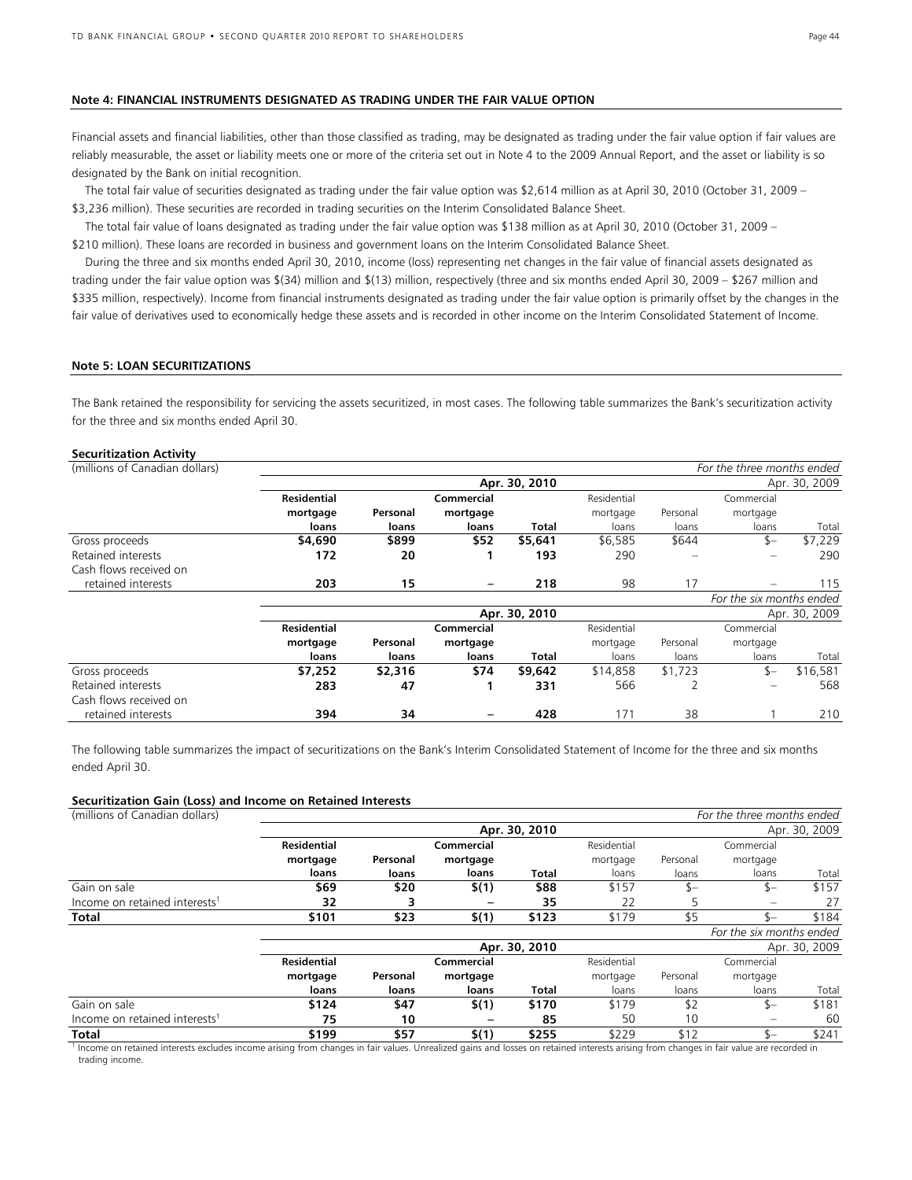#### **Note 4: FINANCIAL INSTRUMENTS DESIGNATED AS TRADING UNDER THE FAIR VALUE OPTION**

Financial assets and financial liabilities, other than those classified as trading, may be designated as trading under the fair value option if fair values are reliably measurable, the asset or liability meets one or more of the criteria set out in Note 4 to the 2009 Annual Report, and the asset or liability is so designated by the Bank on initial recognition.

 The total fair value of securities designated as trading under the fair value option was \$2,614 million as at April 30, 2010 (October 31, 2009 – \$3,236 million). These securities are recorded in trading securities on the Interim Consolidated Balance Sheet.

 The total fair value of loans designated as trading under the fair value option was \$138 million as at April 30, 2010 (October 31, 2009 – \$210 million). These loans are recorded in business and government loans on the Interim Consolidated Balance Sheet.

 During the three and six months ended April 30, 2010, income (loss) representing net changes in the fair value of financial assets designated as trading under the fair value option was \$(34) million and \$(13) million, respectively (three and six months ended April 30, 2009 – \$267 million and \$335 million, respectively). Income from financial instruments designated as trading under the fair value option is primarily offset by the changes in the fair value of derivatives used to economically hedge these assets and is recorded in other income on the Interim Consolidated Statement of Income.

#### **Note 5: LOAN SECURITIZATIONS**

The Bank retained the responsibility for servicing the assets securitized, in most cases. The following table summarizes the Bank's securitization activity for the three and six months ended April 30.

#### **Securitization Activity**

| (millions of Canadian dollars) |                    |          |            |               |             |          | For the three months ended |               |
|--------------------------------|--------------------|----------|------------|---------------|-------------|----------|----------------------------|---------------|
|                                |                    |          |            | Apr. 30, 2010 |             |          |                            | Apr. 30, 2009 |
|                                | <b>Residential</b> |          | Commercial |               | Residential |          | Commercial                 |               |
|                                | mortgage           | Personal | mortgage   |               | mortgage    | Personal | mortgage                   |               |
|                                | loans              | loans    | loans      | Total         | loans       | loans    | loans                      | Total         |
| Gross proceeds                 | \$4,690            | \$899    | \$52       | \$5,641       | \$6,585     | \$644    | $s-$                       | \$7,229       |
| Retained interests             | 172                | 20       |            | 193           | 290         |          |                            | 290           |
| Cash flows received on         |                    |          |            |               |             |          |                            |               |
| retained interests             | 203                | 15       | -          | 218           | 98          | 17       |                            | 115           |
|                                |                    |          |            |               |             |          | For the six months ended   |               |
|                                |                    |          |            | Apr. 30, 2010 |             |          |                            | Apr. 30, 2009 |
|                                | <b>Residential</b> |          | Commercial |               | Residential |          | Commercial                 |               |
|                                | mortgage           | Personal | mortgage   |               | mortgage    | Personal | mortgage                   |               |
|                                | loans              | loans    | loans      | Total         | loans       | loans    | loans                      | Total         |
| Gross proceeds                 | \$7,252            | \$2,316  | \$74       | \$9,642       | \$14,858    | \$1,723  | \$-                        | \$16,581      |
| Retained interests             | 283                | 47       |            | 331           | 566         | 2        |                            | 568           |
| Cash flows received on         |                    |          |            |               |             |          |                            |               |
| retained interests             | 394                | 34       |            | 428           | 171         | 38       |                            | 210           |

The following table summarizes the impact of securitizations on the Bank's Interim Consolidated Statement of Income for the three and six months ended April 30.

#### **Securitization Gain (Loss) and Income on Retained Interests**

| (millions of Canadian dollars)            |                    |          |            |               |             |          | For the three months ended |               |
|-------------------------------------------|--------------------|----------|------------|---------------|-------------|----------|----------------------------|---------------|
|                                           |                    |          |            | Apr. 30, 2010 |             |          |                            | Apr. 30, 2009 |
|                                           | <b>Residential</b> |          | Commercial |               | Residential |          | Commercial                 |               |
|                                           | mortgage           | Personal | mortgage   |               | mortgage    | Personal | mortgage                   |               |
|                                           | loans              | loans    | loans      | Total         | loans       | loans    | loans                      | Total         |
| Gain on sale                              | \$69               | \$20     | \$(1)      | \$88          | \$157       | \$—      | $S-$                       | \$157         |
| Income on retained interests <sup>1</sup> | 32                 |          |            | 35            | 22          |          |                            | 27            |
| Total                                     | \$101              | \$23     | \$(1)      | \$123         | \$179       | \$5      | $\zeta$                    | \$184         |
|                                           |                    |          |            |               |             |          | For the six months ended   |               |
|                                           |                    |          |            | Apr. 30, 2010 |             |          |                            | Apr. 30, 2009 |
|                                           | <b>Residential</b> |          | Commercial |               | Residential |          | Commercial                 |               |
|                                           | mortgage           | Personal | mortgage   |               | mortgage    | Personal | mortgage                   |               |
|                                           | loans              | loans    | loans      | Total         | loans       | loans    | loans                      | Total         |
| Gain on sale                              | \$124              | \$47     | \$(1)      | \$170         | \$179       | \$2      | $S-$                       | \$181         |
| Income on retained interests <sup>1</sup> | 75                 | 10       |            | 85            | 50          | 10       |                            | 60            |
| <b>Total</b>                              | \$199              | \$57     | \$(1)      | \$255         | \$229       | \$12     | $S-$                       | \$241         |

<sup>1</sup> Income on retained interests excludes income arising from changes in fair values. Unrealized gains and losses on retained interests arising from changes in fair value are recorded in trading income.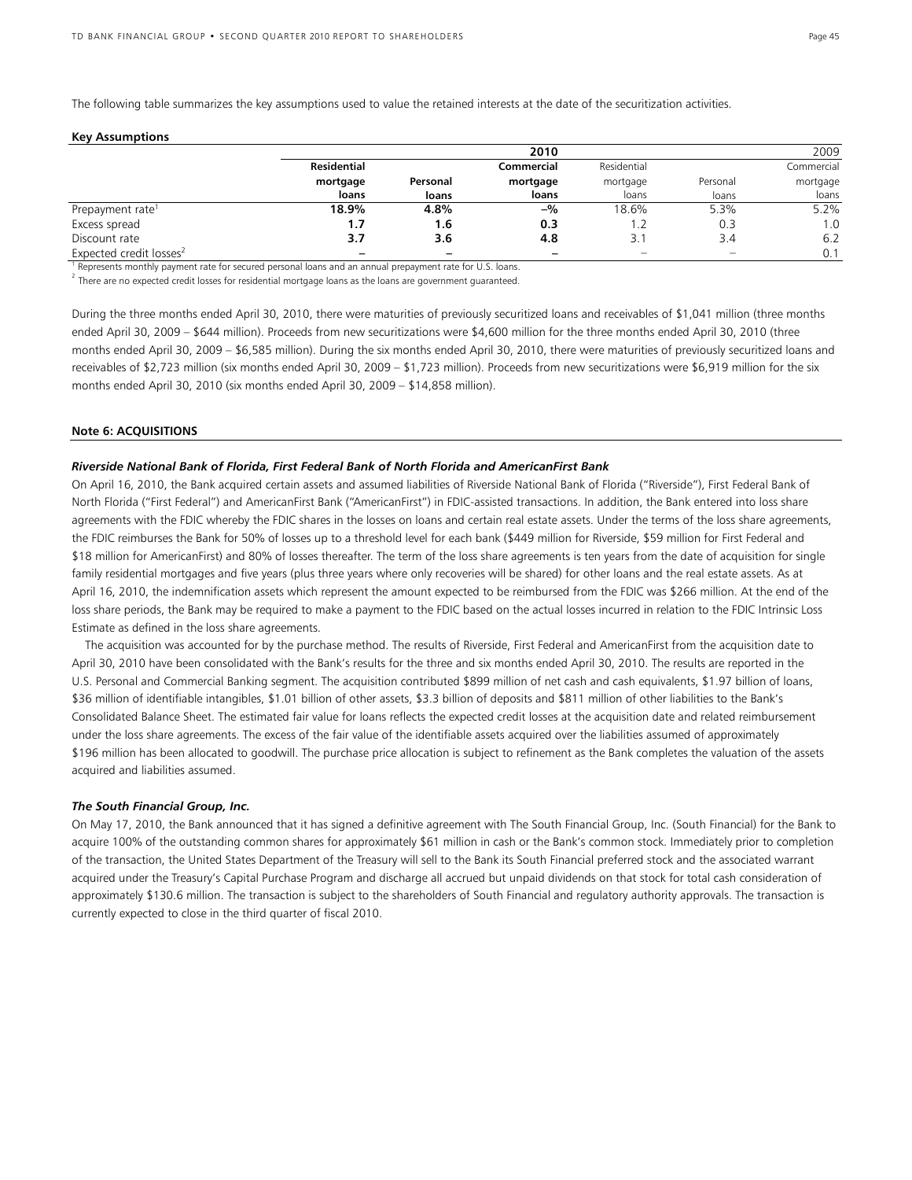The following table summarizes the key assumptions used to value the retained interests at the date of the securitization activities.

| <b>Key Assumptions</b> |  |
|------------------------|--|
|------------------------|--|

|                                     |                    |                            | 2010       |             |                   | 2009       |
|-------------------------------------|--------------------|----------------------------|------------|-------------|-------------------|------------|
|                                     | <b>Residential</b> |                            | Commercial | Residential |                   | Commercial |
|                                     | mortgage           | Personal<br>loans<br>loans | mortgage   | mortgage    | Personal<br>loans | mortgage   |
|                                     |                    |                            | loans      | loans       |                   | loans      |
| Prepayment rate <sup>1</sup>        | 18.9%              | 4.8%                       | $-$ %      | 18.6%       | 5.3%              | 5.2%       |
| Excess spread                       | 1.7                | 1.6                        | 0.3        |             | 0.3               | 1.0        |
| Discount rate                       | 3.7                | 3.6                        | 4.8        |             | 3.4               | 6.2        |
| Expected credit losses <sup>2</sup> | -                  |                            |            |             |                   | 0.1        |

<sup>1</sup> Represents monthly payment rate for secured personal loans and an annual prepayment rate for U.S. loans.<br><sup>2</sup>

 $2$  There are no expected credit losses for residential mortgage loans as the loans are government guaranteed.

During the three months ended April 30, 2010, there were maturities of previously securitized loans and receivables of \$1,041 million (three months ended April 30, 2009 – \$644 million). Proceeds from new securitizations were \$4,600 million for the three months ended April 30, 2010 (three months ended April 30, 2009 – \$6,585 million). During the six months ended April 30, 2010, there were maturities of previously securitized loans and receivables of \$2,723 million (six months ended April 30, 2009 – \$1,723 million). Proceeds from new securitizations were \$6,919 million for the six months ended April 30, 2010 (six months ended April 30, 2009 – \$14,858 million).

#### **Note 6: ACQUISITIONS**

#### *Riverside National Bank of Florida, First Federal Bank of North Florida and AmericanFirst Bank*

On April 16, 2010, the Bank acquired certain assets and assumed liabilities of Riverside National Bank of Florida ("Riverside"), First Federal Bank of North Florida ("First Federal") and AmericanFirst Bank ("AmericanFirst") in FDIC-assisted transactions. In addition, the Bank entered into loss share agreements with the FDIC whereby the FDIC shares in the losses on loans and certain real estate assets. Under the terms of the loss share agreements, the FDIC reimburses the Bank for 50% of losses up to a threshold level for each bank (\$449 million for Riverside, \$59 million for First Federal and \$18 million for AmericanFirst) and 80% of losses thereafter. The term of the loss share agreements is ten years from the date of acquisition for single family residential mortgages and five years (plus three years where only recoveries will be shared) for other loans and the real estate assets. As at April 16, 2010, the indemnification assets which represent the amount expected to be reimbursed from the FDIC was \$266 million. At the end of the loss share periods, the Bank may be required to make a payment to the FDIC based on the actual losses incurred in relation to the FDIC Intrinsic Loss Estimate as defined in the loss share agreements.

 The acquisition was accounted for by the purchase method. The results of Riverside, First Federal and AmericanFirst from the acquisition date to April 30, 2010 have been consolidated with the Bank's results for the three and six months ended April 30, 2010. The results are reported in the U.S. Personal and Commercial Banking segment. The acquisition contributed \$899 million of net cash and cash equivalents, \$1.97 billion of loans, \$36 million of identifiable intangibles, \$1.01 billion of other assets, \$3.3 billion of deposits and \$811 million of other liabilities to the Bank's Consolidated Balance Sheet. The estimated fair value for loans reflects the expected credit losses at the acquisition date and related reimbursement under the loss share agreements. The excess of the fair value of the identifiable assets acquired over the liabilities assumed of approximately \$196 million has been allocated to goodwill. The purchase price allocation is subject to refinement as the Bank completes the valuation of the assets acquired and liabilities assumed.

#### *The South Financial Group, Inc.*

On May 17, 2010, the Bank announced that it has signed a definitive agreement with The South Financial Group, Inc. (South Financial) for the Bank to acquire 100% of the outstanding common shares for approximately \$61 million in cash or the Bank's common stock. Immediately prior to completion of the transaction, the United States Department of the Treasury will sell to the Bank its South Financial preferred stock and the associated warrant acquired under the Treasury's Capital Purchase Program and discharge all accrued but unpaid dividends on that stock for total cash consideration of approximately \$130.6 million. The transaction is subject to the shareholders of South Financial and regulatory authority approvals. The transaction is currently expected to close in the third quarter of fiscal 2010.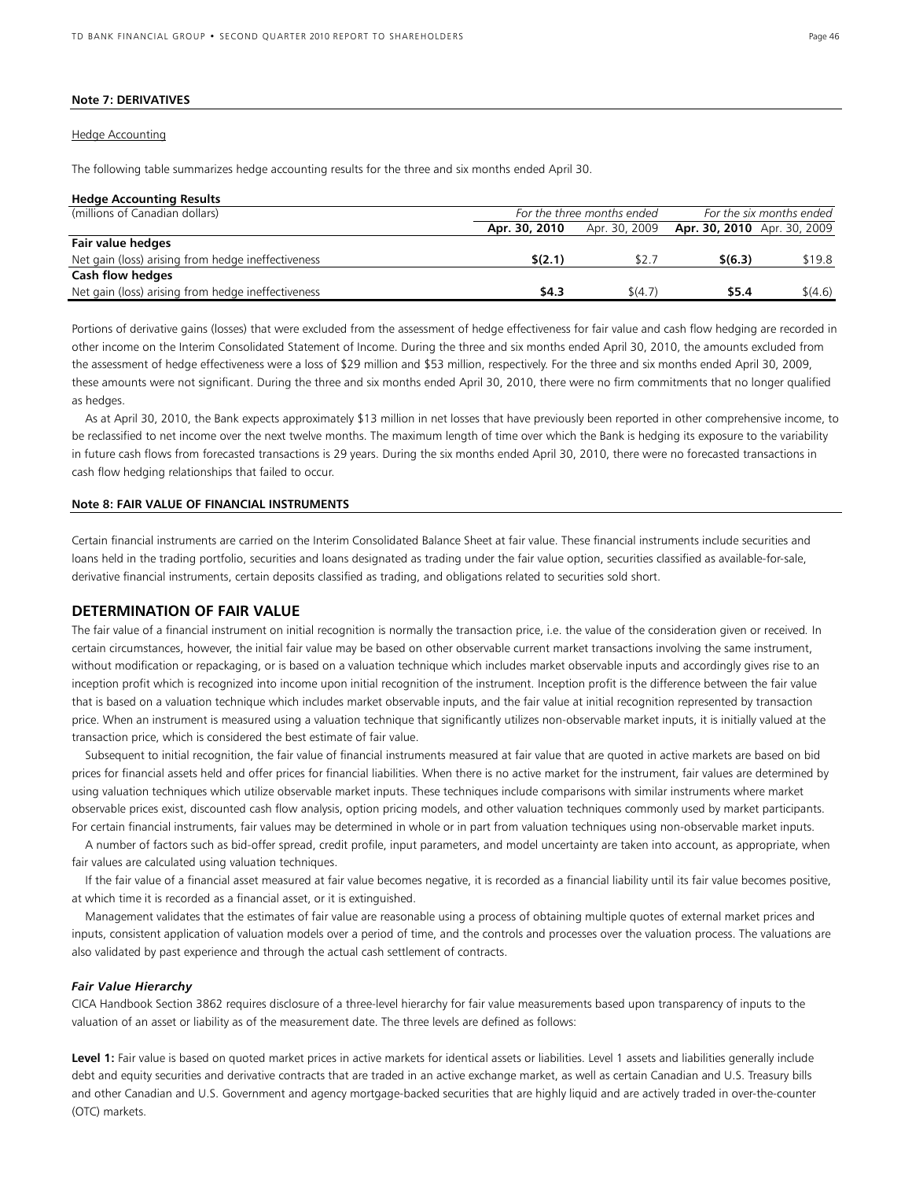## **Note 7: DERIVATIVES**

## Hedge Accounting

The following table summarizes hedge accounting results for the three and six months ended April 30.

## **Hedge Accounting Results**

| (millions of Canadian dollars)                     | For the three months ended | For the six months ended |                             |         |
|----------------------------------------------------|----------------------------|--------------------------|-----------------------------|---------|
|                                                    | Apr. 30, 2010              | Apr. 30, 2009            | Apr. 30, 2010 Apr. 30, 2009 |         |
| Fair value hedges                                  |                            |                          |                             |         |
| Net gain (loss) arising from hedge ineffectiveness | \$(2.1)                    | \$2.7                    | \$(6.3)                     | \$19.8  |
| <b>Cash flow hedges</b>                            |                            |                          |                             |         |
| Net gain (loss) arising from hedge ineffectiveness | \$4.3                      | \$(4.7)                  | \$5.4                       | \$(4.6) |
|                                                    |                            |                          |                             |         |

Portions of derivative gains (losses) that were excluded from the assessment of hedge effectiveness for fair value and cash flow hedging are recorded in other income on the Interim Consolidated Statement of Income. During the three and six months ended April 30, 2010, the amounts excluded from the assessment of hedge effectiveness were a loss of \$29 million and \$53 million, respectively. For the three and six months ended April 30, 2009, these amounts were not significant. During the three and six months ended April 30, 2010, there were no firm commitments that no longer qualified as hedges.

 As at April 30, 2010, the Bank expects approximately \$13 million in net losses that have previously been reported in other comprehensive income, to be reclassified to net income over the next twelve months. The maximum length of time over which the Bank is hedging its exposure to the variability in future cash flows from forecasted transactions is 29 years. During the six months ended April 30, 2010, there were no forecasted transactions in cash flow hedging relationships that failed to occur.

## **Note 8: FAIR VALUE OF FINANCIAL INSTRUMENTS**

Certain financial instruments are carried on the Interim Consolidated Balance Sheet at fair value. These financial instruments include securities and loans held in the trading portfolio, securities and loans designated as trading under the fair value option, securities classified as available-for-sale, derivative financial instruments, certain deposits classified as trading, and obligations related to securities sold short.

## **DETERMINATION OF FAIR VALUE**

The fair value of a financial instrument on initial recognition is normally the transaction price, i.e. the value of the consideration given or received*.* In certain circumstances, however, the initial fair value may be based on other observable current market transactions involving the same instrument, without modification or repackaging, or is based on a valuation technique which includes market observable inputs and accordingly gives rise to an inception profit which is recognized into income upon initial recognition of the instrument. Inception profit is the difference between the fair value that is based on a valuation technique which includes market observable inputs, and the fair value at initial recognition represented by transaction price. When an instrument is measured using a valuation technique that significantly utilizes non-observable market inputs, it is initially valued at the transaction price, which is considered the best estimate of fair value.

 Subsequent to initial recognition, the fair value of financial instruments measured at fair value that are quoted in active markets are based on bid prices for financial assets held and offer prices for financial liabilities. When there is no active market for the instrument, fair values are determined by using valuation techniques which utilize observable market inputs. These techniques include comparisons with similar instruments where market observable prices exist, discounted cash flow analysis, option pricing models, and other valuation techniques commonly used by market participants. For certain financial instruments, fair values may be determined in whole or in part from valuation techniques using non-observable market inputs.

 A number of factors such as bid-offer spread, credit profile, input parameters, and model uncertainty are taken into account, as appropriate, when fair values are calculated using valuation techniques.

 If the fair value of a financial asset measured at fair value becomes negative, it is recorded as a financial liability until its fair value becomes positive, at which time it is recorded as a financial asset, or it is extinguished.

 Management validates that the estimates of fair value are reasonable using a process of obtaining multiple quotes of external market prices and inputs, consistent application of valuation models over a period of time, and the controls and processes over the valuation process. The valuations are also validated by past experience and through the actual cash settlement of contracts.

## *Fair Value Hierarchy*

CICA Handbook Section 3862 requires disclosure of a three-level hierarchy for fair value measurements based upon transparency of inputs to the valuation of an asset or liability as of the measurement date. The three levels are defined as follows:

Level 1: Fair value is based on quoted market prices in active markets for identical assets or liabilities. Level 1 assets and liabilities generally include debt and equity securities and derivative contracts that are traded in an active exchange market, as well as certain Canadian and U.S. Treasury bills and other Canadian and U.S. Government and agency mortgage-backed securities that are highly liquid and are actively traded in over-the-counter (OTC) markets.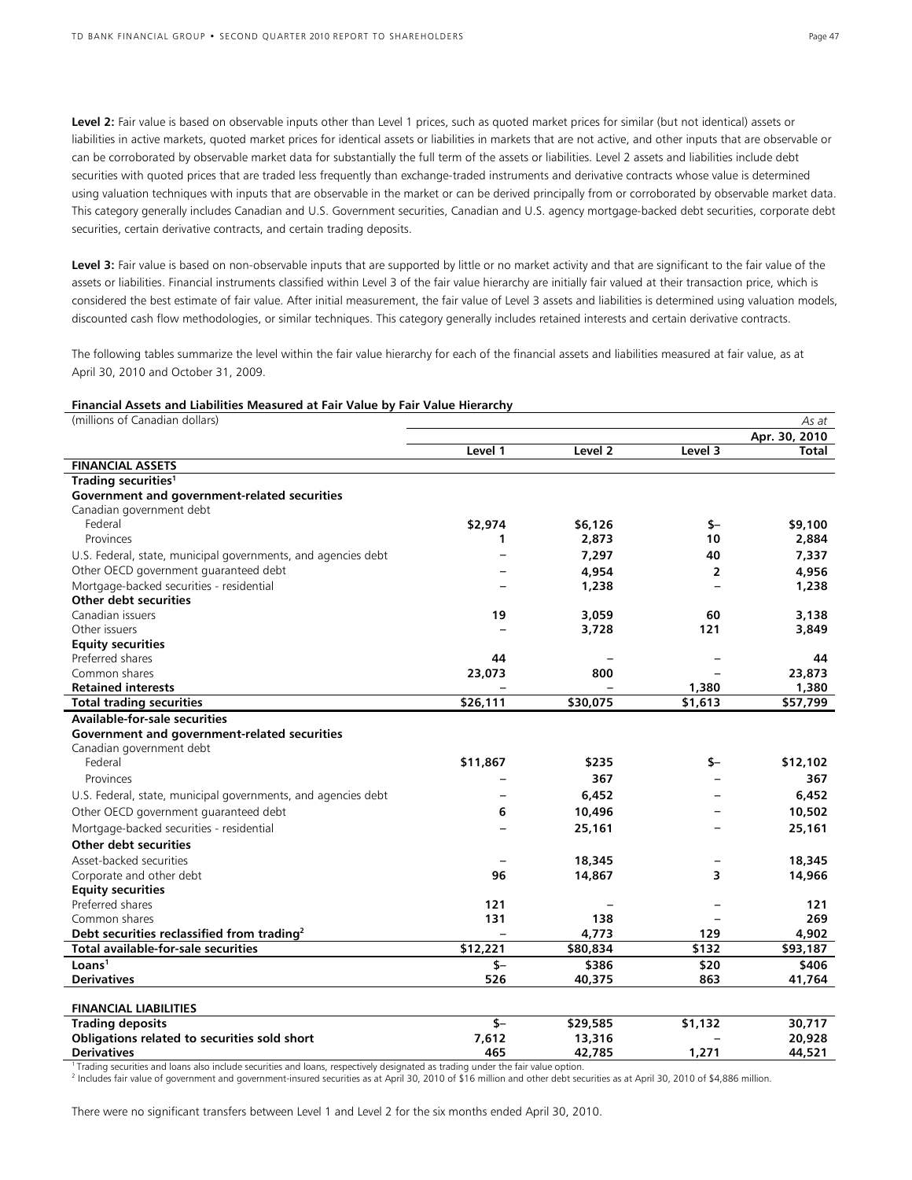Level 2: Fair value is based on observable inputs other than Level 1 prices, such as quoted market prices for similar (but not identical) assets or liabilities in active markets, quoted market prices for identical assets or liabilities in markets that are not active, and other inputs that are observable or can be corroborated by observable market data for substantially the full term of the assets or liabilities. Level 2 assets and liabilities include debt securities with quoted prices that are traded less frequently than exchange-traded instruments and derivative contracts whose value is determined using valuation techniques with inputs that are observable in the market or can be derived principally from or corroborated by observable market data. This category generally includes Canadian and U.S. Government securities, Canadian and U.S. agency mortgage-backed debt securities, corporate debt securities, certain derivative contracts, and certain trading deposits.

Level 3: Fair value is based on non-observable inputs that are supported by little or no market activity and that are significant to the fair value of the assets or liabilities. Financial instruments classified within Level 3 of the fair value hierarchy are initially fair valued at their transaction price, which is considered the best estimate of fair value. After initial measurement, the fair value of Level 3 assets and liabilities is determined using valuation models, discounted cash flow methodologies, or similar techniques. This category generally includes retained interests and certain derivative contracts.

The following tables summarize the level within the fair value hierarchy for each of the financial assets and liabilities measured at fair value, as at April 30, 2010 and October 31, 2009.

#### **Financial Assets and Liabilities Measured at Fair Value by Fair Value Hierarchy**

| (millions of Canadian dollars)                                |          |                    |                | As at         |
|---------------------------------------------------------------|----------|--------------------|----------------|---------------|
|                                                               |          |                    |                | Apr. 30, 2010 |
|                                                               | Level 1  | Level <sub>2</sub> | Level 3        | Total         |
| <b>FINANCIAL ASSETS</b>                                       |          |                    |                |               |
| Trading securities <sup>1</sup>                               |          |                    |                |               |
| Government and government-related securities                  |          |                    |                |               |
| Canadian government debt                                      |          |                    |                |               |
| Federal                                                       | \$2,974  | \$6,126            | \$-            | \$9,100       |
| Provinces                                                     | 1        | 2,873              | 10             | 2,884         |
| U.S. Federal, state, municipal governments, and agencies debt |          | 7,297              | 40             | 7,337         |
| Other OECD government guaranteed debt                         |          | 4,954              | $\overline{2}$ | 4,956         |
| Mortgage-backed securities - residential                      |          | 1,238              |                | 1,238         |
| Other debt securities                                         |          |                    |                |               |
| Canadian issuers                                              | 19       | 3,059              | 60             | 3,138         |
| Other issuers                                                 |          | 3,728              | 121            | 3,849         |
| <b>Equity securities</b>                                      |          |                    |                |               |
| Preferred shares                                              | 44       |                    |                | 44            |
| Common shares                                                 | 23,073   | 800                |                | 23,873        |
| <b>Retained interests</b>                                     |          |                    | 1,380          | 1,380         |
| <b>Total trading securities</b>                               | \$26,111 | \$30,075           | \$1,613        | \$57,799      |
| <b>Available-for-sale securities</b>                          |          |                    |                |               |
| Government and government-related securities                  |          |                    |                |               |
| Canadian government debt                                      |          |                    |                |               |
| Federal                                                       | \$11,867 | \$235              | \$—            | \$12,102      |
| Provinces                                                     |          | 367                | $\equiv$       | 367           |
| U.S. Federal, state, municipal governments, and agencies debt |          | 6,452              |                | 6,452         |
| Other OECD government guaranteed debt                         | 6        | 10,496             |                | 10,502        |
| Mortgage-backed securities - residential                      |          | 25,161             |                | 25,161        |
| Other debt securities                                         |          |                    |                |               |
| Asset-backed securities                                       |          | 18,345             |                | 18,345        |
| Corporate and other debt                                      | 96       | 14,867             | 3              | 14,966        |
| <b>Equity securities</b>                                      |          |                    |                |               |
| Preferred shares                                              | 121      |                    |                | 121           |
| Common shares                                                 | 131      | 138                |                | 269           |
| Debt securities reclassified from trading <sup>2</sup>        |          | 4,773              | 129            | 4,902         |
| Total available-for-sale securities                           | \$12,221 | \$80,834           | \$132          | \$93,187      |
| Loans <sup>1</sup>                                            | $$-$     | \$386              | \$20           | \$406         |
| <b>Derivatives</b>                                            | 526      | 40,375             | 863            | 41,764        |
| <b>FINANCIAL LIABILITIES</b>                                  |          |                    |                |               |
| <b>Trading deposits</b>                                       | $S-$     | \$29,585           | \$1,132        | 30,717        |
| Obligations related to securities sold short                  | 7,612    | 13,316             |                | 20,928        |
| <b>Derivatives</b>                                            | 465      | 42,785             | 1,271          | 44,521        |

1 Trading securities and loans also include securities and loans, respectively designated as trading under the fair value option.

2 Includes fair value of government and government-insured securities as at April 30, 2010 of \$16 million and other debt securities as at April 30, 2010 of \$4,886 million.

There were no significant transfers between Level 1 and Level 2 for the six months ended April 30, 2010.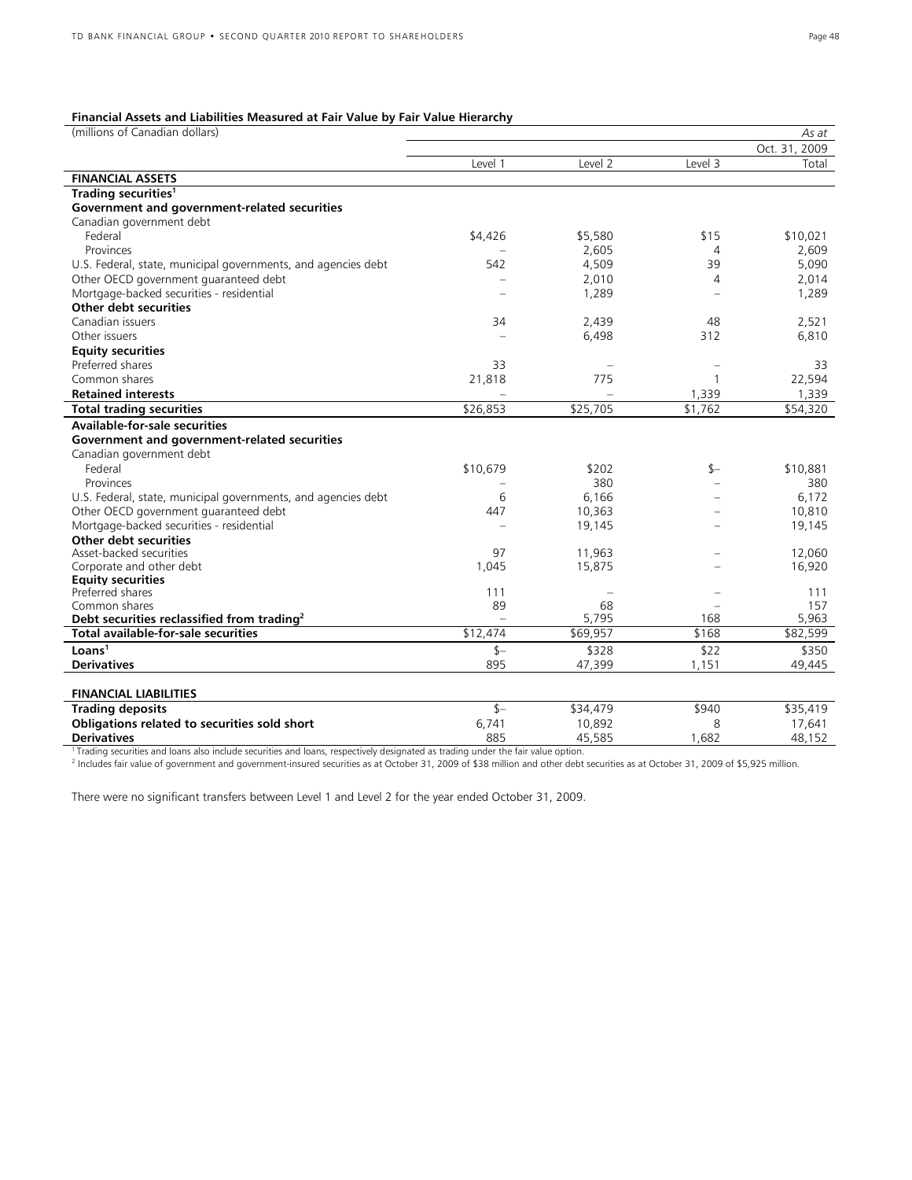#### **Financial Assets and Liabilities Measured at Fair Value by Fair Value Hierarchy**

| (millions of Canadian dollars)                                                                                                                                                               |                          |          |         | As at         |
|----------------------------------------------------------------------------------------------------------------------------------------------------------------------------------------------|--------------------------|----------|---------|---------------|
|                                                                                                                                                                                              |                          |          |         | Oct. 31, 2009 |
|                                                                                                                                                                                              | Level 1                  | Level 2  | Level 3 | Total         |
| <b>FINANCIAL ASSETS</b>                                                                                                                                                                      |                          |          |         |               |
| Trading securities <sup>1</sup>                                                                                                                                                              |                          |          |         |               |
| Government and government-related securities                                                                                                                                                 |                          |          |         |               |
| Canadian government debt                                                                                                                                                                     |                          |          |         |               |
| Federal                                                                                                                                                                                      | \$4,426                  | \$5,580  | \$15    | \$10,021      |
| Provinces                                                                                                                                                                                    |                          | 2,605    | 4       | 2.609         |
| U.S. Federal, state, municipal governments, and agencies debt                                                                                                                                | 542                      | 4,509    | 39      | 5,090         |
| Other OECD government guaranteed debt                                                                                                                                                        |                          | 2,010    | 4       | 2,014         |
| Mortgage-backed securities - residential                                                                                                                                                     |                          | 1,289    |         | 1,289         |
| Other debt securities                                                                                                                                                                        |                          |          |         |               |
| Canadian issuers                                                                                                                                                                             | 34                       | 2,439    | 48      | 2,521         |
| Other issuers                                                                                                                                                                                |                          | 6,498    | 312     | 6,810         |
| <b>Equity securities</b>                                                                                                                                                                     |                          |          |         |               |
| Preferred shares                                                                                                                                                                             | 33                       |          |         | 33            |
| Common shares                                                                                                                                                                                | 21,818                   | 775      |         | 22,594        |
| <b>Retained interests</b>                                                                                                                                                                    |                          |          | 1,339   | 1,339         |
| <b>Total trading securities</b>                                                                                                                                                              | \$26,853                 | \$25,705 | \$1,762 | \$54,320      |
| <b>Available-for-sale securities</b>                                                                                                                                                         |                          |          |         |               |
| Government and government-related securities                                                                                                                                                 |                          |          |         |               |
| Canadian government debt                                                                                                                                                                     |                          |          |         |               |
| Federal                                                                                                                                                                                      | \$10,679                 | \$202    | \$—     | \$10,881      |
| Provinces                                                                                                                                                                                    |                          | 380      |         | 380           |
| U.S. Federal, state, municipal governments, and agencies debt                                                                                                                                | 6                        | 6,166    |         | 6,172         |
| Other OECD government guaranteed debt                                                                                                                                                        | 447                      | 10,363   |         | 10,810        |
| Mortgage-backed securities - residential                                                                                                                                                     | $\overline{\phantom{a}}$ | 19,145   |         | 19,145        |
| Other debt securities                                                                                                                                                                        |                          |          |         |               |
| Asset-backed securities                                                                                                                                                                      | 97                       | 11,963   |         | 12,060        |
| Corporate and other debt                                                                                                                                                                     | 1,045                    | 15,875   |         | 16,920        |
| <b>Equity securities</b>                                                                                                                                                                     |                          |          |         |               |
| Preferred shares                                                                                                                                                                             | 111                      |          |         | 111           |
| Common shares                                                                                                                                                                                | 89                       | 68       |         | 157           |
| Debt securities reclassified from trading <sup>2</sup>                                                                                                                                       |                          | 5,795    | 168     | 5,963         |
| Total available-for-sale securities                                                                                                                                                          | \$12,474                 | \$69,957 | \$168   | \$82,599      |
| Loans <sup>1</sup>                                                                                                                                                                           | $S-$                     | \$328    | \$22    | \$350         |
| <b>Derivatives</b>                                                                                                                                                                           | 895                      | 47,399   | 1,151   | 49.445        |
|                                                                                                                                                                                              |                          |          |         |               |
| <b>FINANCIAL LIABILITIES</b>                                                                                                                                                                 |                          |          |         |               |
| <b>Trading deposits</b>                                                                                                                                                                      | $s-$                     | \$34,479 | \$940   | \$35,419      |
| Obligations related to securities sold short                                                                                                                                                 | 6,741                    | 10,892   | 8       | 17,641        |
| <b>Derivatives</b>                                                                                                                                                                           | 885                      | 45,585   | 1,682   | 48,152        |
| <sup>1</sup> Trading securities and loans also include securities and loans, respectively designated as trading under the fair value option.                                                 |                          |          |         |               |
| <sup>2</sup> Includes fair value of government and government-insured securities as at October 31, 2009 of \$38 million and other debt securities as at October 31, 2009 of \$5,925 million. |                          |          |         |               |

There were no significant transfers between Level 1 and Level 2 for the year ended October 31, 2009.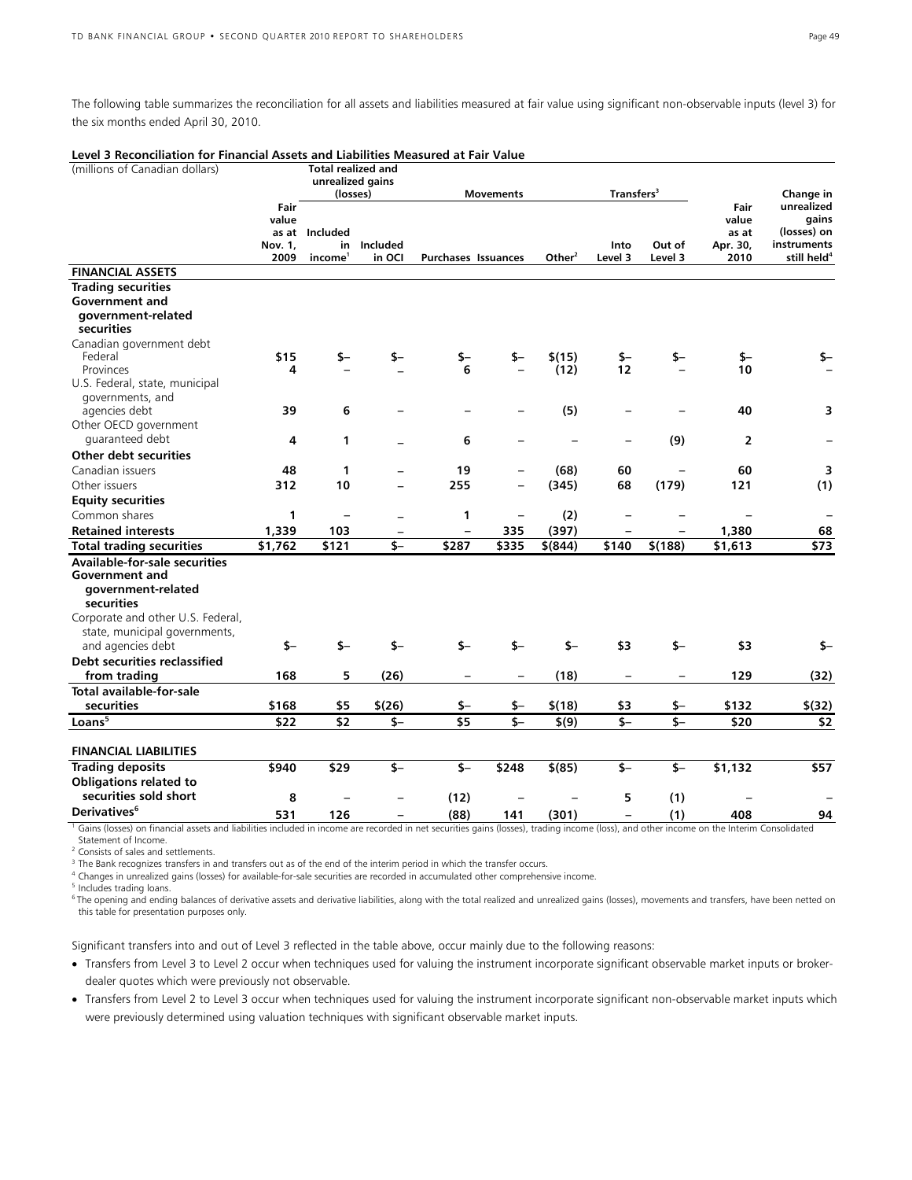The following table summarizes the reconciliation for all assets and liabilities measured at fair value using significant non-observable inputs (level 3) for the six months ended April 30, 2010.

| Level 3 Reconciliation for Financial Assets and Liabilities Measured at Fair Value                                                                                                    |                                  |                                                   |                                               |                                                |                          |                |                                           |                         |                                            |                                                                                           |
|---------------------------------------------------------------------------------------------------------------------------------------------------------------------------------------|----------------------------------|---------------------------------------------------|-----------------------------------------------|------------------------------------------------|--------------------------|----------------|-------------------------------------------|-------------------------|--------------------------------------------|-------------------------------------------------------------------------------------------|
| (millions of Canadian dollars)                                                                                                                                                        |                                  |                                                   | <b>Total realized and</b><br>unrealized gains |                                                |                          |                |                                           |                         |                                            |                                                                                           |
|                                                                                                                                                                                       | Fair<br>value<br>Nov. 1,<br>2009 | (losses)<br>as at Included<br>income <sup>1</sup> | in Included<br>in OCI                         | <b>Purchases Issuances</b>                     | <b>Movements</b>         | Other $2$      | Transfers <sup>3</sup><br>Into<br>Level 3 | Out of<br>Level 3       | Fair<br>value<br>as at<br>Apr. 30,<br>2010 | Change in<br>unrealized<br>gains<br>(losses) on<br>instruments<br>still held <sup>4</sup> |
| <b>FINANCIAL ASSETS</b>                                                                                                                                                               |                                  |                                                   |                                               |                                                |                          |                |                                           |                         |                                            |                                                                                           |
| <b>Trading securities</b><br>Government and                                                                                                                                           |                                  |                                                   |                                               |                                                |                          |                |                                           |                         |                                            |                                                                                           |
| government-related<br>securities                                                                                                                                                      |                                  |                                                   |                                               |                                                |                          |                |                                           |                         |                                            |                                                                                           |
| Canadian government debt<br>Federal<br>Provinces                                                                                                                                      | \$15<br>4                        | \$–                                               | \$–                                           | \$-<br>6                                       | $$-$                     | \$(15)<br>(12) | \$-<br>12                                 | \$-                     | $$ -$<br>10                                | \$-                                                                                       |
| U.S. Federal, state, municipal<br>governments, and<br>agencies debt                                                                                                                   | 39                               | 6                                                 |                                               |                                                |                          | (5)            |                                           |                         | 40                                         | 3                                                                                         |
| Other OECD government<br>quaranteed debt                                                                                                                                              | 4                                | 1                                                 |                                               | 6                                              |                          |                |                                           | (9)                     | $\overline{2}$                             |                                                                                           |
| Other debt securities                                                                                                                                                                 |                                  |                                                   |                                               |                                                |                          |                |                                           |                         |                                            |                                                                                           |
| Canadian issuers                                                                                                                                                                      | 48                               | 1                                                 |                                               | 19                                             |                          | (68)           | 60                                        |                         | 60                                         | 3                                                                                         |
| Other issuers                                                                                                                                                                         | 312                              | 10                                                |                                               | 255                                            |                          | (345)          | 68                                        | (179)                   | 121                                        | (1)                                                                                       |
| <b>Equity securities</b>                                                                                                                                                              |                                  |                                                   |                                               |                                                |                          |                |                                           |                         |                                            |                                                                                           |
| Common shares                                                                                                                                                                         | 1                                | $\qquad \qquad -$                                 |                                               | $\mathbf{1}$                                   | $\overline{\phantom{0}}$ | (2)            |                                           |                         | $\overline{\phantom{0}}$                   |                                                                                           |
| <b>Retained interests</b>                                                                                                                                                             | 1,339                            | 103                                               |                                               |                                                | 335                      | (397)          |                                           |                         | 1,380                                      | 68                                                                                        |
| <b>Total trading securities</b>                                                                                                                                                       | \$1,762                          | \$121                                             | $S-$                                          | \$287                                          | \$335                    | $$$ (844)      | \$140                                     | \$(188)                 | \$1,613                                    | \$73                                                                                      |
| <b>Available-for-sale securities</b><br>Government and<br>government-related<br>securities<br>Corporate and other U.S. Federal,<br>state, municipal governments,<br>and agencies debt | $S-$                             | \$-                                               | \$-                                           | \$-                                            | $S-$                     | \$-            | \$3                                       | \$-                     | \$3                                        | \$-                                                                                       |
| Debt securities reclassified                                                                                                                                                          |                                  |                                                   |                                               |                                                |                          |                |                                           |                         |                                            |                                                                                           |
| from trading                                                                                                                                                                          | 168                              | 5                                                 | (26)                                          |                                                | $\overline{\phantom{0}}$ | (18)           |                                           |                         | 129                                        | (32)                                                                                      |
| Total available-for-sale<br>securities                                                                                                                                                | \$168                            | \$5                                               | \$(26)                                        | \$-                                            | \$-                      | \$(18)         | \$3                                       | \$-                     | \$132                                      | \$(32)                                                                                    |
| Loans <sup>5</sup>                                                                                                                                                                    | \$22                             | $\overline{52}$                                   | $$-$                                          | $\overline{\overline{\overline{\overline{5}}}$ | $\overline{\mathbf{S}}$  | \$(9)          | $\overline{\mathbf{S}}$                   | $\overline{\mathsf{S}}$ | \$20                                       | \$2                                                                                       |
| <b>FINANCIAL LIABILITIES</b>                                                                                                                                                          |                                  |                                                   |                                               |                                                |                          |                |                                           |                         |                                            |                                                                                           |
| <b>Trading deposits</b><br><b>Obligations related to</b>                                                                                                                              | \$940                            | \$29                                              | \$-                                           | $$ -$                                          | \$248                    | \$(85)         | $$-$                                      | $$ -$                   | \$1,132                                    | \$57                                                                                      |
| securities sold short                                                                                                                                                                 | 8                                |                                                   |                                               | (12)                                           |                          |                | 5                                         | (1)                     |                                            |                                                                                           |
| Derivatives <sup>6</sup>                                                                                                                                                              | 531                              | 126                                               | $\overline{\phantom{0}}$                      | (88)                                           | 141                      | (301)          | $\overline{\phantom{0}}$                  | (1)                     | 408                                        | 94                                                                                        |
|                                                                                                                                                                                       |                                  |                                                   |                                               |                                                |                          |                |                                           |                         |                                            |                                                                                           |

Gains (losses) on financial assets and liabilities included in income are recorded in net securities gains (losses), trading income (loss), and other income on the Interim Consolidated

Statement of Income.

2 Consists of sales and settlements.

<sup>3</sup> The Bank recognizes transfers in and transfers out as of the end of the interim period in which the transfer occurs.

4 Changes in unrealized gains (losses) for available-for-sale securities are recorded in accumulated other comprehensive income.

5 Includes trading loans.

<sup>6</sup> The opening and ending balances of derivative assets and derivative liabilities, along with the total realized and unrealized gains (losses), movements and transfers, have been netted on this table for presentation purposes only.

Significant transfers into and out of Level 3 reflected in the table above, occur mainly due to the following reasons:

• Transfers from Level 3 to Level 2 occur when techniques used for valuing the instrument incorporate significant observable market inputs or brokerdealer quotes which were previously not observable.

• Transfers from Level 2 to Level 3 occur when techniques used for valuing the instrument incorporate significant non-observable market inputs which were previously determined using valuation techniques with significant observable market inputs.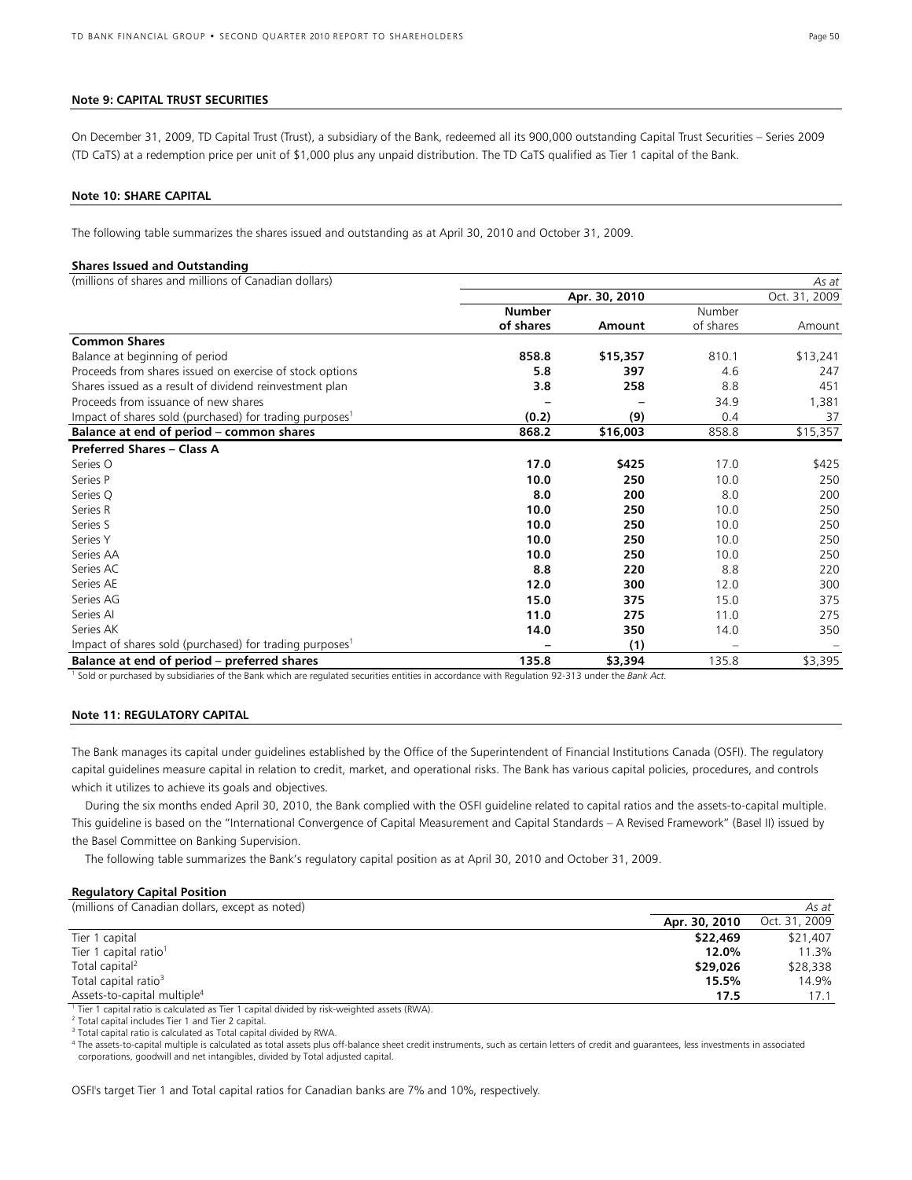#### **Note 9: CAPITAL TRUST SECURITIES**

On December 31, 2009, TD Capital Trust (Trust), a subsidiary of the Bank, redeemed all its 900,000 outstanding Capital Trust Securities – Series 2009 (TD CaTS) at a redemption price per unit of \$1,000 plus any unpaid distribution. The TD CaTS qualified as Tier 1 capital of the Bank.

#### **Note 10: SHARE CAPITAL**

The following table summarizes the shares issued and outstanding as at April 30, 2010 and October 31, 2009.

#### **Shares Issued and Outstanding**

(millions of shares and millions of Canadian dollars)

| (millions of shares and millions of Canadian dollars)               |               |               |           | As at         |
|---------------------------------------------------------------------|---------------|---------------|-----------|---------------|
|                                                                     |               | Apr. 30, 2010 |           | Oct. 31, 2009 |
|                                                                     | <b>Number</b> |               | Number    |               |
|                                                                     | of shares     | Amount        | of shares | Amount        |
| <b>Common Shares</b>                                                |               |               |           |               |
| Balance at beginning of period                                      | 858.8         | \$15,357      | 810.1     | \$13,241      |
| Proceeds from shares issued on exercise of stock options            | 5.8           | 397           | 4.6       | 247           |
| Shares issued as a result of dividend reinvestment plan             | 3.8           | 258           | 8.8       | 451           |
| Proceeds from issuance of new shares                                |               |               | 34.9      | 1,381         |
| Impact of shares sold (purchased) for trading purposes <sup>1</sup> | (0.2)         | (9)           | 0.4       | 37            |
| Balance at end of period – common shares                            | 868.2         | \$16,003      | 858.8     | \$15,357      |
| <b>Preferred Shares - Class A</b>                                   |               |               |           |               |
| Series O                                                            | 17.0          | \$425         | 17.0      | \$425         |
| Series P                                                            | 10.0          | 250           | 10.0      | 250           |
| Series Q                                                            | 8.0           | 200           | 8.0       | 200           |
| Series R                                                            | 10.0          | 250           | 10.0      | 250           |
| Series S                                                            | 10.0          | 250           | 10.0      | 250           |
| Series Y                                                            | 10.0          | 250           | 10.0      | 250           |
| Series AA                                                           | 10.0          | 250           | 10.0      | 250           |
| Series AC                                                           | 8.8           | 220           | 8.8       | 220           |
| Series AE                                                           | 12.0          | 300           | 12.0      | 300           |
| Series AG                                                           | 15.0          | 375           | 15.0      | 375           |
| Series Al                                                           | 11.0          | 275           | 11.0      | 275           |
| Series AK                                                           | 14.0          | 350           | 14.0      | 350           |
| Impact of shares sold (purchased) for trading purposes <sup>1</sup> |               | (1)           |           |               |
| Balance at end of period – preferred shares                         | 135.8         | \$3,394       | 135.8     | \$3,395       |

<sup>1</sup> Sold or purchased by subsidiaries of the Bank which are regulated securities entities in accordance with Regulation 92-313 under the Bank Act.

#### **Note 11: REGULATORY CAPITAL**

The Bank manages its capital under guidelines established by the Office of the Superintendent of Financial Institutions Canada (OSFI). The regulatory capital guidelines measure capital in relation to credit, market, and operational risks. The Bank has various capital policies, procedures, and controls which it utilizes to achieve its goals and objectives.

 During the six months ended April 30, 2010, the Bank complied with the OSFI guideline related to capital ratios and the assets-to-capital multiple. This guideline is based on the "International Convergence of Capital Measurement and Capital Standards – A Revised Framework" (Basel II) issued by the Basel Committee on Banking Supervision.

The following table summarizes the Bank's regulatory capital position as at April 30, 2010 and October 31, 2009.

#### **Regulatory Capital Position**

| Apr. 30, 2010<br>Tier 1 capital<br>\$22,469          | As at         |
|------------------------------------------------------|---------------|
|                                                      | Oct. 31, 2009 |
|                                                      | \$21,407      |
| Tier 1 capital ratio <sup>1</sup><br>12.0%           | 11.3%         |
| Total capital <sup>2</sup><br>\$29,026               | \$28,338      |
| Total capital ratio <sup>3</sup><br>15.5%            | 14.9%         |
| Assets-to-capital multiple <sup>4</sup><br>17.5<br>. | 17.1          |

<sup>1</sup> Tier 1 capital ratio is calculated as Tier 1 capital divided by risk-weighted assets (RWA).<br><sup>2</sup> Total capital includes Tier 1 and Tier 2 capital

 $2$  Total capital includes Tier 1 and Tier 2 capital.

<sup>3</sup> Total capital ratio is calculated as Total capital divided by RWA.

4 The assets-to-capital multiple is calculated as total assets plus off-balance sheet credit instruments, such as certain letters of credit and guarantees, less investments in associated corporations, goodwill and net intangibles, divided by Total adjusted capital.

OSFI's target Tier 1 and Total capital ratios for Canadian banks are 7% and 10%, respectively.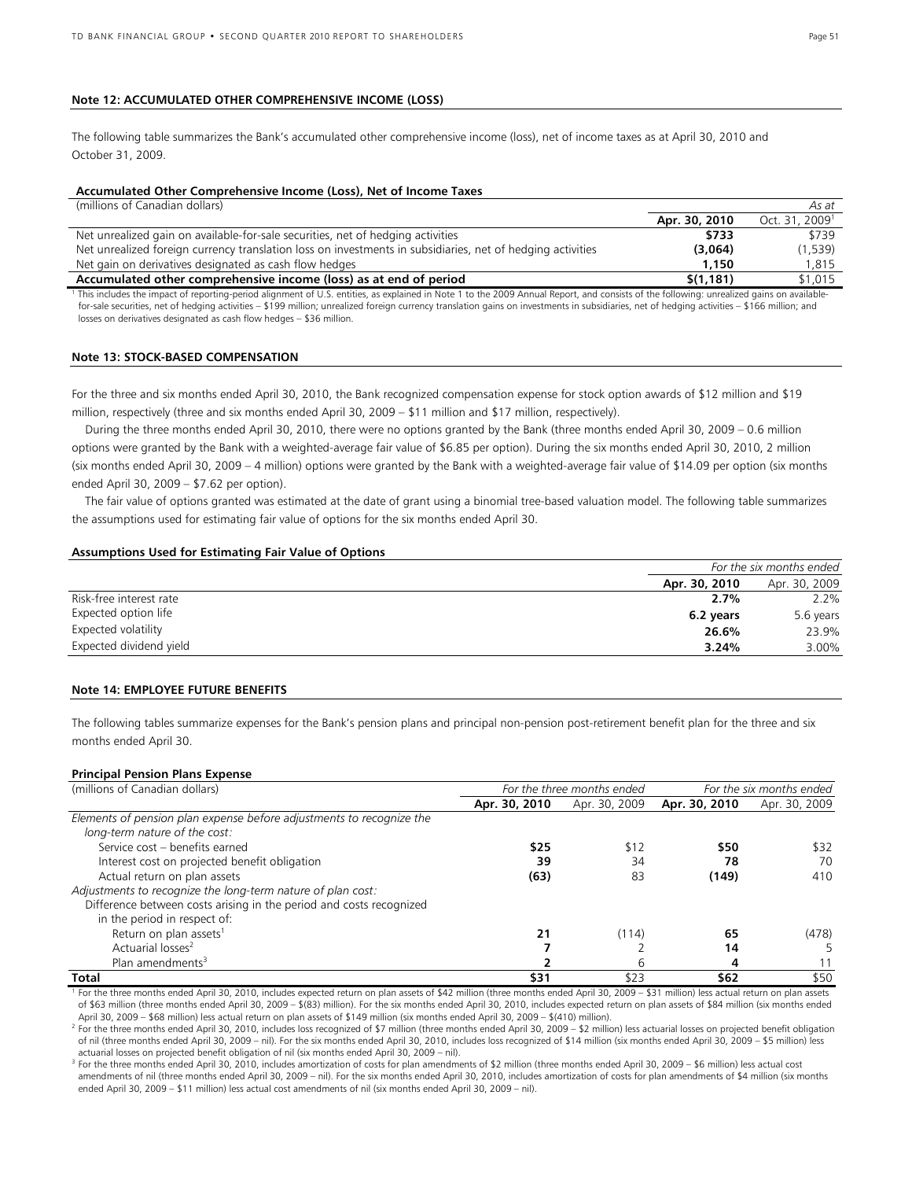#### **Note 12: ACCUMULATED OTHER COMPREHENSIVE INCOME (LOSS)**

The following table summarizes the Bank's accumulated other comprehensive income (loss), net of income taxes as at April 30, 2010 and October 31, 2009.

#### **Accumulated Other Comprehensive Income (Loss), Net of Income Taxes**

| (millions of Canadian dollars) |
|--------------------------------|
|--------------------------------|

|                                                                                                                                                                                          | Apr. 30, 2010 | Oct. 31, 2009 <sup>1</sup> |
|------------------------------------------------------------------------------------------------------------------------------------------------------------------------------------------|---------------|----------------------------|
| Net unrealized gain on available-for-sale securities, net of hedging activities                                                                                                          | \$733         | \$739                      |
| Net unrealized foreign currency translation loss on investments in subsidiaries, net of hedging activities                                                                               | (3,064)       | (1,539)                    |
| Net gain on derivatives designated as cash flow hedges                                                                                                                                   | 1.150         | 1,815                      |
| Accumulated other comprehensive income (loss) as at end of period                                                                                                                        | \$(1.181)     | \$1,015                    |
| This includes the impact of reporting-period alignment of U.S. entities, as explained in Note 1 to the 2009 Annual Report, and consists of the following: unrealized gains on available- |               |                            |

for-sale securities, net of hedging activities – \$199 million; unrealized foreign currency translation gains on investments in subsidiaries, net of hedging activities – \$166 million; and losses on derivatives designated as cash flow hedges – \$36 million.

#### **Note 13: STOCK-BASED COMPENSATION**

For the three and six months ended April 30, 2010, the Bank recognized compensation expense for stock option awards of \$12 million and \$19 million, respectively (three and six months ended April 30, 2009 – \$11 million and \$17 million, respectively).

 During the three months ended April 30, 2010, there were no options granted by the Bank (three months ended April 30, 2009 – 0.6 million options were granted by the Bank with a weighted-average fair value of \$6.85 per option). During the six months ended April 30, 2010, 2 million (six months ended April 30, 2009 – 4 million) options were granted by the Bank with a weighted-average fair value of \$14.09 per option (six months ended April 30, 2009 – \$7.62 per option).

 The fair value of options granted was estimated at the date of grant using a binomial tree-based valuation model. The following table summarizes the assumptions used for estimating fair value of options for the six months ended April 30.

#### **Assumptions Used for Estimating Fair Value of Options**

| For the six months ended |               |
|--------------------------|---------------|
| Apr. 30, 2010            | Apr. 30, 2009 |
| 2.7%                     | 2.2%          |
| 6.2 years                | 5.6 years     |
| 26.6%                    | 23.9%         |
| 3.24%                    | 3.00%         |
|                          |               |

### **Note 14: EMPLOYEE FUTURE BENEFITS**

The following tables summarize expenses for the Bank's pension plans and principal non-pension post-retirement benefit plan for the three and six months ended April 30.

#### **Principal Pension Plans Expense**

| (millions of Canadian dollars)                                       | For the three months ended |               |               | For the six months ended |
|----------------------------------------------------------------------|----------------------------|---------------|---------------|--------------------------|
|                                                                      | Apr. 30, 2010              | Apr. 30, 2009 | Apr. 30, 2010 | Apr. 30, 2009            |
| Elements of pension plan expense before adjustments to recognize the |                            |               |               |                          |
| long-term nature of the cost:                                        |                            |               |               |                          |
| Service cost - benefits earned                                       | \$25                       | \$12          | \$50          | \$32                     |
| Interest cost on projected benefit obligation                        | 39                         | 34            | 78            | 70                       |
| Actual return on plan assets                                         | (63)                       | 83            | (149)         | 410                      |
| Adjustments to recognize the long-term nature of plan cost:          |                            |               |               |                          |
| Difference between costs arising in the period and costs recognized  |                            |               |               |                          |
| in the period in respect of:                                         |                            |               |               |                          |
| Return on plan assets <sup>1</sup>                                   | 21                         | (114)         | 65            | (478)                    |
| Actuarial losses <sup>2</sup>                                        |                            |               | 14            |                          |
| Plan amendments <sup>3</sup>                                         |                            | 6             | 4             |                          |
| Total                                                                | \$31                       | \$23          | \$62          | \$50                     |

<sup>1</sup> For the three months ended April 30, 2010, includes expected return on plan assets of \$42 million (three months ended April 30, 2009 – \$31 million) less actual return on plan assets of \$63 million (three months ended April 30, 2009 – \$(83) million). For the six months ended April 30, 2010, includes expected return on plan assets of \$84 million (six months ended April 30, 2009 – \$68 million) less actual return on plan assets of \$149 million (six months ended April 30, 2009 – \$(410) million). 2

Por the three months ended April 30, 2010, includes loss recognized of \$7 million (three months ended April 30, 2009 – \$2 million) less actuarial losses on projected benefit obligation of nil (three months ended April 30, 2009 – nil). For the six months ended April 30, 2010, includes loss recognized of \$14 million (six months ended April 30, 2009 – \$5 million) less actuarial losses on projected benefit obligation of nil (six months ended April 30, 2009 – nil).

<sup>3</sup> For the three months ended April 30, 2010, includes amortization of costs for plan amendments of \$2 million (three months ended April 30, 2009 – \$6 million) less actual cost amendments of nil (three months ended April 30, 2009 – nil). For the six months ended April 30, 2010, includes amortization of costs for plan amendments of \$4 million (six months ended April 30, 2009 – \$11 million) less actual cost amendments of nil (six months ended April 30, 2009 – nil).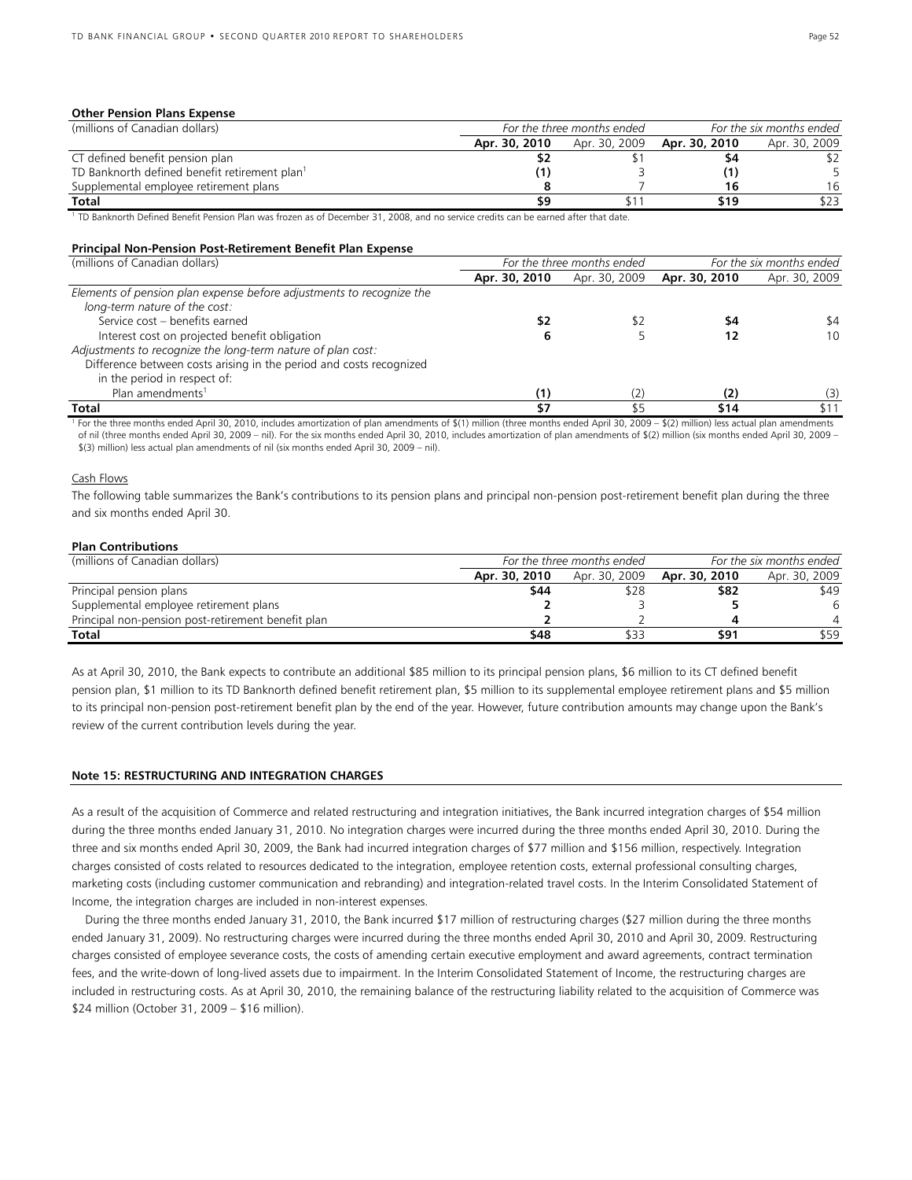#### **Other Pension Plans Expense**

| (millions of Canadian dollars)                            | For the six months ended<br>For the three months ended |               |               |               |
|-----------------------------------------------------------|--------------------------------------------------------|---------------|---------------|---------------|
|                                                           | Apr. 30, 2010                                          | Apr. 30, 2009 | Apr. 30, 2010 | Apr. 30, 2009 |
| CT defined benefit pension plan                           |                                                        |               | 54            |               |
| TD Banknorth defined benefit retirement plan <sup>1</sup> |                                                        |               |               |               |
| Supplemental employee retirement plans                    |                                                        |               | 16            | 16            |
| Total                                                     | 59                                                     |               | \$19          | \$23          |

<sup>1</sup> TD Banknorth Defined Benefit Pension Plan was frozen as of December 31, 2008, and no service credits can be earned after that date.

#### **Principal Non-Pension Post-Retirement Benefit Plan Expense**

| (millions of Canadian dollars)                                                                        |               | For the three months ended | For the six months ended |               |  |  |
|-------------------------------------------------------------------------------------------------------|---------------|----------------------------|--------------------------|---------------|--|--|
|                                                                                                       | Apr. 30, 2010 | Apr. 30, 2009              | Apr. 30, 2010            | Apr. 30, 2009 |  |  |
| Elements of pension plan expense before adjustments to recognize the<br>long-term nature of the cost: |               |                            |                          |               |  |  |
| Service cost - benefits earned                                                                        |               |                            | 54                       | \$4           |  |  |
| Interest cost on projected benefit obligation                                                         |               |                            |                          | 10            |  |  |
| Adjustments to recognize the long-term nature of plan cost:                                           |               |                            |                          |               |  |  |
| Difference between costs arising in the period and costs recognized                                   |               |                            |                          |               |  |  |
| in the period in respect of:                                                                          |               |                            |                          |               |  |  |
| Plan amendments <sup>1</sup>                                                                          | (1)           |                            | (2)                      | (3)           |  |  |
| Total                                                                                                 | \$7           |                            | \$14                     | \$11          |  |  |

1 For the three months ended April 30, 2010, includes amortization of plan amendments of \$(1) million (three months ended April 30, 2009 – \$(2) million) less actual plan amendments of nil (three months ended April 30, 2009 – nil). For the six months ended April 30, 2010, includes amortization of plan amendments of \$(2) million (six months ended April 30, 2009 – \$(3) million) less actual plan amendments of nil (six months ended April 30, 2009 – nil).

#### Cash Flows

The following table summarizes the Bank's contributions to its pension plans and principal non-pension post-retirement benefit plan during the three and six months ended April 30.

#### **Plan Contributions**

| (millions of Canadian dollars)                     | For the three months ended | For the six months ended |               |               |  |
|----------------------------------------------------|----------------------------|--------------------------|---------------|---------------|--|
|                                                    | Apr. 30, 2010              | Apr. 30, 2009            | Apr. 30, 2010 | Apr. 30, 2009 |  |
| Principal pension plans                            | \$44                       |                          | \$82          | \$49          |  |
| Supplemental employee retirement plans             |                            |                          |               | 6             |  |
| Principal non-pension post-retirement benefit plan |                            |                          |               |               |  |
| Total                                              | \$48                       |                          | \$91          | \$59          |  |

As at April 30, 2010, the Bank expects to contribute an additional \$85 million to its principal pension plans, \$6 million to its CT defined benefit pension plan, \$1 million to its TD Banknorth defined benefit retirement plan, \$5 million to its supplemental employee retirement plans and \$5 million to its principal non-pension post-retirement benefit plan by the end of the year. However, future contribution amounts may change upon the Bank's review of the current contribution levels during the year.

#### **Note 15: RESTRUCTURING AND INTEGRATION CHARGES**

As a result of the acquisition of Commerce and related restructuring and integration initiatives, the Bank incurred integration charges of \$54 million during the three months ended January 31, 2010. No integration charges were incurred during the three months ended April 30, 2010. During the three and six months ended April 30, 2009, the Bank had incurred integration charges of \$77 million and \$156 million, respectively. Integration charges consisted of costs related to resources dedicated to the integration, employee retention costs, external professional consulting charges, marketing costs (including customer communication and rebranding) and integration-related travel costs. In the Interim Consolidated Statement of Income, the integration charges are included in non-interest expenses.

 During the three months ended January 31, 2010, the Bank incurred \$17 million of restructuring charges (\$27 million during the three months ended January 31, 2009). No restructuring charges were incurred during the three months ended April 30, 2010 and April 30, 2009. Restructuring charges consisted of employee severance costs, the costs of amending certain executive employment and award agreements, contract termination fees, and the write-down of long-lived assets due to impairment. In the Interim Consolidated Statement of Income, the restructuring charges are included in restructuring costs. As at April 30, 2010, the remaining balance of the restructuring liability related to the acquisition of Commerce was \$24 million (October 31, 2009 – \$16 million).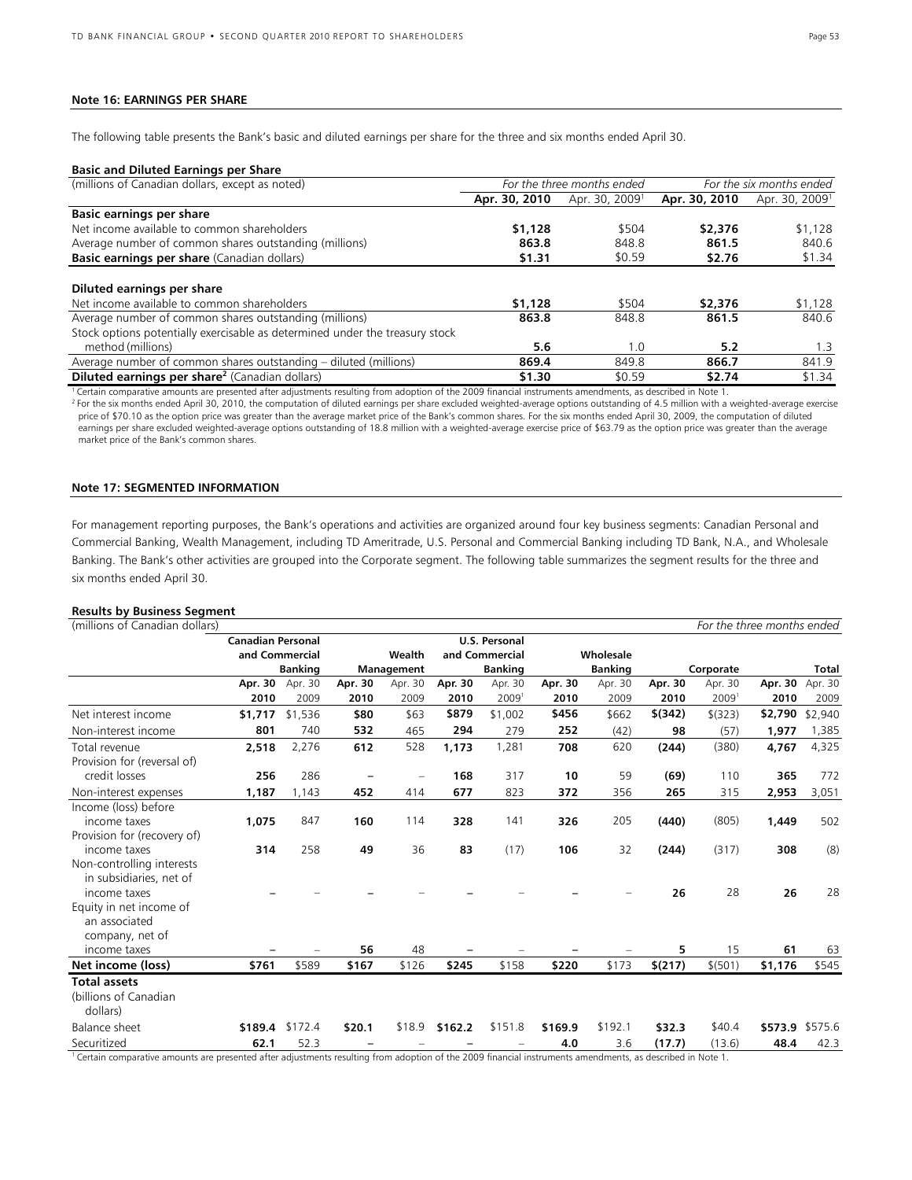#### **Note 16: EARNINGS PER SHARE**

The following table presents the Bank's basic and diluted earnings per share for the three and six months ended April 30.

#### **Basic and Diluted Earnings per Share**

| (millions of Canadian dollars, except as noted)                                                   |               | For the three months ended | For the six months ended |                            |  |  |  |
|---------------------------------------------------------------------------------------------------|---------------|----------------------------|--------------------------|----------------------------|--|--|--|
|                                                                                                   | Apr. 30, 2010 | Apr. 30, 2009 <sup>1</sup> | Apr. 30, 2010            | Apr. 30, 2009 <sup>1</sup> |  |  |  |
| <b>Basic earnings per share</b>                                                                   |               |                            |                          |                            |  |  |  |
| Net income available to common shareholders                                                       | \$1,128       | \$504                      | \$2,376                  | \$1,128                    |  |  |  |
| Average number of common shares outstanding (millions)                                            | 863.8         | 848.8                      | 861.5                    | 840.6                      |  |  |  |
| Basic earnings per share (Canadian dollars)                                                       | \$1.31        | \$0.59                     | \$2.76                   | \$1.34                     |  |  |  |
| Diluted earnings per share<br>Net income available to common shareholders                         | \$1,128       | \$504                      | \$2,376                  | \$1,128                    |  |  |  |
| Average number of common shares outstanding (millions)                                            | 863.8         | 848.8                      | 861.5                    | 840.6                      |  |  |  |
| Stock options potentially exercisable as determined under the treasury stock<br>method (millions) | 5.6           | 1.0                        | 5.2                      | 1.3                        |  |  |  |
| Average number of common shares outstanding – diluted (millions)                                  | 869.4         | 849.8                      | 866.7                    | 841.9                      |  |  |  |
| <b>Diluted earnings per share</b> <sup>2</sup> (Canadian dollars)                                 | \$1.30        | \$0.59                     | \$2.74                   | \$1.34                     |  |  |  |

1 Certain comparative amounts are presented after adjustments resulting from adoption of the 2009 financial instruments amendments, as described in Note 1.

<sup>2</sup> For the six months ended April 30, 2010, the computation of diluted earnings per share excluded weighted-average options outstanding of 4.5 million with a weighted-average exercise price of \$70.10 as the option price was greater than the average market price of the Bank's common shares. For the six months ended April 30, 2009, the computation of diluted earnings per share excluded weighted-average options outstanding of 18.8 million with a weighted-average exercise price of \$63.79 as the option price was greater than the average market price of the Bank's common shares.

#### **Note 17: SEGMENTED INFORMATION**

For management reporting purposes, the Bank's operations and activities are organized around four key business segments: Canadian Personal and Commercial Banking, Wealth Management, including TD Ameritrade, U.S. Personal and Commercial Banking including TD Bank, N.A., and Wholesale Banking. The Bank's other activities are grouped into the Corporate segment. The following table summarizes the segment results for the three and six months ended April 30.

#### **Results by Business Segment**

| (millions of Canadian dollars)                                                              |                          |                |            |         |         |                      |         |                |         |           | For the three months ended |              |
|---------------------------------------------------------------------------------------------|--------------------------|----------------|------------|---------|---------|----------------------|---------|----------------|---------|-----------|----------------------------|--------------|
|                                                                                             | <b>Canadian Personal</b> |                |            |         |         | <b>U.S. Personal</b> |         |                |         |           |                            |              |
|                                                                                             |                          | and Commercial |            | Wealth  |         | and Commercial       |         | Wholesale      |         |           |                            |              |
|                                                                                             | <b>Banking</b>           |                | Management |         |         | <b>Banking</b>       |         | <b>Banking</b> |         | Corporate |                            | <b>Total</b> |
|                                                                                             | Apr. 30                  | Apr. 30        | Apr. 30    | Apr. 30 | Apr. 30 | Apr. 30              | Apr. 30 | Apr. 30        | Apr. 30 | Apr. 30   | Apr. 30                    | Apr. 30      |
|                                                                                             | 2010                     | 2009           | 2010       | 2009    | 2010    | 2009 <sup>1</sup>    | 2010    | 2009           | 2010    | 2009      | 2010                       | 2009         |
| Net interest income                                                                         | \$1,717                  | \$1,536        | \$80       | \$63    | \$879   | \$1,002              | \$456   | \$662          | \$(342) | \$ (323)  | \$2,790                    | \$2,940      |
| Non-interest income                                                                         | 801                      | 740            | 532        | 465     | 294     | 279                  | 252     | (42)           | 98      | (57)      | 1,977                      | 1,385        |
| Total revenue<br>Provision for (reversal of)                                                | 2,518                    | 2,276          | 612        | 528     | 1,173   | 1,281                | 708     | 620            | (244)   | (380)     | 4,767                      | 4,325        |
| credit losses                                                                               | 256                      | 286            |            |         | 168     | 317                  | 10      | 59             | (69)    | 110       | 365                        | 772          |
| Non-interest expenses                                                                       | 1,187                    | 1,143          | 452        | 414     | 677     | 823                  | 372     | 356            | 265     | 315       | 2,953                      | 3,051        |
| Income (loss) before<br>income taxes<br>Provision for (recovery of)                         | 1,075                    | 847            | 160        | 114     | 328     | 141                  | 326     | 205            | (440)   | (805)     | 1,449                      | 502          |
| income taxes<br>Non-controlling interests<br>in subsidiaries, net of                        | 314                      | 258            | 49         | 36      | 83      | (17)                 | 106     | 32             | (244)   | (317)     | 308                        | (8)          |
| income taxes<br>Equity in net income of<br>an associated<br>company, net of<br>income taxes |                          |                | 56         | 48      |         |                      |         |                | 26<br>5 | 28<br>15  | 26<br>61                   | 28<br>63     |
| Net income (loss)                                                                           | \$761                    | \$589          | \$167      | \$126   | \$245   | \$158                | \$220   | \$173          | \$(217) | \$(501)   | \$1,176                    | \$545        |
| <b>Total assets</b><br>(billions of Canadian<br>dollars)                                    |                          |                |            |         |         |                      |         |                |         |           |                            |              |
| <b>Balance sheet</b>                                                                        | \$189.4                  | \$172.4        | \$20.1     | \$18.9  | \$162.2 | \$151.8              | \$169.9 | \$192.1        | \$32.3  | \$40.4    | \$573.9                    | \$575.6      |
| Securitized                                                                                 | 62.1                     | 52.3           |            |         |         |                      | 4.0     | 3.6            | (17.7)  | (13.6)    | 48.4                       | 42.3         |

1 Certain comparative amounts are presented after adjustments resulting from adoption of the 2009 financial instruments amendments, as described in Note 1.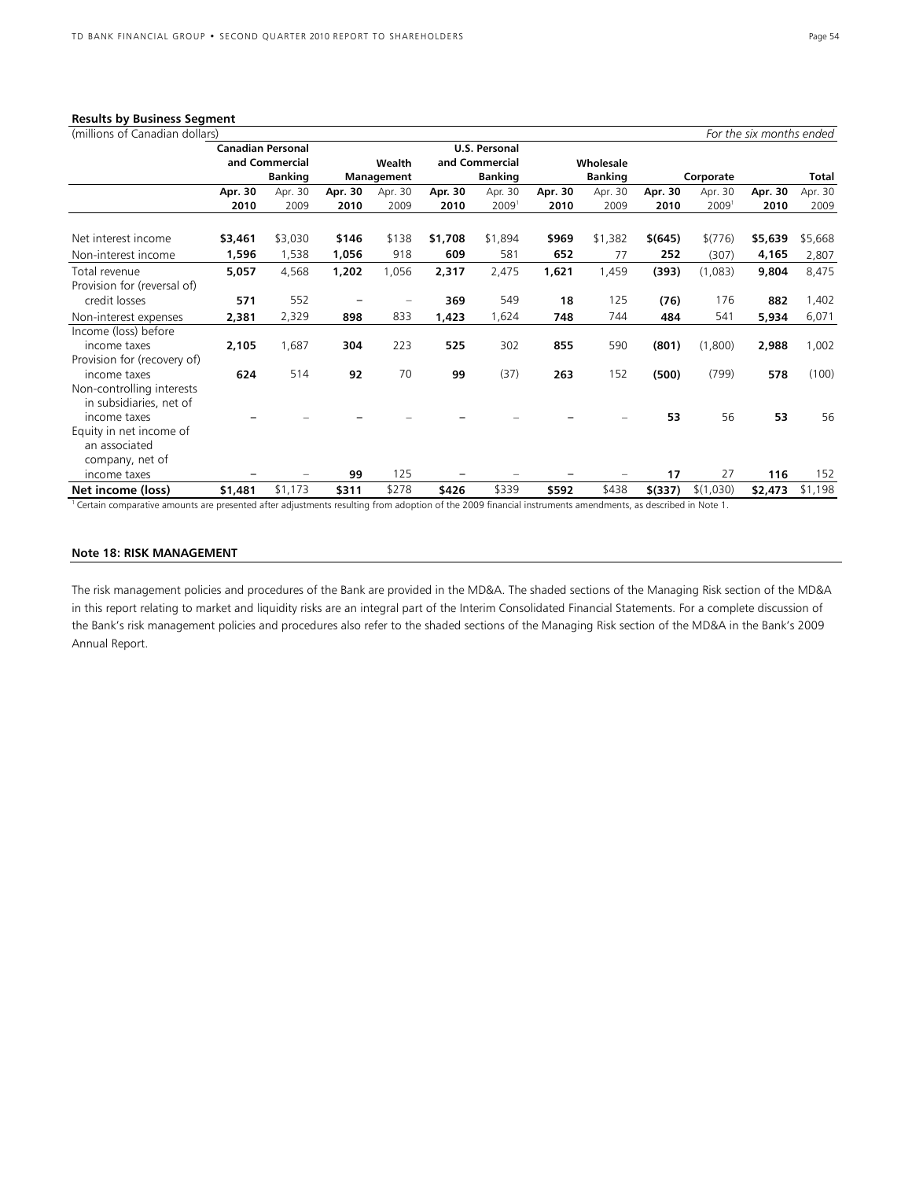## **Results by Business Segment**

| (millions of Canadian dollars) |                          |                |         |            |         |                      |         |                |         |                   | For the six months ended |         |
|--------------------------------|--------------------------|----------------|---------|------------|---------|----------------------|---------|----------------|---------|-------------------|--------------------------|---------|
|                                | <b>Canadian Personal</b> |                |         |            |         | <b>U.S. Personal</b> |         |                |         |                   |                          |         |
|                                |                          | and Commercial |         | Wealth     |         | and Commercial       |         | Wholesale      |         |                   |                          |         |
|                                |                          | <b>Banking</b> |         | Management |         | <b>Banking</b>       |         | <b>Banking</b> |         | Corporate         |                          | Total   |
|                                | Apr. 30                  | Apr. 30        | Apr. 30 | Apr. 30    | Apr. 30 | Apr. 30              | Apr. 30 | Apr. 30        | Apr. 30 | Apr. 30           | Apr. 30                  | Apr. 30 |
|                                | 2010                     | 2009           | 2010    | 2009       | 2010    | 2009 <sup>1</sup>    | 2010    | 2009           | 2010    | 2009 <sup>1</sup> | 2010                     | 2009    |
| Net interest income            | \$3,461                  | \$3,030        | \$146   | \$138      | \$1,708 | \$1,894              | \$969   | \$1,382        | \$(645) | \$(776)           | \$5,639                  | \$5,668 |
| Non-interest income            | 1,596                    | 1,538          | 1,056   | 918        | 609     | 581                  | 652     | 77             | 252     | (307)             | 4,165                    | 2,807   |
| Total revenue                  | 5,057                    | 4,568          | 1,202   | 1,056      | 2,317   | 2,475                | 1,621   | 1,459          | (393)   | (1,083)           | 9,804                    | 8,475   |
| Provision for (reversal of)    |                          |                |         |            |         |                      |         |                |         |                   |                          |         |
| credit losses                  | 571                      | 552            |         |            | 369     | 549                  | 18      | 125            | (76)    | 176               | 882                      | 1,402   |
| Non-interest expenses          | 2,381                    | 2,329          | 898     | 833        | 1,423   | 1,624                | 748     | 744            | 484     | 541               | 5,934                    | 6,071   |
| Income (loss) before           |                          |                |         |            |         |                      |         |                |         |                   |                          |         |
| income taxes                   | 2,105                    | 1,687          | 304     | 223        | 525     | 302                  | 855     | 590            | (801)   | (1,800)           | 2,988                    | 1,002   |
| Provision for (recovery of)    |                          |                |         |            |         |                      |         |                |         |                   |                          |         |
| income taxes                   | 624                      | 514            | 92      | 70         | 99      | (37)                 | 263     | 152            | (500)   | (799)             | 578                      | (100)   |
| Non-controlling interests      |                          |                |         |            |         |                      |         |                |         |                   |                          |         |
| in subsidiaries, net of        |                          |                |         |            |         |                      |         |                |         |                   |                          |         |
| income taxes                   |                          |                |         |            |         |                      |         |                | 53      | 56                | 53                       | 56      |
| Equity in net income of        |                          |                |         |            |         |                      |         |                |         |                   |                          |         |
| an associated                  |                          |                |         |            |         |                      |         |                |         |                   |                          |         |
| company, net of                |                          |                |         |            |         |                      |         |                |         |                   |                          |         |
| income taxes                   |                          |                | 99      | 125        |         |                      |         |                | 17      | 27                | 116                      | 152     |
| Net income (loss)              | \$1,481                  | \$1,173        | \$311   | \$278      | \$426   | \$339                | \$592   | \$438          | \$(337) | \$(1,030)         | \$2,473                  | \$1,198 |

1 Certain comparative amounts are presented after adjustments resulting from adoption of the 2009 financial instruments amendments, as described in Note 1.

#### **Note 18: RISK MANAGEMENT**

The risk management policies and procedures of the Bank are provided in the MD&A. The shaded sections of the Managing Risk section of the MD&A in this report relating to market and liquidity risks are an integral part of the Interim Consolidated Financial Statements. For a complete discussion of the Bank's risk management policies and procedures also refer to the shaded sections of the Managing Risk section of the MD&A in the Bank's 2009 Annual Report.